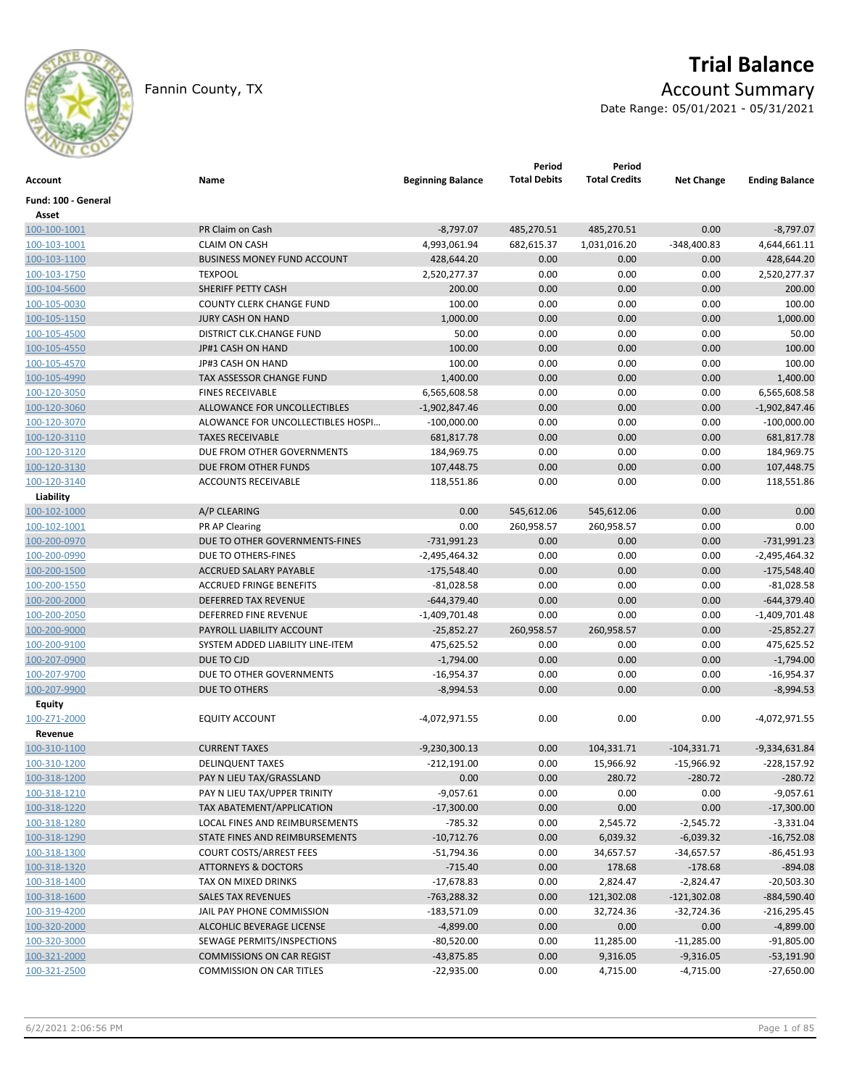

# **Trial Balance**

Fannin County, TX **Account Summary** 

Date Range: 05/01/2021 - 05/31/2021

| Account             | Name                               | <b>Beginning Balance</b> | Period<br><b>Total Debits</b> | Period<br><b>Total Credits</b> | <b>Net Change</b> | <b>Ending Balance</b> |
|---------------------|------------------------------------|--------------------------|-------------------------------|--------------------------------|-------------------|-----------------------|
| Fund: 100 - General |                                    |                          |                               |                                |                   |                       |
| Asset               |                                    |                          |                               |                                |                   |                       |
| 100-100-1001        | PR Claim on Cash                   | $-8,797.07$              | 485,270.51                    | 485,270.51                     | 0.00              | $-8,797.07$           |
| 100-103-1001        | <b>CLAIM ON CASH</b>               | 4,993,061.94             | 682,615.37                    | 1,031,016.20                   | $-348,400.83$     | 4,644,661.11          |
| 100-103-1100        | <b>BUSINESS MONEY FUND ACCOUNT</b> | 428,644.20               | 0.00                          | 0.00                           | 0.00              | 428,644.20            |
| 100-103-1750        | <b>TEXPOOL</b>                     | 2,520,277.37             | 0.00                          | 0.00                           | 0.00              | 2,520,277.37          |
| 100-104-5600        | SHERIFF PETTY CASH                 | 200.00                   | 0.00                          | 0.00                           | 0.00              | 200.00                |
| 100-105-0030        | <b>COUNTY CLERK CHANGE FUND</b>    | 100.00                   | 0.00                          | 0.00                           | 0.00              | 100.00                |
| 100-105-1150        | <b>JURY CASH ON HAND</b>           | 1,000.00                 | 0.00                          | 0.00                           | 0.00              | 1,000.00              |
| 100-105-4500        | DISTRICT CLK.CHANGE FUND           | 50.00                    | 0.00                          | 0.00                           | 0.00              | 50.00                 |
| 100-105-4550        | JP#1 CASH ON HAND                  | 100.00                   | 0.00                          | 0.00                           | 0.00              | 100.00                |
| 100-105-4570        | JP#3 CASH ON HAND                  | 100.00                   | 0.00                          | 0.00                           | 0.00              | 100.00                |
| 100-105-4990        | TAX ASSESSOR CHANGE FUND           | 1,400.00                 | 0.00                          | 0.00                           | 0.00              | 1,400.00              |
| 100-120-3050        | <b>FINES RECEIVABLE</b>            | 6,565,608.58             | 0.00                          | 0.00                           | 0.00              | 6,565,608.58          |
| 100-120-3060        | ALLOWANCE FOR UNCOLLECTIBLES       | $-1,902,847.46$          | 0.00                          | 0.00                           | 0.00              | $-1,902,847.46$       |
| 100-120-3070        | ALOWANCE FOR UNCOLLECTIBLES HOSPI  | $-100,000.00$            | 0.00                          | 0.00                           | 0.00              | $-100,000.00$         |
| 100-120-3110        | <b>TAXES RECEIVABLE</b>            | 681,817.78               | 0.00                          | 0.00                           | 0.00              | 681,817.78            |
| 100-120-3120        | DUE FROM OTHER GOVERNMENTS         | 184,969.75               | 0.00                          | 0.00                           | 0.00              | 184,969.75            |
| 100-120-3130        | DUE FROM OTHER FUNDS               | 107,448.75               | 0.00                          | 0.00                           | 0.00              | 107,448.75            |
| 100-120-3140        | <b>ACCOUNTS RECEIVABLE</b>         | 118,551.86               | 0.00                          | 0.00                           | 0.00              | 118,551.86            |
| Liability           |                                    |                          |                               |                                |                   |                       |
| 100-102-1000        | A/P CLEARING                       | 0.00                     | 545,612.06                    | 545,612.06                     | 0.00              | 0.00                  |
| 100-102-1001        | PR AP Clearing                     | 0.00                     | 260,958.57                    | 260,958.57                     | 0.00              | 0.00                  |
| 100-200-0970        | DUE TO OTHER GOVERNMENTS-FINES     | $-731,991.23$            | 0.00                          | 0.00                           | 0.00              | $-731,991.23$         |
| 100-200-0990        | DUE TO OTHERS-FINES                | $-2,495,464.32$          | 0.00                          | 0.00                           | 0.00              | $-2,495,464.32$       |
| 100-200-1500        | ACCRUED SALARY PAYABLE             | $-175,548.40$            | 0.00                          | 0.00                           | 0.00              | $-175,548.40$         |
| 100-200-1550        | <b>ACCRUED FRINGE BENEFITS</b>     | $-81,028.58$             | 0.00                          | 0.00                           | 0.00              | $-81,028.58$          |
| 100-200-2000        | DEFERRED TAX REVENUE               | $-644,379.40$            | 0.00                          | 0.00                           | 0.00              | $-644,379.40$         |
| 100-200-2050        | DEFERRED FINE REVENUE              | $-1,409,701.48$          | 0.00                          | 0.00                           | 0.00              | $-1,409,701.48$       |
| 100-200-9000        | PAYROLL LIABILITY ACCOUNT          | $-25,852.27$             | 260,958.57                    | 260,958.57                     | 0.00              | $-25,852.27$          |
| 100-200-9100        | SYSTEM ADDED LIABILITY LINE-ITEM   | 475,625.52               | 0.00                          | 0.00                           | 0.00              | 475,625.52            |
| 100-207-0900        | DUE TO CJD                         | $-1,794.00$              | 0.00                          | 0.00                           | 0.00              | $-1,794.00$           |
| 100-207-9700        | DUE TO OTHER GOVERNMENTS           | $-16,954.37$             | 0.00                          | 0.00                           | 0.00              | $-16,954.37$          |
| 100-207-9900        | DUE TO OTHERS                      | $-8,994.53$              | 0.00                          | 0.00                           | 0.00              | $-8,994.53$           |
| <b>Equity</b>       |                                    |                          |                               |                                |                   |                       |
| 100-271-2000        | <b>EQUITY ACCOUNT</b>              | -4,072,971.55            | 0.00                          | 0.00                           | 0.00              | -4,072,971.55         |
| Revenue             |                                    |                          |                               |                                |                   |                       |
| 100-310-1100        | <b>CURRENT TAXES</b>               | $-9,230,300.13$          | 0.00                          | 104,331.71                     | $-104,331.71$     | $-9,334,631.84$       |
| 100-310-1200        | <b>DELINQUENT TAXES</b>            | $-212,191.00$            | 0.00                          | 15,966.92                      | $-15,966.92$      | $-228,157.92$         |
| 100-318-1200        | PAY N LIEU TAX/GRASSLAND           | 0.00                     | 0.00                          | 280.72                         | $-280.72$         | $-280.72$             |
| 100-318-1210        | PAY N LIEU TAX/UPPER TRINITY       | $-9,057.61$              | 0.00                          | 0.00                           | 0.00              | $-9,057.61$           |
| 100-318-1220        | TAX ABATEMENT/APPLICATION          | $-17,300.00$             | 0.00                          | 0.00                           | 0.00              | $-17,300.00$          |
| 100-318-1280        | LOCAL FINES AND REIMBURSEMENTS     | -785.32                  | 0.00                          | 2,545.72                       | $-2,545.72$       | $-3,331.04$           |
| 100-318-1290        | STATE FINES AND REIMBURSEMENTS     | $-10,712.76$             | 0.00                          | 6,039.32                       | $-6,039.32$       | $-16,752.08$          |
| 100-318-1300        | <b>COURT COSTS/ARREST FEES</b>     | -51,794.36               | 0.00                          | 34,657.57                      | $-34,657.57$      | $-86,451.93$          |
| 100-318-1320        | <b>ATTORNEYS &amp; DOCTORS</b>     | $-715.40$                | 0.00                          | 178.68                         | $-178.68$         | $-894.08$             |
| 100-318-1400        | TAX ON MIXED DRINKS                | $-17,678.83$             | 0.00                          | 2,824.47                       | $-2,824.47$       | $-20,503.30$          |
| 100-318-1600        | <b>SALES TAX REVENUES</b>          | $-763,288.32$            | 0.00                          | 121,302.08                     | $-121,302.08$     | $-884,590.40$         |
| 100-319-4200        | JAIL PAY PHONE COMMISSION          | $-183,571.09$            | 0.00                          | 32,724.36                      | $-32,724.36$      | $-216,295.45$         |
| 100-320-2000        | ALCOHLIC BEVERAGE LICENSE          | $-4,899.00$              | 0.00                          | 0.00                           | 0.00              | $-4,899.00$           |
| 100-320-3000        | SEWAGE PERMITS/INSPECTIONS         | $-80,520.00$             | 0.00                          | 11,285.00                      | $-11,285.00$      | $-91,805.00$          |
| 100-321-2000        | <b>COMMISSIONS ON CAR REGIST</b>   | $-43,875.85$             | 0.00                          | 9,316.05                       | $-9,316.05$       | $-53,191.90$          |
| 100-321-2500        | <b>COMMISSION ON CAR TITLES</b>    | $-22,935.00$             | 0.00                          | 4,715.00                       | $-4,715.00$       | $-27,650.00$          |
|                     |                                    |                          |                               |                                |                   |                       |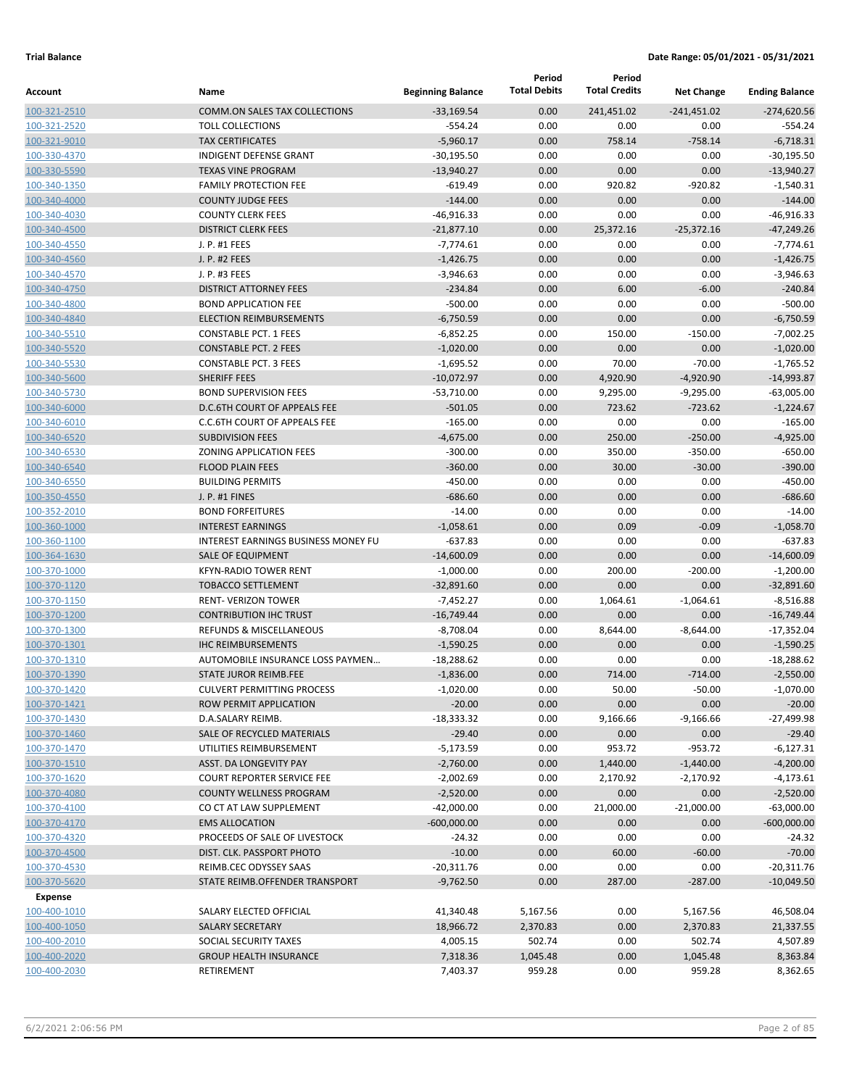| Account                      | Name                                                       | <b>Beginning Balance</b>    | Period<br><b>Total Debits</b> | Period<br><b>Total Credits</b> | <b>Net Change</b>   | <b>Ending Balance</b>       |
|------------------------------|------------------------------------------------------------|-----------------------------|-------------------------------|--------------------------------|---------------------|-----------------------------|
| 100-321-2510                 | <b>COMM.ON SALES TAX COLLECTIONS</b>                       | $-33,169.54$                | 0.00                          | 241,451.02                     | $-241,451.02$       | $-274,620.56$               |
| 100-321-2520                 | <b>TOLL COLLECTIONS</b>                                    | $-554.24$                   | 0.00                          | 0.00                           | 0.00                | $-554.24$                   |
| 100-321-9010                 | <b>TAX CERTIFICATES</b>                                    | $-5,960.17$                 | 0.00                          | 758.14                         | $-758.14$           | $-6,718.31$                 |
| 100-330-4370                 | <b>INDIGENT DEFENSE GRANT</b>                              | $-30,195.50$                | 0.00                          | 0.00                           | 0.00                | $-30,195.50$                |
| 100-330-5590                 | <b>TEXAS VINE PROGRAM</b>                                  | $-13,940.27$                | 0.00                          | 0.00                           | 0.00                | $-13,940.27$                |
| 100-340-1350                 | <b>FAMILY PROTECTION FEE</b>                               | $-619.49$                   | 0.00                          | 920.82                         | $-920.82$           | $-1,540.31$                 |
| 100-340-4000                 | <b>COUNTY JUDGE FEES</b>                                   | $-144.00$                   | 0.00                          | 0.00                           | 0.00                | $-144.00$                   |
| 100-340-4030                 | <b>COUNTY CLERK FEES</b>                                   | $-46,916.33$                | 0.00                          | 0.00                           | 0.00                | $-46,916.33$                |
| 100-340-4500                 | <b>DISTRICT CLERK FEES</b>                                 | $-21,877.10$                | 0.00                          | 25,372.16                      | $-25,372.16$        | $-47,249.26$                |
| 100-340-4550                 | J. P. #1 FEES                                              | $-7,774.61$                 | 0.00                          | 0.00                           | 0.00                | $-7,774.61$                 |
| 100-340-4560                 | J. P. #2 FEES                                              | $-1,426.75$                 | 0.00                          | 0.00                           | 0.00                | $-1,426.75$                 |
| 100-340-4570                 | J. P. #3 FEES                                              | $-3,946.63$                 | 0.00                          | 0.00                           | 0.00                | $-3,946.63$                 |
| 100-340-4750                 | <b>DISTRICT ATTORNEY FEES</b>                              | $-234.84$                   | 0.00                          | 6.00                           | $-6.00$             | $-240.84$                   |
| 100-340-4800                 | <b>BOND APPLICATION FEE</b>                                | $-500.00$                   | 0.00                          | 0.00                           | 0.00                | $-500.00$                   |
| 100-340-4840                 | <b>ELECTION REIMBURSEMENTS</b>                             | $-6,750.59$                 | 0.00                          | 0.00                           | 0.00                | $-6,750.59$                 |
| 100-340-5510                 | <b>CONSTABLE PCT. 1 FEES</b>                               | $-6,852.25$                 | 0.00                          | 150.00                         | $-150.00$           | $-7,002.25$                 |
| 100-340-5520                 | <b>CONSTABLE PCT. 2 FEES</b>                               | $-1,020.00$                 | 0.00                          | 0.00                           | 0.00                | $-1,020.00$                 |
| 100-340-5530                 | <b>CONSTABLE PCT. 3 FEES</b>                               | $-1,695.52$                 | 0.00                          | 70.00                          | $-70.00$            | $-1,765.52$                 |
| 100-340-5600                 | <b>SHERIFF FEES</b>                                        | $-10,072.97$                | 0.00                          | 4,920.90                       | $-4,920.90$         | $-14,993.87$                |
| 100-340-5730                 | <b>BOND SUPERVISION FEES</b>                               | $-53,710.00$                | 0.00                          | 9,295.00                       | $-9,295.00$         | $-63,005.00$                |
| 100-340-6000                 | <b>D.C.6TH COURT OF APPEALS FEE</b>                        | $-501.05$                   | 0.00                          | 723.62                         | $-723.62$           | $-1,224.67$                 |
| 100-340-6010                 | C.C.6TH COURT OF APPEALS FEE                               | $-165.00$                   | 0.00                          | 0.00                           | 0.00                | $-165.00$                   |
| 100-340-6520                 | <b>SUBDIVISION FEES</b>                                    | $-4,675.00$                 | 0.00                          | 250.00                         | $-250.00$           | $-4,925.00$                 |
| 100-340-6530                 | <b>ZONING APPLICATION FEES</b>                             | $-300.00$                   | 0.00                          | 350.00                         | $-350.00$           | $-650.00$                   |
| 100-340-6540                 | <b>FLOOD PLAIN FEES</b>                                    | $-360.00$                   | 0.00                          | 30.00                          | $-30.00$            | $-390.00$                   |
| 100-340-6550                 | <b>BUILDING PERMITS</b>                                    | $-450.00$                   | 0.00                          | 0.00                           | 0.00                | $-450.00$                   |
| 100-350-4550                 | J. P. #1 FINES                                             | $-686.60$                   | 0.00                          | 0.00                           | 0.00                | $-686.60$                   |
| 100-352-2010                 | <b>BOND FORFEITURES</b>                                    | $-14.00$                    | 0.00                          | 0.00                           | 0.00                | $-14.00$                    |
| 100-360-1000                 | <b>INTEREST EARNINGS</b>                                   | $-1,058.61$                 | 0.00                          | 0.09                           | $-0.09$             | $-1,058.70$                 |
| 100-360-1100                 | <b>INTEREST EARNINGS BUSINESS MONEY FU</b>                 | $-637.83$                   | 0.00                          | 0.00                           | 0.00                | $-637.83$                   |
| 100-364-1630                 | <b>SALE OF EQUIPMENT</b>                                   | $-14,600.09$                | 0.00                          | 0.00                           | 0.00                | $-14,600.09$                |
| 100-370-1000                 | <b>KFYN-RADIO TOWER RENT</b>                               | $-1,000.00$                 | 0.00                          | 200.00                         | $-200.00$           | $-1,200.00$                 |
| 100-370-1120                 | <b>TOBACCO SETTLEMENT</b>                                  | $-32,891.60$                | 0.00                          | 0.00<br>1,064.61               | 0.00                | $-32,891.60$                |
| 100-370-1150<br>100-370-1200 | <b>RENT-VERIZON TOWER</b><br><b>CONTRIBUTION IHC TRUST</b> | $-7,452.27$<br>$-16,749.44$ | 0.00<br>0.00                  | 0.00                           | $-1,064.61$<br>0.00 | $-8,516.88$<br>$-16,749.44$ |
| 100-370-1300                 | <b>REFUNDS &amp; MISCELLANEOUS</b>                         | $-8,708.04$                 | 0.00                          | 8,644.00                       | $-8,644.00$         | $-17,352.04$                |
| 100-370-1301                 | <b>IHC REIMBURSEMENTS</b>                                  | $-1,590.25$                 | 0.00                          | 0.00                           | 0.00                | $-1,590.25$                 |
| 100-370-1310                 | AUTOMOBILE INSURANCE LOSS PAYMEN                           | $-18,288.62$                | 0.00                          | 0.00                           | 0.00                | $-18,288.62$                |
| 100-370-1390                 | STATE JUROR REIMB.FEE                                      | $-1,836.00$                 | 0.00                          | 714.00                         | $-714.00$           | $-2,550.00$                 |
| 100-370-1420                 | <b>CULVERT PERMITTING PROCESS</b>                          | $-1,020.00$                 | 0.00                          | 50.00                          | $-50.00$            | $-1,070.00$                 |
| 100-370-1421                 | <b>ROW PERMIT APPLICATION</b>                              | $-20.00$                    | 0.00                          | 0.00                           | 0.00                | $-20.00$                    |
| 100-370-1430                 | D.A.SALARY REIMB.                                          | $-18,333.32$                | 0.00                          | 9,166.66                       | $-9,166.66$         | $-27,499.98$                |
| 100-370-1460                 | SALE OF RECYCLED MATERIALS                                 | $-29.40$                    | 0.00                          | 0.00                           | 0.00                | $-29.40$                    |
| 100-370-1470                 | UTILITIES REIMBURSEMENT                                    | $-5,173.59$                 | 0.00                          | 953.72                         | $-953.72$           | $-6,127.31$                 |
| 100-370-1510                 | ASST. DA LONGEVITY PAY                                     | $-2,760.00$                 | 0.00                          | 1,440.00                       | $-1,440.00$         | $-4,200.00$                 |
| 100-370-1620                 | <b>COURT REPORTER SERVICE FEE</b>                          | $-2,002.69$                 | 0.00                          | 2,170.92                       | $-2,170.92$         | $-4,173.61$                 |
| 100-370-4080                 | <b>COUNTY WELLNESS PROGRAM</b>                             | $-2,520.00$                 | 0.00                          | 0.00                           | 0.00                | $-2,520.00$                 |
| 100-370-4100                 | CO CT AT LAW SUPPLEMENT                                    | $-42,000.00$                | 0.00                          | 21,000.00                      | $-21,000.00$        | $-63,000.00$                |
| 100-370-4170                 | <b>EMS ALLOCATION</b>                                      | $-600,000.00$               | 0.00                          | 0.00                           | 0.00                | $-600,000.00$               |
| 100-370-4320                 | PROCEEDS OF SALE OF LIVESTOCK                              | $-24.32$                    | 0.00                          | 0.00                           | 0.00                | $-24.32$                    |
| 100-370-4500                 | DIST. CLK. PASSPORT PHOTO                                  | $-10.00$                    | 0.00                          | 60.00                          | $-60.00$            | $-70.00$                    |
| 100-370-4530                 | REIMB.CEC ODYSSEY SAAS                                     | $-20,311.76$                | 0.00                          | 0.00                           | 0.00                | $-20,311.76$                |
| 100-370-5620                 | STATE REIMB.OFFENDER TRANSPORT                             | $-9,762.50$                 | 0.00                          | 287.00                         | $-287.00$           | $-10,049.50$                |
| Expense                      |                                                            |                             |                               |                                |                     |                             |
| 100-400-1010                 | SALARY ELECTED OFFICIAL                                    | 41,340.48                   | 5,167.56                      | 0.00                           | 5,167.56            | 46,508.04                   |
| 100-400-1050                 | SALARY SECRETARY                                           | 18,966.72                   | 2,370.83                      | 0.00                           | 2,370.83            | 21,337.55                   |
| 100-400-2010                 | SOCIAL SECURITY TAXES                                      | 4,005.15                    | 502.74                        | 0.00                           | 502.74              | 4,507.89                    |
| 100-400-2020                 | <b>GROUP HEALTH INSURANCE</b>                              | 7,318.36                    | 1,045.48                      | 0.00                           | 1,045.48            | 8,363.84                    |
| 100-400-2030                 | RETIREMENT                                                 | 7,403.37                    | 959.28                        | 0.00                           | 959.28              | 8,362.65                    |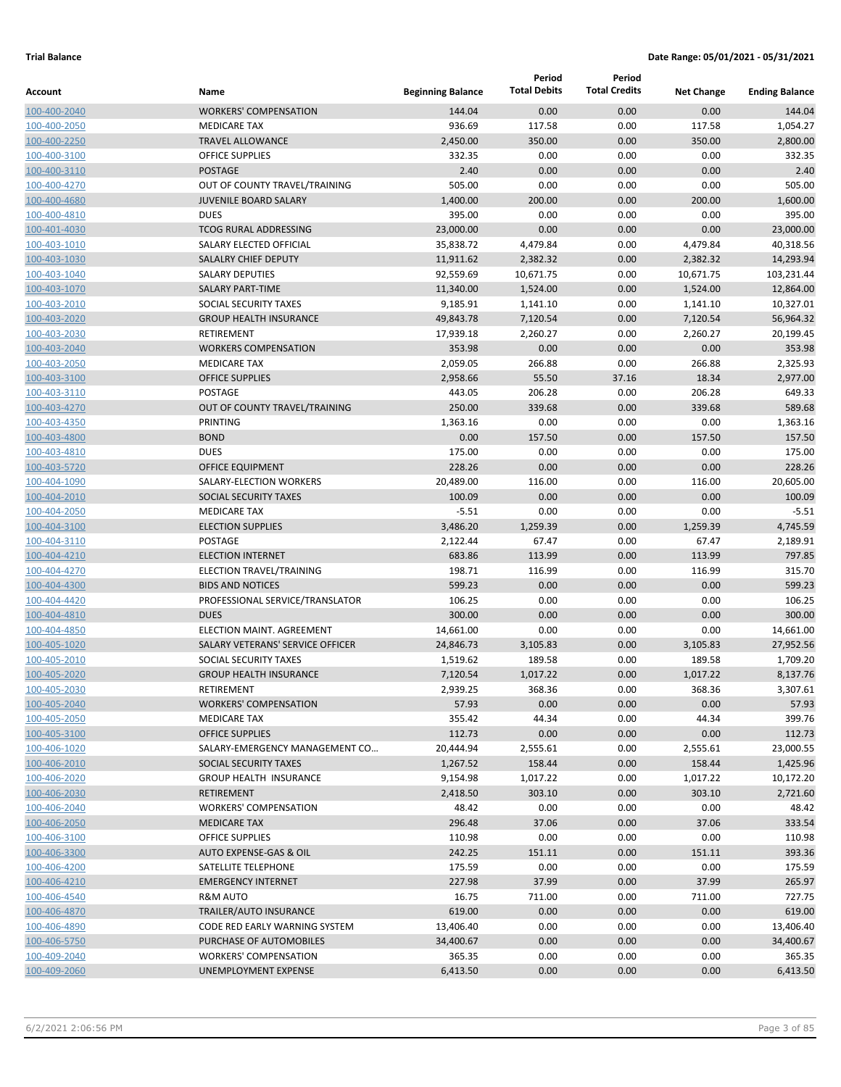|                              |                                            |                          | Period              | Period               |                   |                       |
|------------------------------|--------------------------------------------|--------------------------|---------------------|----------------------|-------------------|-----------------------|
| Account                      | Name                                       | <b>Beginning Balance</b> | <b>Total Debits</b> | <b>Total Credits</b> | <b>Net Change</b> | <b>Ending Balance</b> |
| 100-400-2040                 | <b>WORKERS' COMPENSATION</b>               | 144.04                   | 0.00                | 0.00                 | 0.00              | 144.04                |
| 100-400-2050                 | <b>MEDICARE TAX</b>                        | 936.69                   | 117.58              | 0.00                 | 117.58            | 1,054.27              |
| 100-400-2250                 | <b>TRAVEL ALLOWANCE</b>                    | 2,450.00                 | 350.00              | 0.00                 | 350.00            | 2,800.00              |
| 100-400-3100                 | <b>OFFICE SUPPLIES</b>                     | 332.35                   | 0.00                | 0.00                 | 0.00              | 332.35                |
| 100-400-3110                 | <b>POSTAGE</b>                             | 2.40                     | 0.00                | 0.00                 | 0.00              | 2.40                  |
| 100-400-4270                 | OUT OF COUNTY TRAVEL/TRAINING              | 505.00                   | 0.00                | 0.00                 | 0.00              | 505.00                |
| 100-400-4680                 | <b>JUVENILE BOARD SALARY</b>               | 1,400.00                 | 200.00              | 0.00                 | 200.00            | 1,600.00              |
| 100-400-4810                 | <b>DUES</b>                                | 395.00                   | 0.00                | 0.00                 | 0.00              | 395.00                |
| 100-401-4030                 | <b>TCOG RURAL ADDRESSING</b>               | 23,000.00                | 0.00                | 0.00                 | 0.00              | 23,000.00             |
| 100-403-1010                 | SALARY ELECTED OFFICIAL                    | 35,838.72                | 4,479.84            | 0.00                 | 4,479.84          | 40,318.56             |
| 100-403-1030                 | <b>SALALRY CHIEF DEPUTY</b>                | 11,911.62                | 2,382.32            | 0.00                 | 2,382.32          | 14,293.94             |
| 100-403-1040                 | <b>SALARY DEPUTIES</b>                     | 92,559.69                | 10,671.75           | 0.00                 | 10,671.75         | 103,231.44            |
| 100-403-1070                 | <b>SALARY PART-TIME</b>                    | 11,340.00                | 1,524.00            | 0.00                 | 1,524.00          | 12,864.00             |
| 100-403-2010                 | SOCIAL SECURITY TAXES                      | 9,185.91                 | 1,141.10            | 0.00                 | 1,141.10          | 10,327.01             |
| 100-403-2020                 | <b>GROUP HEALTH INSURANCE</b>              | 49,843.78                | 7,120.54            | 0.00                 | 7,120.54          | 56,964.32             |
| 100-403-2030                 | <b>RETIREMENT</b>                          | 17,939.18                | 2,260.27            | 0.00                 | 2,260.27          | 20,199.45             |
| 100-403-2040                 | <b>WORKERS COMPENSATION</b>                | 353.98                   | 0.00                | 0.00                 | 0.00              | 353.98                |
| 100-403-2050                 | <b>MEDICARE TAX</b>                        | 2,059.05                 | 266.88              | 0.00                 | 266.88            | 2,325.93              |
| 100-403-3100                 | <b>OFFICE SUPPLIES</b>                     | 2,958.66                 | 55.50               | 37.16                | 18.34             | 2,977.00              |
| 100-403-3110                 | <b>POSTAGE</b>                             | 443.05                   | 206.28              | 0.00                 | 206.28            | 649.33                |
| 100-403-4270                 | OUT OF COUNTY TRAVEL/TRAINING              | 250.00                   | 339.68              | 0.00                 | 339.68            | 589.68                |
| 100-403-4350                 | PRINTING                                   | 1,363.16                 | 0.00                | 0.00                 | 0.00              | 1,363.16              |
| 100-403-4800                 | <b>BOND</b>                                | 0.00                     | 157.50              | 0.00                 | 157.50            | 157.50                |
| 100-403-4810                 | <b>DUES</b>                                | 175.00                   | 0.00                | 0.00                 | 0.00              | 175.00                |
| 100-403-5720                 | <b>OFFICE EQUIPMENT</b>                    | 228.26                   | 0.00                | 0.00                 | 0.00              | 228.26                |
| 100-404-1090                 | SALARY-ELECTION WORKERS                    | 20,489.00                | 116.00              | 0.00                 | 116.00            | 20,605.00             |
| 100-404-2010                 | SOCIAL SECURITY TAXES                      | 100.09                   | 0.00                | 0.00                 | 0.00              | 100.09                |
| 100-404-2050                 | <b>MEDICARE TAX</b>                        | $-5.51$                  | 0.00                | 0.00                 | 0.00              | $-5.51$               |
| 100-404-3100                 | <b>ELECTION SUPPLIES</b><br><b>POSTAGE</b> | 3,486.20                 | 1,259.39<br>67.47   | 0.00<br>0.00         | 1,259.39<br>67.47 | 4,745.59              |
| 100-404-3110                 | <b>ELECTION INTERNET</b>                   | 2,122.44<br>683.86       | 113.99              | 0.00                 | 113.99            | 2,189.91<br>797.85    |
| 100-404-4210                 | ELECTION TRAVEL/TRAINING                   | 198.71                   | 116.99              | 0.00                 | 116.99            | 315.70                |
| 100-404-4270<br>100-404-4300 | <b>BIDS AND NOTICES</b>                    | 599.23                   | 0.00                | 0.00                 | 0.00              | 599.23                |
| 100-404-4420                 | PROFESSIONAL SERVICE/TRANSLATOR            | 106.25                   | 0.00                | 0.00                 | 0.00              | 106.25                |
| 100-404-4810                 | <b>DUES</b>                                | 300.00                   | 0.00                | 0.00                 | 0.00              | 300.00                |
| 100-404-4850                 | ELECTION MAINT. AGREEMENT                  | 14,661.00                | 0.00                | 0.00                 | 0.00              | 14,661.00             |
| 100-405-1020                 | SALARY VETERANS' SERVICE OFFICER           | 24,846.73                | 3,105.83            | 0.00                 | 3,105.83          | 27,952.56             |
| 100-405-2010                 | SOCIAL SECURITY TAXES                      | 1,519.62                 | 189.58              | 0.00                 | 189.58            | 1,709.20              |
| 100-405-2020                 | <b>GROUP HEALTH INSURANCE</b>              | 7,120.54                 | 1,017.22            | 0.00                 | 1,017.22          | 8,137.76              |
| 100-405-2030                 | RETIREMENT                                 | 2,939.25                 | 368.36              | 0.00                 | 368.36            | 3,307.61              |
| 100-405-2040                 | <b>WORKERS' COMPENSATION</b>               | 57.93                    | 0.00                | 0.00                 | 0.00              | 57.93                 |
| 100-405-2050                 | <b>MEDICARE TAX</b>                        | 355.42                   | 44.34               | 0.00                 | 44.34             | 399.76                |
| 100-405-3100                 | <b>OFFICE SUPPLIES</b>                     | 112.73                   | 0.00                | 0.00                 | 0.00              | 112.73                |
| 100-406-1020                 | SALARY-EMERGENCY MANAGEMENT CO             | 20,444.94                | 2,555.61            | 0.00                 | 2,555.61          | 23,000.55             |
| 100-406-2010                 | SOCIAL SECURITY TAXES                      | 1,267.52                 | 158.44              | 0.00                 | 158.44            | 1,425.96              |
| 100-406-2020                 | <b>GROUP HEALTH INSURANCE</b>              | 9,154.98                 | 1,017.22            | 0.00                 | 1,017.22          | 10,172.20             |
| 100-406-2030                 | <b>RETIREMENT</b>                          | 2,418.50                 | 303.10              | 0.00                 | 303.10            | 2,721.60              |
| 100-406-2040                 | <b>WORKERS' COMPENSATION</b>               | 48.42                    | 0.00                | 0.00                 | 0.00              | 48.42                 |
| 100-406-2050                 | <b>MEDICARE TAX</b>                        | 296.48                   | 37.06               | 0.00                 | 37.06             | 333.54                |
| 100-406-3100                 | <b>OFFICE SUPPLIES</b>                     | 110.98                   | 0.00                | 0.00                 | 0.00              | 110.98                |
| 100-406-3300                 | AUTO EXPENSE-GAS & OIL                     | 242.25                   | 151.11              | 0.00                 | 151.11            | 393.36                |
| 100-406-4200                 | SATELLITE TELEPHONE                        | 175.59                   | 0.00                | 0.00                 | 0.00              | 175.59                |
| 100-406-4210                 | <b>EMERGENCY INTERNET</b>                  | 227.98                   | 37.99               | 0.00                 | 37.99             | 265.97                |
| 100-406-4540                 | <b>R&amp;M AUTO</b>                        | 16.75                    | 711.00              | 0.00                 | 711.00            | 727.75                |
| 100-406-4870                 | TRAILER/AUTO INSURANCE                     | 619.00                   | 0.00                | 0.00                 | 0.00              | 619.00                |
| 100-406-4890                 | CODE RED EARLY WARNING SYSTEM              | 13,406.40                | 0.00                | 0.00                 | 0.00              | 13,406.40             |
| 100-406-5750                 | PURCHASE OF AUTOMOBILES                    | 34,400.67                | 0.00                | 0.00                 | 0.00              | 34,400.67             |
| 100-409-2040                 | <b>WORKERS' COMPENSATION</b>               | 365.35                   | 0.00                | 0.00                 | 0.00              | 365.35                |
| 100-409-2060                 | UNEMPLOYMENT EXPENSE                       | 6,413.50                 | 0.00                | 0.00                 | 0.00              | 6,413.50              |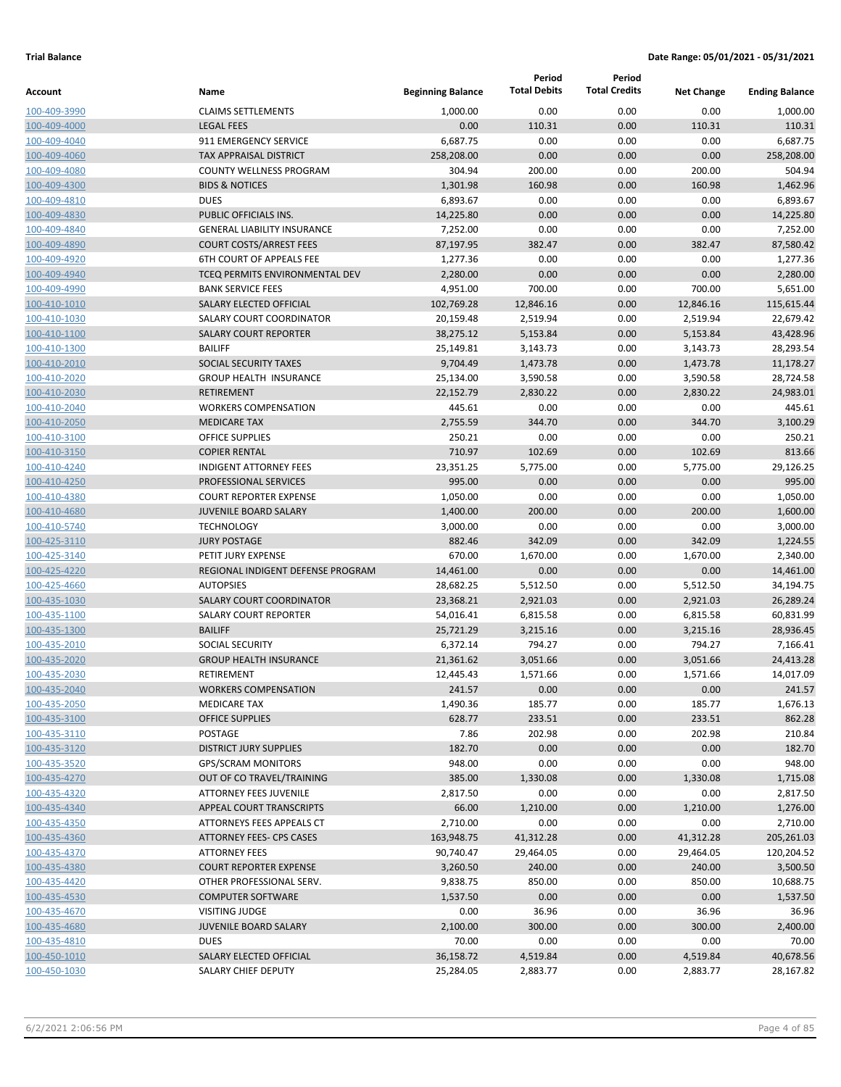| <b>Total Debits</b><br><b>Total Credits</b><br><b>Beginning Balance</b><br>Name<br><b>Net Change</b><br>Account<br>0.00<br><b>CLAIMS SETTLEMENTS</b><br>0.00<br>100-409-3990<br>1,000.00<br>0.00<br>1,000.00<br><b>LEGAL FEES</b><br>0.00<br>110.31<br>0.00<br>110.31<br>100-409-4000<br>911 EMERGENCY SERVICE<br>0.00<br>0.00<br>6,687.75<br>6,687.75<br>0.00<br>100-409-4040<br>258,208.00<br>0.00<br>0.00<br>100-409-4060<br><b>TAX APPRAISAL DISTRICT</b><br>0.00<br><b>COUNTY WELLNESS PROGRAM</b><br>304.94<br>200.00<br>0.00<br>200.00<br>100-409-4080<br>160.98<br>160.98<br><b>BIDS &amp; NOTICES</b><br>1,301.98<br>0.00<br>100-409-4300<br><b>DUES</b><br>6,893.67<br>0.00<br>0.00<br>0.00<br>6,893.67<br>100-409-4810<br>0.00<br>14,225.80<br>PUBLIC OFFICIALS INS.<br>14,225.80<br>0.00<br>0.00<br>100-409-4830<br>7,252.00<br>0.00<br>0.00<br>100-409-4840<br><b>GENERAL LIABILITY INSURANCE</b><br>0.00<br>382.47<br>382.47<br><b>COURT COSTS/ARREST FEES</b><br>87,197.95<br>0.00<br>100-409-4890<br>0.00<br>0.00<br><b>6TH COURT OF APPEALS FEE</b><br>1,277.36<br>0.00<br>1,277.36<br>100-409-4920<br>TCEQ PERMITS ENVIRONMENTAL DEV<br>2,280.00<br>0.00<br>0.00<br>0.00<br>100-409-4940<br>700.00<br>0.00<br>700.00<br>5,651.00<br><b>BANK SERVICE FEES</b><br>4,951.00<br>100-409-4990<br>12,846.16<br>115,615.44<br>SALARY ELECTED OFFICIAL<br>102,769.28<br>0.00<br>12,846.16<br>100-410-1010<br>SALARY COURT COORDINATOR<br>0.00<br>2,519.94<br>20,159.48<br>2,519.94<br>100-410-1030<br>43,428.96<br><b>SALARY COURT REPORTER</b><br>38,275.12<br>5,153.84<br>0.00<br>5,153.84<br>100-410-1100<br><b>BAILIFF</b><br>25,149.81<br>3,143.73<br>0.00<br>3,143.73<br>28,293.54<br>100-410-1300<br><b>SOCIAL SECURITY TAXES</b><br>9,704.49<br>1,473.78<br>0.00<br>1,473.78<br>11,178.27<br>100-410-2010<br><b>GROUP HEALTH INSURANCE</b><br>25,134.00<br>3,590.58<br>0.00<br>3,590.58<br>100-410-2020<br>2,830.22<br>24,983.01<br><b>RETIREMENT</b><br>22,152.79<br>2,830.22<br>0.00<br>100-410-2030<br>0.00<br>445.61<br><b>WORKERS COMPENSATION</b><br>445.61<br>0.00<br>0.00<br>100-410-2040<br>344.70<br><b>MEDICARE TAX</b><br>2,755.59<br>344.70<br>0.00<br>3,100.29<br>100-410-2050<br>250.21<br>0.00<br>0.00<br><b>OFFICE SUPPLIES</b><br>0.00<br>100-410-3100<br>710.97<br>102.69<br>0.00<br>102.69<br><b>COPIER RENTAL</b><br>100-410-3150<br><b>INDIGENT ATTORNEY FEES</b><br>23,351.25<br>5,775.00<br>0.00<br>5,775.00<br>29,126.25<br>100-410-4240<br>995.00<br>0.00<br>0.00<br>PROFESSIONAL SERVICES<br>0.00<br>100-410-4250<br><b>COURT REPORTER EXPENSE</b><br>1,050.00<br>0.00<br>0.00<br>0.00<br>1,050.00<br>100-410-4380<br>0.00<br><b>JUVENILE BOARD SALARY</b><br>1,400.00<br>200.00<br>200.00<br>1,600.00<br>100-410-4680<br>0.00<br>0.00<br><b>TECHNOLOGY</b><br>3,000.00<br>0.00<br>100-410-5740<br>342.09<br>0.00<br>342.09<br><b>JURY POSTAGE</b><br>882.46<br>100-425-3110<br>0.00<br>2,340.00<br>PETIT JURY EXPENSE<br>670.00<br>1,670.00<br>1,670.00<br>100-425-3140<br>14,461.00<br>REGIONAL INDIGENT DEFENSE PROGRAM<br>14,461.00<br>0.00<br>0.00<br>0.00<br>100-425-4220<br>0.00<br><b>AUTOPSIES</b><br>28,682.25<br>5,512.50<br>5,512.50<br>34,194.75<br>100-425-4660<br>2,921.03<br>100-435-1030<br><b>SALARY COURT COORDINATOR</b><br>23,368.21<br>2,921.03<br>0.00<br>SALARY COURT REPORTER<br>0.00<br>54,016.41<br>6,815.58<br>6,815.58<br>100-435-1100<br><b>BAILIFF</b><br>25,721.29<br>3,215.16<br>0.00<br>3,215.16<br>100-435-1300<br><b>SOCIAL SECURITY</b><br>6,372.14<br>794.27<br>0.00<br>794.27<br>100-435-2010<br><b>GROUP HEALTH INSURANCE</b><br>21,361.62<br>3,051.66<br>0.00<br>3,051.66<br>100-435-2020<br>100-435-2030<br>RETIREMENT<br>12,445.43<br>1,571.66<br>0.00<br>1,571.66<br>100-435-2040<br>241.57<br>0.00<br>0.00<br>0.00<br><b>WORKERS COMPENSATION</b><br>185.77<br>185.77<br>1,490.36<br>0.00<br>100-435-2050<br><b>MEDICARE TAX</b><br>628.77<br>100-435-3100<br><b>OFFICE SUPPLIES</b><br>233.51<br>0.00<br>233.51<br>202.98<br>100-435-3110<br>POSTAGE<br>7.86<br>202.98<br>0.00<br>182.70<br>0.00<br>100-435-3120<br><b>DISTRICT JURY SUPPLIES</b><br>0.00<br>0.00<br>948.00<br>0.00<br>0.00<br>0.00<br><b>GPS/SCRAM MONITORS</b><br>100-435-3520<br>OUT OF CO TRAVEL/TRAINING<br>385.00<br>1,330.08<br>0.00<br>1,330.08<br>100-435-4270<br>ATTORNEY FEES JUVENILE<br>2,817.50<br>0.00<br>0.00<br>0.00<br>100-435-4320<br>100-435-4340<br>APPEAL COURT TRANSCRIPTS<br>66.00<br>1,210.00<br>0.00<br>1,210.00<br>100-435-4350<br>2,710.00<br>0.00<br>0.00<br>0.00<br>ATTORNEYS FEES APPEALS CT<br>100-435-4360<br>ATTORNEY FEES- CPS CASES<br>163,948.75<br>41,312.28<br>0.00<br>41,312.28<br>90,740.47<br>0.00<br>29,464.05<br>100-435-4370<br><b>ATTORNEY FEES</b><br>29,464.05<br>100-435-4380<br><b>COURT REPORTER EXPENSE</b><br>3,260.50<br>240.00<br>0.00<br>240.00<br>100-435-4420<br>OTHER PROFESSIONAL SERV.<br>9,838.75<br>850.00<br>0.00<br>850.00<br>100-435-4530<br>1,537.50<br>0.00<br>0.00<br>0.00<br><b>COMPUTER SOFTWARE</b><br>36.96<br>0.00<br>36.96<br>100-435-4670<br><b>VISITING JUDGE</b><br>0.00<br>JUVENILE BOARD SALARY<br>2,100.00<br>300.00<br>0.00<br>300.00<br>100-435-4680<br>70.00<br><b>DUES</b><br>0.00<br>0.00<br>0.00<br>100-435-4810<br>100-450-1010<br>SALARY ELECTED OFFICIAL<br>36,158.72<br>4,519.84<br>0.00<br>4,519.84<br>100-450-1030<br>SALARY CHIEF DEPUTY<br>25,284.05<br>2,883.77<br>0.00<br>2,883.77 |  | Period | Period |                       |
|------------------------------------------------------------------------------------------------------------------------------------------------------------------------------------------------------------------------------------------------------------------------------------------------------------------------------------------------------------------------------------------------------------------------------------------------------------------------------------------------------------------------------------------------------------------------------------------------------------------------------------------------------------------------------------------------------------------------------------------------------------------------------------------------------------------------------------------------------------------------------------------------------------------------------------------------------------------------------------------------------------------------------------------------------------------------------------------------------------------------------------------------------------------------------------------------------------------------------------------------------------------------------------------------------------------------------------------------------------------------------------------------------------------------------------------------------------------------------------------------------------------------------------------------------------------------------------------------------------------------------------------------------------------------------------------------------------------------------------------------------------------------------------------------------------------------------------------------------------------------------------------------------------------------------------------------------------------------------------------------------------------------------------------------------------------------------------------------------------------------------------------------------------------------------------------------------------------------------------------------------------------------------------------------------------------------------------------------------------------------------------------------------------------------------------------------------------------------------------------------------------------------------------------------------------------------------------------------------------------------------------------------------------------------------------------------------------------------------------------------------------------------------------------------------------------------------------------------------------------------------------------------------------------------------------------------------------------------------------------------------------------------------------------------------------------------------------------------------------------------------------------------------------------------------------------------------------------------------------------------------------------------------------------------------------------------------------------------------------------------------------------------------------------------------------------------------------------------------------------------------------------------------------------------------------------------------------------------------------------------------------------------------------------------------------------------------------------------------------------------------------------------------------------------------------------------------------------------------------------------------------------------------------------------------------------------------------------------------------------------------------------------------------------------------------------------------------------------------------------------------------------------------------------------------------------------------------------------------------------------------------------------------------------------------------------------------------------------------------------------------------------------------------------------------------------------------------------------------------------------------------------------------------------------------------------------------------------------------------------------------------------------------------------------------------------------------------------------------------------------------------------------------------------------------------------------------------------------------------------------------------------------------------------------------------------------------------------------------------------------------------------------------------------------------------------------------------------------------------------------------------------------------------------------------------------------------------------------------------------------------------------------------------------------------------------------------------------------------------------------------------------------------------------------------------------------|--|--------|--------|-----------------------|
|                                                                                                                                                                                                                                                                                                                                                                                                                                                                                                                                                                                                                                                                                                                                                                                                                                                                                                                                                                                                                                                                                                                                                                                                                                                                                                                                                                                                                                                                                                                                                                                                                                                                                                                                                                                                                                                                                                                                                                                                                                                                                                                                                                                                                                                                                                                                                                                                                                                                                                                                                                                                                                                                                                                                                                                                                                                                                                                                                                                                                                                                                                                                                                                                                                                                                                                                                                                                                                                                                                                                                                                                                                                                                                                                                                                                                                                                                                                                                                                                                                                                                                                                                                                                                                                                                                                                                                                                                                                                                                                                                                                                                                                                                                                                                                                                                                                                                                                                                                                                                                                                                                                                                                                                                                                                                                                                                                                                                                                |  |        |        | <b>Ending Balance</b> |
|                                                                                                                                                                                                                                                                                                                                                                                                                                                                                                                                                                                                                                                                                                                                                                                                                                                                                                                                                                                                                                                                                                                                                                                                                                                                                                                                                                                                                                                                                                                                                                                                                                                                                                                                                                                                                                                                                                                                                                                                                                                                                                                                                                                                                                                                                                                                                                                                                                                                                                                                                                                                                                                                                                                                                                                                                                                                                                                                                                                                                                                                                                                                                                                                                                                                                                                                                                                                                                                                                                                                                                                                                                                                                                                                                                                                                                                                                                                                                                                                                                                                                                                                                                                                                                                                                                                                                                                                                                                                                                                                                                                                                                                                                                                                                                                                                                                                                                                                                                                                                                                                                                                                                                                                                                                                                                                                                                                                                                                |  |        |        |                       |
|                                                                                                                                                                                                                                                                                                                                                                                                                                                                                                                                                                                                                                                                                                                                                                                                                                                                                                                                                                                                                                                                                                                                                                                                                                                                                                                                                                                                                                                                                                                                                                                                                                                                                                                                                                                                                                                                                                                                                                                                                                                                                                                                                                                                                                                                                                                                                                                                                                                                                                                                                                                                                                                                                                                                                                                                                                                                                                                                                                                                                                                                                                                                                                                                                                                                                                                                                                                                                                                                                                                                                                                                                                                                                                                                                                                                                                                                                                                                                                                                                                                                                                                                                                                                                                                                                                                                                                                                                                                                                                                                                                                                                                                                                                                                                                                                                                                                                                                                                                                                                                                                                                                                                                                                                                                                                                                                                                                                                                                |  |        |        | 110.31                |
|                                                                                                                                                                                                                                                                                                                                                                                                                                                                                                                                                                                                                                                                                                                                                                                                                                                                                                                                                                                                                                                                                                                                                                                                                                                                                                                                                                                                                                                                                                                                                                                                                                                                                                                                                                                                                                                                                                                                                                                                                                                                                                                                                                                                                                                                                                                                                                                                                                                                                                                                                                                                                                                                                                                                                                                                                                                                                                                                                                                                                                                                                                                                                                                                                                                                                                                                                                                                                                                                                                                                                                                                                                                                                                                                                                                                                                                                                                                                                                                                                                                                                                                                                                                                                                                                                                                                                                                                                                                                                                                                                                                                                                                                                                                                                                                                                                                                                                                                                                                                                                                                                                                                                                                                                                                                                                                                                                                                                                                |  |        |        |                       |
|                                                                                                                                                                                                                                                                                                                                                                                                                                                                                                                                                                                                                                                                                                                                                                                                                                                                                                                                                                                                                                                                                                                                                                                                                                                                                                                                                                                                                                                                                                                                                                                                                                                                                                                                                                                                                                                                                                                                                                                                                                                                                                                                                                                                                                                                                                                                                                                                                                                                                                                                                                                                                                                                                                                                                                                                                                                                                                                                                                                                                                                                                                                                                                                                                                                                                                                                                                                                                                                                                                                                                                                                                                                                                                                                                                                                                                                                                                                                                                                                                                                                                                                                                                                                                                                                                                                                                                                                                                                                                                                                                                                                                                                                                                                                                                                                                                                                                                                                                                                                                                                                                                                                                                                                                                                                                                                                                                                                                                                |  |        |        | 258,208.00            |
|                                                                                                                                                                                                                                                                                                                                                                                                                                                                                                                                                                                                                                                                                                                                                                                                                                                                                                                                                                                                                                                                                                                                                                                                                                                                                                                                                                                                                                                                                                                                                                                                                                                                                                                                                                                                                                                                                                                                                                                                                                                                                                                                                                                                                                                                                                                                                                                                                                                                                                                                                                                                                                                                                                                                                                                                                                                                                                                                                                                                                                                                                                                                                                                                                                                                                                                                                                                                                                                                                                                                                                                                                                                                                                                                                                                                                                                                                                                                                                                                                                                                                                                                                                                                                                                                                                                                                                                                                                                                                                                                                                                                                                                                                                                                                                                                                                                                                                                                                                                                                                                                                                                                                                                                                                                                                                                                                                                                                                                |  |        |        | 504.94                |
|                                                                                                                                                                                                                                                                                                                                                                                                                                                                                                                                                                                                                                                                                                                                                                                                                                                                                                                                                                                                                                                                                                                                                                                                                                                                                                                                                                                                                                                                                                                                                                                                                                                                                                                                                                                                                                                                                                                                                                                                                                                                                                                                                                                                                                                                                                                                                                                                                                                                                                                                                                                                                                                                                                                                                                                                                                                                                                                                                                                                                                                                                                                                                                                                                                                                                                                                                                                                                                                                                                                                                                                                                                                                                                                                                                                                                                                                                                                                                                                                                                                                                                                                                                                                                                                                                                                                                                                                                                                                                                                                                                                                                                                                                                                                                                                                                                                                                                                                                                                                                                                                                                                                                                                                                                                                                                                                                                                                                                                |  |        |        | 1,462.96              |
|                                                                                                                                                                                                                                                                                                                                                                                                                                                                                                                                                                                                                                                                                                                                                                                                                                                                                                                                                                                                                                                                                                                                                                                                                                                                                                                                                                                                                                                                                                                                                                                                                                                                                                                                                                                                                                                                                                                                                                                                                                                                                                                                                                                                                                                                                                                                                                                                                                                                                                                                                                                                                                                                                                                                                                                                                                                                                                                                                                                                                                                                                                                                                                                                                                                                                                                                                                                                                                                                                                                                                                                                                                                                                                                                                                                                                                                                                                                                                                                                                                                                                                                                                                                                                                                                                                                                                                                                                                                                                                                                                                                                                                                                                                                                                                                                                                                                                                                                                                                                                                                                                                                                                                                                                                                                                                                                                                                                                                                |  |        |        |                       |
|                                                                                                                                                                                                                                                                                                                                                                                                                                                                                                                                                                                                                                                                                                                                                                                                                                                                                                                                                                                                                                                                                                                                                                                                                                                                                                                                                                                                                                                                                                                                                                                                                                                                                                                                                                                                                                                                                                                                                                                                                                                                                                                                                                                                                                                                                                                                                                                                                                                                                                                                                                                                                                                                                                                                                                                                                                                                                                                                                                                                                                                                                                                                                                                                                                                                                                                                                                                                                                                                                                                                                                                                                                                                                                                                                                                                                                                                                                                                                                                                                                                                                                                                                                                                                                                                                                                                                                                                                                                                                                                                                                                                                                                                                                                                                                                                                                                                                                                                                                                                                                                                                                                                                                                                                                                                                                                                                                                                                                                |  |        |        |                       |
|                                                                                                                                                                                                                                                                                                                                                                                                                                                                                                                                                                                                                                                                                                                                                                                                                                                                                                                                                                                                                                                                                                                                                                                                                                                                                                                                                                                                                                                                                                                                                                                                                                                                                                                                                                                                                                                                                                                                                                                                                                                                                                                                                                                                                                                                                                                                                                                                                                                                                                                                                                                                                                                                                                                                                                                                                                                                                                                                                                                                                                                                                                                                                                                                                                                                                                                                                                                                                                                                                                                                                                                                                                                                                                                                                                                                                                                                                                                                                                                                                                                                                                                                                                                                                                                                                                                                                                                                                                                                                                                                                                                                                                                                                                                                                                                                                                                                                                                                                                                                                                                                                                                                                                                                                                                                                                                                                                                                                                                |  |        |        | 7,252.00              |
|                                                                                                                                                                                                                                                                                                                                                                                                                                                                                                                                                                                                                                                                                                                                                                                                                                                                                                                                                                                                                                                                                                                                                                                                                                                                                                                                                                                                                                                                                                                                                                                                                                                                                                                                                                                                                                                                                                                                                                                                                                                                                                                                                                                                                                                                                                                                                                                                                                                                                                                                                                                                                                                                                                                                                                                                                                                                                                                                                                                                                                                                                                                                                                                                                                                                                                                                                                                                                                                                                                                                                                                                                                                                                                                                                                                                                                                                                                                                                                                                                                                                                                                                                                                                                                                                                                                                                                                                                                                                                                                                                                                                                                                                                                                                                                                                                                                                                                                                                                                                                                                                                                                                                                                                                                                                                                                                                                                                                                                |  |        |        | 87,580.42             |
|                                                                                                                                                                                                                                                                                                                                                                                                                                                                                                                                                                                                                                                                                                                                                                                                                                                                                                                                                                                                                                                                                                                                                                                                                                                                                                                                                                                                                                                                                                                                                                                                                                                                                                                                                                                                                                                                                                                                                                                                                                                                                                                                                                                                                                                                                                                                                                                                                                                                                                                                                                                                                                                                                                                                                                                                                                                                                                                                                                                                                                                                                                                                                                                                                                                                                                                                                                                                                                                                                                                                                                                                                                                                                                                                                                                                                                                                                                                                                                                                                                                                                                                                                                                                                                                                                                                                                                                                                                                                                                                                                                                                                                                                                                                                                                                                                                                                                                                                                                                                                                                                                                                                                                                                                                                                                                                                                                                                                                                |  |        |        |                       |
|                                                                                                                                                                                                                                                                                                                                                                                                                                                                                                                                                                                                                                                                                                                                                                                                                                                                                                                                                                                                                                                                                                                                                                                                                                                                                                                                                                                                                                                                                                                                                                                                                                                                                                                                                                                                                                                                                                                                                                                                                                                                                                                                                                                                                                                                                                                                                                                                                                                                                                                                                                                                                                                                                                                                                                                                                                                                                                                                                                                                                                                                                                                                                                                                                                                                                                                                                                                                                                                                                                                                                                                                                                                                                                                                                                                                                                                                                                                                                                                                                                                                                                                                                                                                                                                                                                                                                                                                                                                                                                                                                                                                                                                                                                                                                                                                                                                                                                                                                                                                                                                                                                                                                                                                                                                                                                                                                                                                                                                |  |        |        | 2,280.00              |
|                                                                                                                                                                                                                                                                                                                                                                                                                                                                                                                                                                                                                                                                                                                                                                                                                                                                                                                                                                                                                                                                                                                                                                                                                                                                                                                                                                                                                                                                                                                                                                                                                                                                                                                                                                                                                                                                                                                                                                                                                                                                                                                                                                                                                                                                                                                                                                                                                                                                                                                                                                                                                                                                                                                                                                                                                                                                                                                                                                                                                                                                                                                                                                                                                                                                                                                                                                                                                                                                                                                                                                                                                                                                                                                                                                                                                                                                                                                                                                                                                                                                                                                                                                                                                                                                                                                                                                                                                                                                                                                                                                                                                                                                                                                                                                                                                                                                                                                                                                                                                                                                                                                                                                                                                                                                                                                                                                                                                                                |  |        |        |                       |
|                                                                                                                                                                                                                                                                                                                                                                                                                                                                                                                                                                                                                                                                                                                                                                                                                                                                                                                                                                                                                                                                                                                                                                                                                                                                                                                                                                                                                                                                                                                                                                                                                                                                                                                                                                                                                                                                                                                                                                                                                                                                                                                                                                                                                                                                                                                                                                                                                                                                                                                                                                                                                                                                                                                                                                                                                                                                                                                                                                                                                                                                                                                                                                                                                                                                                                                                                                                                                                                                                                                                                                                                                                                                                                                                                                                                                                                                                                                                                                                                                                                                                                                                                                                                                                                                                                                                                                                                                                                                                                                                                                                                                                                                                                                                                                                                                                                                                                                                                                                                                                                                                                                                                                                                                                                                                                                                                                                                                                                |  |        |        |                       |
|                                                                                                                                                                                                                                                                                                                                                                                                                                                                                                                                                                                                                                                                                                                                                                                                                                                                                                                                                                                                                                                                                                                                                                                                                                                                                                                                                                                                                                                                                                                                                                                                                                                                                                                                                                                                                                                                                                                                                                                                                                                                                                                                                                                                                                                                                                                                                                                                                                                                                                                                                                                                                                                                                                                                                                                                                                                                                                                                                                                                                                                                                                                                                                                                                                                                                                                                                                                                                                                                                                                                                                                                                                                                                                                                                                                                                                                                                                                                                                                                                                                                                                                                                                                                                                                                                                                                                                                                                                                                                                                                                                                                                                                                                                                                                                                                                                                                                                                                                                                                                                                                                                                                                                                                                                                                                                                                                                                                                                                |  |        |        | 22,679.42             |
|                                                                                                                                                                                                                                                                                                                                                                                                                                                                                                                                                                                                                                                                                                                                                                                                                                                                                                                                                                                                                                                                                                                                                                                                                                                                                                                                                                                                                                                                                                                                                                                                                                                                                                                                                                                                                                                                                                                                                                                                                                                                                                                                                                                                                                                                                                                                                                                                                                                                                                                                                                                                                                                                                                                                                                                                                                                                                                                                                                                                                                                                                                                                                                                                                                                                                                                                                                                                                                                                                                                                                                                                                                                                                                                                                                                                                                                                                                                                                                                                                                                                                                                                                                                                                                                                                                                                                                                                                                                                                                                                                                                                                                                                                                                                                                                                                                                                                                                                                                                                                                                                                                                                                                                                                                                                                                                                                                                                                                                |  |        |        |                       |
|                                                                                                                                                                                                                                                                                                                                                                                                                                                                                                                                                                                                                                                                                                                                                                                                                                                                                                                                                                                                                                                                                                                                                                                                                                                                                                                                                                                                                                                                                                                                                                                                                                                                                                                                                                                                                                                                                                                                                                                                                                                                                                                                                                                                                                                                                                                                                                                                                                                                                                                                                                                                                                                                                                                                                                                                                                                                                                                                                                                                                                                                                                                                                                                                                                                                                                                                                                                                                                                                                                                                                                                                                                                                                                                                                                                                                                                                                                                                                                                                                                                                                                                                                                                                                                                                                                                                                                                                                                                                                                                                                                                                                                                                                                                                                                                                                                                                                                                                                                                                                                                                                                                                                                                                                                                                                                                                                                                                                                                |  |        |        |                       |
|                                                                                                                                                                                                                                                                                                                                                                                                                                                                                                                                                                                                                                                                                                                                                                                                                                                                                                                                                                                                                                                                                                                                                                                                                                                                                                                                                                                                                                                                                                                                                                                                                                                                                                                                                                                                                                                                                                                                                                                                                                                                                                                                                                                                                                                                                                                                                                                                                                                                                                                                                                                                                                                                                                                                                                                                                                                                                                                                                                                                                                                                                                                                                                                                                                                                                                                                                                                                                                                                                                                                                                                                                                                                                                                                                                                                                                                                                                                                                                                                                                                                                                                                                                                                                                                                                                                                                                                                                                                                                                                                                                                                                                                                                                                                                                                                                                                                                                                                                                                                                                                                                                                                                                                                                                                                                                                                                                                                                                                |  |        |        |                       |
|                                                                                                                                                                                                                                                                                                                                                                                                                                                                                                                                                                                                                                                                                                                                                                                                                                                                                                                                                                                                                                                                                                                                                                                                                                                                                                                                                                                                                                                                                                                                                                                                                                                                                                                                                                                                                                                                                                                                                                                                                                                                                                                                                                                                                                                                                                                                                                                                                                                                                                                                                                                                                                                                                                                                                                                                                                                                                                                                                                                                                                                                                                                                                                                                                                                                                                                                                                                                                                                                                                                                                                                                                                                                                                                                                                                                                                                                                                                                                                                                                                                                                                                                                                                                                                                                                                                                                                                                                                                                                                                                                                                                                                                                                                                                                                                                                                                                                                                                                                                                                                                                                                                                                                                                                                                                                                                                                                                                                                                |  |        |        | 28,724.58             |
|                                                                                                                                                                                                                                                                                                                                                                                                                                                                                                                                                                                                                                                                                                                                                                                                                                                                                                                                                                                                                                                                                                                                                                                                                                                                                                                                                                                                                                                                                                                                                                                                                                                                                                                                                                                                                                                                                                                                                                                                                                                                                                                                                                                                                                                                                                                                                                                                                                                                                                                                                                                                                                                                                                                                                                                                                                                                                                                                                                                                                                                                                                                                                                                                                                                                                                                                                                                                                                                                                                                                                                                                                                                                                                                                                                                                                                                                                                                                                                                                                                                                                                                                                                                                                                                                                                                                                                                                                                                                                                                                                                                                                                                                                                                                                                                                                                                                                                                                                                                                                                                                                                                                                                                                                                                                                                                                                                                                                                                |  |        |        |                       |
|                                                                                                                                                                                                                                                                                                                                                                                                                                                                                                                                                                                                                                                                                                                                                                                                                                                                                                                                                                                                                                                                                                                                                                                                                                                                                                                                                                                                                                                                                                                                                                                                                                                                                                                                                                                                                                                                                                                                                                                                                                                                                                                                                                                                                                                                                                                                                                                                                                                                                                                                                                                                                                                                                                                                                                                                                                                                                                                                                                                                                                                                                                                                                                                                                                                                                                                                                                                                                                                                                                                                                                                                                                                                                                                                                                                                                                                                                                                                                                                                                                                                                                                                                                                                                                                                                                                                                                                                                                                                                                                                                                                                                                                                                                                                                                                                                                                                                                                                                                                                                                                                                                                                                                                                                                                                                                                                                                                                                                                |  |        |        |                       |
|                                                                                                                                                                                                                                                                                                                                                                                                                                                                                                                                                                                                                                                                                                                                                                                                                                                                                                                                                                                                                                                                                                                                                                                                                                                                                                                                                                                                                                                                                                                                                                                                                                                                                                                                                                                                                                                                                                                                                                                                                                                                                                                                                                                                                                                                                                                                                                                                                                                                                                                                                                                                                                                                                                                                                                                                                                                                                                                                                                                                                                                                                                                                                                                                                                                                                                                                                                                                                                                                                                                                                                                                                                                                                                                                                                                                                                                                                                                                                                                                                                                                                                                                                                                                                                                                                                                                                                                                                                                                                                                                                                                                                                                                                                                                                                                                                                                                                                                                                                                                                                                                                                                                                                                                                                                                                                                                                                                                                                                |  |        |        |                       |
|                                                                                                                                                                                                                                                                                                                                                                                                                                                                                                                                                                                                                                                                                                                                                                                                                                                                                                                                                                                                                                                                                                                                                                                                                                                                                                                                                                                                                                                                                                                                                                                                                                                                                                                                                                                                                                                                                                                                                                                                                                                                                                                                                                                                                                                                                                                                                                                                                                                                                                                                                                                                                                                                                                                                                                                                                                                                                                                                                                                                                                                                                                                                                                                                                                                                                                                                                                                                                                                                                                                                                                                                                                                                                                                                                                                                                                                                                                                                                                                                                                                                                                                                                                                                                                                                                                                                                                                                                                                                                                                                                                                                                                                                                                                                                                                                                                                                                                                                                                                                                                                                                                                                                                                                                                                                                                                                                                                                                                                |  |        |        | 250.21                |
|                                                                                                                                                                                                                                                                                                                                                                                                                                                                                                                                                                                                                                                                                                                                                                                                                                                                                                                                                                                                                                                                                                                                                                                                                                                                                                                                                                                                                                                                                                                                                                                                                                                                                                                                                                                                                                                                                                                                                                                                                                                                                                                                                                                                                                                                                                                                                                                                                                                                                                                                                                                                                                                                                                                                                                                                                                                                                                                                                                                                                                                                                                                                                                                                                                                                                                                                                                                                                                                                                                                                                                                                                                                                                                                                                                                                                                                                                                                                                                                                                                                                                                                                                                                                                                                                                                                                                                                                                                                                                                                                                                                                                                                                                                                                                                                                                                                                                                                                                                                                                                                                                                                                                                                                                                                                                                                                                                                                                                                |  |        |        | 813.66                |
|                                                                                                                                                                                                                                                                                                                                                                                                                                                                                                                                                                                                                                                                                                                                                                                                                                                                                                                                                                                                                                                                                                                                                                                                                                                                                                                                                                                                                                                                                                                                                                                                                                                                                                                                                                                                                                                                                                                                                                                                                                                                                                                                                                                                                                                                                                                                                                                                                                                                                                                                                                                                                                                                                                                                                                                                                                                                                                                                                                                                                                                                                                                                                                                                                                                                                                                                                                                                                                                                                                                                                                                                                                                                                                                                                                                                                                                                                                                                                                                                                                                                                                                                                                                                                                                                                                                                                                                                                                                                                                                                                                                                                                                                                                                                                                                                                                                                                                                                                                                                                                                                                                                                                                                                                                                                                                                                                                                                                                                |  |        |        |                       |
|                                                                                                                                                                                                                                                                                                                                                                                                                                                                                                                                                                                                                                                                                                                                                                                                                                                                                                                                                                                                                                                                                                                                                                                                                                                                                                                                                                                                                                                                                                                                                                                                                                                                                                                                                                                                                                                                                                                                                                                                                                                                                                                                                                                                                                                                                                                                                                                                                                                                                                                                                                                                                                                                                                                                                                                                                                                                                                                                                                                                                                                                                                                                                                                                                                                                                                                                                                                                                                                                                                                                                                                                                                                                                                                                                                                                                                                                                                                                                                                                                                                                                                                                                                                                                                                                                                                                                                                                                                                                                                                                                                                                                                                                                                                                                                                                                                                                                                                                                                                                                                                                                                                                                                                                                                                                                                                                                                                                                                                |  |        |        | 995.00                |
|                                                                                                                                                                                                                                                                                                                                                                                                                                                                                                                                                                                                                                                                                                                                                                                                                                                                                                                                                                                                                                                                                                                                                                                                                                                                                                                                                                                                                                                                                                                                                                                                                                                                                                                                                                                                                                                                                                                                                                                                                                                                                                                                                                                                                                                                                                                                                                                                                                                                                                                                                                                                                                                                                                                                                                                                                                                                                                                                                                                                                                                                                                                                                                                                                                                                                                                                                                                                                                                                                                                                                                                                                                                                                                                                                                                                                                                                                                                                                                                                                                                                                                                                                                                                                                                                                                                                                                                                                                                                                                                                                                                                                                                                                                                                                                                                                                                                                                                                                                                                                                                                                                                                                                                                                                                                                                                                                                                                                                                |  |        |        |                       |
|                                                                                                                                                                                                                                                                                                                                                                                                                                                                                                                                                                                                                                                                                                                                                                                                                                                                                                                                                                                                                                                                                                                                                                                                                                                                                                                                                                                                                                                                                                                                                                                                                                                                                                                                                                                                                                                                                                                                                                                                                                                                                                                                                                                                                                                                                                                                                                                                                                                                                                                                                                                                                                                                                                                                                                                                                                                                                                                                                                                                                                                                                                                                                                                                                                                                                                                                                                                                                                                                                                                                                                                                                                                                                                                                                                                                                                                                                                                                                                                                                                                                                                                                                                                                                                                                                                                                                                                                                                                                                                                                                                                                                                                                                                                                                                                                                                                                                                                                                                                                                                                                                                                                                                                                                                                                                                                                                                                                                                                |  |        |        |                       |
|                                                                                                                                                                                                                                                                                                                                                                                                                                                                                                                                                                                                                                                                                                                                                                                                                                                                                                                                                                                                                                                                                                                                                                                                                                                                                                                                                                                                                                                                                                                                                                                                                                                                                                                                                                                                                                                                                                                                                                                                                                                                                                                                                                                                                                                                                                                                                                                                                                                                                                                                                                                                                                                                                                                                                                                                                                                                                                                                                                                                                                                                                                                                                                                                                                                                                                                                                                                                                                                                                                                                                                                                                                                                                                                                                                                                                                                                                                                                                                                                                                                                                                                                                                                                                                                                                                                                                                                                                                                                                                                                                                                                                                                                                                                                                                                                                                                                                                                                                                                                                                                                                                                                                                                                                                                                                                                                                                                                                                                |  |        |        | 3,000.00              |
|                                                                                                                                                                                                                                                                                                                                                                                                                                                                                                                                                                                                                                                                                                                                                                                                                                                                                                                                                                                                                                                                                                                                                                                                                                                                                                                                                                                                                                                                                                                                                                                                                                                                                                                                                                                                                                                                                                                                                                                                                                                                                                                                                                                                                                                                                                                                                                                                                                                                                                                                                                                                                                                                                                                                                                                                                                                                                                                                                                                                                                                                                                                                                                                                                                                                                                                                                                                                                                                                                                                                                                                                                                                                                                                                                                                                                                                                                                                                                                                                                                                                                                                                                                                                                                                                                                                                                                                                                                                                                                                                                                                                                                                                                                                                                                                                                                                                                                                                                                                                                                                                                                                                                                                                                                                                                                                                                                                                                                                |  |        |        | 1,224.55              |
|                                                                                                                                                                                                                                                                                                                                                                                                                                                                                                                                                                                                                                                                                                                                                                                                                                                                                                                                                                                                                                                                                                                                                                                                                                                                                                                                                                                                                                                                                                                                                                                                                                                                                                                                                                                                                                                                                                                                                                                                                                                                                                                                                                                                                                                                                                                                                                                                                                                                                                                                                                                                                                                                                                                                                                                                                                                                                                                                                                                                                                                                                                                                                                                                                                                                                                                                                                                                                                                                                                                                                                                                                                                                                                                                                                                                                                                                                                                                                                                                                                                                                                                                                                                                                                                                                                                                                                                                                                                                                                                                                                                                                                                                                                                                                                                                                                                                                                                                                                                                                                                                                                                                                                                                                                                                                                                                                                                                                                                |  |        |        |                       |
|                                                                                                                                                                                                                                                                                                                                                                                                                                                                                                                                                                                                                                                                                                                                                                                                                                                                                                                                                                                                                                                                                                                                                                                                                                                                                                                                                                                                                                                                                                                                                                                                                                                                                                                                                                                                                                                                                                                                                                                                                                                                                                                                                                                                                                                                                                                                                                                                                                                                                                                                                                                                                                                                                                                                                                                                                                                                                                                                                                                                                                                                                                                                                                                                                                                                                                                                                                                                                                                                                                                                                                                                                                                                                                                                                                                                                                                                                                                                                                                                                                                                                                                                                                                                                                                                                                                                                                                                                                                                                                                                                                                                                                                                                                                                                                                                                                                                                                                                                                                                                                                                                                                                                                                                                                                                                                                                                                                                                                                |  |        |        |                       |
|                                                                                                                                                                                                                                                                                                                                                                                                                                                                                                                                                                                                                                                                                                                                                                                                                                                                                                                                                                                                                                                                                                                                                                                                                                                                                                                                                                                                                                                                                                                                                                                                                                                                                                                                                                                                                                                                                                                                                                                                                                                                                                                                                                                                                                                                                                                                                                                                                                                                                                                                                                                                                                                                                                                                                                                                                                                                                                                                                                                                                                                                                                                                                                                                                                                                                                                                                                                                                                                                                                                                                                                                                                                                                                                                                                                                                                                                                                                                                                                                                                                                                                                                                                                                                                                                                                                                                                                                                                                                                                                                                                                                                                                                                                                                                                                                                                                                                                                                                                                                                                                                                                                                                                                                                                                                                                                                                                                                                                                |  |        |        |                       |
|                                                                                                                                                                                                                                                                                                                                                                                                                                                                                                                                                                                                                                                                                                                                                                                                                                                                                                                                                                                                                                                                                                                                                                                                                                                                                                                                                                                                                                                                                                                                                                                                                                                                                                                                                                                                                                                                                                                                                                                                                                                                                                                                                                                                                                                                                                                                                                                                                                                                                                                                                                                                                                                                                                                                                                                                                                                                                                                                                                                                                                                                                                                                                                                                                                                                                                                                                                                                                                                                                                                                                                                                                                                                                                                                                                                                                                                                                                                                                                                                                                                                                                                                                                                                                                                                                                                                                                                                                                                                                                                                                                                                                                                                                                                                                                                                                                                                                                                                                                                                                                                                                                                                                                                                                                                                                                                                                                                                                                                |  |        |        | 26,289.24             |
|                                                                                                                                                                                                                                                                                                                                                                                                                                                                                                                                                                                                                                                                                                                                                                                                                                                                                                                                                                                                                                                                                                                                                                                                                                                                                                                                                                                                                                                                                                                                                                                                                                                                                                                                                                                                                                                                                                                                                                                                                                                                                                                                                                                                                                                                                                                                                                                                                                                                                                                                                                                                                                                                                                                                                                                                                                                                                                                                                                                                                                                                                                                                                                                                                                                                                                                                                                                                                                                                                                                                                                                                                                                                                                                                                                                                                                                                                                                                                                                                                                                                                                                                                                                                                                                                                                                                                                                                                                                                                                                                                                                                                                                                                                                                                                                                                                                                                                                                                                                                                                                                                                                                                                                                                                                                                                                                                                                                                                                |  |        |        | 60,831.99             |
|                                                                                                                                                                                                                                                                                                                                                                                                                                                                                                                                                                                                                                                                                                                                                                                                                                                                                                                                                                                                                                                                                                                                                                                                                                                                                                                                                                                                                                                                                                                                                                                                                                                                                                                                                                                                                                                                                                                                                                                                                                                                                                                                                                                                                                                                                                                                                                                                                                                                                                                                                                                                                                                                                                                                                                                                                                                                                                                                                                                                                                                                                                                                                                                                                                                                                                                                                                                                                                                                                                                                                                                                                                                                                                                                                                                                                                                                                                                                                                                                                                                                                                                                                                                                                                                                                                                                                                                                                                                                                                                                                                                                                                                                                                                                                                                                                                                                                                                                                                                                                                                                                                                                                                                                                                                                                                                                                                                                                                                |  |        |        | 28,936.45             |
|                                                                                                                                                                                                                                                                                                                                                                                                                                                                                                                                                                                                                                                                                                                                                                                                                                                                                                                                                                                                                                                                                                                                                                                                                                                                                                                                                                                                                                                                                                                                                                                                                                                                                                                                                                                                                                                                                                                                                                                                                                                                                                                                                                                                                                                                                                                                                                                                                                                                                                                                                                                                                                                                                                                                                                                                                                                                                                                                                                                                                                                                                                                                                                                                                                                                                                                                                                                                                                                                                                                                                                                                                                                                                                                                                                                                                                                                                                                                                                                                                                                                                                                                                                                                                                                                                                                                                                                                                                                                                                                                                                                                                                                                                                                                                                                                                                                                                                                                                                                                                                                                                                                                                                                                                                                                                                                                                                                                                                                |  |        |        | 7,166.41              |
|                                                                                                                                                                                                                                                                                                                                                                                                                                                                                                                                                                                                                                                                                                                                                                                                                                                                                                                                                                                                                                                                                                                                                                                                                                                                                                                                                                                                                                                                                                                                                                                                                                                                                                                                                                                                                                                                                                                                                                                                                                                                                                                                                                                                                                                                                                                                                                                                                                                                                                                                                                                                                                                                                                                                                                                                                                                                                                                                                                                                                                                                                                                                                                                                                                                                                                                                                                                                                                                                                                                                                                                                                                                                                                                                                                                                                                                                                                                                                                                                                                                                                                                                                                                                                                                                                                                                                                                                                                                                                                                                                                                                                                                                                                                                                                                                                                                                                                                                                                                                                                                                                                                                                                                                                                                                                                                                                                                                                                                |  |        |        | 24,413.28             |
|                                                                                                                                                                                                                                                                                                                                                                                                                                                                                                                                                                                                                                                                                                                                                                                                                                                                                                                                                                                                                                                                                                                                                                                                                                                                                                                                                                                                                                                                                                                                                                                                                                                                                                                                                                                                                                                                                                                                                                                                                                                                                                                                                                                                                                                                                                                                                                                                                                                                                                                                                                                                                                                                                                                                                                                                                                                                                                                                                                                                                                                                                                                                                                                                                                                                                                                                                                                                                                                                                                                                                                                                                                                                                                                                                                                                                                                                                                                                                                                                                                                                                                                                                                                                                                                                                                                                                                                                                                                                                                                                                                                                                                                                                                                                                                                                                                                                                                                                                                                                                                                                                                                                                                                                                                                                                                                                                                                                                                                |  |        |        | 14,017.09             |
|                                                                                                                                                                                                                                                                                                                                                                                                                                                                                                                                                                                                                                                                                                                                                                                                                                                                                                                                                                                                                                                                                                                                                                                                                                                                                                                                                                                                                                                                                                                                                                                                                                                                                                                                                                                                                                                                                                                                                                                                                                                                                                                                                                                                                                                                                                                                                                                                                                                                                                                                                                                                                                                                                                                                                                                                                                                                                                                                                                                                                                                                                                                                                                                                                                                                                                                                                                                                                                                                                                                                                                                                                                                                                                                                                                                                                                                                                                                                                                                                                                                                                                                                                                                                                                                                                                                                                                                                                                                                                                                                                                                                                                                                                                                                                                                                                                                                                                                                                                                                                                                                                                                                                                                                                                                                                                                                                                                                                                                |  |        |        | 241.57                |
|                                                                                                                                                                                                                                                                                                                                                                                                                                                                                                                                                                                                                                                                                                                                                                                                                                                                                                                                                                                                                                                                                                                                                                                                                                                                                                                                                                                                                                                                                                                                                                                                                                                                                                                                                                                                                                                                                                                                                                                                                                                                                                                                                                                                                                                                                                                                                                                                                                                                                                                                                                                                                                                                                                                                                                                                                                                                                                                                                                                                                                                                                                                                                                                                                                                                                                                                                                                                                                                                                                                                                                                                                                                                                                                                                                                                                                                                                                                                                                                                                                                                                                                                                                                                                                                                                                                                                                                                                                                                                                                                                                                                                                                                                                                                                                                                                                                                                                                                                                                                                                                                                                                                                                                                                                                                                                                                                                                                                                                |  |        |        | 1,676.13              |
|                                                                                                                                                                                                                                                                                                                                                                                                                                                                                                                                                                                                                                                                                                                                                                                                                                                                                                                                                                                                                                                                                                                                                                                                                                                                                                                                                                                                                                                                                                                                                                                                                                                                                                                                                                                                                                                                                                                                                                                                                                                                                                                                                                                                                                                                                                                                                                                                                                                                                                                                                                                                                                                                                                                                                                                                                                                                                                                                                                                                                                                                                                                                                                                                                                                                                                                                                                                                                                                                                                                                                                                                                                                                                                                                                                                                                                                                                                                                                                                                                                                                                                                                                                                                                                                                                                                                                                                                                                                                                                                                                                                                                                                                                                                                                                                                                                                                                                                                                                                                                                                                                                                                                                                                                                                                                                                                                                                                                                                |  |        |        | 862.28                |
|                                                                                                                                                                                                                                                                                                                                                                                                                                                                                                                                                                                                                                                                                                                                                                                                                                                                                                                                                                                                                                                                                                                                                                                                                                                                                                                                                                                                                                                                                                                                                                                                                                                                                                                                                                                                                                                                                                                                                                                                                                                                                                                                                                                                                                                                                                                                                                                                                                                                                                                                                                                                                                                                                                                                                                                                                                                                                                                                                                                                                                                                                                                                                                                                                                                                                                                                                                                                                                                                                                                                                                                                                                                                                                                                                                                                                                                                                                                                                                                                                                                                                                                                                                                                                                                                                                                                                                                                                                                                                                                                                                                                                                                                                                                                                                                                                                                                                                                                                                                                                                                                                                                                                                                                                                                                                                                                                                                                                                                |  |        |        | 210.84                |
|                                                                                                                                                                                                                                                                                                                                                                                                                                                                                                                                                                                                                                                                                                                                                                                                                                                                                                                                                                                                                                                                                                                                                                                                                                                                                                                                                                                                                                                                                                                                                                                                                                                                                                                                                                                                                                                                                                                                                                                                                                                                                                                                                                                                                                                                                                                                                                                                                                                                                                                                                                                                                                                                                                                                                                                                                                                                                                                                                                                                                                                                                                                                                                                                                                                                                                                                                                                                                                                                                                                                                                                                                                                                                                                                                                                                                                                                                                                                                                                                                                                                                                                                                                                                                                                                                                                                                                                                                                                                                                                                                                                                                                                                                                                                                                                                                                                                                                                                                                                                                                                                                                                                                                                                                                                                                                                                                                                                                                                |  |        |        | 182.70                |
|                                                                                                                                                                                                                                                                                                                                                                                                                                                                                                                                                                                                                                                                                                                                                                                                                                                                                                                                                                                                                                                                                                                                                                                                                                                                                                                                                                                                                                                                                                                                                                                                                                                                                                                                                                                                                                                                                                                                                                                                                                                                                                                                                                                                                                                                                                                                                                                                                                                                                                                                                                                                                                                                                                                                                                                                                                                                                                                                                                                                                                                                                                                                                                                                                                                                                                                                                                                                                                                                                                                                                                                                                                                                                                                                                                                                                                                                                                                                                                                                                                                                                                                                                                                                                                                                                                                                                                                                                                                                                                                                                                                                                                                                                                                                                                                                                                                                                                                                                                                                                                                                                                                                                                                                                                                                                                                                                                                                                                                |  |        |        | 948.00                |
|                                                                                                                                                                                                                                                                                                                                                                                                                                                                                                                                                                                                                                                                                                                                                                                                                                                                                                                                                                                                                                                                                                                                                                                                                                                                                                                                                                                                                                                                                                                                                                                                                                                                                                                                                                                                                                                                                                                                                                                                                                                                                                                                                                                                                                                                                                                                                                                                                                                                                                                                                                                                                                                                                                                                                                                                                                                                                                                                                                                                                                                                                                                                                                                                                                                                                                                                                                                                                                                                                                                                                                                                                                                                                                                                                                                                                                                                                                                                                                                                                                                                                                                                                                                                                                                                                                                                                                                                                                                                                                                                                                                                                                                                                                                                                                                                                                                                                                                                                                                                                                                                                                                                                                                                                                                                                                                                                                                                                                                |  |        |        | 1,715.08              |
|                                                                                                                                                                                                                                                                                                                                                                                                                                                                                                                                                                                                                                                                                                                                                                                                                                                                                                                                                                                                                                                                                                                                                                                                                                                                                                                                                                                                                                                                                                                                                                                                                                                                                                                                                                                                                                                                                                                                                                                                                                                                                                                                                                                                                                                                                                                                                                                                                                                                                                                                                                                                                                                                                                                                                                                                                                                                                                                                                                                                                                                                                                                                                                                                                                                                                                                                                                                                                                                                                                                                                                                                                                                                                                                                                                                                                                                                                                                                                                                                                                                                                                                                                                                                                                                                                                                                                                                                                                                                                                                                                                                                                                                                                                                                                                                                                                                                                                                                                                                                                                                                                                                                                                                                                                                                                                                                                                                                                                                |  |        |        | 2,817.50              |
|                                                                                                                                                                                                                                                                                                                                                                                                                                                                                                                                                                                                                                                                                                                                                                                                                                                                                                                                                                                                                                                                                                                                                                                                                                                                                                                                                                                                                                                                                                                                                                                                                                                                                                                                                                                                                                                                                                                                                                                                                                                                                                                                                                                                                                                                                                                                                                                                                                                                                                                                                                                                                                                                                                                                                                                                                                                                                                                                                                                                                                                                                                                                                                                                                                                                                                                                                                                                                                                                                                                                                                                                                                                                                                                                                                                                                                                                                                                                                                                                                                                                                                                                                                                                                                                                                                                                                                                                                                                                                                                                                                                                                                                                                                                                                                                                                                                                                                                                                                                                                                                                                                                                                                                                                                                                                                                                                                                                                                                |  |        |        | 1,276.00              |
|                                                                                                                                                                                                                                                                                                                                                                                                                                                                                                                                                                                                                                                                                                                                                                                                                                                                                                                                                                                                                                                                                                                                                                                                                                                                                                                                                                                                                                                                                                                                                                                                                                                                                                                                                                                                                                                                                                                                                                                                                                                                                                                                                                                                                                                                                                                                                                                                                                                                                                                                                                                                                                                                                                                                                                                                                                                                                                                                                                                                                                                                                                                                                                                                                                                                                                                                                                                                                                                                                                                                                                                                                                                                                                                                                                                                                                                                                                                                                                                                                                                                                                                                                                                                                                                                                                                                                                                                                                                                                                                                                                                                                                                                                                                                                                                                                                                                                                                                                                                                                                                                                                                                                                                                                                                                                                                                                                                                                                                |  |        |        | 2,710.00              |
|                                                                                                                                                                                                                                                                                                                                                                                                                                                                                                                                                                                                                                                                                                                                                                                                                                                                                                                                                                                                                                                                                                                                                                                                                                                                                                                                                                                                                                                                                                                                                                                                                                                                                                                                                                                                                                                                                                                                                                                                                                                                                                                                                                                                                                                                                                                                                                                                                                                                                                                                                                                                                                                                                                                                                                                                                                                                                                                                                                                                                                                                                                                                                                                                                                                                                                                                                                                                                                                                                                                                                                                                                                                                                                                                                                                                                                                                                                                                                                                                                                                                                                                                                                                                                                                                                                                                                                                                                                                                                                                                                                                                                                                                                                                                                                                                                                                                                                                                                                                                                                                                                                                                                                                                                                                                                                                                                                                                                                                |  |        |        | 205,261.03            |
|                                                                                                                                                                                                                                                                                                                                                                                                                                                                                                                                                                                                                                                                                                                                                                                                                                                                                                                                                                                                                                                                                                                                                                                                                                                                                                                                                                                                                                                                                                                                                                                                                                                                                                                                                                                                                                                                                                                                                                                                                                                                                                                                                                                                                                                                                                                                                                                                                                                                                                                                                                                                                                                                                                                                                                                                                                                                                                                                                                                                                                                                                                                                                                                                                                                                                                                                                                                                                                                                                                                                                                                                                                                                                                                                                                                                                                                                                                                                                                                                                                                                                                                                                                                                                                                                                                                                                                                                                                                                                                                                                                                                                                                                                                                                                                                                                                                                                                                                                                                                                                                                                                                                                                                                                                                                                                                                                                                                                                                |  |        |        | 120,204.52            |
|                                                                                                                                                                                                                                                                                                                                                                                                                                                                                                                                                                                                                                                                                                                                                                                                                                                                                                                                                                                                                                                                                                                                                                                                                                                                                                                                                                                                                                                                                                                                                                                                                                                                                                                                                                                                                                                                                                                                                                                                                                                                                                                                                                                                                                                                                                                                                                                                                                                                                                                                                                                                                                                                                                                                                                                                                                                                                                                                                                                                                                                                                                                                                                                                                                                                                                                                                                                                                                                                                                                                                                                                                                                                                                                                                                                                                                                                                                                                                                                                                                                                                                                                                                                                                                                                                                                                                                                                                                                                                                                                                                                                                                                                                                                                                                                                                                                                                                                                                                                                                                                                                                                                                                                                                                                                                                                                                                                                                                                |  |        |        | 3,500.50              |
|                                                                                                                                                                                                                                                                                                                                                                                                                                                                                                                                                                                                                                                                                                                                                                                                                                                                                                                                                                                                                                                                                                                                                                                                                                                                                                                                                                                                                                                                                                                                                                                                                                                                                                                                                                                                                                                                                                                                                                                                                                                                                                                                                                                                                                                                                                                                                                                                                                                                                                                                                                                                                                                                                                                                                                                                                                                                                                                                                                                                                                                                                                                                                                                                                                                                                                                                                                                                                                                                                                                                                                                                                                                                                                                                                                                                                                                                                                                                                                                                                                                                                                                                                                                                                                                                                                                                                                                                                                                                                                                                                                                                                                                                                                                                                                                                                                                                                                                                                                                                                                                                                                                                                                                                                                                                                                                                                                                                                                                |  |        |        | 10,688.75             |
|                                                                                                                                                                                                                                                                                                                                                                                                                                                                                                                                                                                                                                                                                                                                                                                                                                                                                                                                                                                                                                                                                                                                                                                                                                                                                                                                                                                                                                                                                                                                                                                                                                                                                                                                                                                                                                                                                                                                                                                                                                                                                                                                                                                                                                                                                                                                                                                                                                                                                                                                                                                                                                                                                                                                                                                                                                                                                                                                                                                                                                                                                                                                                                                                                                                                                                                                                                                                                                                                                                                                                                                                                                                                                                                                                                                                                                                                                                                                                                                                                                                                                                                                                                                                                                                                                                                                                                                                                                                                                                                                                                                                                                                                                                                                                                                                                                                                                                                                                                                                                                                                                                                                                                                                                                                                                                                                                                                                                                                |  |        |        | 1,537.50              |
|                                                                                                                                                                                                                                                                                                                                                                                                                                                                                                                                                                                                                                                                                                                                                                                                                                                                                                                                                                                                                                                                                                                                                                                                                                                                                                                                                                                                                                                                                                                                                                                                                                                                                                                                                                                                                                                                                                                                                                                                                                                                                                                                                                                                                                                                                                                                                                                                                                                                                                                                                                                                                                                                                                                                                                                                                                                                                                                                                                                                                                                                                                                                                                                                                                                                                                                                                                                                                                                                                                                                                                                                                                                                                                                                                                                                                                                                                                                                                                                                                                                                                                                                                                                                                                                                                                                                                                                                                                                                                                                                                                                                                                                                                                                                                                                                                                                                                                                                                                                                                                                                                                                                                                                                                                                                                                                                                                                                                                                |  |        |        | 36.96                 |
|                                                                                                                                                                                                                                                                                                                                                                                                                                                                                                                                                                                                                                                                                                                                                                                                                                                                                                                                                                                                                                                                                                                                                                                                                                                                                                                                                                                                                                                                                                                                                                                                                                                                                                                                                                                                                                                                                                                                                                                                                                                                                                                                                                                                                                                                                                                                                                                                                                                                                                                                                                                                                                                                                                                                                                                                                                                                                                                                                                                                                                                                                                                                                                                                                                                                                                                                                                                                                                                                                                                                                                                                                                                                                                                                                                                                                                                                                                                                                                                                                                                                                                                                                                                                                                                                                                                                                                                                                                                                                                                                                                                                                                                                                                                                                                                                                                                                                                                                                                                                                                                                                                                                                                                                                                                                                                                                                                                                                                                |  |        |        | 2,400.00              |
|                                                                                                                                                                                                                                                                                                                                                                                                                                                                                                                                                                                                                                                                                                                                                                                                                                                                                                                                                                                                                                                                                                                                                                                                                                                                                                                                                                                                                                                                                                                                                                                                                                                                                                                                                                                                                                                                                                                                                                                                                                                                                                                                                                                                                                                                                                                                                                                                                                                                                                                                                                                                                                                                                                                                                                                                                                                                                                                                                                                                                                                                                                                                                                                                                                                                                                                                                                                                                                                                                                                                                                                                                                                                                                                                                                                                                                                                                                                                                                                                                                                                                                                                                                                                                                                                                                                                                                                                                                                                                                                                                                                                                                                                                                                                                                                                                                                                                                                                                                                                                                                                                                                                                                                                                                                                                                                                                                                                                                                |  |        |        | 70.00                 |
|                                                                                                                                                                                                                                                                                                                                                                                                                                                                                                                                                                                                                                                                                                                                                                                                                                                                                                                                                                                                                                                                                                                                                                                                                                                                                                                                                                                                                                                                                                                                                                                                                                                                                                                                                                                                                                                                                                                                                                                                                                                                                                                                                                                                                                                                                                                                                                                                                                                                                                                                                                                                                                                                                                                                                                                                                                                                                                                                                                                                                                                                                                                                                                                                                                                                                                                                                                                                                                                                                                                                                                                                                                                                                                                                                                                                                                                                                                                                                                                                                                                                                                                                                                                                                                                                                                                                                                                                                                                                                                                                                                                                                                                                                                                                                                                                                                                                                                                                                                                                                                                                                                                                                                                                                                                                                                                                                                                                                                                |  |        |        | 40,678.56             |
|                                                                                                                                                                                                                                                                                                                                                                                                                                                                                                                                                                                                                                                                                                                                                                                                                                                                                                                                                                                                                                                                                                                                                                                                                                                                                                                                                                                                                                                                                                                                                                                                                                                                                                                                                                                                                                                                                                                                                                                                                                                                                                                                                                                                                                                                                                                                                                                                                                                                                                                                                                                                                                                                                                                                                                                                                                                                                                                                                                                                                                                                                                                                                                                                                                                                                                                                                                                                                                                                                                                                                                                                                                                                                                                                                                                                                                                                                                                                                                                                                                                                                                                                                                                                                                                                                                                                                                                                                                                                                                                                                                                                                                                                                                                                                                                                                                                                                                                                                                                                                                                                                                                                                                                                                                                                                                                                                                                                                                                |  |        |        | 28,167.82             |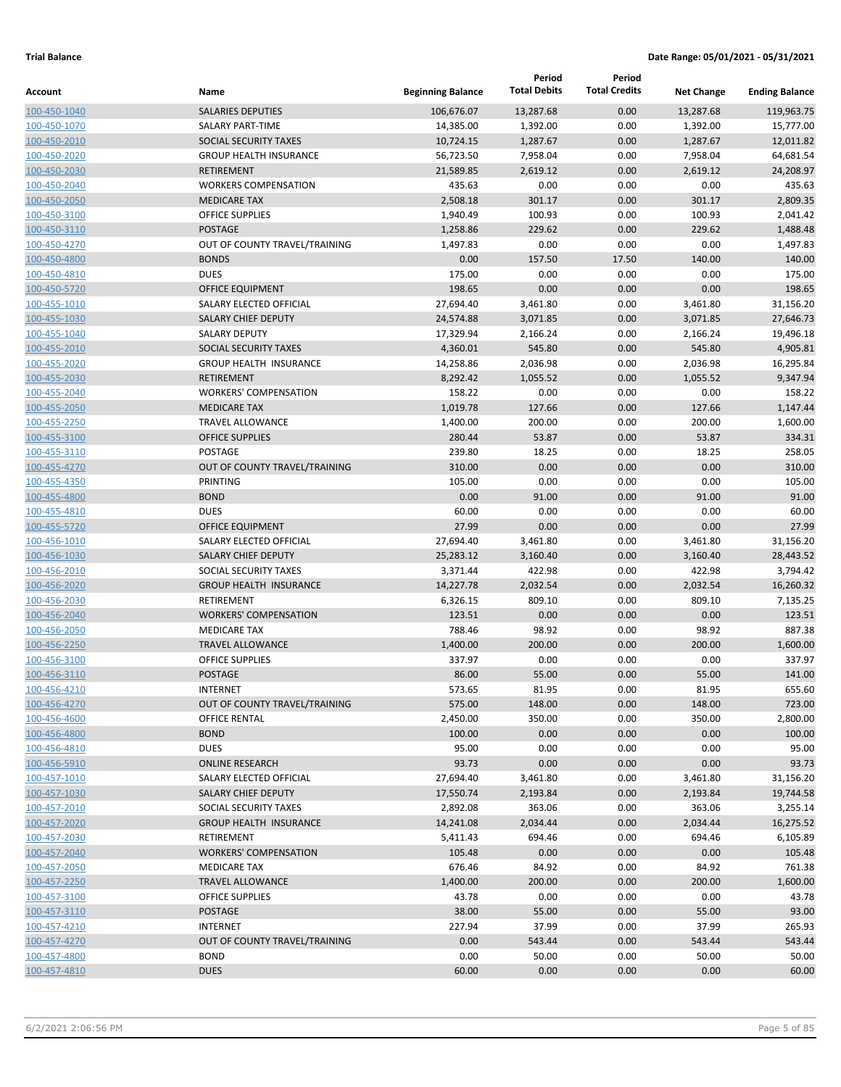|                              |                                                  |                          | Period              | Period               |                   |                       |
|------------------------------|--------------------------------------------------|--------------------------|---------------------|----------------------|-------------------|-----------------------|
| Account                      | Name                                             | <b>Beginning Balance</b> | <b>Total Debits</b> | <b>Total Credits</b> | <b>Net Change</b> | <b>Ending Balance</b> |
| 100-450-1040                 | <b>SALARIES DEPUTIES</b>                         | 106,676.07               | 13,287.68           | 0.00                 | 13,287.68         | 119,963.75            |
| 100-450-1070                 | <b>SALARY PART-TIME</b>                          | 14,385.00                | 1,392.00            | 0.00                 | 1,392.00          | 15,777.00             |
| 100-450-2010                 | SOCIAL SECURITY TAXES                            | 10,724.15                | 1,287.67            | 0.00                 | 1,287.67          | 12,011.82             |
| 100-450-2020                 | <b>GROUP HEALTH INSURANCE</b>                    | 56,723.50                | 7,958.04            | 0.00                 | 7,958.04          | 64,681.54             |
| 100-450-2030                 | <b>RETIREMENT</b>                                | 21,589.85                | 2,619.12            | 0.00                 | 2,619.12          | 24,208.97             |
| 100-450-2040                 | <b>WORKERS COMPENSATION</b>                      | 435.63                   | 0.00                | 0.00                 | 0.00              | 435.63                |
| 100-450-2050                 | <b>MEDICARE TAX</b>                              | 2,508.18                 | 301.17              | 0.00                 | 301.17            | 2,809.35              |
| 100-450-3100                 | <b>OFFICE SUPPLIES</b>                           | 1,940.49                 | 100.93              | 0.00                 | 100.93            | 2,041.42              |
| 100-450-3110                 | <b>POSTAGE</b>                                   | 1,258.86                 | 229.62              | 0.00                 | 229.62            | 1,488.48              |
| 100-450-4270                 | OUT OF COUNTY TRAVEL/TRAINING                    | 1,497.83                 | 0.00                | 0.00                 | 0.00              | 1,497.83              |
| 100-450-4800                 | <b>BONDS</b>                                     | 0.00                     | 157.50              | 17.50                | 140.00            | 140.00                |
| 100-450-4810                 | <b>DUES</b>                                      | 175.00                   | 0.00                | 0.00                 | 0.00              | 175.00                |
| 100-450-5720                 | <b>OFFICE EQUIPMENT</b>                          | 198.65                   | 0.00                | 0.00                 | 0.00              | 198.65                |
| 100-455-1010                 | SALARY ELECTED OFFICIAL                          | 27,694.40                | 3,461.80            | 0.00                 | 3,461.80          | 31,156.20             |
| 100-455-1030                 | <b>SALARY CHIEF DEPUTY</b>                       | 24,574.88                | 3,071.85            | 0.00                 | 3,071.85          | 27,646.73             |
| 100-455-1040                 | <b>SALARY DEPUTY</b>                             | 17,329.94                | 2,166.24            | 0.00                 | 2,166.24          | 19,496.18             |
| 100-455-2010                 | SOCIAL SECURITY TAXES                            | 4,360.01                 | 545.80              | 0.00                 | 545.80            | 4,905.81              |
| 100-455-2020                 | <b>GROUP HEALTH INSURANCE</b>                    | 14,258.86                | 2,036.98            | 0.00                 | 2,036.98          | 16,295.84             |
| 100-455-2030                 | <b>RETIREMENT</b>                                | 8,292.42                 | 1,055.52            | 0.00                 | 1,055.52          | 9,347.94              |
| 100-455-2040                 | <b>WORKERS' COMPENSATION</b>                     | 158.22                   | 0.00                | 0.00                 | 0.00              | 158.22                |
| 100-455-2050                 | <b>MEDICARE TAX</b>                              | 1,019.78                 | 127.66              | 0.00                 | 127.66            | 1,147.44              |
| 100-455-2250                 | <b>TRAVEL ALLOWANCE</b>                          | 1,400.00                 | 200.00              | 0.00                 | 200.00            | 1,600.00              |
| 100-455-3100                 | <b>OFFICE SUPPLIES</b><br>POSTAGE                | 280.44                   | 53.87               | 0.00                 | 53.87             | 334.31                |
| 100-455-3110                 |                                                  | 239.80                   | 18.25<br>0.00       | 0.00                 | 18.25<br>0.00     | 258.05<br>310.00      |
| 100-455-4270                 | OUT OF COUNTY TRAVEL/TRAINING<br><b>PRINTING</b> | 310.00<br>105.00         | 0.00                | 0.00<br>0.00         | 0.00              | 105.00                |
| 100-455-4350                 | <b>BOND</b>                                      | 0.00                     | 91.00               | 0.00                 | 91.00             | 91.00                 |
| 100-455-4800                 | <b>DUES</b>                                      | 60.00                    | 0.00                | 0.00                 | 0.00              | 60.00                 |
| 100-455-4810<br>100-455-5720 | OFFICE EQUIPMENT                                 | 27.99                    | 0.00                | 0.00                 | 0.00              | 27.99                 |
| 100-456-1010                 | SALARY ELECTED OFFICIAL                          | 27,694.40                | 3,461.80            | 0.00                 | 3,461.80          | 31,156.20             |
| 100-456-1030                 | <b>SALARY CHIEF DEPUTY</b>                       | 25,283.12                | 3,160.40            | 0.00                 | 3,160.40          | 28,443.52             |
| 100-456-2010                 | SOCIAL SECURITY TAXES                            | 3,371.44                 | 422.98              | 0.00                 | 422.98            | 3,794.42              |
| 100-456-2020                 | <b>GROUP HEALTH INSURANCE</b>                    | 14,227.78                | 2,032.54            | 0.00                 | 2,032.54          | 16,260.32             |
| 100-456-2030                 | <b>RETIREMENT</b>                                | 6,326.15                 | 809.10              | 0.00                 | 809.10            | 7,135.25              |
| 100-456-2040                 | <b>WORKERS' COMPENSATION</b>                     | 123.51                   | 0.00                | 0.00                 | 0.00              | 123.51                |
| 100-456-2050                 | <b>MEDICARE TAX</b>                              | 788.46                   | 98.92               | 0.00                 | 98.92             | 887.38                |
| 100-456-2250                 | <b>TRAVEL ALLOWANCE</b>                          | 1,400.00                 | 200.00              | 0.00                 | 200.00            | 1,600.00              |
| 100-456-3100                 | <b>OFFICE SUPPLIES</b>                           | 337.97                   | 0.00                | 0.00                 | 0.00              | 337.97                |
| 100-456-3110                 | <b>POSTAGE</b>                                   | 86.00                    | 55.00               | 0.00                 | 55.00             | 141.00                |
| 100-456-4210                 | <b>INTERNET</b>                                  | 573.65                   | 81.95               | 0.00                 | 81.95             | 655.60                |
| 100-456-4270                 | OUT OF COUNTY TRAVEL/TRAINING                    | 575.00                   | 148.00              | 0.00                 | 148.00            | 723.00                |
| 100-456-4600                 | <b>OFFICE RENTAL</b>                             | 2,450.00                 | 350.00              | 0.00                 | 350.00            | 2,800.00              |
| 100-456-4800                 | <b>BOND</b>                                      | 100.00                   | 0.00                | 0.00                 | 0.00              | 100.00                |
| 100-456-4810                 | <b>DUES</b>                                      | 95.00                    | 0.00                | 0.00                 | 0.00              | 95.00                 |
| 100-456-5910                 | <b>ONLINE RESEARCH</b>                           | 93.73                    | 0.00                | 0.00                 | 0.00              | 93.73                 |
| 100-457-1010                 | SALARY ELECTED OFFICIAL                          | 27,694.40                | 3,461.80            | 0.00                 | 3,461.80          | 31,156.20             |
| 100-457-1030                 | <b>SALARY CHIEF DEPUTY</b>                       | 17,550.74                | 2,193.84            | 0.00                 | 2,193.84          | 19,744.58             |
| 100-457-2010                 | SOCIAL SECURITY TAXES                            | 2,892.08                 | 363.06              | 0.00                 | 363.06            | 3,255.14              |
| 100-457-2020                 | <b>GROUP HEALTH INSURANCE</b>                    | 14,241.08                | 2,034.44            | 0.00                 | 2,034.44          | 16,275.52             |
| 100-457-2030                 | RETIREMENT                                       | 5,411.43                 | 694.46              | 0.00                 | 694.46            | 6,105.89              |
| 100-457-2040                 | <b>WORKERS' COMPENSATION</b>                     | 105.48                   | 0.00                | 0.00                 | 0.00              | 105.48                |
| 100-457-2050                 | <b>MEDICARE TAX</b>                              | 676.46                   | 84.92               | 0.00                 | 84.92             | 761.38                |
| 100-457-2250                 | <b>TRAVEL ALLOWANCE</b>                          | 1,400.00                 | 200.00              | 0.00                 | 200.00            | 1,600.00              |
| 100-457-3100                 | OFFICE SUPPLIES                                  | 43.78                    | 0.00                | 0.00                 | 0.00              | 43.78                 |
| 100-457-3110                 | POSTAGE                                          | 38.00                    | 55.00               | 0.00                 | 55.00             | 93.00                 |
| 100-457-4210                 | <b>INTERNET</b>                                  | 227.94                   | 37.99               | 0.00                 | 37.99             | 265.93                |
| 100-457-4270                 | OUT OF COUNTY TRAVEL/TRAINING                    | 0.00                     | 543.44              | 0.00                 | 543.44            | 543.44                |
| 100-457-4800                 | <b>BOND</b>                                      | 0.00                     | 50.00               | 0.00                 | 50.00             | 50.00                 |
| 100-457-4810                 | <b>DUES</b>                                      | 60.00                    | 0.00                | 0.00                 | 0.00              | 60.00                 |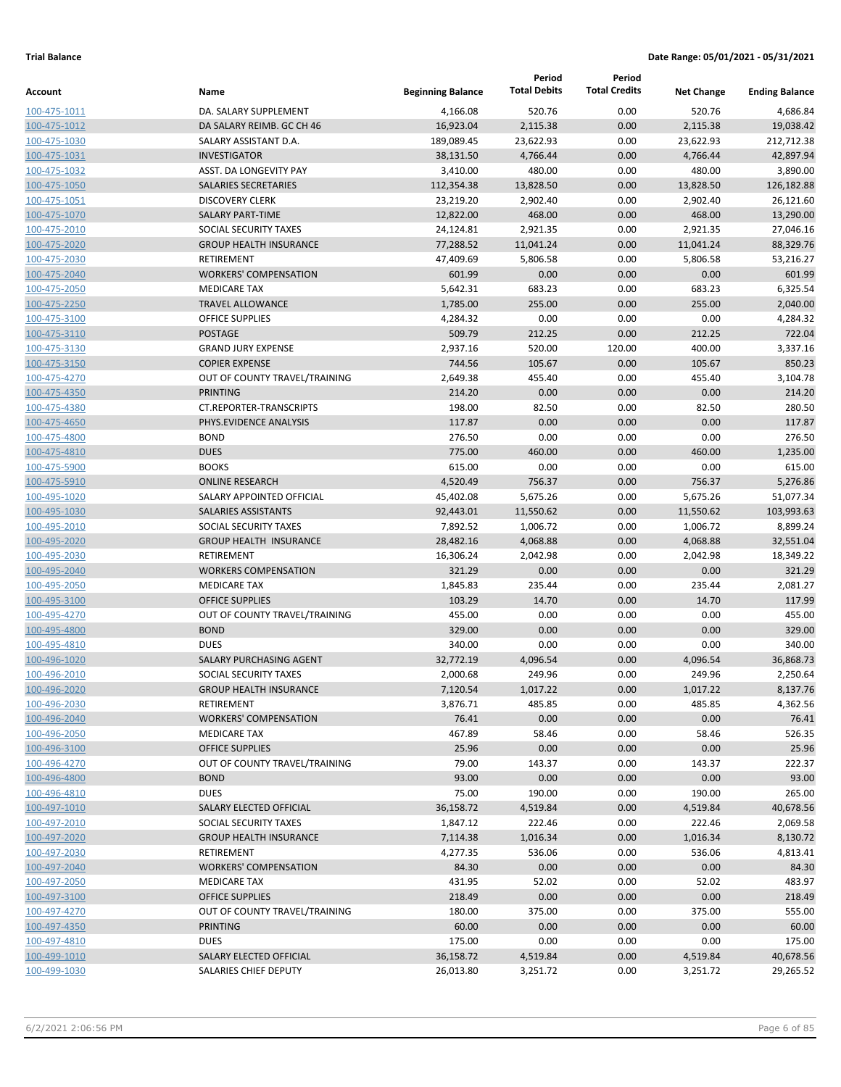| <b>Total Debits</b><br><b>Total Credits</b><br><b>Beginning Balance</b><br>Name<br><b>Net Change</b><br>Account<br>520.76<br>0.00<br>520.76<br>4,686.84<br>100-475-1011<br>DA. SALARY SUPPLEMENT<br>4,166.08<br>DA SALARY REIMB. GC CH 46<br>16,923.04<br>2,115.38<br>0.00<br>2,115.38<br>19,038.42<br>100-475-1012<br>212,712.38<br>SALARY ASSISTANT D.A.<br>189,089.45<br>23,622.93<br>0.00<br>23,622.93<br>100-475-1030<br>4,766.44<br>4,766.44<br>42,897.94<br>100-475-1031<br><b>INVESTIGATOR</b><br>38,131.50<br>0.00<br><b>ASST. DA LONGEVITY PAY</b><br>480.00<br>0.00<br>480.00<br>3,890.00<br>3,410.00<br>100-475-1032<br>13,828.50<br>126,182.88<br><b>SALARIES SECRETARIES</b><br>112,354.38<br>0.00<br>13,828.50<br>100-475-1050<br><b>DISCOVERY CLERK</b><br>23,219.20<br>2,902.40<br>0.00<br>2,902.40<br>26,121.60<br>100-475-1051<br>0.00<br><b>SALARY PART-TIME</b><br>12,822.00<br>468.00<br>468.00<br>13,290.00<br>100-475-1070<br>2,921.35<br>0.00<br>27,046.16<br>100-475-2010<br>SOCIAL SECURITY TAXES<br>24,124.81<br>2,921.35<br>88,329.76<br><b>GROUP HEALTH INSURANCE</b><br>77,288.52<br>11,041.24<br>0.00<br>11,041.24<br>100-475-2020<br>0.00<br>RETIREMENT<br>47,409.69<br>5,806.58<br>5,806.58<br>53,216.27<br>100-475-2030<br>601.99<br><b>WORKERS' COMPENSATION</b><br>601.99<br>0.00<br>0.00<br>0.00<br>100-475-2040<br>683.23<br>0.00<br>683.23<br>6,325.54<br><b>MEDICARE TAX</b><br>5,642.31<br>100-475-2050<br>1,785.00<br>255.00<br>0.00<br>255.00<br>2,040.00<br>100-475-2250<br><b>TRAVEL ALLOWANCE</b><br><b>OFFICE SUPPLIES</b><br>0.00<br>0.00<br>0.00<br>4,284.32<br>4,284.32<br>100-475-3100<br>509.79<br>212.25<br>0.00<br>212.25<br>722.04<br><b>POSTAGE</b><br>100-475-3110<br><b>GRAND JURY EXPENSE</b><br>2,937.16<br>520.00<br>120.00<br>400.00<br>3,337.16<br>100-475-3130<br>744.56<br>0.00<br>850.23<br><b>COPIER EXPENSE</b><br>105.67<br>105.67<br>100-475-3150<br>455.40<br>0.00<br>3,104.78<br>100-475-4270<br>OUT OF COUNTY TRAVEL/TRAINING<br>2,649.38<br>455.40<br>0.00<br>0.00<br>0.00<br><b>PRINTING</b><br>214.20<br>214.20<br>100-475-4350<br>198.00<br>82.50<br>0.00<br>280.50<br>CT.REPORTER-TRANSCRIPTS<br>82.50<br>100-475-4380<br>0.00<br>PHYS.EVIDENCE ANALYSIS<br>117.87<br>0.00<br>0.00<br>117.87<br>100-475-4650<br><b>BOND</b><br>276.50<br>0.00<br>0.00<br>0.00<br>276.50<br>100-475-4800<br><b>DUES</b><br>775.00<br>460.00<br>0.00<br>460.00<br>1,235.00<br>100-475-4810<br><b>BOOKS</b><br>615.00<br>0.00<br>0.00<br>0.00<br>615.00<br>100-475-5900<br>4,520.49<br>756.37<br>0.00<br>756.37<br>5,276.86<br><b>ONLINE RESEARCH</b><br>100-475-5910<br>SALARY APPOINTED OFFICIAL<br>45,402.08<br>5,675.26<br>0.00<br>5,675.26<br>51,077.34<br>100-495-1020<br>0.00<br>103,993.63<br>SALARIES ASSISTANTS<br>92,443.01<br>11,550.62<br>11,550.62<br>100-495-1030<br>1,006.72<br>0.00<br>1,006.72<br>8,899.24<br>100-495-2010<br>SOCIAL SECURITY TAXES<br>7,892.52<br>32,551.04<br>100-495-2020<br><b>GROUP HEALTH INSURANCE</b><br>28,482.16<br>4,068.88<br>0.00<br>4,068.88<br>RETIREMENT<br>16,306.24<br>2,042.98<br>0.00<br>2,042.98<br>18,349.22<br>100-495-2030<br>0.00<br>0.00<br>321.29<br><b>WORKERS COMPENSATION</b><br>321.29<br>0.00<br>100-495-2040<br>235.44<br>0.00<br>235.44<br>2,081.27<br><b>MEDICARE TAX</b><br>1,845.83<br>100-495-2050<br>103.29<br>14.70<br>0.00<br>14.70<br>100-495-3100<br><b>OFFICE SUPPLIES</b><br>OUT OF COUNTY TRAVEL/TRAINING<br>455.00<br>0.00<br>0.00<br>0.00<br>100-495-4270<br><b>BOND</b><br>329.00<br>0.00<br>329.00<br>0.00<br>0.00<br>100-495-4800<br>0.00<br><b>DUES</b><br>340.00<br>0.00<br>0.00<br>340.00<br>100-495-4810<br>100-496-1020<br>SALARY PURCHASING AGENT<br>32,772.19<br>4,096.54<br>0.00<br>4,096.54<br>36,868.73<br>249.96<br>0.00<br>249.96<br>100-496-2010<br>SOCIAL SECURITY TAXES<br>2,000.68<br>100-496-2020<br>7,120.54<br>1,017.22<br>0.00<br>1,017.22<br><b>GROUP HEALTH INSURANCE</b><br>3,876.71<br>485.85<br>0.00<br>485.85<br>100-496-2030<br>RETIREMENT<br>76.41<br>0.00<br>100-496-2040<br><b>WORKERS' COMPENSATION</b><br>0.00<br>0.00<br>467.89<br>0.00<br>100-496-2050<br><b>MEDICARE TAX</b><br>58.46<br>58.46<br>25.96<br>0.00<br>0.00<br>100-496-3100<br><b>OFFICE SUPPLIES</b><br>0.00<br>79.00<br>143.37<br>0.00<br>143.37<br>100-496-4270<br>OUT OF COUNTY TRAVEL/TRAINING<br>93.00<br>0.00<br><b>BOND</b><br>0.00<br>0.00<br>100-496-4800<br><b>DUES</b><br>75.00<br>190.00<br>0.00<br>190.00<br>100-496-4810<br>100-497-1010<br>SALARY ELECTED OFFICIAL<br>36,158.72<br>4,519.84<br>0.00<br>4,519.84<br>222.46<br>100-497-2010<br>SOCIAL SECURITY TAXES<br>1,847.12<br>222.46<br>0.00<br>100-497-2020<br><b>GROUP HEALTH INSURANCE</b><br>7,114.38<br>1,016.34<br>0.00<br>1,016.34<br>4,277.35<br>536.06<br>0.00<br>100-497-2030<br>RETIREMENT<br>536.06<br>100-497-2040<br><b>WORKERS' COMPENSATION</b><br>84.30<br>0.00<br>0.00<br>0.00<br>100-497-2050<br><b>MEDICARE TAX</b><br>431.95<br>52.02<br>0.00<br>52.02<br>0.00<br>0.00<br>100-497-3100<br><b>OFFICE SUPPLIES</b><br>218.49<br>0.00<br>180.00<br>375.00<br>0.00<br>375.00<br>100-497-4270<br>OUT OF COUNTY TRAVEL/TRAINING<br>60.00<br>0.00<br><b>PRINTING</b><br>0.00<br>0.00<br>100-497-4350<br><b>DUES</b><br>175.00<br>0.00<br>0.00<br>0.00<br>100-497-4810<br>100-499-1010<br>0.00<br>4,519.84<br>SALARY ELECTED OFFICIAL<br>36,158.72<br>4,519.84<br>0.00<br>100-499-1030<br>SALARIES CHIEF DEPUTY<br>26,013.80<br>3,251.72<br>3,251.72 |  | Period | Period |                       |
|---------------------------------------------------------------------------------------------------------------------------------------------------------------------------------------------------------------------------------------------------------------------------------------------------------------------------------------------------------------------------------------------------------------------------------------------------------------------------------------------------------------------------------------------------------------------------------------------------------------------------------------------------------------------------------------------------------------------------------------------------------------------------------------------------------------------------------------------------------------------------------------------------------------------------------------------------------------------------------------------------------------------------------------------------------------------------------------------------------------------------------------------------------------------------------------------------------------------------------------------------------------------------------------------------------------------------------------------------------------------------------------------------------------------------------------------------------------------------------------------------------------------------------------------------------------------------------------------------------------------------------------------------------------------------------------------------------------------------------------------------------------------------------------------------------------------------------------------------------------------------------------------------------------------------------------------------------------------------------------------------------------------------------------------------------------------------------------------------------------------------------------------------------------------------------------------------------------------------------------------------------------------------------------------------------------------------------------------------------------------------------------------------------------------------------------------------------------------------------------------------------------------------------------------------------------------------------------------------------------------------------------------------------------------------------------------------------------------------------------------------------------------------------------------------------------------------------------------------------------------------------------------------------------------------------------------------------------------------------------------------------------------------------------------------------------------------------------------------------------------------------------------------------------------------------------------------------------------------------------------------------------------------------------------------------------------------------------------------------------------------------------------------------------------------------------------------------------------------------------------------------------------------------------------------------------------------------------------------------------------------------------------------------------------------------------------------------------------------------------------------------------------------------------------------------------------------------------------------------------------------------------------------------------------------------------------------------------------------------------------------------------------------------------------------------------------------------------------------------------------------------------------------------------------------------------------------------------------------------------------------------------------------------------------------------------------------------------------------------------------------------------------------------------------------------------------------------------------------------------------------------------------------------------------------------------------------------------------------------------------------------------------------------------------------------------------------------------------------------------------------------------------------------------------------------------------------------------------------------------------------------------------------------------------------------------------------------------------------------------------------------------------------------------------------------------------------------------------------------------------------------------------------------------------------------------------------------------------------------------------------------------------------------------------------------------------------------------------------------------------------------------------------------------------------------------------------------------------------------------|--|--------|--------|-----------------------|
|                                                                                                                                                                                                                                                                                                                                                                                                                                                                                                                                                                                                                                                                                                                                                                                                                                                                                                                                                                                                                                                                                                                                                                                                                                                                                                                                                                                                                                                                                                                                                                                                                                                                                                                                                                                                                                                                                                                                                                                                                                                                                                                                                                                                                                                                                                                                                                                                                                                                                                                                                                                                                                                                                                                                                                                                                                                                                                                                                                                                                                                                                                                                                                                                                                                                                                                                                                                                                                                                                                                                                                                                                                                                                                                                                                                                                                                                                                                                                                                                                                                                                                                                                                                                                                                                                                                                                                                                                                                                                                                                                                                                                                                                                                                                                                                                                                                                                                                                                                                                                                                                                                                                                                                                                                                                                                                                                                                                                                                                                       |  |        |        | <b>Ending Balance</b> |
|                                                                                                                                                                                                                                                                                                                                                                                                                                                                                                                                                                                                                                                                                                                                                                                                                                                                                                                                                                                                                                                                                                                                                                                                                                                                                                                                                                                                                                                                                                                                                                                                                                                                                                                                                                                                                                                                                                                                                                                                                                                                                                                                                                                                                                                                                                                                                                                                                                                                                                                                                                                                                                                                                                                                                                                                                                                                                                                                                                                                                                                                                                                                                                                                                                                                                                                                                                                                                                                                                                                                                                                                                                                                                                                                                                                                                                                                                                                                                                                                                                                                                                                                                                                                                                                                                                                                                                                                                                                                                                                                                                                                                                                                                                                                                                                                                                                                                                                                                                                                                                                                                                                                                                                                                                                                                                                                                                                                                                                                                       |  |        |        |                       |
|                                                                                                                                                                                                                                                                                                                                                                                                                                                                                                                                                                                                                                                                                                                                                                                                                                                                                                                                                                                                                                                                                                                                                                                                                                                                                                                                                                                                                                                                                                                                                                                                                                                                                                                                                                                                                                                                                                                                                                                                                                                                                                                                                                                                                                                                                                                                                                                                                                                                                                                                                                                                                                                                                                                                                                                                                                                                                                                                                                                                                                                                                                                                                                                                                                                                                                                                                                                                                                                                                                                                                                                                                                                                                                                                                                                                                                                                                                                                                                                                                                                                                                                                                                                                                                                                                                                                                                                                                                                                                                                                                                                                                                                                                                                                                                                                                                                                                                                                                                                                                                                                                                                                                                                                                                                                                                                                                                                                                                                                                       |  |        |        |                       |
|                                                                                                                                                                                                                                                                                                                                                                                                                                                                                                                                                                                                                                                                                                                                                                                                                                                                                                                                                                                                                                                                                                                                                                                                                                                                                                                                                                                                                                                                                                                                                                                                                                                                                                                                                                                                                                                                                                                                                                                                                                                                                                                                                                                                                                                                                                                                                                                                                                                                                                                                                                                                                                                                                                                                                                                                                                                                                                                                                                                                                                                                                                                                                                                                                                                                                                                                                                                                                                                                                                                                                                                                                                                                                                                                                                                                                                                                                                                                                                                                                                                                                                                                                                                                                                                                                                                                                                                                                                                                                                                                                                                                                                                                                                                                                                                                                                                                                                                                                                                                                                                                                                                                                                                                                                                                                                                                                                                                                                                                                       |  |        |        |                       |
|                                                                                                                                                                                                                                                                                                                                                                                                                                                                                                                                                                                                                                                                                                                                                                                                                                                                                                                                                                                                                                                                                                                                                                                                                                                                                                                                                                                                                                                                                                                                                                                                                                                                                                                                                                                                                                                                                                                                                                                                                                                                                                                                                                                                                                                                                                                                                                                                                                                                                                                                                                                                                                                                                                                                                                                                                                                                                                                                                                                                                                                                                                                                                                                                                                                                                                                                                                                                                                                                                                                                                                                                                                                                                                                                                                                                                                                                                                                                                                                                                                                                                                                                                                                                                                                                                                                                                                                                                                                                                                                                                                                                                                                                                                                                                                                                                                                                                                                                                                                                                                                                                                                                                                                                                                                                                                                                                                                                                                                                                       |  |        |        |                       |
|                                                                                                                                                                                                                                                                                                                                                                                                                                                                                                                                                                                                                                                                                                                                                                                                                                                                                                                                                                                                                                                                                                                                                                                                                                                                                                                                                                                                                                                                                                                                                                                                                                                                                                                                                                                                                                                                                                                                                                                                                                                                                                                                                                                                                                                                                                                                                                                                                                                                                                                                                                                                                                                                                                                                                                                                                                                                                                                                                                                                                                                                                                                                                                                                                                                                                                                                                                                                                                                                                                                                                                                                                                                                                                                                                                                                                                                                                                                                                                                                                                                                                                                                                                                                                                                                                                                                                                                                                                                                                                                                                                                                                                                                                                                                                                                                                                                                                                                                                                                                                                                                                                                                                                                                                                                                                                                                                                                                                                                                                       |  |        |        |                       |
|                                                                                                                                                                                                                                                                                                                                                                                                                                                                                                                                                                                                                                                                                                                                                                                                                                                                                                                                                                                                                                                                                                                                                                                                                                                                                                                                                                                                                                                                                                                                                                                                                                                                                                                                                                                                                                                                                                                                                                                                                                                                                                                                                                                                                                                                                                                                                                                                                                                                                                                                                                                                                                                                                                                                                                                                                                                                                                                                                                                                                                                                                                                                                                                                                                                                                                                                                                                                                                                                                                                                                                                                                                                                                                                                                                                                                                                                                                                                                                                                                                                                                                                                                                                                                                                                                                                                                                                                                                                                                                                                                                                                                                                                                                                                                                                                                                                                                                                                                                                                                                                                                                                                                                                                                                                                                                                                                                                                                                                                                       |  |        |        |                       |
|                                                                                                                                                                                                                                                                                                                                                                                                                                                                                                                                                                                                                                                                                                                                                                                                                                                                                                                                                                                                                                                                                                                                                                                                                                                                                                                                                                                                                                                                                                                                                                                                                                                                                                                                                                                                                                                                                                                                                                                                                                                                                                                                                                                                                                                                                                                                                                                                                                                                                                                                                                                                                                                                                                                                                                                                                                                                                                                                                                                                                                                                                                                                                                                                                                                                                                                                                                                                                                                                                                                                                                                                                                                                                                                                                                                                                                                                                                                                                                                                                                                                                                                                                                                                                                                                                                                                                                                                                                                                                                                                                                                                                                                                                                                                                                                                                                                                                                                                                                                                                                                                                                                                                                                                                                                                                                                                                                                                                                                                                       |  |        |        |                       |
|                                                                                                                                                                                                                                                                                                                                                                                                                                                                                                                                                                                                                                                                                                                                                                                                                                                                                                                                                                                                                                                                                                                                                                                                                                                                                                                                                                                                                                                                                                                                                                                                                                                                                                                                                                                                                                                                                                                                                                                                                                                                                                                                                                                                                                                                                                                                                                                                                                                                                                                                                                                                                                                                                                                                                                                                                                                                                                                                                                                                                                                                                                                                                                                                                                                                                                                                                                                                                                                                                                                                                                                                                                                                                                                                                                                                                                                                                                                                                                                                                                                                                                                                                                                                                                                                                                                                                                                                                                                                                                                                                                                                                                                                                                                                                                                                                                                                                                                                                                                                                                                                                                                                                                                                                                                                                                                                                                                                                                                                                       |  |        |        |                       |
|                                                                                                                                                                                                                                                                                                                                                                                                                                                                                                                                                                                                                                                                                                                                                                                                                                                                                                                                                                                                                                                                                                                                                                                                                                                                                                                                                                                                                                                                                                                                                                                                                                                                                                                                                                                                                                                                                                                                                                                                                                                                                                                                                                                                                                                                                                                                                                                                                                                                                                                                                                                                                                                                                                                                                                                                                                                                                                                                                                                                                                                                                                                                                                                                                                                                                                                                                                                                                                                                                                                                                                                                                                                                                                                                                                                                                                                                                                                                                                                                                                                                                                                                                                                                                                                                                                                                                                                                                                                                                                                                                                                                                                                                                                                                                                                                                                                                                                                                                                                                                                                                                                                                                                                                                                                                                                                                                                                                                                                                                       |  |        |        |                       |
|                                                                                                                                                                                                                                                                                                                                                                                                                                                                                                                                                                                                                                                                                                                                                                                                                                                                                                                                                                                                                                                                                                                                                                                                                                                                                                                                                                                                                                                                                                                                                                                                                                                                                                                                                                                                                                                                                                                                                                                                                                                                                                                                                                                                                                                                                                                                                                                                                                                                                                                                                                                                                                                                                                                                                                                                                                                                                                                                                                                                                                                                                                                                                                                                                                                                                                                                                                                                                                                                                                                                                                                                                                                                                                                                                                                                                                                                                                                                                                                                                                                                                                                                                                                                                                                                                                                                                                                                                                                                                                                                                                                                                                                                                                                                                                                                                                                                                                                                                                                                                                                                                                                                                                                                                                                                                                                                                                                                                                                                                       |  |        |        |                       |
|                                                                                                                                                                                                                                                                                                                                                                                                                                                                                                                                                                                                                                                                                                                                                                                                                                                                                                                                                                                                                                                                                                                                                                                                                                                                                                                                                                                                                                                                                                                                                                                                                                                                                                                                                                                                                                                                                                                                                                                                                                                                                                                                                                                                                                                                                                                                                                                                                                                                                                                                                                                                                                                                                                                                                                                                                                                                                                                                                                                                                                                                                                                                                                                                                                                                                                                                                                                                                                                                                                                                                                                                                                                                                                                                                                                                                                                                                                                                                                                                                                                                                                                                                                                                                                                                                                                                                                                                                                                                                                                                                                                                                                                                                                                                                                                                                                                                                                                                                                                                                                                                                                                                                                                                                                                                                                                                                                                                                                                                                       |  |        |        |                       |
|                                                                                                                                                                                                                                                                                                                                                                                                                                                                                                                                                                                                                                                                                                                                                                                                                                                                                                                                                                                                                                                                                                                                                                                                                                                                                                                                                                                                                                                                                                                                                                                                                                                                                                                                                                                                                                                                                                                                                                                                                                                                                                                                                                                                                                                                                                                                                                                                                                                                                                                                                                                                                                                                                                                                                                                                                                                                                                                                                                                                                                                                                                                                                                                                                                                                                                                                                                                                                                                                                                                                                                                                                                                                                                                                                                                                                                                                                                                                                                                                                                                                                                                                                                                                                                                                                                                                                                                                                                                                                                                                                                                                                                                                                                                                                                                                                                                                                                                                                                                                                                                                                                                                                                                                                                                                                                                                                                                                                                                                                       |  |        |        |                       |
|                                                                                                                                                                                                                                                                                                                                                                                                                                                                                                                                                                                                                                                                                                                                                                                                                                                                                                                                                                                                                                                                                                                                                                                                                                                                                                                                                                                                                                                                                                                                                                                                                                                                                                                                                                                                                                                                                                                                                                                                                                                                                                                                                                                                                                                                                                                                                                                                                                                                                                                                                                                                                                                                                                                                                                                                                                                                                                                                                                                                                                                                                                                                                                                                                                                                                                                                                                                                                                                                                                                                                                                                                                                                                                                                                                                                                                                                                                                                                                                                                                                                                                                                                                                                                                                                                                                                                                                                                                                                                                                                                                                                                                                                                                                                                                                                                                                                                                                                                                                                                                                                                                                                                                                                                                                                                                                                                                                                                                                                                       |  |        |        |                       |
|                                                                                                                                                                                                                                                                                                                                                                                                                                                                                                                                                                                                                                                                                                                                                                                                                                                                                                                                                                                                                                                                                                                                                                                                                                                                                                                                                                                                                                                                                                                                                                                                                                                                                                                                                                                                                                                                                                                                                                                                                                                                                                                                                                                                                                                                                                                                                                                                                                                                                                                                                                                                                                                                                                                                                                                                                                                                                                                                                                                                                                                                                                                                                                                                                                                                                                                                                                                                                                                                                                                                                                                                                                                                                                                                                                                                                                                                                                                                                                                                                                                                                                                                                                                                                                                                                                                                                                                                                                                                                                                                                                                                                                                                                                                                                                                                                                                                                                                                                                                                                                                                                                                                                                                                                                                                                                                                                                                                                                                                                       |  |        |        |                       |
|                                                                                                                                                                                                                                                                                                                                                                                                                                                                                                                                                                                                                                                                                                                                                                                                                                                                                                                                                                                                                                                                                                                                                                                                                                                                                                                                                                                                                                                                                                                                                                                                                                                                                                                                                                                                                                                                                                                                                                                                                                                                                                                                                                                                                                                                                                                                                                                                                                                                                                                                                                                                                                                                                                                                                                                                                                                                                                                                                                                                                                                                                                                                                                                                                                                                                                                                                                                                                                                                                                                                                                                                                                                                                                                                                                                                                                                                                                                                                                                                                                                                                                                                                                                                                                                                                                                                                                                                                                                                                                                                                                                                                                                                                                                                                                                                                                                                                                                                                                                                                                                                                                                                                                                                                                                                                                                                                                                                                                                                                       |  |        |        |                       |
|                                                                                                                                                                                                                                                                                                                                                                                                                                                                                                                                                                                                                                                                                                                                                                                                                                                                                                                                                                                                                                                                                                                                                                                                                                                                                                                                                                                                                                                                                                                                                                                                                                                                                                                                                                                                                                                                                                                                                                                                                                                                                                                                                                                                                                                                                                                                                                                                                                                                                                                                                                                                                                                                                                                                                                                                                                                                                                                                                                                                                                                                                                                                                                                                                                                                                                                                                                                                                                                                                                                                                                                                                                                                                                                                                                                                                                                                                                                                                                                                                                                                                                                                                                                                                                                                                                                                                                                                                                                                                                                                                                                                                                                                                                                                                                                                                                                                                                                                                                                                                                                                                                                                                                                                                                                                                                                                                                                                                                                                                       |  |        |        |                       |
|                                                                                                                                                                                                                                                                                                                                                                                                                                                                                                                                                                                                                                                                                                                                                                                                                                                                                                                                                                                                                                                                                                                                                                                                                                                                                                                                                                                                                                                                                                                                                                                                                                                                                                                                                                                                                                                                                                                                                                                                                                                                                                                                                                                                                                                                                                                                                                                                                                                                                                                                                                                                                                                                                                                                                                                                                                                                                                                                                                                                                                                                                                                                                                                                                                                                                                                                                                                                                                                                                                                                                                                                                                                                                                                                                                                                                                                                                                                                                                                                                                                                                                                                                                                                                                                                                                                                                                                                                                                                                                                                                                                                                                                                                                                                                                                                                                                                                                                                                                                                                                                                                                                                                                                                                                                                                                                                                                                                                                                                                       |  |        |        |                       |
|                                                                                                                                                                                                                                                                                                                                                                                                                                                                                                                                                                                                                                                                                                                                                                                                                                                                                                                                                                                                                                                                                                                                                                                                                                                                                                                                                                                                                                                                                                                                                                                                                                                                                                                                                                                                                                                                                                                                                                                                                                                                                                                                                                                                                                                                                                                                                                                                                                                                                                                                                                                                                                                                                                                                                                                                                                                                                                                                                                                                                                                                                                                                                                                                                                                                                                                                                                                                                                                                                                                                                                                                                                                                                                                                                                                                                                                                                                                                                                                                                                                                                                                                                                                                                                                                                                                                                                                                                                                                                                                                                                                                                                                                                                                                                                                                                                                                                                                                                                                                                                                                                                                                                                                                                                                                                                                                                                                                                                                                                       |  |        |        |                       |
|                                                                                                                                                                                                                                                                                                                                                                                                                                                                                                                                                                                                                                                                                                                                                                                                                                                                                                                                                                                                                                                                                                                                                                                                                                                                                                                                                                                                                                                                                                                                                                                                                                                                                                                                                                                                                                                                                                                                                                                                                                                                                                                                                                                                                                                                                                                                                                                                                                                                                                                                                                                                                                                                                                                                                                                                                                                                                                                                                                                                                                                                                                                                                                                                                                                                                                                                                                                                                                                                                                                                                                                                                                                                                                                                                                                                                                                                                                                                                                                                                                                                                                                                                                                                                                                                                                                                                                                                                                                                                                                                                                                                                                                                                                                                                                                                                                                                                                                                                                                                                                                                                                                                                                                                                                                                                                                                                                                                                                                                                       |  |        |        |                       |
|                                                                                                                                                                                                                                                                                                                                                                                                                                                                                                                                                                                                                                                                                                                                                                                                                                                                                                                                                                                                                                                                                                                                                                                                                                                                                                                                                                                                                                                                                                                                                                                                                                                                                                                                                                                                                                                                                                                                                                                                                                                                                                                                                                                                                                                                                                                                                                                                                                                                                                                                                                                                                                                                                                                                                                                                                                                                                                                                                                                                                                                                                                                                                                                                                                                                                                                                                                                                                                                                                                                                                                                                                                                                                                                                                                                                                                                                                                                                                                                                                                                                                                                                                                                                                                                                                                                                                                                                                                                                                                                                                                                                                                                                                                                                                                                                                                                                                                                                                                                                                                                                                                                                                                                                                                                                                                                                                                                                                                                                                       |  |        |        |                       |
|                                                                                                                                                                                                                                                                                                                                                                                                                                                                                                                                                                                                                                                                                                                                                                                                                                                                                                                                                                                                                                                                                                                                                                                                                                                                                                                                                                                                                                                                                                                                                                                                                                                                                                                                                                                                                                                                                                                                                                                                                                                                                                                                                                                                                                                                                                                                                                                                                                                                                                                                                                                                                                                                                                                                                                                                                                                                                                                                                                                                                                                                                                                                                                                                                                                                                                                                                                                                                                                                                                                                                                                                                                                                                                                                                                                                                                                                                                                                                                                                                                                                                                                                                                                                                                                                                                                                                                                                                                                                                                                                                                                                                                                                                                                                                                                                                                                                                                                                                                                                                                                                                                                                                                                                                                                                                                                                                                                                                                                                                       |  |        |        |                       |
|                                                                                                                                                                                                                                                                                                                                                                                                                                                                                                                                                                                                                                                                                                                                                                                                                                                                                                                                                                                                                                                                                                                                                                                                                                                                                                                                                                                                                                                                                                                                                                                                                                                                                                                                                                                                                                                                                                                                                                                                                                                                                                                                                                                                                                                                                                                                                                                                                                                                                                                                                                                                                                                                                                                                                                                                                                                                                                                                                                                                                                                                                                                                                                                                                                                                                                                                                                                                                                                                                                                                                                                                                                                                                                                                                                                                                                                                                                                                                                                                                                                                                                                                                                                                                                                                                                                                                                                                                                                                                                                                                                                                                                                                                                                                                                                                                                                                                                                                                                                                                                                                                                                                                                                                                                                                                                                                                                                                                                                                                       |  |        |        |                       |
|                                                                                                                                                                                                                                                                                                                                                                                                                                                                                                                                                                                                                                                                                                                                                                                                                                                                                                                                                                                                                                                                                                                                                                                                                                                                                                                                                                                                                                                                                                                                                                                                                                                                                                                                                                                                                                                                                                                                                                                                                                                                                                                                                                                                                                                                                                                                                                                                                                                                                                                                                                                                                                                                                                                                                                                                                                                                                                                                                                                                                                                                                                                                                                                                                                                                                                                                                                                                                                                                                                                                                                                                                                                                                                                                                                                                                                                                                                                                                                                                                                                                                                                                                                                                                                                                                                                                                                                                                                                                                                                                                                                                                                                                                                                                                                                                                                                                                                                                                                                                                                                                                                                                                                                                                                                                                                                                                                                                                                                                                       |  |        |        |                       |
|                                                                                                                                                                                                                                                                                                                                                                                                                                                                                                                                                                                                                                                                                                                                                                                                                                                                                                                                                                                                                                                                                                                                                                                                                                                                                                                                                                                                                                                                                                                                                                                                                                                                                                                                                                                                                                                                                                                                                                                                                                                                                                                                                                                                                                                                                                                                                                                                                                                                                                                                                                                                                                                                                                                                                                                                                                                                                                                                                                                                                                                                                                                                                                                                                                                                                                                                                                                                                                                                                                                                                                                                                                                                                                                                                                                                                                                                                                                                                                                                                                                                                                                                                                                                                                                                                                                                                                                                                                                                                                                                                                                                                                                                                                                                                                                                                                                                                                                                                                                                                                                                                                                                                                                                                                                                                                                                                                                                                                                                                       |  |        |        |                       |
|                                                                                                                                                                                                                                                                                                                                                                                                                                                                                                                                                                                                                                                                                                                                                                                                                                                                                                                                                                                                                                                                                                                                                                                                                                                                                                                                                                                                                                                                                                                                                                                                                                                                                                                                                                                                                                                                                                                                                                                                                                                                                                                                                                                                                                                                                                                                                                                                                                                                                                                                                                                                                                                                                                                                                                                                                                                                                                                                                                                                                                                                                                                                                                                                                                                                                                                                                                                                                                                                                                                                                                                                                                                                                                                                                                                                                                                                                                                                                                                                                                                                                                                                                                                                                                                                                                                                                                                                                                                                                                                                                                                                                                                                                                                                                                                                                                                                                                                                                                                                                                                                                                                                                                                                                                                                                                                                                                                                                                                                                       |  |        |        |                       |
|                                                                                                                                                                                                                                                                                                                                                                                                                                                                                                                                                                                                                                                                                                                                                                                                                                                                                                                                                                                                                                                                                                                                                                                                                                                                                                                                                                                                                                                                                                                                                                                                                                                                                                                                                                                                                                                                                                                                                                                                                                                                                                                                                                                                                                                                                                                                                                                                                                                                                                                                                                                                                                                                                                                                                                                                                                                                                                                                                                                                                                                                                                                                                                                                                                                                                                                                                                                                                                                                                                                                                                                                                                                                                                                                                                                                                                                                                                                                                                                                                                                                                                                                                                                                                                                                                                                                                                                                                                                                                                                                                                                                                                                                                                                                                                                                                                                                                                                                                                                                                                                                                                                                                                                                                                                                                                                                                                                                                                                                                       |  |        |        |                       |
|                                                                                                                                                                                                                                                                                                                                                                                                                                                                                                                                                                                                                                                                                                                                                                                                                                                                                                                                                                                                                                                                                                                                                                                                                                                                                                                                                                                                                                                                                                                                                                                                                                                                                                                                                                                                                                                                                                                                                                                                                                                                                                                                                                                                                                                                                                                                                                                                                                                                                                                                                                                                                                                                                                                                                                                                                                                                                                                                                                                                                                                                                                                                                                                                                                                                                                                                                                                                                                                                                                                                                                                                                                                                                                                                                                                                                                                                                                                                                                                                                                                                                                                                                                                                                                                                                                                                                                                                                                                                                                                                                                                                                                                                                                                                                                                                                                                                                                                                                                                                                                                                                                                                                                                                                                                                                                                                                                                                                                                                                       |  |        |        |                       |
|                                                                                                                                                                                                                                                                                                                                                                                                                                                                                                                                                                                                                                                                                                                                                                                                                                                                                                                                                                                                                                                                                                                                                                                                                                                                                                                                                                                                                                                                                                                                                                                                                                                                                                                                                                                                                                                                                                                                                                                                                                                                                                                                                                                                                                                                                                                                                                                                                                                                                                                                                                                                                                                                                                                                                                                                                                                                                                                                                                                                                                                                                                                                                                                                                                                                                                                                                                                                                                                                                                                                                                                                                                                                                                                                                                                                                                                                                                                                                                                                                                                                                                                                                                                                                                                                                                                                                                                                                                                                                                                                                                                                                                                                                                                                                                                                                                                                                                                                                                                                                                                                                                                                                                                                                                                                                                                                                                                                                                                                                       |  |        |        |                       |
|                                                                                                                                                                                                                                                                                                                                                                                                                                                                                                                                                                                                                                                                                                                                                                                                                                                                                                                                                                                                                                                                                                                                                                                                                                                                                                                                                                                                                                                                                                                                                                                                                                                                                                                                                                                                                                                                                                                                                                                                                                                                                                                                                                                                                                                                                                                                                                                                                                                                                                                                                                                                                                                                                                                                                                                                                                                                                                                                                                                                                                                                                                                                                                                                                                                                                                                                                                                                                                                                                                                                                                                                                                                                                                                                                                                                                                                                                                                                                                                                                                                                                                                                                                                                                                                                                                                                                                                                                                                                                                                                                                                                                                                                                                                                                                                                                                                                                                                                                                                                                                                                                                                                                                                                                                                                                                                                                                                                                                                                                       |  |        |        |                       |
|                                                                                                                                                                                                                                                                                                                                                                                                                                                                                                                                                                                                                                                                                                                                                                                                                                                                                                                                                                                                                                                                                                                                                                                                                                                                                                                                                                                                                                                                                                                                                                                                                                                                                                                                                                                                                                                                                                                                                                                                                                                                                                                                                                                                                                                                                                                                                                                                                                                                                                                                                                                                                                                                                                                                                                                                                                                                                                                                                                                                                                                                                                                                                                                                                                                                                                                                                                                                                                                                                                                                                                                                                                                                                                                                                                                                                                                                                                                                                                                                                                                                                                                                                                                                                                                                                                                                                                                                                                                                                                                                                                                                                                                                                                                                                                                                                                                                                                                                                                                                                                                                                                                                                                                                                                                                                                                                                                                                                                                                                       |  |        |        |                       |
|                                                                                                                                                                                                                                                                                                                                                                                                                                                                                                                                                                                                                                                                                                                                                                                                                                                                                                                                                                                                                                                                                                                                                                                                                                                                                                                                                                                                                                                                                                                                                                                                                                                                                                                                                                                                                                                                                                                                                                                                                                                                                                                                                                                                                                                                                                                                                                                                                                                                                                                                                                                                                                                                                                                                                                                                                                                                                                                                                                                                                                                                                                                                                                                                                                                                                                                                                                                                                                                                                                                                                                                                                                                                                                                                                                                                                                                                                                                                                                                                                                                                                                                                                                                                                                                                                                                                                                                                                                                                                                                                                                                                                                                                                                                                                                                                                                                                                                                                                                                                                                                                                                                                                                                                                                                                                                                                                                                                                                                                                       |  |        |        |                       |
|                                                                                                                                                                                                                                                                                                                                                                                                                                                                                                                                                                                                                                                                                                                                                                                                                                                                                                                                                                                                                                                                                                                                                                                                                                                                                                                                                                                                                                                                                                                                                                                                                                                                                                                                                                                                                                                                                                                                                                                                                                                                                                                                                                                                                                                                                                                                                                                                                                                                                                                                                                                                                                                                                                                                                                                                                                                                                                                                                                                                                                                                                                                                                                                                                                                                                                                                                                                                                                                                                                                                                                                                                                                                                                                                                                                                                                                                                                                                                                                                                                                                                                                                                                                                                                                                                                                                                                                                                                                                                                                                                                                                                                                                                                                                                                                                                                                                                                                                                                                                                                                                                                                                                                                                                                                                                                                                                                                                                                                                                       |  |        |        |                       |
|                                                                                                                                                                                                                                                                                                                                                                                                                                                                                                                                                                                                                                                                                                                                                                                                                                                                                                                                                                                                                                                                                                                                                                                                                                                                                                                                                                                                                                                                                                                                                                                                                                                                                                                                                                                                                                                                                                                                                                                                                                                                                                                                                                                                                                                                                                                                                                                                                                                                                                                                                                                                                                                                                                                                                                                                                                                                                                                                                                                                                                                                                                                                                                                                                                                                                                                                                                                                                                                                                                                                                                                                                                                                                                                                                                                                                                                                                                                                                                                                                                                                                                                                                                                                                                                                                                                                                                                                                                                                                                                                                                                                                                                                                                                                                                                                                                                                                                                                                                                                                                                                                                                                                                                                                                                                                                                                                                                                                                                                                       |  |        |        |                       |
|                                                                                                                                                                                                                                                                                                                                                                                                                                                                                                                                                                                                                                                                                                                                                                                                                                                                                                                                                                                                                                                                                                                                                                                                                                                                                                                                                                                                                                                                                                                                                                                                                                                                                                                                                                                                                                                                                                                                                                                                                                                                                                                                                                                                                                                                                                                                                                                                                                                                                                                                                                                                                                                                                                                                                                                                                                                                                                                                                                                                                                                                                                                                                                                                                                                                                                                                                                                                                                                                                                                                                                                                                                                                                                                                                                                                                                                                                                                                                                                                                                                                                                                                                                                                                                                                                                                                                                                                                                                                                                                                                                                                                                                                                                                                                                                                                                                                                                                                                                                                                                                                                                                                                                                                                                                                                                                                                                                                                                                                                       |  |        |        | 117.99                |
|                                                                                                                                                                                                                                                                                                                                                                                                                                                                                                                                                                                                                                                                                                                                                                                                                                                                                                                                                                                                                                                                                                                                                                                                                                                                                                                                                                                                                                                                                                                                                                                                                                                                                                                                                                                                                                                                                                                                                                                                                                                                                                                                                                                                                                                                                                                                                                                                                                                                                                                                                                                                                                                                                                                                                                                                                                                                                                                                                                                                                                                                                                                                                                                                                                                                                                                                                                                                                                                                                                                                                                                                                                                                                                                                                                                                                                                                                                                                                                                                                                                                                                                                                                                                                                                                                                                                                                                                                                                                                                                                                                                                                                                                                                                                                                                                                                                                                                                                                                                                                                                                                                                                                                                                                                                                                                                                                                                                                                                                                       |  |        |        | 455.00                |
|                                                                                                                                                                                                                                                                                                                                                                                                                                                                                                                                                                                                                                                                                                                                                                                                                                                                                                                                                                                                                                                                                                                                                                                                                                                                                                                                                                                                                                                                                                                                                                                                                                                                                                                                                                                                                                                                                                                                                                                                                                                                                                                                                                                                                                                                                                                                                                                                                                                                                                                                                                                                                                                                                                                                                                                                                                                                                                                                                                                                                                                                                                                                                                                                                                                                                                                                                                                                                                                                                                                                                                                                                                                                                                                                                                                                                                                                                                                                                                                                                                                                                                                                                                                                                                                                                                                                                                                                                                                                                                                                                                                                                                                                                                                                                                                                                                                                                                                                                                                                                                                                                                                                                                                                                                                                                                                                                                                                                                                                                       |  |        |        |                       |
|                                                                                                                                                                                                                                                                                                                                                                                                                                                                                                                                                                                                                                                                                                                                                                                                                                                                                                                                                                                                                                                                                                                                                                                                                                                                                                                                                                                                                                                                                                                                                                                                                                                                                                                                                                                                                                                                                                                                                                                                                                                                                                                                                                                                                                                                                                                                                                                                                                                                                                                                                                                                                                                                                                                                                                                                                                                                                                                                                                                                                                                                                                                                                                                                                                                                                                                                                                                                                                                                                                                                                                                                                                                                                                                                                                                                                                                                                                                                                                                                                                                                                                                                                                                                                                                                                                                                                                                                                                                                                                                                                                                                                                                                                                                                                                                                                                                                                                                                                                                                                                                                                                                                                                                                                                                                                                                                                                                                                                                                                       |  |        |        |                       |
|                                                                                                                                                                                                                                                                                                                                                                                                                                                                                                                                                                                                                                                                                                                                                                                                                                                                                                                                                                                                                                                                                                                                                                                                                                                                                                                                                                                                                                                                                                                                                                                                                                                                                                                                                                                                                                                                                                                                                                                                                                                                                                                                                                                                                                                                                                                                                                                                                                                                                                                                                                                                                                                                                                                                                                                                                                                                                                                                                                                                                                                                                                                                                                                                                                                                                                                                                                                                                                                                                                                                                                                                                                                                                                                                                                                                                                                                                                                                                                                                                                                                                                                                                                                                                                                                                                                                                                                                                                                                                                                                                                                                                                                                                                                                                                                                                                                                                                                                                                                                                                                                                                                                                                                                                                                                                                                                                                                                                                                                                       |  |        |        |                       |
|                                                                                                                                                                                                                                                                                                                                                                                                                                                                                                                                                                                                                                                                                                                                                                                                                                                                                                                                                                                                                                                                                                                                                                                                                                                                                                                                                                                                                                                                                                                                                                                                                                                                                                                                                                                                                                                                                                                                                                                                                                                                                                                                                                                                                                                                                                                                                                                                                                                                                                                                                                                                                                                                                                                                                                                                                                                                                                                                                                                                                                                                                                                                                                                                                                                                                                                                                                                                                                                                                                                                                                                                                                                                                                                                                                                                                                                                                                                                                                                                                                                                                                                                                                                                                                                                                                                                                                                                                                                                                                                                                                                                                                                                                                                                                                                                                                                                                                                                                                                                                                                                                                                                                                                                                                                                                                                                                                                                                                                                                       |  |        |        | 2,250.64              |
|                                                                                                                                                                                                                                                                                                                                                                                                                                                                                                                                                                                                                                                                                                                                                                                                                                                                                                                                                                                                                                                                                                                                                                                                                                                                                                                                                                                                                                                                                                                                                                                                                                                                                                                                                                                                                                                                                                                                                                                                                                                                                                                                                                                                                                                                                                                                                                                                                                                                                                                                                                                                                                                                                                                                                                                                                                                                                                                                                                                                                                                                                                                                                                                                                                                                                                                                                                                                                                                                                                                                                                                                                                                                                                                                                                                                                                                                                                                                                                                                                                                                                                                                                                                                                                                                                                                                                                                                                                                                                                                                                                                                                                                                                                                                                                                                                                                                                                                                                                                                                                                                                                                                                                                                                                                                                                                                                                                                                                                                                       |  |        |        | 8,137.76              |
|                                                                                                                                                                                                                                                                                                                                                                                                                                                                                                                                                                                                                                                                                                                                                                                                                                                                                                                                                                                                                                                                                                                                                                                                                                                                                                                                                                                                                                                                                                                                                                                                                                                                                                                                                                                                                                                                                                                                                                                                                                                                                                                                                                                                                                                                                                                                                                                                                                                                                                                                                                                                                                                                                                                                                                                                                                                                                                                                                                                                                                                                                                                                                                                                                                                                                                                                                                                                                                                                                                                                                                                                                                                                                                                                                                                                                                                                                                                                                                                                                                                                                                                                                                                                                                                                                                                                                                                                                                                                                                                                                                                                                                                                                                                                                                                                                                                                                                                                                                                                                                                                                                                                                                                                                                                                                                                                                                                                                                                                                       |  |        |        | 4,362.56              |
|                                                                                                                                                                                                                                                                                                                                                                                                                                                                                                                                                                                                                                                                                                                                                                                                                                                                                                                                                                                                                                                                                                                                                                                                                                                                                                                                                                                                                                                                                                                                                                                                                                                                                                                                                                                                                                                                                                                                                                                                                                                                                                                                                                                                                                                                                                                                                                                                                                                                                                                                                                                                                                                                                                                                                                                                                                                                                                                                                                                                                                                                                                                                                                                                                                                                                                                                                                                                                                                                                                                                                                                                                                                                                                                                                                                                                                                                                                                                                                                                                                                                                                                                                                                                                                                                                                                                                                                                                                                                                                                                                                                                                                                                                                                                                                                                                                                                                                                                                                                                                                                                                                                                                                                                                                                                                                                                                                                                                                                                                       |  |        |        | 76.41                 |
|                                                                                                                                                                                                                                                                                                                                                                                                                                                                                                                                                                                                                                                                                                                                                                                                                                                                                                                                                                                                                                                                                                                                                                                                                                                                                                                                                                                                                                                                                                                                                                                                                                                                                                                                                                                                                                                                                                                                                                                                                                                                                                                                                                                                                                                                                                                                                                                                                                                                                                                                                                                                                                                                                                                                                                                                                                                                                                                                                                                                                                                                                                                                                                                                                                                                                                                                                                                                                                                                                                                                                                                                                                                                                                                                                                                                                                                                                                                                                                                                                                                                                                                                                                                                                                                                                                                                                                                                                                                                                                                                                                                                                                                                                                                                                                                                                                                                                                                                                                                                                                                                                                                                                                                                                                                                                                                                                                                                                                                                                       |  |        |        | 526.35                |
|                                                                                                                                                                                                                                                                                                                                                                                                                                                                                                                                                                                                                                                                                                                                                                                                                                                                                                                                                                                                                                                                                                                                                                                                                                                                                                                                                                                                                                                                                                                                                                                                                                                                                                                                                                                                                                                                                                                                                                                                                                                                                                                                                                                                                                                                                                                                                                                                                                                                                                                                                                                                                                                                                                                                                                                                                                                                                                                                                                                                                                                                                                                                                                                                                                                                                                                                                                                                                                                                                                                                                                                                                                                                                                                                                                                                                                                                                                                                                                                                                                                                                                                                                                                                                                                                                                                                                                                                                                                                                                                                                                                                                                                                                                                                                                                                                                                                                                                                                                                                                                                                                                                                                                                                                                                                                                                                                                                                                                                                                       |  |        |        | 25.96                 |
|                                                                                                                                                                                                                                                                                                                                                                                                                                                                                                                                                                                                                                                                                                                                                                                                                                                                                                                                                                                                                                                                                                                                                                                                                                                                                                                                                                                                                                                                                                                                                                                                                                                                                                                                                                                                                                                                                                                                                                                                                                                                                                                                                                                                                                                                                                                                                                                                                                                                                                                                                                                                                                                                                                                                                                                                                                                                                                                                                                                                                                                                                                                                                                                                                                                                                                                                                                                                                                                                                                                                                                                                                                                                                                                                                                                                                                                                                                                                                                                                                                                                                                                                                                                                                                                                                                                                                                                                                                                                                                                                                                                                                                                                                                                                                                                                                                                                                                                                                                                                                                                                                                                                                                                                                                                                                                                                                                                                                                                                                       |  |        |        | 222.37                |
|                                                                                                                                                                                                                                                                                                                                                                                                                                                                                                                                                                                                                                                                                                                                                                                                                                                                                                                                                                                                                                                                                                                                                                                                                                                                                                                                                                                                                                                                                                                                                                                                                                                                                                                                                                                                                                                                                                                                                                                                                                                                                                                                                                                                                                                                                                                                                                                                                                                                                                                                                                                                                                                                                                                                                                                                                                                                                                                                                                                                                                                                                                                                                                                                                                                                                                                                                                                                                                                                                                                                                                                                                                                                                                                                                                                                                                                                                                                                                                                                                                                                                                                                                                                                                                                                                                                                                                                                                                                                                                                                                                                                                                                                                                                                                                                                                                                                                                                                                                                                                                                                                                                                                                                                                                                                                                                                                                                                                                                                                       |  |        |        | 93.00                 |
|                                                                                                                                                                                                                                                                                                                                                                                                                                                                                                                                                                                                                                                                                                                                                                                                                                                                                                                                                                                                                                                                                                                                                                                                                                                                                                                                                                                                                                                                                                                                                                                                                                                                                                                                                                                                                                                                                                                                                                                                                                                                                                                                                                                                                                                                                                                                                                                                                                                                                                                                                                                                                                                                                                                                                                                                                                                                                                                                                                                                                                                                                                                                                                                                                                                                                                                                                                                                                                                                                                                                                                                                                                                                                                                                                                                                                                                                                                                                                                                                                                                                                                                                                                                                                                                                                                                                                                                                                                                                                                                                                                                                                                                                                                                                                                                                                                                                                                                                                                                                                                                                                                                                                                                                                                                                                                                                                                                                                                                                                       |  |        |        | 265.00                |
|                                                                                                                                                                                                                                                                                                                                                                                                                                                                                                                                                                                                                                                                                                                                                                                                                                                                                                                                                                                                                                                                                                                                                                                                                                                                                                                                                                                                                                                                                                                                                                                                                                                                                                                                                                                                                                                                                                                                                                                                                                                                                                                                                                                                                                                                                                                                                                                                                                                                                                                                                                                                                                                                                                                                                                                                                                                                                                                                                                                                                                                                                                                                                                                                                                                                                                                                                                                                                                                                                                                                                                                                                                                                                                                                                                                                                                                                                                                                                                                                                                                                                                                                                                                                                                                                                                                                                                                                                                                                                                                                                                                                                                                                                                                                                                                                                                                                                                                                                                                                                                                                                                                                                                                                                                                                                                                                                                                                                                                                                       |  |        |        | 40,678.56             |
|                                                                                                                                                                                                                                                                                                                                                                                                                                                                                                                                                                                                                                                                                                                                                                                                                                                                                                                                                                                                                                                                                                                                                                                                                                                                                                                                                                                                                                                                                                                                                                                                                                                                                                                                                                                                                                                                                                                                                                                                                                                                                                                                                                                                                                                                                                                                                                                                                                                                                                                                                                                                                                                                                                                                                                                                                                                                                                                                                                                                                                                                                                                                                                                                                                                                                                                                                                                                                                                                                                                                                                                                                                                                                                                                                                                                                                                                                                                                                                                                                                                                                                                                                                                                                                                                                                                                                                                                                                                                                                                                                                                                                                                                                                                                                                                                                                                                                                                                                                                                                                                                                                                                                                                                                                                                                                                                                                                                                                                                                       |  |        |        | 2,069.58              |
|                                                                                                                                                                                                                                                                                                                                                                                                                                                                                                                                                                                                                                                                                                                                                                                                                                                                                                                                                                                                                                                                                                                                                                                                                                                                                                                                                                                                                                                                                                                                                                                                                                                                                                                                                                                                                                                                                                                                                                                                                                                                                                                                                                                                                                                                                                                                                                                                                                                                                                                                                                                                                                                                                                                                                                                                                                                                                                                                                                                                                                                                                                                                                                                                                                                                                                                                                                                                                                                                                                                                                                                                                                                                                                                                                                                                                                                                                                                                                                                                                                                                                                                                                                                                                                                                                                                                                                                                                                                                                                                                                                                                                                                                                                                                                                                                                                                                                                                                                                                                                                                                                                                                                                                                                                                                                                                                                                                                                                                                                       |  |        |        | 8,130.72              |
|                                                                                                                                                                                                                                                                                                                                                                                                                                                                                                                                                                                                                                                                                                                                                                                                                                                                                                                                                                                                                                                                                                                                                                                                                                                                                                                                                                                                                                                                                                                                                                                                                                                                                                                                                                                                                                                                                                                                                                                                                                                                                                                                                                                                                                                                                                                                                                                                                                                                                                                                                                                                                                                                                                                                                                                                                                                                                                                                                                                                                                                                                                                                                                                                                                                                                                                                                                                                                                                                                                                                                                                                                                                                                                                                                                                                                                                                                                                                                                                                                                                                                                                                                                                                                                                                                                                                                                                                                                                                                                                                                                                                                                                                                                                                                                                                                                                                                                                                                                                                                                                                                                                                                                                                                                                                                                                                                                                                                                                                                       |  |        |        | 4,813.41              |
|                                                                                                                                                                                                                                                                                                                                                                                                                                                                                                                                                                                                                                                                                                                                                                                                                                                                                                                                                                                                                                                                                                                                                                                                                                                                                                                                                                                                                                                                                                                                                                                                                                                                                                                                                                                                                                                                                                                                                                                                                                                                                                                                                                                                                                                                                                                                                                                                                                                                                                                                                                                                                                                                                                                                                                                                                                                                                                                                                                                                                                                                                                                                                                                                                                                                                                                                                                                                                                                                                                                                                                                                                                                                                                                                                                                                                                                                                                                                                                                                                                                                                                                                                                                                                                                                                                                                                                                                                                                                                                                                                                                                                                                                                                                                                                                                                                                                                                                                                                                                                                                                                                                                                                                                                                                                                                                                                                                                                                                                                       |  |        |        | 84.30                 |
|                                                                                                                                                                                                                                                                                                                                                                                                                                                                                                                                                                                                                                                                                                                                                                                                                                                                                                                                                                                                                                                                                                                                                                                                                                                                                                                                                                                                                                                                                                                                                                                                                                                                                                                                                                                                                                                                                                                                                                                                                                                                                                                                                                                                                                                                                                                                                                                                                                                                                                                                                                                                                                                                                                                                                                                                                                                                                                                                                                                                                                                                                                                                                                                                                                                                                                                                                                                                                                                                                                                                                                                                                                                                                                                                                                                                                                                                                                                                                                                                                                                                                                                                                                                                                                                                                                                                                                                                                                                                                                                                                                                                                                                                                                                                                                                                                                                                                                                                                                                                                                                                                                                                                                                                                                                                                                                                                                                                                                                                                       |  |        |        | 483.97                |
|                                                                                                                                                                                                                                                                                                                                                                                                                                                                                                                                                                                                                                                                                                                                                                                                                                                                                                                                                                                                                                                                                                                                                                                                                                                                                                                                                                                                                                                                                                                                                                                                                                                                                                                                                                                                                                                                                                                                                                                                                                                                                                                                                                                                                                                                                                                                                                                                                                                                                                                                                                                                                                                                                                                                                                                                                                                                                                                                                                                                                                                                                                                                                                                                                                                                                                                                                                                                                                                                                                                                                                                                                                                                                                                                                                                                                                                                                                                                                                                                                                                                                                                                                                                                                                                                                                                                                                                                                                                                                                                                                                                                                                                                                                                                                                                                                                                                                                                                                                                                                                                                                                                                                                                                                                                                                                                                                                                                                                                                                       |  |        |        | 218.49                |
|                                                                                                                                                                                                                                                                                                                                                                                                                                                                                                                                                                                                                                                                                                                                                                                                                                                                                                                                                                                                                                                                                                                                                                                                                                                                                                                                                                                                                                                                                                                                                                                                                                                                                                                                                                                                                                                                                                                                                                                                                                                                                                                                                                                                                                                                                                                                                                                                                                                                                                                                                                                                                                                                                                                                                                                                                                                                                                                                                                                                                                                                                                                                                                                                                                                                                                                                                                                                                                                                                                                                                                                                                                                                                                                                                                                                                                                                                                                                                                                                                                                                                                                                                                                                                                                                                                                                                                                                                                                                                                                                                                                                                                                                                                                                                                                                                                                                                                                                                                                                                                                                                                                                                                                                                                                                                                                                                                                                                                                                                       |  |        |        | 555.00                |
|                                                                                                                                                                                                                                                                                                                                                                                                                                                                                                                                                                                                                                                                                                                                                                                                                                                                                                                                                                                                                                                                                                                                                                                                                                                                                                                                                                                                                                                                                                                                                                                                                                                                                                                                                                                                                                                                                                                                                                                                                                                                                                                                                                                                                                                                                                                                                                                                                                                                                                                                                                                                                                                                                                                                                                                                                                                                                                                                                                                                                                                                                                                                                                                                                                                                                                                                                                                                                                                                                                                                                                                                                                                                                                                                                                                                                                                                                                                                                                                                                                                                                                                                                                                                                                                                                                                                                                                                                                                                                                                                                                                                                                                                                                                                                                                                                                                                                                                                                                                                                                                                                                                                                                                                                                                                                                                                                                                                                                                                                       |  |        |        | 60.00                 |
|                                                                                                                                                                                                                                                                                                                                                                                                                                                                                                                                                                                                                                                                                                                                                                                                                                                                                                                                                                                                                                                                                                                                                                                                                                                                                                                                                                                                                                                                                                                                                                                                                                                                                                                                                                                                                                                                                                                                                                                                                                                                                                                                                                                                                                                                                                                                                                                                                                                                                                                                                                                                                                                                                                                                                                                                                                                                                                                                                                                                                                                                                                                                                                                                                                                                                                                                                                                                                                                                                                                                                                                                                                                                                                                                                                                                                                                                                                                                                                                                                                                                                                                                                                                                                                                                                                                                                                                                                                                                                                                                                                                                                                                                                                                                                                                                                                                                                                                                                                                                                                                                                                                                                                                                                                                                                                                                                                                                                                                                                       |  |        |        | 175.00                |
|                                                                                                                                                                                                                                                                                                                                                                                                                                                                                                                                                                                                                                                                                                                                                                                                                                                                                                                                                                                                                                                                                                                                                                                                                                                                                                                                                                                                                                                                                                                                                                                                                                                                                                                                                                                                                                                                                                                                                                                                                                                                                                                                                                                                                                                                                                                                                                                                                                                                                                                                                                                                                                                                                                                                                                                                                                                                                                                                                                                                                                                                                                                                                                                                                                                                                                                                                                                                                                                                                                                                                                                                                                                                                                                                                                                                                                                                                                                                                                                                                                                                                                                                                                                                                                                                                                                                                                                                                                                                                                                                                                                                                                                                                                                                                                                                                                                                                                                                                                                                                                                                                                                                                                                                                                                                                                                                                                                                                                                                                       |  |        |        | 40,678.56             |
|                                                                                                                                                                                                                                                                                                                                                                                                                                                                                                                                                                                                                                                                                                                                                                                                                                                                                                                                                                                                                                                                                                                                                                                                                                                                                                                                                                                                                                                                                                                                                                                                                                                                                                                                                                                                                                                                                                                                                                                                                                                                                                                                                                                                                                                                                                                                                                                                                                                                                                                                                                                                                                                                                                                                                                                                                                                                                                                                                                                                                                                                                                                                                                                                                                                                                                                                                                                                                                                                                                                                                                                                                                                                                                                                                                                                                                                                                                                                                                                                                                                                                                                                                                                                                                                                                                                                                                                                                                                                                                                                                                                                                                                                                                                                                                                                                                                                                                                                                                                                                                                                                                                                                                                                                                                                                                                                                                                                                                                                                       |  |        |        | 29,265.52             |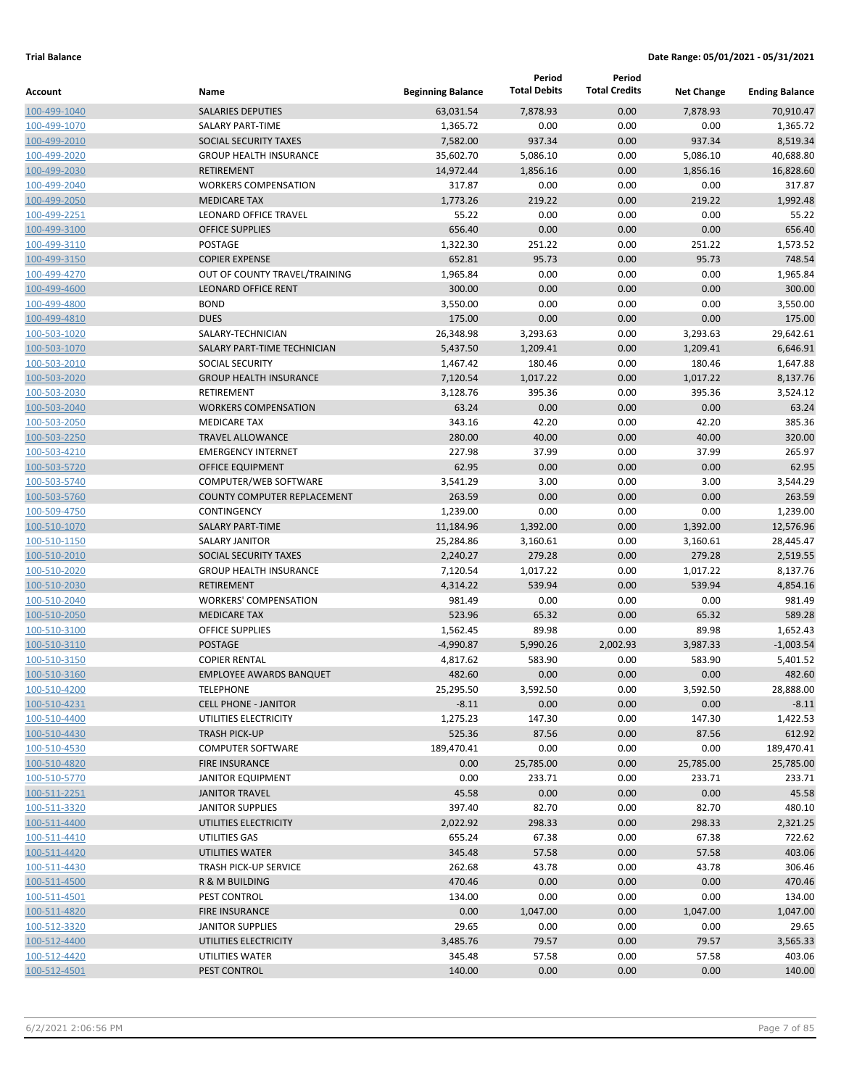|                              |                                                             |                          | Period<br><b>Total Debits</b> | Period<br><b>Total Credits</b> |                      |                       |
|------------------------------|-------------------------------------------------------------|--------------------------|-------------------------------|--------------------------------|----------------------|-----------------------|
| Account                      | Name                                                        | <b>Beginning Balance</b> |                               |                                | <b>Net Change</b>    | <b>Ending Balance</b> |
| 100-499-1040                 | <b>SALARIES DEPUTIES</b>                                    | 63,031.54                | 7,878.93                      | 0.00                           | 7,878.93             | 70,910.47             |
| 100-499-1070                 | SALARY PART-TIME                                            | 1,365.72                 | 0.00                          | 0.00                           | 0.00                 | 1,365.72              |
| 100-499-2010                 | SOCIAL SECURITY TAXES                                       | 7,582.00                 | 937.34                        | 0.00                           | 937.34               | 8,519.34              |
| 100-499-2020                 | <b>GROUP HEALTH INSURANCE</b>                               | 35,602.70                | 5,086.10                      | 0.00                           | 5,086.10             | 40,688.80             |
| 100-499-2030                 | <b>RETIREMENT</b>                                           | 14,972.44                | 1,856.16                      | 0.00                           | 1,856.16             | 16,828.60             |
| 100-499-2040                 | <b>WORKERS COMPENSATION</b>                                 | 317.87                   | 0.00                          | 0.00                           | 0.00                 | 317.87                |
| 100-499-2050                 | <b>MEDICARE TAX</b>                                         | 1,773.26                 | 219.22                        | 0.00                           | 219.22               | 1,992.48              |
| 100-499-2251                 | LEONARD OFFICE TRAVEL                                       | 55.22                    | 0.00                          | 0.00                           | 0.00                 | 55.22                 |
| 100-499-3100                 | <b>OFFICE SUPPLIES</b>                                      | 656.40                   | 0.00                          | 0.00                           | 0.00                 | 656.40<br>1,573.52    |
| 100-499-3110                 | POSTAGE                                                     | 1,322.30                 | 251.22<br>95.73               | 0.00                           | 251.22<br>95.73      |                       |
| 100-499-3150                 | <b>COPIER EXPENSE</b>                                       | 652.81<br>1,965.84       | 0.00                          | 0.00<br>0.00                   |                      | 748.54                |
| 100-499-4270                 | OUT OF COUNTY TRAVEL/TRAINING<br><b>LEONARD OFFICE RENT</b> | 300.00                   | 0.00                          | 0.00                           | 0.00<br>0.00         | 1,965.84<br>300.00    |
| 100-499-4600<br>100-499-4800 | <b>BOND</b>                                                 | 3,550.00                 | 0.00                          | 0.00                           | 0.00                 | 3,550.00              |
| 100-499-4810                 | <b>DUES</b>                                                 | 175.00                   | 0.00                          | 0.00                           | 0.00                 | 175.00                |
| 100-503-1020                 | SALARY-TECHNICIAN                                           | 26,348.98                | 3,293.63                      | 0.00                           |                      | 29,642.61             |
| 100-503-1070                 | SALARY PART-TIME TECHNICIAN                                 | 5,437.50                 | 1,209.41                      | 0.00                           | 3,293.63<br>1,209.41 | 6,646.91              |
| 100-503-2010                 | <b>SOCIAL SECURITY</b>                                      | 1,467.42                 | 180.46                        | 0.00                           | 180.46               | 1,647.88              |
| 100-503-2020                 | <b>GROUP HEALTH INSURANCE</b>                               | 7,120.54                 | 1,017.22                      | 0.00                           | 1,017.22             | 8,137.76              |
| 100-503-2030                 | <b>RETIREMENT</b>                                           | 3,128.76                 | 395.36                        | 0.00                           | 395.36               | 3,524.12              |
| 100-503-2040                 | <b>WORKERS COMPENSATION</b>                                 | 63.24                    | 0.00                          | 0.00                           | 0.00                 | 63.24                 |
| 100-503-2050                 | <b>MEDICARE TAX</b>                                         | 343.16                   | 42.20                         | 0.00                           | 42.20                | 385.36                |
| 100-503-2250                 | <b>TRAVEL ALLOWANCE</b>                                     | 280.00                   | 40.00                         | 0.00                           | 40.00                | 320.00                |
| 100-503-4210                 | <b>EMERGENCY INTERNET</b>                                   | 227.98                   | 37.99                         | 0.00                           | 37.99                | 265.97                |
| 100-503-5720                 | <b>OFFICE EQUIPMENT</b>                                     | 62.95                    | 0.00                          | 0.00                           | 0.00                 | 62.95                 |
| 100-503-5740                 | COMPUTER/WEB SOFTWARE                                       | 3,541.29                 | 3.00                          | 0.00                           | 3.00                 | 3,544.29              |
| 100-503-5760                 | <b>COUNTY COMPUTER REPLACEMENT</b>                          | 263.59                   | 0.00                          | 0.00                           | 0.00                 | 263.59                |
| 100-509-4750                 | <b>CONTINGENCY</b>                                          | 1,239.00                 | 0.00                          | 0.00                           | 0.00                 | 1,239.00              |
| 100-510-1070                 | <b>SALARY PART-TIME</b>                                     | 11,184.96                | 1,392.00                      | 0.00                           | 1,392.00             | 12,576.96             |
| 100-510-1150                 | <b>SALARY JANITOR</b>                                       | 25,284.86                | 3,160.61                      | 0.00                           | 3,160.61             | 28,445.47             |
| 100-510-2010                 | SOCIAL SECURITY TAXES                                       | 2,240.27                 | 279.28                        | 0.00                           | 279.28               | 2,519.55              |
| 100-510-2020                 | <b>GROUP HEALTH INSURANCE</b>                               | 7,120.54                 | 1,017.22                      | 0.00                           | 1,017.22             | 8,137.76              |
| 100-510-2030                 | <b>RETIREMENT</b>                                           | 4,314.22                 | 539.94                        | 0.00                           | 539.94               | 4,854.16              |
| 100-510-2040                 | <b>WORKERS' COMPENSATION</b>                                | 981.49                   | 0.00                          | 0.00                           | 0.00                 | 981.49                |
| 100-510-2050                 | <b>MEDICARE TAX</b>                                         | 523.96                   | 65.32                         | 0.00                           | 65.32                | 589.28                |
| 100-510-3100                 | <b>OFFICE SUPPLIES</b>                                      | 1,562.45                 | 89.98                         | 0.00                           | 89.98                | 1,652.43              |
| 100-510-3110                 | <b>POSTAGE</b>                                              | $-4,990.87$              | 5,990.26                      | 2,002.93                       | 3,987.33             | $-1,003.54$           |
| 100-510-3150                 | <b>COPIER RENTAL</b>                                        | 4,817.62                 | 583.90                        | 0.00                           | 583.90               | 5,401.52              |
| 100-510-3160                 | <b>EMPLOYEE AWARDS BANQUET</b>                              | 482.60                   | 0.00                          | 0.00                           | 0.00                 | 482.60                |
| 100-510-4200                 | <b>TELEPHONE</b>                                            | 25,295.50                | 3,592.50                      | 0.00                           | 3,592.50             | 28,888.00             |
| 100-510-4231                 | <b>CELL PHONE - JANITOR</b>                                 | $-8.11$                  | 0.00                          | 0.00                           | 0.00                 | $-8.11$               |
| 100-510-4400                 | UTILITIES ELECTRICITY                                       | 1,275.23                 | 147.30                        | 0.00                           | 147.30               | 1,422.53              |
| 100-510-4430                 | <b>TRASH PICK-UP</b>                                        | 525.36                   | 87.56                         | 0.00                           | 87.56                | 612.92                |
| 100-510-4530                 | <b>COMPUTER SOFTWARE</b>                                    | 189,470.41               | 0.00                          | 0.00                           | 0.00                 | 189,470.41            |
| 100-510-4820                 | <b>FIRE INSURANCE</b>                                       | 0.00                     | 25,785.00                     | 0.00                           | 25,785.00            | 25,785.00             |
| 100-510-5770                 | <b>JANITOR EQUIPMENT</b>                                    | 0.00                     | 233.71                        | 0.00                           | 233.71               | 233.71                |
| 100-511-2251                 | <b>JANITOR TRAVEL</b>                                       | 45.58                    | 0.00                          | 0.00                           | 0.00                 | 45.58                 |
| 100-511-3320                 | <b>JANITOR SUPPLIES</b>                                     | 397.40                   | 82.70                         | 0.00                           | 82.70                | 480.10                |
| 100-511-4400                 | UTILITIES ELECTRICITY                                       | 2,022.92                 | 298.33                        | 0.00                           | 298.33               | 2,321.25              |
| 100-511-4410                 | UTILITIES GAS                                               | 655.24                   | 67.38                         | 0.00                           | 67.38                | 722.62                |
| 100-511-4420                 | UTILITIES WATER                                             | 345.48                   | 57.58                         | 0.00                           | 57.58                | 403.06                |
| 100-511-4430                 | <b>TRASH PICK-UP SERVICE</b>                                | 262.68                   | 43.78                         | 0.00                           | 43.78                | 306.46                |
| 100-511-4500                 | R & M BUILDING                                              | 470.46                   | 0.00                          | 0.00                           | 0.00                 | 470.46                |
| 100-511-4501                 | PEST CONTROL                                                | 134.00                   | 0.00                          | 0.00                           | 0.00                 | 134.00                |
| 100-511-4820                 | FIRE INSURANCE                                              | 0.00                     | 1,047.00                      | 0.00                           | 1,047.00             | 1,047.00              |
| 100-512-3320                 | <b>JANITOR SUPPLIES</b>                                     | 29.65                    | 0.00                          | 0.00                           | 0.00                 | 29.65                 |
| 100-512-4400                 | UTILITIES ELECTRICITY                                       | 3,485.76                 | 79.57                         | 0.00                           | 79.57                | 3,565.33              |
| 100-512-4420                 | UTILITIES WATER                                             | 345.48                   | 57.58                         | 0.00                           | 57.58                | 403.06                |
| 100-512-4501                 | PEST CONTROL                                                | 140.00                   | 0.00                          | 0.00                           | 0.00                 | 140.00                |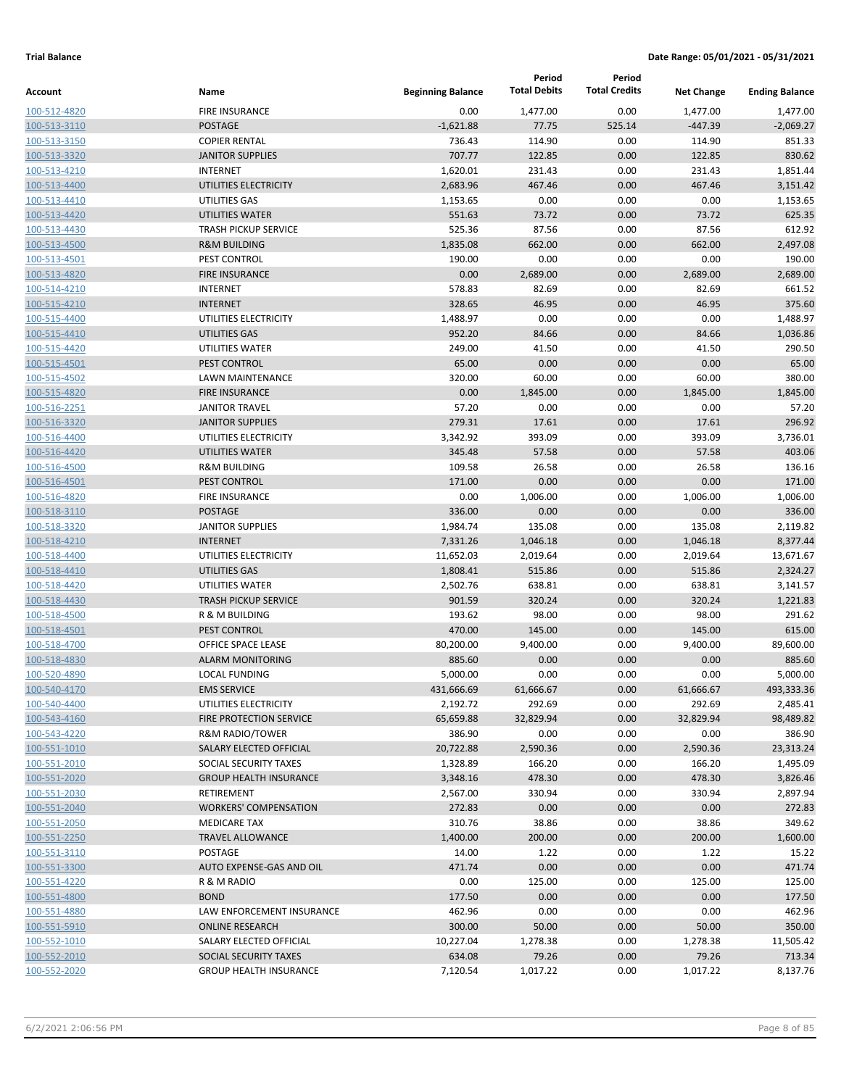|              |                                |                          | Period              | Period               |                   |                       |
|--------------|--------------------------------|--------------------------|---------------------|----------------------|-------------------|-----------------------|
| Account      | Name                           | <b>Beginning Balance</b> | <b>Total Debits</b> | <b>Total Credits</b> | <b>Net Change</b> | <b>Ending Balance</b> |
| 100-512-4820 | <b>FIRE INSURANCE</b>          | 0.00                     | 1,477.00            | 0.00                 | 1,477.00          | 1,477.00              |
| 100-513-3110 | <b>POSTAGE</b>                 | $-1,621.88$              | 77.75               | 525.14               | $-447.39$         | $-2,069.27$           |
| 100-513-3150 | <b>COPIER RENTAL</b>           | 736.43                   | 114.90              | 0.00                 | 114.90            | 851.33                |
| 100-513-3320 | <b>JANITOR SUPPLIES</b>        | 707.77                   | 122.85              | 0.00                 | 122.85            | 830.62                |
| 100-513-4210 | <b>INTERNET</b>                | 1,620.01                 | 231.43              | 0.00                 | 231.43            | 1,851.44              |
| 100-513-4400 | UTILITIES ELECTRICITY          | 2,683.96                 | 467.46              | 0.00                 | 467.46            | 3,151.42              |
| 100-513-4410 | UTILITIES GAS                  | 1,153.65                 | 0.00                | 0.00                 | 0.00              | 1,153.65              |
| 100-513-4420 | UTILITIES WATER                | 551.63                   | 73.72               | 0.00                 | 73.72             | 625.35                |
| 100-513-4430 | <b>TRASH PICKUP SERVICE</b>    | 525.36                   | 87.56               | 0.00                 | 87.56             | 612.92                |
| 100-513-4500 | <b>R&amp;M BUILDING</b>        | 1,835.08                 | 662.00              | 0.00                 | 662.00            | 2,497.08              |
| 100-513-4501 | PEST CONTROL                   | 190.00                   | 0.00                | 0.00                 | 0.00              | 190.00                |
| 100-513-4820 | <b>FIRE INSURANCE</b>          | 0.00                     | 2,689.00            | 0.00                 | 2,689.00          | 2,689.00              |
| 100-514-4210 | <b>INTERNET</b>                | 578.83                   | 82.69               | 0.00                 | 82.69             | 661.52                |
| 100-515-4210 | <b>INTERNET</b>                | 328.65                   | 46.95               | 0.00                 | 46.95             | 375.60                |
| 100-515-4400 | UTILITIES ELECTRICITY          | 1,488.97                 | 0.00                | 0.00                 | 0.00              | 1,488.97              |
| 100-515-4410 | UTILITIES GAS                  | 952.20                   | 84.66               | 0.00                 | 84.66             | 1,036.86              |
| 100-515-4420 | UTILITIES WATER                | 249.00                   | 41.50               | 0.00                 | 41.50             | 290.50                |
| 100-515-4501 | PEST CONTROL                   | 65.00                    | 0.00                | 0.00                 | 0.00              | 65.00                 |
| 100-515-4502 | <b>LAWN MAINTENANCE</b>        | 320.00                   | 60.00               | 0.00                 | 60.00             | 380.00                |
| 100-515-4820 | <b>FIRE INSURANCE</b>          | 0.00                     | 1,845.00            | 0.00                 | 1,845.00          | 1,845.00              |
| 100-516-2251 | <b>JANITOR TRAVEL</b>          | 57.20                    | 0.00                | 0.00                 | 0.00              | 57.20                 |
| 100-516-3320 | <b>JANITOR SUPPLIES</b>        | 279.31                   | 17.61               | 0.00                 | 17.61             | 296.92                |
| 100-516-4400 | UTILITIES ELECTRICITY          | 3,342.92                 | 393.09              | 0.00                 | 393.09            | 3,736.01              |
| 100-516-4420 | UTILITIES WATER                | 345.48                   | 57.58               | 0.00                 | 57.58             | 403.06                |
| 100-516-4500 | <b>R&amp;M BUILDING</b>        | 109.58                   | 26.58               | 0.00                 | 26.58             | 136.16                |
| 100-516-4501 | PEST CONTROL                   | 171.00                   | 0.00                | 0.00                 | 0.00              | 171.00                |
| 100-516-4820 | <b>FIRE INSURANCE</b>          | 0.00                     | 1,006.00            | 0.00                 | 1,006.00          | 1,006.00              |
| 100-518-3110 | <b>POSTAGE</b>                 | 336.00                   | 0.00                | 0.00                 | 0.00              | 336.00                |
| 100-518-3320 | <b>JANITOR SUPPLIES</b>        | 1,984.74                 | 135.08              | 0.00                 | 135.08            | 2,119.82              |
| 100-518-4210 | <b>INTERNET</b>                | 7,331.26                 | 1,046.18            | 0.00                 | 1,046.18          | 8,377.44              |
| 100-518-4400 | UTILITIES ELECTRICITY          | 11,652.03                | 2,019.64            | 0.00                 | 2,019.64          | 13,671.67             |
| 100-518-4410 | UTILITIES GAS                  | 1,808.41                 | 515.86              | 0.00                 | 515.86            | 2,324.27              |
| 100-518-4420 | UTILITIES WATER                | 2,502.76                 | 638.81              | 0.00                 | 638.81            | 3,141.57              |
| 100-518-4430 | <b>TRASH PICKUP SERVICE</b>    | 901.59                   | 320.24              | 0.00                 | 320.24            | 1,221.83              |
| 100-518-4500 | R & M BUILDING                 | 193.62                   | 98.00               | 0.00                 | 98.00             | 291.62                |
| 100-518-4501 | PEST CONTROL                   | 470.00                   | 145.00              | 0.00                 | 145.00            | 615.00                |
| 100-518-4700 | OFFICE SPACE LEASE             | 80,200.00                | 9,400.00            | 0.00                 | 9,400.00          | 89,600.00             |
| 100-518-4830 | <b>ALARM MONITORING</b>        | 885.60                   | 0.00                | 0.00                 | 0.00              | 885.60                |
| 100-520-4890 | <b>LOCAL FUNDING</b>           | 5,000.00                 | 0.00                | 0.00                 | 0.00              | 5,000.00              |
| 100-540-4170 | <b>EMS SERVICE</b>             | 431,666.69               | 61,666.67           | 0.00                 | 61,666.67         | 493,333.36            |
| 100-540-4400 | UTILITIES ELECTRICITY          | 2,192.72                 | 292.69              | 0.00                 | 292.69            | 2,485.41              |
| 100-543-4160 | <b>FIRE PROTECTION SERVICE</b> | 65,659.88                | 32,829.94           | 0.00                 | 32,829.94         | 98,489.82             |
| 100-543-4220 | <b>R&amp;M RADIO/TOWER</b>     | 386.90                   | 0.00                | 0.00                 | 0.00              | 386.90                |
| 100-551-1010 | SALARY ELECTED OFFICIAL        | 20,722.88                | 2,590.36            | 0.00                 | 2,590.36          | 23,313.24             |
| 100-551-2010 | SOCIAL SECURITY TAXES          | 1,328.89                 | 166.20              | 0.00                 | 166.20            | 1,495.09              |
| 100-551-2020 | <b>GROUP HEALTH INSURANCE</b>  | 3,348.16                 | 478.30              | 0.00                 | 478.30            | 3,826.46              |
| 100-551-2030 | <b>RETIREMENT</b>              | 2,567.00                 | 330.94              | 0.00                 | 330.94            | 2,897.94              |
| 100-551-2040 | <b>WORKERS' COMPENSATION</b>   | 272.83                   | 0.00                | 0.00                 | 0.00              | 272.83                |
| 100-551-2050 | <b>MEDICARE TAX</b>            | 310.76                   | 38.86               | 0.00                 | 38.86             | 349.62                |
| 100-551-2250 | <b>TRAVEL ALLOWANCE</b>        | 1,400.00                 | 200.00              | 0.00                 | 200.00            | 1,600.00              |
| 100-551-3110 | POSTAGE                        | 14.00                    | 1.22                | 0.00                 | 1.22              | 15.22                 |
| 100-551-3300 | AUTO EXPENSE-GAS AND OIL       | 471.74                   | 0.00                | 0.00                 | 0.00              | 471.74                |
| 100-551-4220 | R & M RADIO                    | 0.00                     | 125.00              | 0.00                 | 125.00            | 125.00                |
| 100-551-4800 | <b>BOND</b>                    | 177.50                   | 0.00                | 0.00                 | 0.00              | 177.50                |
| 100-551-4880 | LAW ENFORCEMENT INSURANCE      | 462.96                   | 0.00                | 0.00                 | 0.00              | 462.96                |
| 100-551-5910 | <b>ONLINE RESEARCH</b>         | 300.00                   | 50.00               | 0.00                 | 50.00             | 350.00                |
| 100-552-1010 | SALARY ELECTED OFFICIAL        | 10,227.04                | 1,278.38            | 0.00                 | 1,278.38          | 11,505.42             |
| 100-552-2010 | SOCIAL SECURITY TAXES          | 634.08                   | 79.26               | 0.00                 | 79.26             | 713.34                |
| 100-552-2020 | <b>GROUP HEALTH INSURANCE</b>  | 7,120.54                 | 1,017.22            | 0.00                 | 1,017.22          | 8,137.76              |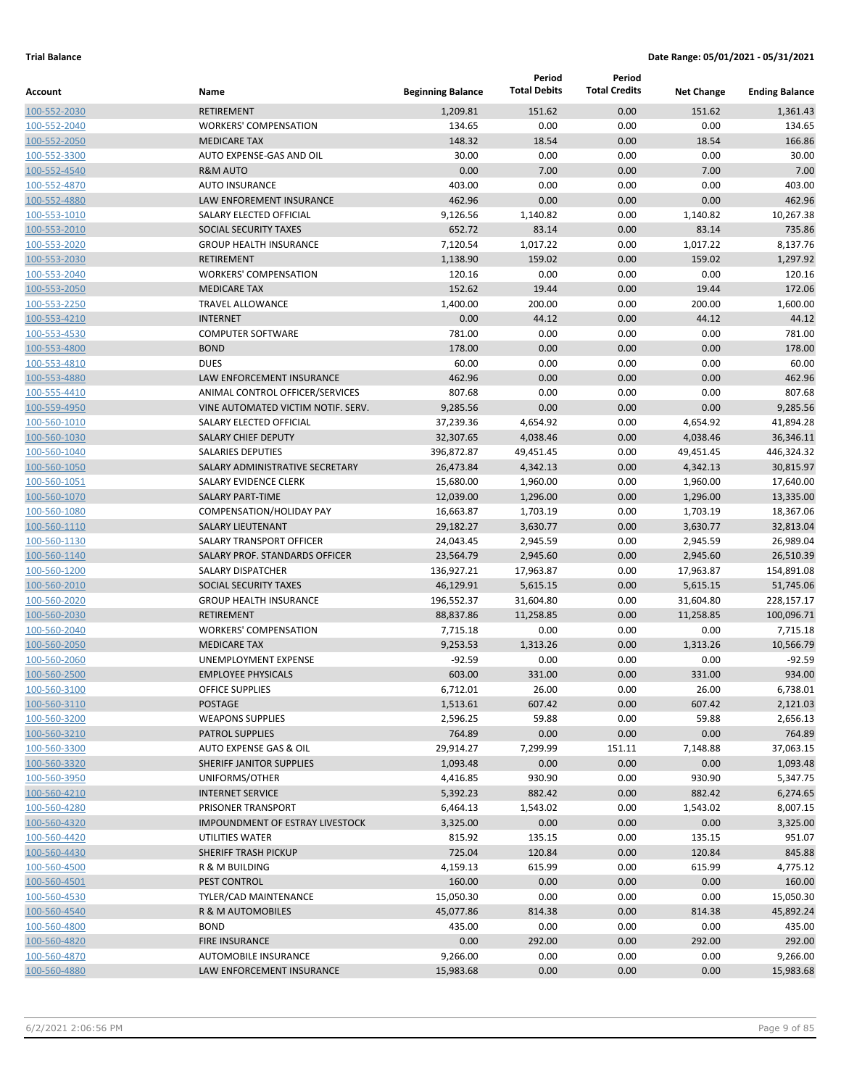|                              |                                                      |                          | Period                | Period               |                       |                         |
|------------------------------|------------------------------------------------------|--------------------------|-----------------------|----------------------|-----------------------|-------------------------|
| Account                      | Name                                                 | <b>Beginning Balance</b> | <b>Total Debits</b>   | <b>Total Credits</b> | <b>Net Change</b>     | <b>Ending Balance</b>   |
| 100-552-2030                 | <b>RETIREMENT</b>                                    | 1,209.81                 | 151.62                | 0.00                 | 151.62                | 1,361.43                |
| 100-552-2040                 | <b>WORKERS' COMPENSATION</b>                         | 134.65                   | 0.00                  | 0.00                 | 0.00                  | 134.65                  |
| 100-552-2050                 | <b>MEDICARE TAX</b>                                  | 148.32                   | 18.54                 | 0.00                 | 18.54                 | 166.86                  |
| 100-552-3300                 | AUTO EXPENSE-GAS AND OIL                             | 30.00                    | 0.00                  | 0.00                 | 0.00                  | 30.00                   |
| 100-552-4540                 | <b>R&amp;M AUTO</b>                                  | 0.00                     | 7.00                  | 0.00                 | 7.00                  | 7.00                    |
| 100-552-4870                 | <b>AUTO INSURANCE</b>                                | 403.00                   | 0.00                  | 0.00                 | 0.00                  | 403.00                  |
| 100-552-4880                 | LAW ENFOREMENT INSURANCE                             | 462.96                   | 0.00                  | 0.00                 | 0.00                  | 462.96                  |
| 100-553-1010                 | SALARY ELECTED OFFICIAL                              | 9,126.56                 | 1,140.82              | 0.00                 | 1,140.82              | 10,267.38               |
| 100-553-2010                 | SOCIAL SECURITY TAXES                                | 652.72                   | 83.14                 | 0.00                 | 83.14                 | 735.86                  |
| 100-553-2020                 | <b>GROUP HEALTH INSURANCE</b>                        | 7,120.54                 | 1,017.22              | 0.00                 | 1,017.22              | 8,137.76                |
| 100-553-2030                 | <b>RETIREMENT</b>                                    | 1,138.90                 | 159.02                | 0.00                 | 159.02                | 1,297.92                |
| 100-553-2040                 | <b>WORKERS' COMPENSATION</b>                         | 120.16                   | 0.00                  | 0.00                 | 0.00                  | 120.16                  |
| 100-553-2050                 | <b>MEDICARE TAX</b>                                  | 152.62                   | 19.44                 | 0.00                 | 19.44                 | 172.06                  |
| 100-553-2250                 | <b>TRAVEL ALLOWANCE</b>                              | 1,400.00                 | 200.00                | 0.00                 | 200.00                | 1,600.00                |
| 100-553-4210                 | <b>INTERNET</b>                                      | 0.00                     | 44.12                 | 0.00                 | 44.12                 | 44.12                   |
| 100-553-4530                 | <b>COMPUTER SOFTWARE</b>                             | 781.00                   | 0.00                  | 0.00                 | 0.00                  | 781.00                  |
| 100-553-4800                 | <b>BOND</b>                                          | 178.00                   | 0.00                  | 0.00                 | 0.00                  | 178.00                  |
| 100-553-4810                 | <b>DUES</b>                                          | 60.00                    | 0.00                  | 0.00                 | 0.00                  | 60.00                   |
| 100-553-4880                 | LAW ENFORCEMENT INSURANCE                            | 462.96                   | 0.00                  | 0.00                 | 0.00                  | 462.96                  |
| 100-555-4410                 | ANIMAL CONTROL OFFICER/SERVICES                      | 807.68                   | 0.00                  | 0.00                 | 0.00                  | 807.68                  |
| 100-559-4950                 | VINE AUTOMATED VICTIM NOTIF. SERV.                   | 9,285.56                 | 0.00                  | 0.00                 | 0.00                  | 9,285.56                |
| 100-560-1010                 | SALARY ELECTED OFFICIAL                              | 37,239.36                | 4,654.92              | 0.00                 | 4,654.92              | 41,894.28               |
| 100-560-1030                 | <b>SALARY CHIEF DEPUTY</b>                           | 32,307.65                | 4,038.46              | 0.00                 | 4,038.46              | 36,346.11               |
| 100-560-1040                 | <b>SALARIES DEPUTIES</b>                             | 396,872.87               | 49,451.45             | 0.00                 | 49,451.45             | 446,324.32              |
| 100-560-1050                 | SALARY ADMINISTRATIVE SECRETARY                      | 26,473.84                | 4,342.13              | 0.00                 | 4,342.13              | 30,815.97               |
| 100-560-1051                 | SALARY EVIDENCE CLERK                                | 15,680.00                | 1,960.00              | 0.00                 | 1,960.00              | 17,640.00               |
| 100-560-1070                 | <b>SALARY PART-TIME</b>                              | 12,039.00                | 1,296.00              | 0.00                 | 1,296.00              | 13,335.00               |
| 100-560-1080                 | COMPENSATION/HOLIDAY PAY                             | 16,663.87                | 1,703.19              | 0.00                 | 1,703.19              | 18,367.06               |
| 100-560-1110                 | <b>SALARY LIEUTENANT</b><br>SALARY TRANSPORT OFFICER | 29,182.27                | 3,630.77              | 0.00                 | 3,630.77              | 32,813.04               |
| 100-560-1130                 |                                                      | 24,043.45                | 2,945.59              | 0.00                 | 2,945.59              | 26,989.04               |
| 100-560-1140                 | SALARY PROF. STANDARDS OFFICER<br>SALARY DISPATCHER  | 23,564.79                | 2,945.60              | 0.00                 | 2,945.60              | 26,510.39               |
| 100-560-1200<br>100-560-2010 | SOCIAL SECURITY TAXES                                | 136,927.21<br>46,129.91  | 17,963.87<br>5,615.15 | 0.00<br>0.00         | 17,963.87<br>5,615.15 | 154,891.08<br>51,745.06 |
| 100-560-2020                 | <b>GROUP HEALTH INSURANCE</b>                        | 196,552.37               | 31,604.80             | 0.00                 | 31,604.80             | 228,157.17              |
| 100-560-2030                 | <b>RETIREMENT</b>                                    | 88,837.86                | 11,258.85             | 0.00                 | 11,258.85             | 100,096.71              |
| 100-560-2040                 | <b>WORKERS' COMPENSATION</b>                         | 7,715.18                 | 0.00                  | 0.00                 | 0.00                  | 7,715.18                |
| 100-560-2050                 | <b>MEDICARE TAX</b>                                  | 9,253.53                 | 1,313.26              | 0.00                 | 1,313.26              | 10,566.79               |
| 100-560-2060                 | <b>UNEMPLOYMENT EXPENSE</b>                          | $-92.59$                 | 0.00                  | 0.00                 | 0.00                  | $-92.59$                |
| 100-560-2500                 | <b>EMPLOYEE PHYSICALS</b>                            | 603.00                   | 331.00                | 0.00                 | 331.00                | 934.00                  |
| 100-560-3100                 | <b>OFFICE SUPPLIES</b>                               | 6,712.01                 | 26.00                 | 0.00                 | 26.00                 | 6,738.01                |
| 100-560-3110                 | <b>POSTAGE</b>                                       | 1,513.61                 | 607.42                | 0.00                 | 607.42                | 2,121.03                |
| 100-560-3200                 | <b>WEAPONS SUPPLIES</b>                              | 2,596.25                 | 59.88                 | 0.00                 | 59.88                 | 2,656.13                |
| 100-560-3210                 | <b>PATROL SUPPLIES</b>                               | 764.89                   | 0.00                  | 0.00                 | 0.00                  | 764.89                  |
| 100-560-3300                 | AUTO EXPENSE GAS & OIL                               | 29,914.27                | 7,299.99              | 151.11               | 7,148.88              | 37,063.15               |
| 100-560-3320                 | SHERIFF JANITOR SUPPLIES                             | 1,093.48                 | 0.00                  | 0.00                 | 0.00                  | 1,093.48                |
| 100-560-3950                 | UNIFORMS/OTHER                                       | 4,416.85                 | 930.90                | 0.00                 | 930.90                | 5,347.75                |
| 100-560-4210                 | <b>INTERNET SERVICE</b>                              | 5,392.23                 | 882.42                | 0.00                 | 882.42                | 6,274.65                |
| 100-560-4280                 | PRISONER TRANSPORT                                   | 6,464.13                 | 1,543.02              | 0.00                 | 1,543.02              | 8,007.15                |
| 100-560-4320                 | <b>IMPOUNDMENT OF ESTRAY LIVESTOCK</b>               | 3,325.00                 | 0.00                  | 0.00                 | 0.00                  | 3,325.00                |
| 100-560-4420                 | UTILITIES WATER                                      | 815.92                   | 135.15                | 0.00                 | 135.15                | 951.07                  |
| 100-560-4430                 | SHERIFF TRASH PICKUP                                 | 725.04                   | 120.84                | 0.00                 | 120.84                | 845.88                  |
| 100-560-4500                 | R & M BUILDING                                       | 4,159.13                 | 615.99                | 0.00                 | 615.99                | 4,775.12                |
| 100-560-4501                 | PEST CONTROL                                         | 160.00                   | 0.00                  | 0.00                 | 0.00                  | 160.00                  |
| 100-560-4530                 | TYLER/CAD MAINTENANCE                                | 15,050.30                | 0.00                  | 0.00                 | 0.00                  | 15,050.30               |
| 100-560-4540                 | <b>R &amp; M AUTOMOBILES</b>                         | 45,077.86                | 814.38                | 0.00                 | 814.38                | 45,892.24               |
| 100-560-4800                 | <b>BOND</b>                                          | 435.00                   | 0.00                  | 0.00                 | 0.00                  | 435.00                  |
| 100-560-4820                 | <b>FIRE INSURANCE</b>                                | 0.00                     | 292.00                | 0.00                 | 292.00                | 292.00                  |
| 100-560-4870                 | <b>AUTOMOBILE INSURANCE</b>                          | 9,266.00                 | 0.00                  | 0.00                 | 0.00                  | 9,266.00                |
| 100-560-4880                 | LAW ENFORCEMENT INSURANCE                            | 15,983.68                | 0.00                  | 0.00                 | 0.00                  | 15,983.68               |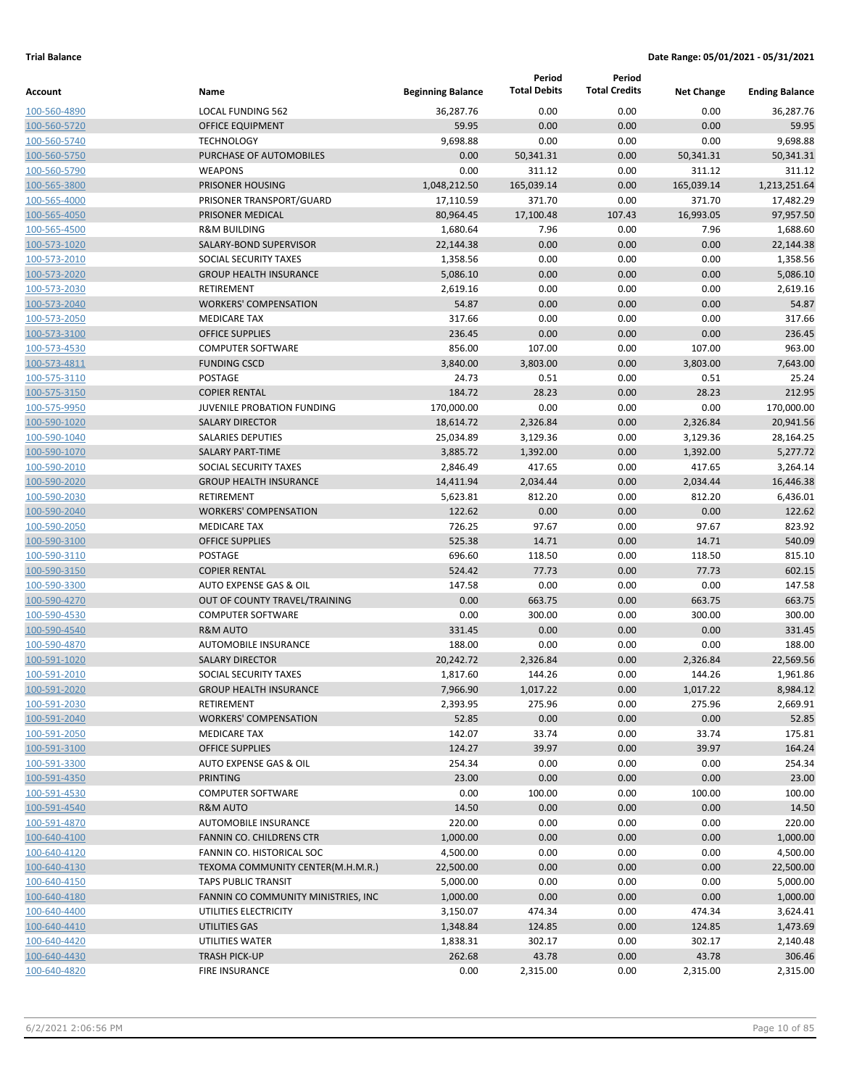|                              |                                               |                          | Period              | Period               |                   |                       |
|------------------------------|-----------------------------------------------|--------------------------|---------------------|----------------------|-------------------|-----------------------|
| Account                      | Name                                          | <b>Beginning Balance</b> | <b>Total Debits</b> | <b>Total Credits</b> | <b>Net Change</b> | <b>Ending Balance</b> |
| 100-560-4890                 | <b>LOCAL FUNDING 562</b>                      | 36,287.76                | 0.00                | 0.00                 | 0.00              | 36,287.76             |
| 100-560-5720                 | <b>OFFICE EQUIPMENT</b>                       | 59.95                    | 0.00                | 0.00                 | 0.00              | 59.95                 |
| 100-560-5740                 | <b>TECHNOLOGY</b>                             | 9,698.88                 | 0.00                | 0.00                 | 0.00              | 9,698.88              |
| 100-560-5750                 | PURCHASE OF AUTOMOBILES                       | 0.00                     | 50,341.31           | 0.00                 | 50,341.31         | 50,341.31             |
| 100-560-5790                 | <b>WEAPONS</b>                                | 0.00                     | 311.12              | 0.00                 | 311.12            | 311.12                |
| 100-565-3800                 | PRISONER HOUSING                              | 1,048,212.50             | 165,039.14          | 0.00                 | 165,039.14        | 1,213,251.64          |
| 100-565-4000                 | PRISONER TRANSPORT/GUARD                      | 17,110.59                | 371.70              | 0.00                 | 371.70            | 17,482.29             |
| 100-565-4050                 | PRISONER MEDICAL                              | 80,964.45                | 17,100.48           | 107.43               | 16,993.05         | 97,957.50             |
| 100-565-4500                 | <b>R&amp;M BUILDING</b>                       | 1,680.64                 | 7.96                | 0.00                 | 7.96              | 1,688.60              |
| 100-573-1020                 | SALARY-BOND SUPERVISOR                        | 22,144.38                | 0.00                | 0.00                 | 0.00              | 22,144.38             |
| 100-573-2010                 | SOCIAL SECURITY TAXES                         | 1,358.56                 | 0.00                | 0.00                 | 0.00              | 1,358.56              |
| 100-573-2020                 | <b>GROUP HEALTH INSURANCE</b>                 | 5,086.10                 | 0.00                | 0.00                 | 0.00              | 5,086.10              |
| 100-573-2030                 | RETIREMENT                                    | 2,619.16                 | 0.00                | 0.00                 | 0.00              | 2,619.16              |
| 100-573-2040                 | <b>WORKERS' COMPENSATION</b>                  | 54.87                    | 0.00                | 0.00                 | 0.00              | 54.87                 |
| 100-573-2050                 | <b>MEDICARE TAX</b>                           | 317.66                   | 0.00                | 0.00                 | 0.00              | 317.66                |
| 100-573-3100                 | <b>OFFICE SUPPLIES</b>                        | 236.45                   | 0.00                | 0.00                 | 0.00              | 236.45                |
| 100-573-4530                 | <b>COMPUTER SOFTWARE</b>                      | 856.00                   | 107.00              | 0.00                 | 107.00            | 963.00                |
| 100-573-4811                 | <b>FUNDING CSCD</b>                           | 3,840.00                 | 3,803.00            | 0.00                 | 3,803.00          | 7,643.00              |
| 100-575-3110                 | POSTAGE                                       | 24.73                    | 0.51                | 0.00                 | 0.51              | 25.24                 |
| 100-575-3150                 | <b>COPIER RENTAL</b>                          | 184.72                   | 28.23               | 0.00                 | 28.23             | 212.95                |
| 100-575-9950                 | JUVENILE PROBATION FUNDING                    | 170,000.00               | 0.00                | 0.00                 | 0.00              | 170,000.00            |
| 100-590-1020                 | <b>SALARY DIRECTOR</b>                        | 18,614.72                | 2,326.84            | 0.00                 | 2,326.84          | 20,941.56             |
| 100-590-1040                 | <b>SALARIES DEPUTIES</b>                      | 25,034.89                | 3,129.36            | 0.00                 | 3,129.36          | 28,164.25             |
| 100-590-1070                 | <b>SALARY PART-TIME</b>                       | 3,885.72                 | 1,392.00            | 0.00                 | 1,392.00          | 5,277.72              |
| 100-590-2010                 | SOCIAL SECURITY TAXES                         | 2,846.49                 | 417.65              | 0.00                 | 417.65            | 3,264.14              |
| 100-590-2020                 | <b>GROUP HEALTH INSURANCE</b>                 | 14,411.94                | 2,034.44            | 0.00                 | 2,034.44          | 16,446.38             |
| 100-590-2030                 | <b>RETIREMENT</b>                             | 5,623.81                 | 812.20              | 0.00                 | 812.20            | 6,436.01              |
| 100-590-2040                 | <b>WORKERS' COMPENSATION</b>                  | 122.62                   | 0.00<br>97.67       | 0.00                 | 0.00<br>97.67     | 122.62<br>823.92      |
| 100-590-2050                 | <b>MEDICARE TAX</b><br><b>OFFICE SUPPLIES</b> | 726.25<br>525.38         | 14.71               | 0.00                 |                   | 540.09                |
| 100-590-3100<br>100-590-3110 | POSTAGE                                       | 696.60                   | 118.50              | 0.00<br>0.00         | 14.71<br>118.50   | 815.10                |
| 100-590-3150                 | <b>COPIER RENTAL</b>                          | 524.42                   | 77.73               | 0.00                 | 77.73             | 602.15                |
| 100-590-3300                 | AUTO EXPENSE GAS & OIL                        | 147.58                   | 0.00                | 0.00                 | 0.00              | 147.58                |
| 100-590-4270                 | OUT OF COUNTY TRAVEL/TRAINING                 | 0.00                     | 663.75              | 0.00                 | 663.75            | 663.75                |
| 100-590-4530                 | <b>COMPUTER SOFTWARE</b>                      | 0.00                     | 300.00              | 0.00                 | 300.00            | 300.00                |
| 100-590-4540                 | <b>R&amp;M AUTO</b>                           | 331.45                   | 0.00                | 0.00                 | 0.00              | 331.45                |
| 100-590-4870                 | <b>AUTOMOBILE INSURANCE</b>                   | 188.00                   | 0.00                | 0.00                 | 0.00              | 188.00                |
| 100-591-1020                 | <b>SALARY DIRECTOR</b>                        | 20,242.72                | 2,326.84            | 0.00                 | 2,326.84          | 22,569.56             |
| 100-591-2010                 | SOCIAL SECURITY TAXES                         | 1,817.60                 | 144.26              | 0.00                 | 144.26            | 1,961.86              |
| 100-591-2020                 | <b>GROUP HEALTH INSURANCE</b>                 | 7,966.90                 | 1,017.22            | 0.00                 | 1,017.22          | 8,984.12              |
| 100-591-2030                 | RETIREMENT                                    | 2,393.95                 | 275.96              | 0.00                 | 275.96            | 2,669.91              |
| 100-591-2040                 | <b>WORKERS' COMPENSATION</b>                  | 52.85                    | 0.00                | 0.00                 | 0.00              | 52.85                 |
| 100-591-2050                 | <b>MEDICARE TAX</b>                           | 142.07                   | 33.74               | 0.00                 | 33.74             | 175.81                |
| 100-591-3100                 | <b>OFFICE SUPPLIES</b>                        | 124.27                   | 39.97               | 0.00                 | 39.97             | 164.24                |
| 100-591-3300                 | AUTO EXPENSE GAS & OIL                        | 254.34                   | 0.00                | 0.00                 | 0.00              | 254.34                |
| 100-591-4350                 | <b>PRINTING</b>                               | 23.00                    | 0.00                | 0.00                 | 0.00              | 23.00                 |
| 100-591-4530                 | <b>COMPUTER SOFTWARE</b>                      | 0.00                     | 100.00              | 0.00                 | 100.00            | 100.00                |
| 100-591-4540                 | <b>R&amp;M AUTO</b>                           | 14.50                    | 0.00                | 0.00                 | 0.00              | 14.50                 |
| 100-591-4870                 | AUTOMOBILE INSURANCE                          | 220.00                   | 0.00                | 0.00                 | 0.00              | 220.00                |
| 100-640-4100                 | FANNIN CO. CHILDRENS CTR                      | 1,000.00                 | 0.00                | 0.00                 | 0.00              | 1,000.00              |
| 100-640-4120                 | FANNIN CO. HISTORICAL SOC                     | 4,500.00                 | 0.00                | 0.00                 | 0.00              | 4,500.00              |
| 100-640-4130                 | TEXOMA COMMUNITY CENTER(M.H.M.R.)             | 22,500.00                | 0.00                | 0.00                 | 0.00              | 22,500.00             |
| 100-640-4150                 | <b>TAPS PUBLIC TRANSIT</b>                    | 5,000.00                 | 0.00                | 0.00                 | 0.00              | 5,000.00              |
| 100-640-4180                 | FANNIN CO COMMUNITY MINISTRIES, INC.          | 1,000.00                 | 0.00                | 0.00                 | 0.00              | 1,000.00              |
| 100-640-4400                 | UTILITIES ELECTRICITY                         | 3,150.07                 | 474.34              | 0.00                 | 474.34            | 3,624.41              |
| 100-640-4410                 | UTILITIES GAS                                 | 1,348.84                 | 124.85              | 0.00                 | 124.85            | 1,473.69              |
| 100-640-4420                 | UTILITIES WATER                               | 1,838.31                 | 302.17              | 0.00                 | 302.17            | 2,140.48              |
| 100-640-4430                 | <b>TRASH PICK-UP</b>                          | 262.68                   | 43.78               | 0.00                 | 43.78             | 306.46                |
| 100-640-4820                 | <b>FIRE INSURANCE</b>                         | 0.00                     | 2,315.00            | 0.00                 | 2,315.00          | 2,315.00              |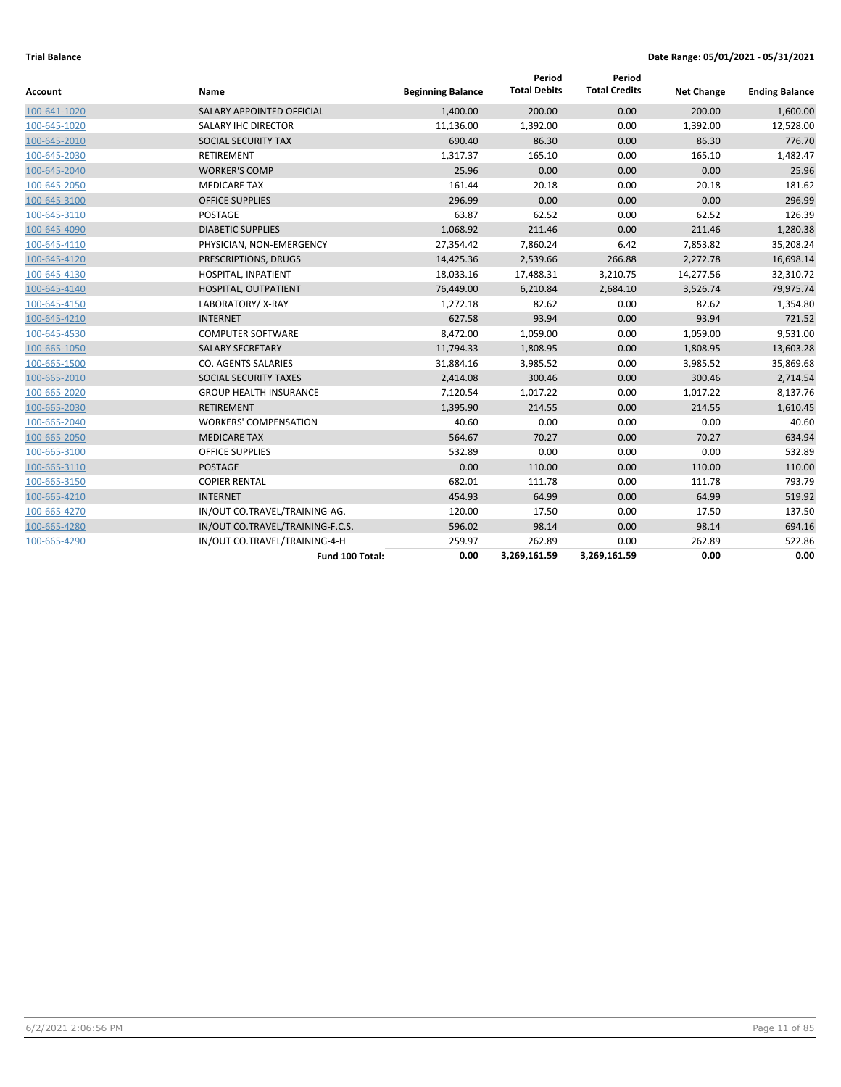| Account      | Name                             | <b>Beginning Balance</b> | Period<br><b>Total Debits</b> | Period<br><b>Total Credits</b> | <b>Net Change</b> | <b>Ending Balance</b> |
|--------------|----------------------------------|--------------------------|-------------------------------|--------------------------------|-------------------|-----------------------|
| 100-641-1020 | <b>SALARY APPOINTED OFFICIAL</b> | 1,400.00                 | 200.00                        | 0.00                           | 200.00            | 1,600.00              |
| 100-645-1020 | SALARY IHC DIRECTOR              | 11,136.00                | 1,392.00                      | 0.00                           | 1,392.00          | 12,528.00             |
| 100-645-2010 | SOCIAL SECURITY TAX              | 690.40                   | 86.30                         | 0.00                           | 86.30             | 776.70                |
| 100-645-2030 | <b>RETIREMENT</b>                | 1,317.37                 | 165.10                        | 0.00                           | 165.10            | 1,482.47              |
| 100-645-2040 | <b>WORKER'S COMP</b>             | 25.96                    | 0.00                          | 0.00                           | 0.00              | 25.96                 |
| 100-645-2050 | <b>MEDICARE TAX</b>              | 161.44                   | 20.18                         | 0.00                           | 20.18             | 181.62                |
| 100-645-3100 | <b>OFFICE SUPPLIES</b>           | 296.99                   | 0.00                          | 0.00                           | 0.00              | 296.99                |
| 100-645-3110 | <b>POSTAGE</b>                   | 63.87                    | 62.52                         | 0.00                           | 62.52             | 126.39                |
| 100-645-4090 | <b>DIABETIC SUPPLIES</b>         | 1,068.92                 | 211.46                        | 0.00                           | 211.46            | 1,280.38              |
| 100-645-4110 | PHYSICIAN, NON-EMERGENCY         | 27,354.42                | 7,860.24                      | 6.42                           | 7,853.82          | 35,208.24             |
| 100-645-4120 | PRESCRIPTIONS, DRUGS             | 14,425.36                | 2,539.66                      | 266.88                         | 2,272.78          | 16,698.14             |
| 100-645-4130 | HOSPITAL, INPATIENT              | 18,033.16                | 17,488.31                     | 3,210.75                       | 14,277.56         | 32,310.72             |
| 100-645-4140 | HOSPITAL, OUTPATIENT             | 76,449.00                | 6,210.84                      | 2,684.10                       | 3,526.74          | 79,975.74             |
| 100-645-4150 | LABORATORY/X-RAY                 | 1,272.18                 | 82.62                         | 0.00                           | 82.62             | 1,354.80              |
| 100-645-4210 | <b>INTERNET</b>                  | 627.58                   | 93.94                         | 0.00                           | 93.94             | 721.52                |
| 100-645-4530 | <b>COMPUTER SOFTWARE</b>         | 8,472.00                 | 1,059.00                      | 0.00                           | 1,059.00          | 9,531.00              |
| 100-665-1050 | <b>SALARY SECRETARY</b>          | 11,794.33                | 1,808.95                      | 0.00                           | 1,808.95          | 13,603.28             |
| 100-665-1500 | CO. AGENTS SALARIES              | 31,884.16                | 3,985.52                      | 0.00                           | 3,985.52          | 35,869.68             |
| 100-665-2010 | SOCIAL SECURITY TAXES            | 2,414.08                 | 300.46                        | 0.00                           | 300.46            | 2,714.54              |
| 100-665-2020 | <b>GROUP HEALTH INSURANCE</b>    | 7,120.54                 | 1,017.22                      | 0.00                           | 1,017.22          | 8,137.76              |
| 100-665-2030 | <b>RETIREMENT</b>                | 1,395.90                 | 214.55                        | 0.00                           | 214.55            | 1,610.45              |
| 100-665-2040 | <b>WORKERS' COMPENSATION</b>     | 40.60                    | 0.00                          | 0.00                           | 0.00              | 40.60                 |
| 100-665-2050 | <b>MEDICARE TAX</b>              | 564.67                   | 70.27                         | 0.00                           | 70.27             | 634.94                |
| 100-665-3100 | <b>OFFICE SUPPLIES</b>           | 532.89                   | 0.00                          | 0.00                           | 0.00              | 532.89                |
| 100-665-3110 | <b>POSTAGE</b>                   | 0.00                     | 110.00                        | 0.00                           | 110.00            | 110.00                |
| 100-665-3150 | <b>COPIER RENTAL</b>             | 682.01                   | 111.78                        | 0.00                           | 111.78            | 793.79                |
| 100-665-4210 | <b>INTERNET</b>                  | 454.93                   | 64.99                         | 0.00                           | 64.99             | 519.92                |
| 100-665-4270 | IN/OUT CO.TRAVEL/TRAINING-AG.    | 120.00                   | 17.50                         | 0.00                           | 17.50             | 137.50                |
| 100-665-4280 | IN/OUT CO.TRAVEL/TRAINING-F.C.S. | 596.02                   | 98.14                         | 0.00                           | 98.14             | 694.16                |
| 100-665-4290 | IN/OUT CO.TRAVEL/TRAINING-4-H    | 259.97                   | 262.89                        | 0.00                           | 262.89            | 522.86                |
|              | Fund 100 Total:                  | 0.00                     | 3,269,161.59                  | 3,269,161.59                   | 0.00              | 0.00                  |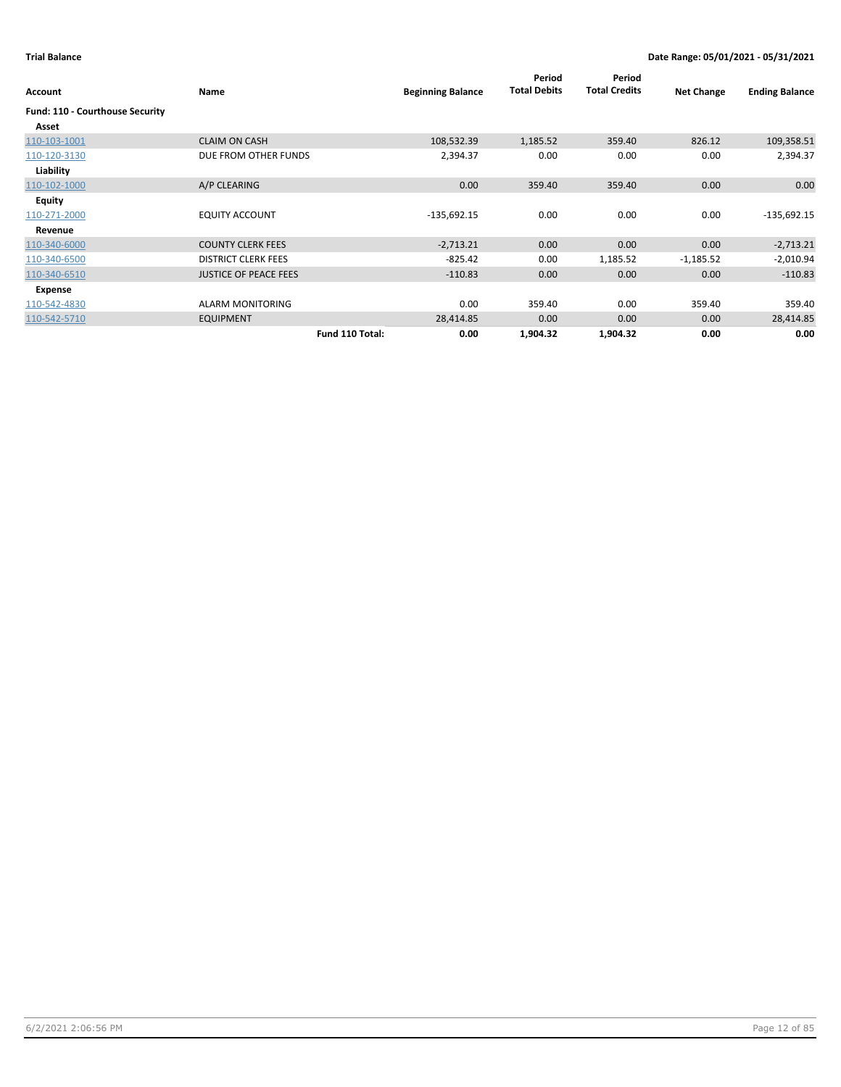| Account                         | Name                         |                 | <b>Beginning Balance</b> | Period<br><b>Total Debits</b> | Period<br><b>Total Credits</b> | <b>Net Change</b> | <b>Ending Balance</b> |
|---------------------------------|------------------------------|-----------------|--------------------------|-------------------------------|--------------------------------|-------------------|-----------------------|
| Fund: 110 - Courthouse Security |                              |                 |                          |                               |                                |                   |                       |
| Asset                           |                              |                 |                          |                               |                                |                   |                       |
| 110-103-1001                    | <b>CLAIM ON CASH</b>         |                 | 108,532.39               | 1,185.52                      | 359.40                         | 826.12            | 109,358.51            |
| 110-120-3130                    | DUE FROM OTHER FUNDS         |                 | 2,394.37                 | 0.00                          | 0.00                           | 0.00              | 2,394.37              |
| Liability                       |                              |                 |                          |                               |                                |                   |                       |
| 110-102-1000                    | A/P CLEARING                 |                 | 0.00                     | 359.40                        | 359.40                         | 0.00              | 0.00                  |
| <b>Equity</b>                   |                              |                 |                          |                               |                                |                   |                       |
| 110-271-2000                    | <b>EQUITY ACCOUNT</b>        |                 | $-135,692.15$            | 0.00                          | 0.00                           | 0.00              | $-135,692.15$         |
| Revenue                         |                              |                 |                          |                               |                                |                   |                       |
| 110-340-6000                    | <b>COUNTY CLERK FEES</b>     |                 | $-2,713.21$              | 0.00                          | 0.00                           | 0.00              | $-2,713.21$           |
| 110-340-6500                    | <b>DISTRICT CLERK FEES</b>   |                 | $-825.42$                | 0.00                          | 1,185.52                       | $-1,185.52$       | $-2,010.94$           |
| 110-340-6510                    | <b>JUSTICE OF PEACE FEES</b> |                 | $-110.83$                | 0.00                          | 0.00                           | 0.00              | $-110.83$             |
| Expense                         |                              |                 |                          |                               |                                |                   |                       |
| 110-542-4830                    | <b>ALARM MONITORING</b>      |                 | 0.00                     | 359.40                        | 0.00                           | 359.40            | 359.40                |
| 110-542-5710                    | <b>EQUIPMENT</b>             |                 | 28,414.85                | 0.00                          | 0.00                           | 0.00              | 28,414.85             |
|                                 |                              | Fund 110 Total: | 0.00                     | 1,904.32                      | 1,904.32                       | 0.00              | 0.00                  |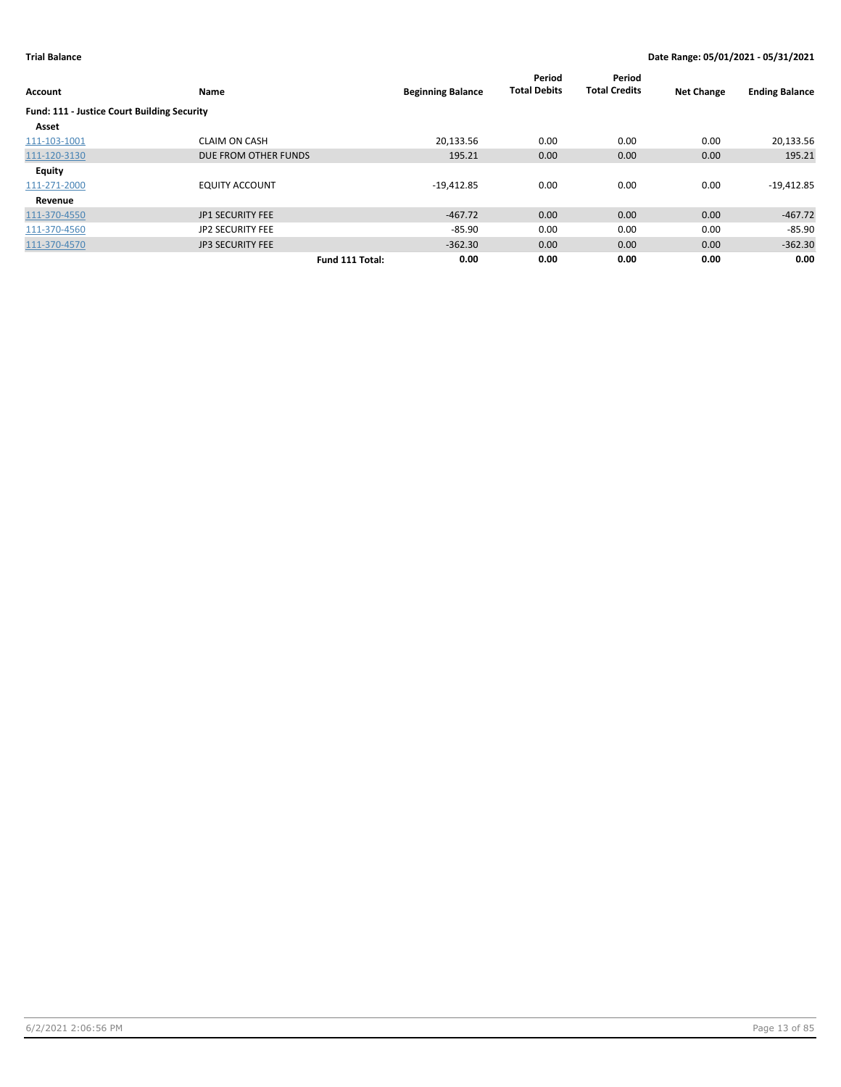| Account                                            | Name                    |                 | <b>Beginning Balance</b> | Period<br><b>Total Debits</b> | Period<br><b>Total Credits</b> | <b>Net Change</b> | <b>Ending Balance</b> |
|----------------------------------------------------|-------------------------|-----------------|--------------------------|-------------------------------|--------------------------------|-------------------|-----------------------|
| <b>Fund: 111 - Justice Court Building Security</b> |                         |                 |                          |                               |                                |                   |                       |
| Asset                                              |                         |                 |                          |                               |                                |                   |                       |
| 111-103-1001                                       | <b>CLAIM ON CASH</b>    |                 | 20,133.56                | 0.00                          | 0.00                           | 0.00              | 20,133.56             |
| 111-120-3130                                       | DUE FROM OTHER FUNDS    |                 | 195.21                   | 0.00                          | 0.00                           | 0.00              | 195.21                |
| Equity                                             |                         |                 |                          |                               |                                |                   |                       |
| 111-271-2000                                       | <b>EQUITY ACCOUNT</b>   |                 | $-19,412.85$             | 0.00                          | 0.00                           | 0.00              | $-19,412.85$          |
| Revenue                                            |                         |                 |                          |                               |                                |                   |                       |
| 111-370-4550                                       | <b>JP1 SECURITY FEE</b> |                 | $-467.72$                | 0.00                          | 0.00                           | 0.00              | $-467.72$             |
| 111-370-4560                                       | <b>JP2 SECURITY FEE</b> |                 | $-85.90$                 | 0.00                          | 0.00                           | 0.00              | $-85.90$              |
| 111-370-4570                                       | <b>JP3 SECURITY FEE</b> |                 | $-362.30$                | 0.00                          | 0.00                           | 0.00              | $-362.30$             |
|                                                    |                         | Fund 111 Total: | 0.00                     | 0.00                          | 0.00                           | 0.00              | 0.00                  |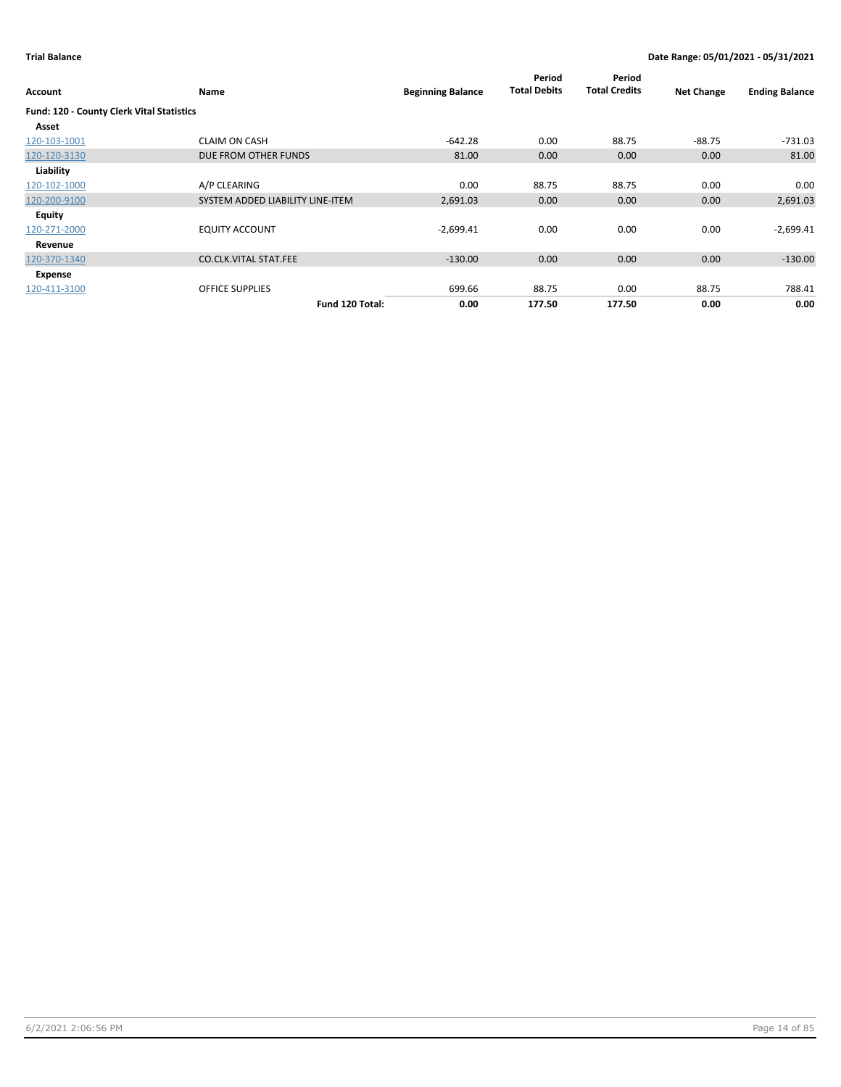| Account                                   | Name                             | <b>Beginning Balance</b> | Period<br><b>Total Debits</b> | Period<br><b>Total Credits</b> | <b>Net Change</b> | <b>Ending Balance</b> |
|-------------------------------------------|----------------------------------|--------------------------|-------------------------------|--------------------------------|-------------------|-----------------------|
| Fund: 120 - County Clerk Vital Statistics |                                  |                          |                               |                                |                   |                       |
| Asset                                     |                                  |                          |                               |                                |                   |                       |
| 120-103-1001                              | <b>CLAIM ON CASH</b>             | $-642.28$                | 0.00                          | 88.75                          | -88.75            | $-731.03$             |
| 120-120-3130                              | DUE FROM OTHER FUNDS             | 81.00                    | 0.00                          | 0.00                           | 0.00              | 81.00                 |
| Liability                                 |                                  |                          |                               |                                |                   |                       |
| 120-102-1000                              | A/P CLEARING                     | 0.00                     | 88.75                         | 88.75                          | 0.00              | 0.00                  |
| 120-200-9100                              | SYSTEM ADDED LIABILITY LINE-ITEM | 2,691.03                 | 0.00                          | 0.00                           | 0.00              | 2,691.03              |
| Equity                                    |                                  |                          |                               |                                |                   |                       |
| 120-271-2000                              | <b>EQUITY ACCOUNT</b>            | $-2,699.41$              | 0.00                          | 0.00                           | 0.00              | $-2,699.41$           |
| Revenue                                   |                                  |                          |                               |                                |                   |                       |
| 120-370-1340                              | <b>CO.CLK.VITAL STAT.FEE</b>     | $-130.00$                | 0.00                          | 0.00                           | 0.00              | $-130.00$             |
| Expense                                   |                                  |                          |                               |                                |                   |                       |
| 120-411-3100                              | <b>OFFICE SUPPLIES</b>           | 699.66                   | 88.75                         | 0.00                           | 88.75             | 788.41                |
|                                           | Fund 120 Total:                  | 0.00                     | 177.50                        | 177.50                         | 0.00              | 0.00                  |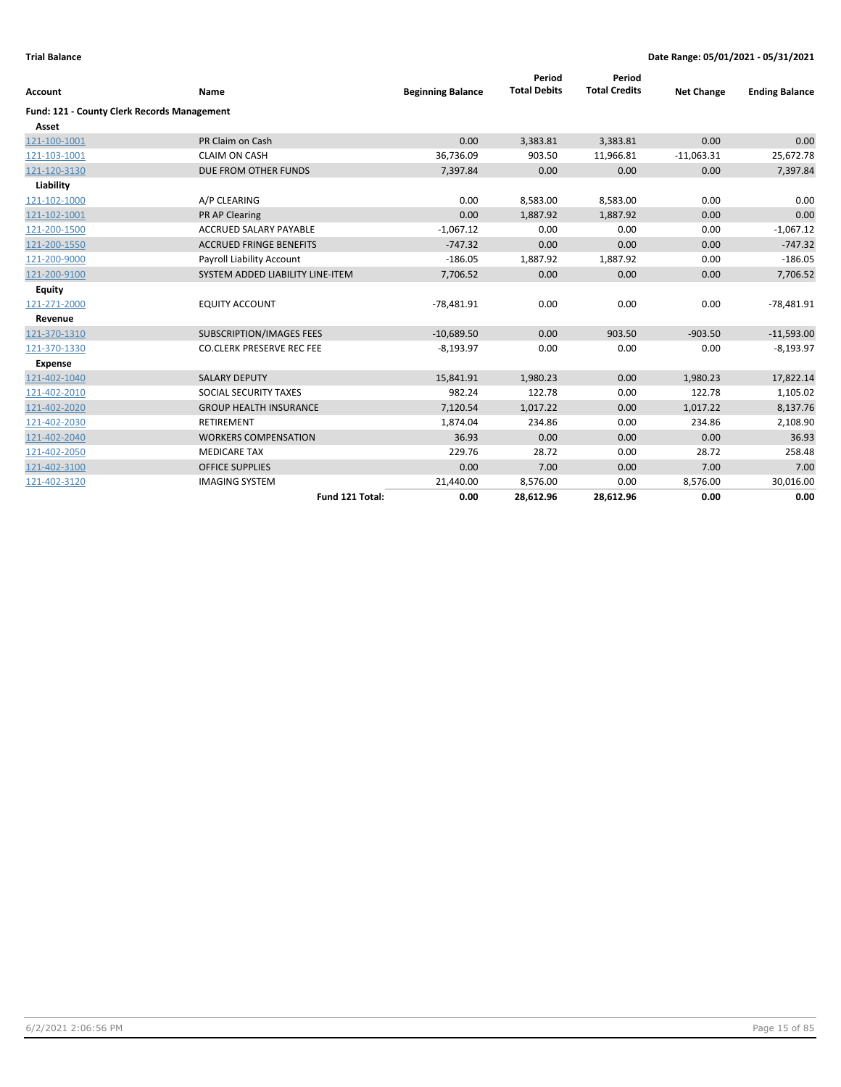| <b>Account</b>                              | Name                             | <b>Beginning Balance</b> | Period<br><b>Total Debits</b> | Period<br><b>Total Credits</b> | <b>Net Change</b> | <b>Ending Balance</b> |
|---------------------------------------------|----------------------------------|--------------------------|-------------------------------|--------------------------------|-------------------|-----------------------|
| Fund: 121 - County Clerk Records Management |                                  |                          |                               |                                |                   |                       |
| Asset                                       |                                  |                          |                               |                                |                   |                       |
| 121-100-1001                                | PR Claim on Cash                 | 0.00                     | 3,383.81                      | 3,383.81                       | 0.00              | 0.00                  |
| 121-103-1001                                | <b>CLAIM ON CASH</b>             | 36,736.09                | 903.50                        | 11,966.81                      | $-11,063.31$      | 25,672.78             |
| 121-120-3130                                | DUE FROM OTHER FUNDS             | 7,397.84                 | 0.00                          | 0.00                           | 0.00              | 7,397.84              |
| Liability                                   |                                  |                          |                               |                                |                   |                       |
| 121-102-1000                                | A/P CLEARING                     | 0.00                     | 8,583.00                      | 8,583.00                       | 0.00              | 0.00                  |
| 121-102-1001                                | PR AP Clearing                   | 0.00                     | 1,887.92                      | 1,887.92                       | 0.00              | 0.00                  |
| 121-200-1500                                | <b>ACCRUED SALARY PAYABLE</b>    | $-1,067.12$              | 0.00                          | 0.00                           | 0.00              | $-1,067.12$           |
| 121-200-1550                                | <b>ACCRUED FRINGE BENEFITS</b>   | $-747.32$                | 0.00                          | 0.00                           | 0.00              | $-747.32$             |
| 121-200-9000                                | Payroll Liability Account        | $-186.05$                | 1,887.92                      | 1,887.92                       | 0.00              | $-186.05$             |
| 121-200-9100                                | SYSTEM ADDED LIABILITY LINE-ITEM | 7,706.52                 | 0.00                          | 0.00                           | 0.00              | 7,706.52              |
| <b>Equity</b>                               |                                  |                          |                               |                                |                   |                       |
| 121-271-2000                                | <b>EQUITY ACCOUNT</b>            | $-78,481.91$             | 0.00                          | 0.00                           | 0.00              | $-78,481.91$          |
| Revenue                                     |                                  |                          |                               |                                |                   |                       |
| 121-370-1310                                | <b>SUBSCRIPTION/IMAGES FEES</b>  | $-10,689.50$             | 0.00                          | 903.50                         | $-903.50$         | $-11,593.00$          |
| 121-370-1330                                | <b>CO.CLERK PRESERVE REC FEE</b> | $-8,193.97$              | 0.00                          | 0.00                           | 0.00              | $-8,193.97$           |
| <b>Expense</b>                              |                                  |                          |                               |                                |                   |                       |
| 121-402-1040                                | <b>SALARY DEPUTY</b>             | 15,841.91                | 1,980.23                      | 0.00                           | 1,980.23          | 17,822.14             |
| 121-402-2010                                | SOCIAL SECURITY TAXES            | 982.24                   | 122.78                        | 0.00                           | 122.78            | 1,105.02              |
| 121-402-2020                                | <b>GROUP HEALTH INSURANCE</b>    | 7,120.54                 | 1,017.22                      | 0.00                           | 1,017.22          | 8,137.76              |
| 121-402-2030                                | <b>RETIREMENT</b>                | 1,874.04                 | 234.86                        | 0.00                           | 234.86            | 2,108.90              |
| 121-402-2040                                | <b>WORKERS COMPENSATION</b>      | 36.93                    | 0.00                          | 0.00                           | 0.00              | 36.93                 |
| 121-402-2050                                | <b>MEDICARE TAX</b>              | 229.76                   | 28.72                         | 0.00                           | 28.72             | 258.48                |
| 121-402-3100                                | <b>OFFICE SUPPLIES</b>           | 0.00                     | 7.00                          | 0.00                           | 7.00              | 7.00                  |
| 121-402-3120                                | <b>IMAGING SYSTEM</b>            | 21,440.00                | 8,576.00                      | 0.00                           | 8,576.00          | 30,016.00             |
|                                             | Fund 121 Total:                  | 0.00                     | 28,612.96                     | 28,612.96                      | 0.00              | 0.00                  |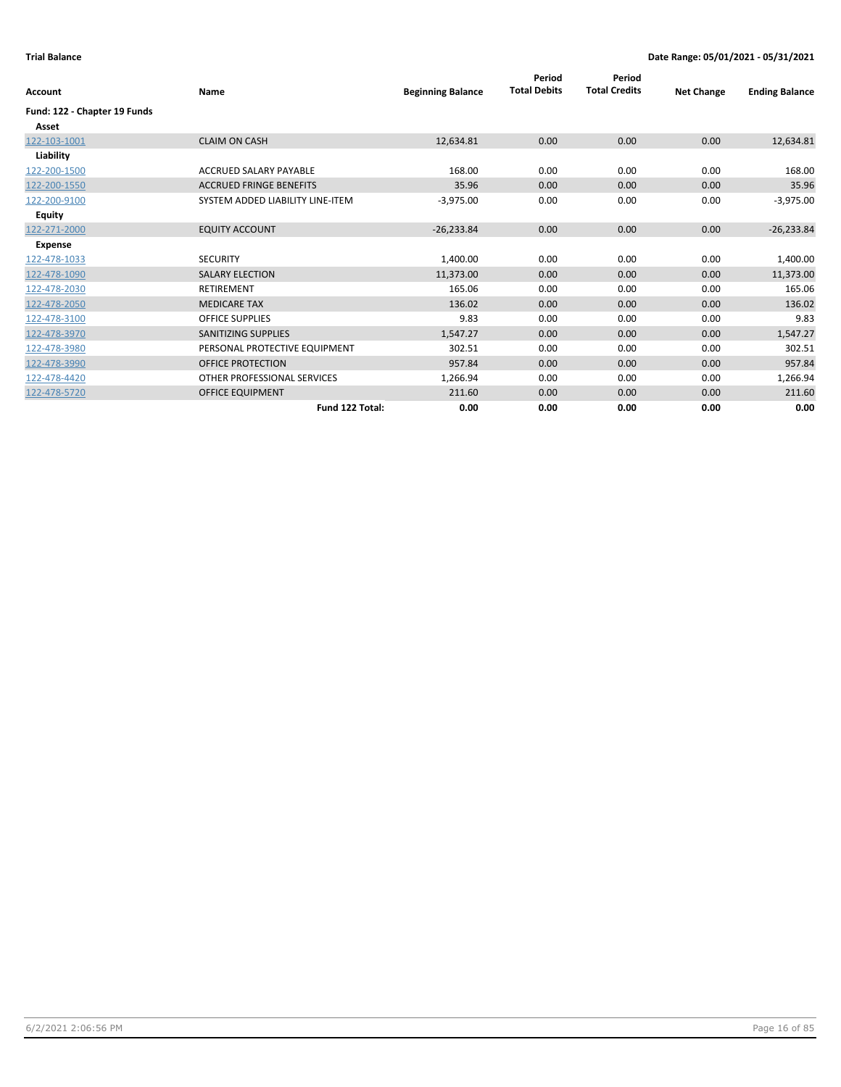| Account                      | Name                             | <b>Beginning Balance</b> | Period<br><b>Total Debits</b> | Period<br><b>Total Credits</b> | <b>Net Change</b> | <b>Ending Balance</b> |
|------------------------------|----------------------------------|--------------------------|-------------------------------|--------------------------------|-------------------|-----------------------|
| Fund: 122 - Chapter 19 Funds |                                  |                          |                               |                                |                   |                       |
| Asset                        |                                  |                          |                               |                                |                   |                       |
| 122-103-1001                 | <b>CLAIM ON CASH</b>             | 12,634.81                | 0.00                          | 0.00                           | 0.00              | 12,634.81             |
| Liability                    |                                  |                          |                               |                                |                   |                       |
| 122-200-1500                 | ACCRUED SALARY PAYABLE           | 168.00                   | 0.00                          | 0.00                           | 0.00              | 168.00                |
| 122-200-1550                 | <b>ACCRUED FRINGE BENEFITS</b>   | 35.96                    | 0.00                          | 0.00                           | 0.00              | 35.96                 |
| 122-200-9100                 | SYSTEM ADDED LIABILITY LINE-ITEM | $-3,975.00$              | 0.00                          | 0.00                           | 0.00              | $-3,975.00$           |
| <b>Equity</b>                |                                  |                          |                               |                                |                   |                       |
| 122-271-2000                 | <b>EQUITY ACCOUNT</b>            | $-26,233.84$             | 0.00                          | 0.00                           | 0.00              | $-26,233.84$          |
| <b>Expense</b>               |                                  |                          |                               |                                |                   |                       |
| 122-478-1033                 | <b>SECURITY</b>                  | 1,400.00                 | 0.00                          | 0.00                           | 0.00              | 1,400.00              |
| 122-478-1090                 | <b>SALARY ELECTION</b>           | 11,373.00                | 0.00                          | 0.00                           | 0.00              | 11,373.00             |
| 122-478-2030                 | <b>RETIREMENT</b>                | 165.06                   | 0.00                          | 0.00                           | 0.00              | 165.06                |
| 122-478-2050                 | <b>MEDICARE TAX</b>              | 136.02                   | 0.00                          | 0.00                           | 0.00              | 136.02                |
| 122-478-3100                 | <b>OFFICE SUPPLIES</b>           | 9.83                     | 0.00                          | 0.00                           | 0.00              | 9.83                  |
| 122-478-3970                 | <b>SANITIZING SUPPLIES</b>       | 1,547.27                 | 0.00                          | 0.00                           | 0.00              | 1,547.27              |
| 122-478-3980                 | PERSONAL PROTECTIVE EQUIPMENT    | 302.51                   | 0.00                          | 0.00                           | 0.00              | 302.51                |
| 122-478-3990                 | <b>OFFICE PROTECTION</b>         | 957.84                   | 0.00                          | 0.00                           | 0.00              | 957.84                |
| 122-478-4420                 | OTHER PROFESSIONAL SERVICES      | 1,266.94                 | 0.00                          | 0.00                           | 0.00              | 1,266.94              |
| 122-478-5720                 | <b>OFFICE EQUIPMENT</b>          | 211.60                   | 0.00                          | 0.00                           | 0.00              | 211.60                |
|                              | Fund 122 Total:                  | 0.00                     | 0.00                          | 0.00                           | 0.00              | 0.00                  |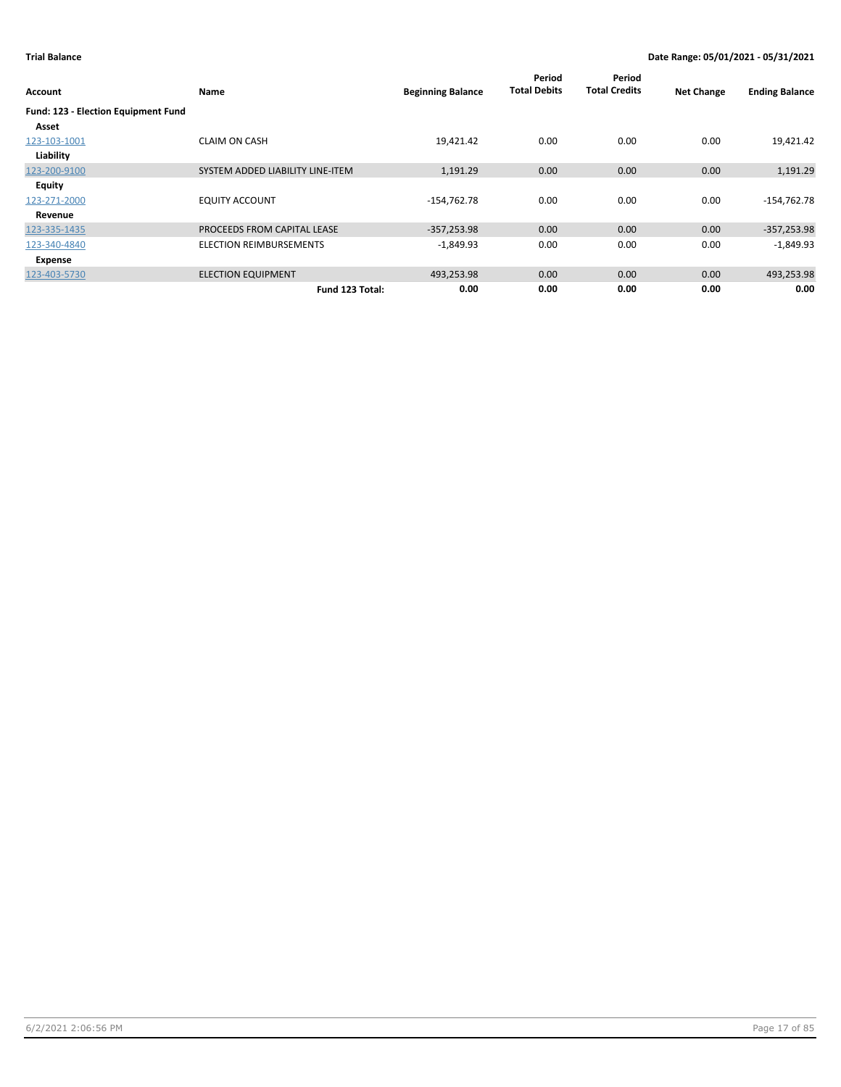| Account                             | Name                             | <b>Beginning Balance</b> | Period<br><b>Total Debits</b> | Period<br><b>Total Credits</b> | <b>Net Change</b> | <b>Ending Balance</b> |
|-------------------------------------|----------------------------------|--------------------------|-------------------------------|--------------------------------|-------------------|-----------------------|
| Fund: 123 - Election Equipment Fund |                                  |                          |                               |                                |                   |                       |
| Asset                               |                                  |                          |                               |                                |                   |                       |
| 123-103-1001                        | <b>CLAIM ON CASH</b>             | 19,421.42                | 0.00                          | 0.00                           | 0.00              | 19,421.42             |
| Liability                           |                                  |                          |                               |                                |                   |                       |
| 123-200-9100                        | SYSTEM ADDED LIABILITY LINE-ITEM | 1,191.29                 | 0.00                          | 0.00                           | 0.00              | 1,191.29              |
| Equity                              |                                  |                          |                               |                                |                   |                       |
| 123-271-2000                        | <b>EQUITY ACCOUNT</b>            | $-154,762.78$            | 0.00                          | 0.00                           | 0.00              | $-154,762.78$         |
| Revenue                             |                                  |                          |                               |                                |                   |                       |
| 123-335-1435                        | PROCEEDS FROM CAPITAL LEASE      | $-357,253.98$            | 0.00                          | 0.00                           | 0.00              | $-357,253.98$         |
| 123-340-4840                        | <b>ELECTION REIMBURSEMENTS</b>   | $-1,849.93$              | 0.00                          | 0.00                           | 0.00              | $-1,849.93$           |
| Expense                             |                                  |                          |                               |                                |                   |                       |
| 123-403-5730                        | <b>ELECTION EQUIPMENT</b>        | 493,253.98               | 0.00                          | 0.00                           | 0.00              | 493,253.98            |
|                                     | Fund 123 Total:                  | 0.00                     | 0.00                          | 0.00                           | 0.00              | 0.00                  |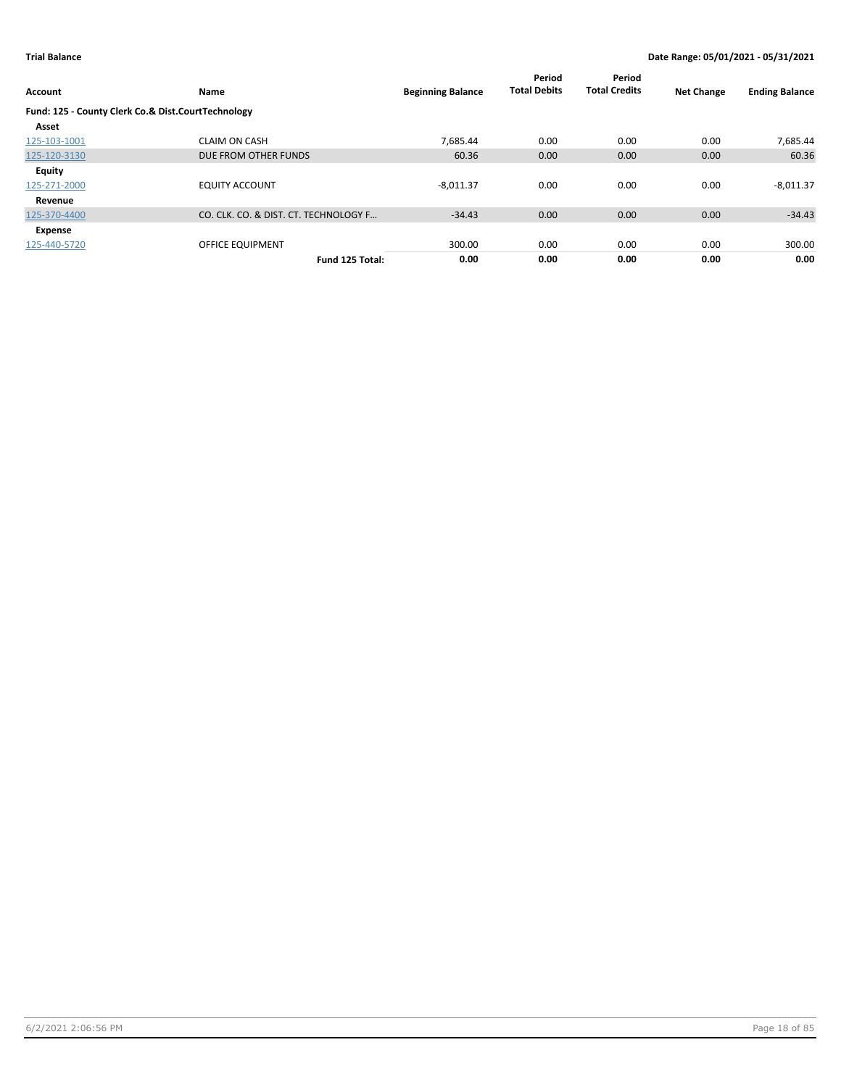| Account                                            | Name                                  | <b>Beginning Balance</b> | Period<br><b>Total Debits</b> | Period<br><b>Total Credits</b> | <b>Net Change</b> | <b>Ending Balance</b> |
|----------------------------------------------------|---------------------------------------|--------------------------|-------------------------------|--------------------------------|-------------------|-----------------------|
| Fund: 125 - County Clerk Co.& Dist.CourtTechnology |                                       |                          |                               |                                |                   |                       |
| Asset                                              |                                       |                          |                               |                                |                   |                       |
| 125-103-1001                                       | <b>CLAIM ON CASH</b>                  | 7.685.44                 | 0.00                          | 0.00                           | 0.00              | 7,685.44              |
| 125-120-3130                                       | DUE FROM OTHER FUNDS                  | 60.36                    | 0.00                          | 0.00                           | 0.00              | 60.36                 |
| Equity                                             |                                       |                          |                               |                                |                   |                       |
| 125-271-2000                                       | <b>EQUITY ACCOUNT</b>                 | $-8,011.37$              | 0.00                          | 0.00                           | 0.00              | $-8,011.37$           |
| Revenue                                            |                                       |                          |                               |                                |                   |                       |
| 125-370-4400                                       | CO. CLK. CO. & DIST. CT. TECHNOLOGY F | $-34.43$                 | 0.00                          | 0.00                           | 0.00              | $-34.43$              |
| Expense                                            |                                       |                          |                               |                                |                   |                       |
| 125-440-5720                                       | <b>OFFICE EQUIPMENT</b>               | 300.00                   | 0.00                          | 0.00                           | 0.00              | 300.00                |
|                                                    | Fund 125 Total:                       | 0.00                     | 0.00                          | 0.00                           | 0.00              | 0.00                  |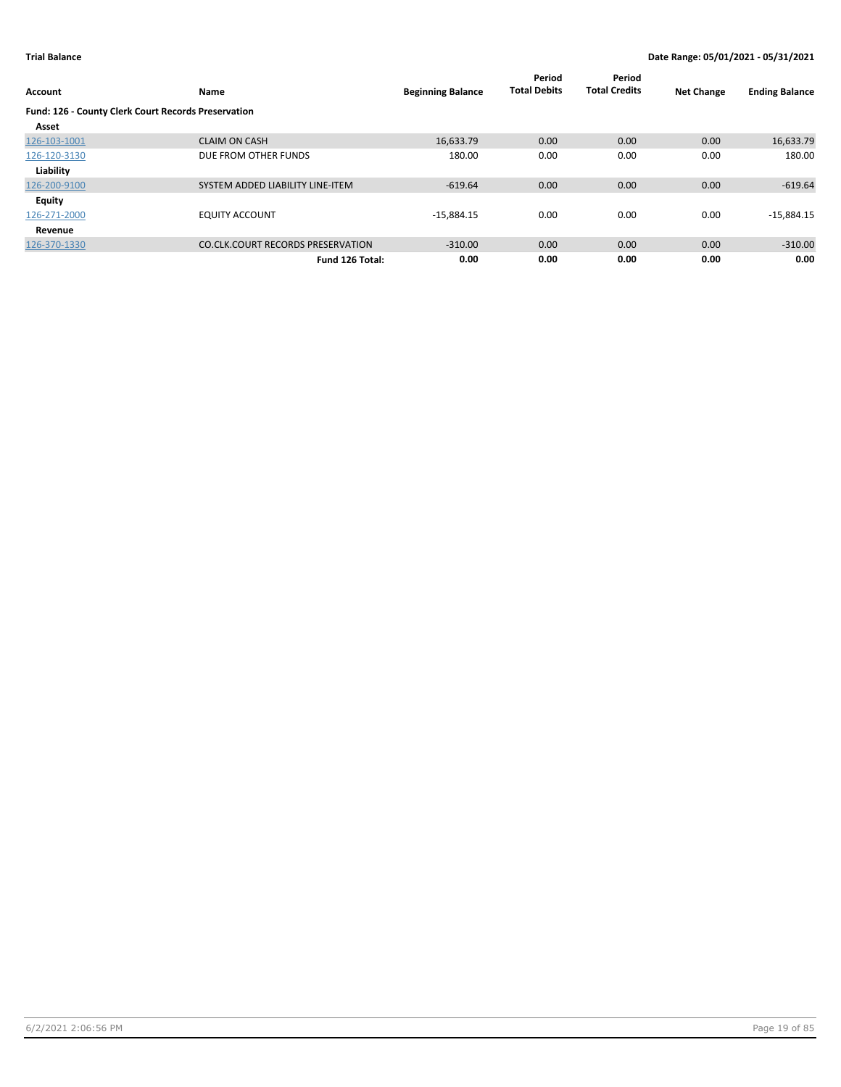| Account                                             | Name                                     | <b>Beginning Balance</b> | Period<br><b>Total Debits</b> | Period<br><b>Total Credits</b> | <b>Net Change</b> | <b>Ending Balance</b> |
|-----------------------------------------------------|------------------------------------------|--------------------------|-------------------------------|--------------------------------|-------------------|-----------------------|
| Fund: 126 - County Clerk Court Records Preservation |                                          |                          |                               |                                |                   |                       |
| Asset                                               |                                          |                          |                               |                                |                   |                       |
| 126-103-1001                                        | <b>CLAIM ON CASH</b>                     | 16,633.79                | 0.00                          | 0.00                           | 0.00              | 16,633.79             |
| 126-120-3130                                        | DUE FROM OTHER FUNDS                     | 180.00                   | 0.00                          | 0.00                           | 0.00              | 180.00                |
| Liability                                           |                                          |                          |                               |                                |                   |                       |
| 126-200-9100                                        | SYSTEM ADDED LIABILITY LINE-ITEM         | $-619.64$                | 0.00                          | 0.00                           | 0.00              | $-619.64$             |
| Equity                                              |                                          |                          |                               |                                |                   |                       |
| 126-271-2000                                        | <b>EQUITY ACCOUNT</b>                    | $-15,884.15$             | 0.00                          | 0.00                           | 0.00              | $-15,884.15$          |
| Revenue                                             |                                          |                          |                               |                                |                   |                       |
| 126-370-1330                                        | <b>CO.CLK.COURT RECORDS PRESERVATION</b> | $-310.00$                | 0.00                          | 0.00                           | 0.00              | $-310.00$             |
|                                                     | Fund 126 Total:                          | 0.00                     | 0.00                          | 0.00                           | 0.00              | 0.00                  |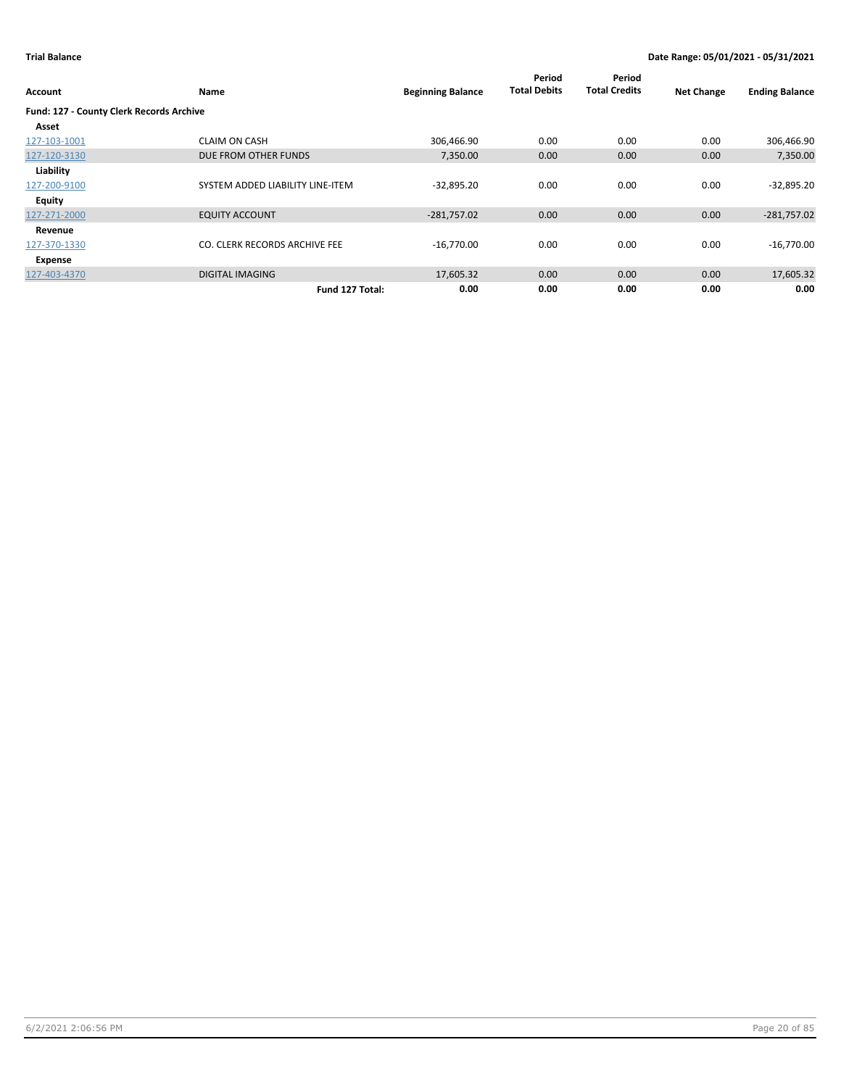| <b>Account</b>                           | Name                             | <b>Beginning Balance</b> | Period<br><b>Total Debits</b> | Period<br><b>Total Credits</b> | <b>Net Change</b> | <b>Ending Balance</b> |
|------------------------------------------|----------------------------------|--------------------------|-------------------------------|--------------------------------|-------------------|-----------------------|
| Fund: 127 - County Clerk Records Archive |                                  |                          |                               |                                |                   |                       |
| Asset                                    |                                  |                          |                               |                                |                   |                       |
| 127-103-1001                             | <b>CLAIM ON CASH</b>             | 306,466.90               | 0.00                          | 0.00                           | 0.00              | 306,466.90            |
| 127-120-3130                             | DUE FROM OTHER FUNDS             | 7,350.00                 | 0.00                          | 0.00                           | 0.00              | 7,350.00              |
| Liability                                |                                  |                          |                               |                                |                   |                       |
| 127-200-9100                             | SYSTEM ADDED LIABILITY LINE-ITEM | $-32,895.20$             | 0.00                          | 0.00                           | 0.00              | $-32,895.20$          |
| Equity                                   |                                  |                          |                               |                                |                   |                       |
| 127-271-2000                             | <b>EQUITY ACCOUNT</b>            | $-281,757.02$            | 0.00                          | 0.00                           | 0.00              | $-281,757.02$         |
| Revenue                                  |                                  |                          |                               |                                |                   |                       |
| 127-370-1330                             | CO. CLERK RECORDS ARCHIVE FEE    | $-16,770.00$             | 0.00                          | 0.00                           | 0.00              | $-16,770.00$          |
| Expense                                  |                                  |                          |                               |                                |                   |                       |
| 127-403-4370                             | <b>DIGITAL IMAGING</b>           | 17,605.32                | 0.00                          | 0.00                           | 0.00              | 17,605.32             |
|                                          | Fund 127 Total:                  | 0.00                     | 0.00                          | 0.00                           | 0.00              | 0.00                  |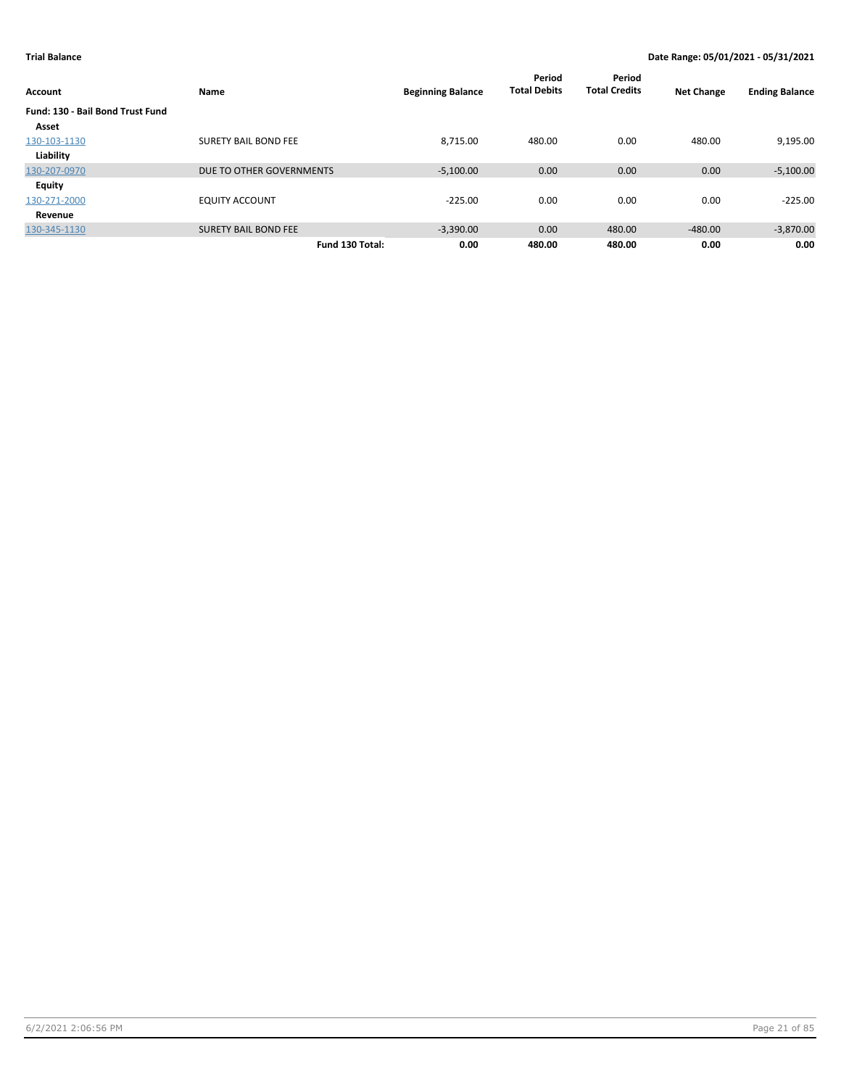| Account                          | Name                        | <b>Beginning Balance</b> | Period<br><b>Total Debits</b> | Period<br><b>Total Credits</b> | <b>Net Change</b> | <b>Ending Balance</b> |
|----------------------------------|-----------------------------|--------------------------|-------------------------------|--------------------------------|-------------------|-----------------------|
| Fund: 130 - Bail Bond Trust Fund |                             |                          |                               |                                |                   |                       |
| Asset                            |                             |                          |                               |                                |                   |                       |
| 130-103-1130                     | <b>SURETY BAIL BOND FEE</b> | 8,715.00                 | 480.00                        | 0.00                           | 480.00            | 9,195.00              |
| Liability                        |                             |                          |                               |                                |                   |                       |
| 130-207-0970                     | DUE TO OTHER GOVERNMENTS    | $-5,100.00$              | 0.00                          | 0.00                           | 0.00              | $-5,100.00$           |
| Equity                           |                             |                          |                               |                                |                   |                       |
| 130-271-2000                     | <b>EQUITY ACCOUNT</b>       | $-225.00$                | 0.00                          | 0.00                           | 0.00              | $-225.00$             |
| Revenue                          |                             |                          |                               |                                |                   |                       |
| 130-345-1130                     | <b>SURETY BAIL BOND FEE</b> | $-3,390.00$              | 0.00                          | 480.00                         | $-480.00$         | $-3,870.00$           |
|                                  | Fund 130 Total:             | 0.00                     | 480.00                        | 480.00                         | 0.00              | 0.00                  |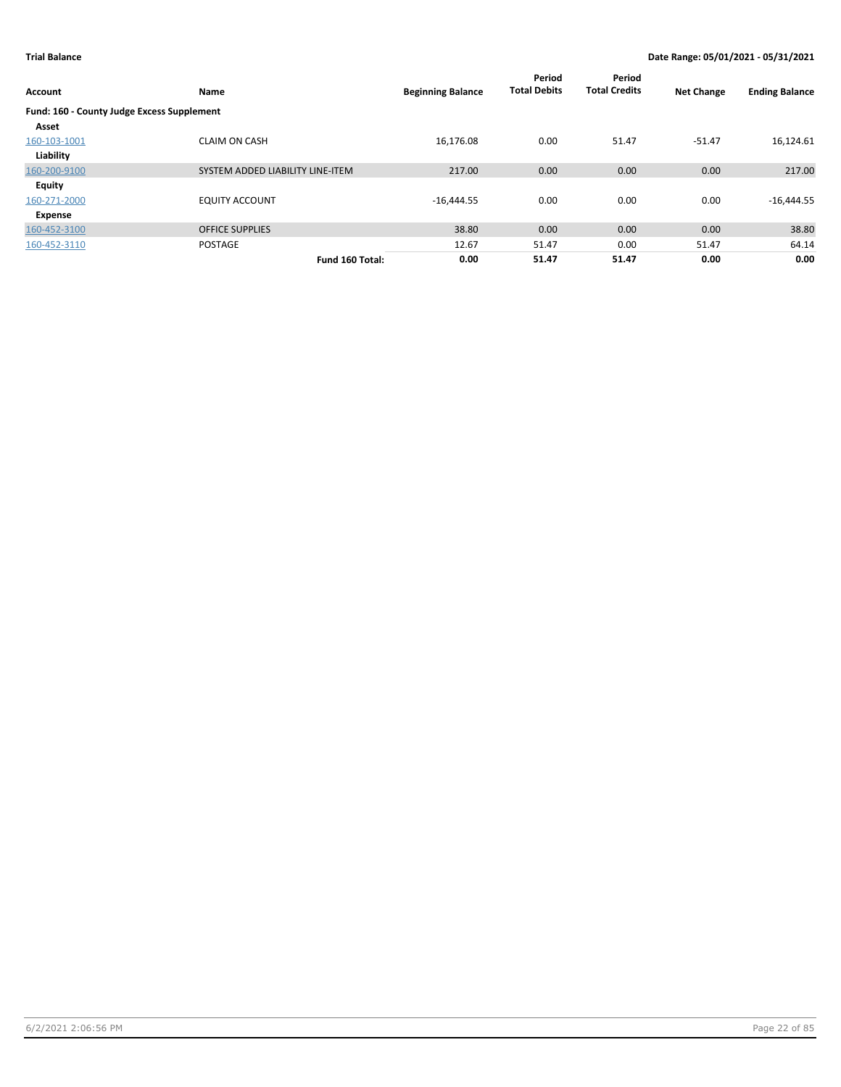| <b>Account</b>                             | Name                             | <b>Beginning Balance</b> | Period<br><b>Total Debits</b> | Period<br><b>Total Credits</b> | <b>Net Change</b> | <b>Ending Balance</b> |
|--------------------------------------------|----------------------------------|--------------------------|-------------------------------|--------------------------------|-------------------|-----------------------|
| Fund: 160 - County Judge Excess Supplement |                                  |                          |                               |                                |                   |                       |
| Asset                                      |                                  |                          |                               |                                |                   |                       |
| 160-103-1001                               | <b>CLAIM ON CASH</b>             | 16,176.08                | 0.00                          | 51.47                          | $-51.47$          | 16,124.61             |
| Liability                                  |                                  |                          |                               |                                |                   |                       |
| 160-200-9100                               | SYSTEM ADDED LIABILITY LINE-ITEM | 217.00                   | 0.00                          | 0.00                           | 0.00              | 217.00                |
| <b>Equity</b>                              |                                  |                          |                               |                                |                   |                       |
| 160-271-2000                               | <b>EQUITY ACCOUNT</b>            | $-16,444.55$             | 0.00                          | 0.00                           | 0.00              | $-16,444.55$          |
| Expense                                    |                                  |                          |                               |                                |                   |                       |
| 160-452-3100                               | <b>OFFICE SUPPLIES</b>           | 38.80                    | 0.00                          | 0.00                           | 0.00              | 38.80                 |
| 160-452-3110                               | <b>POSTAGE</b>                   | 12.67                    | 51.47                         | 0.00                           | 51.47             | 64.14                 |
|                                            | Fund 160 Total:                  | 0.00                     | 51.47                         | 51.47                          | 0.00              | 0.00                  |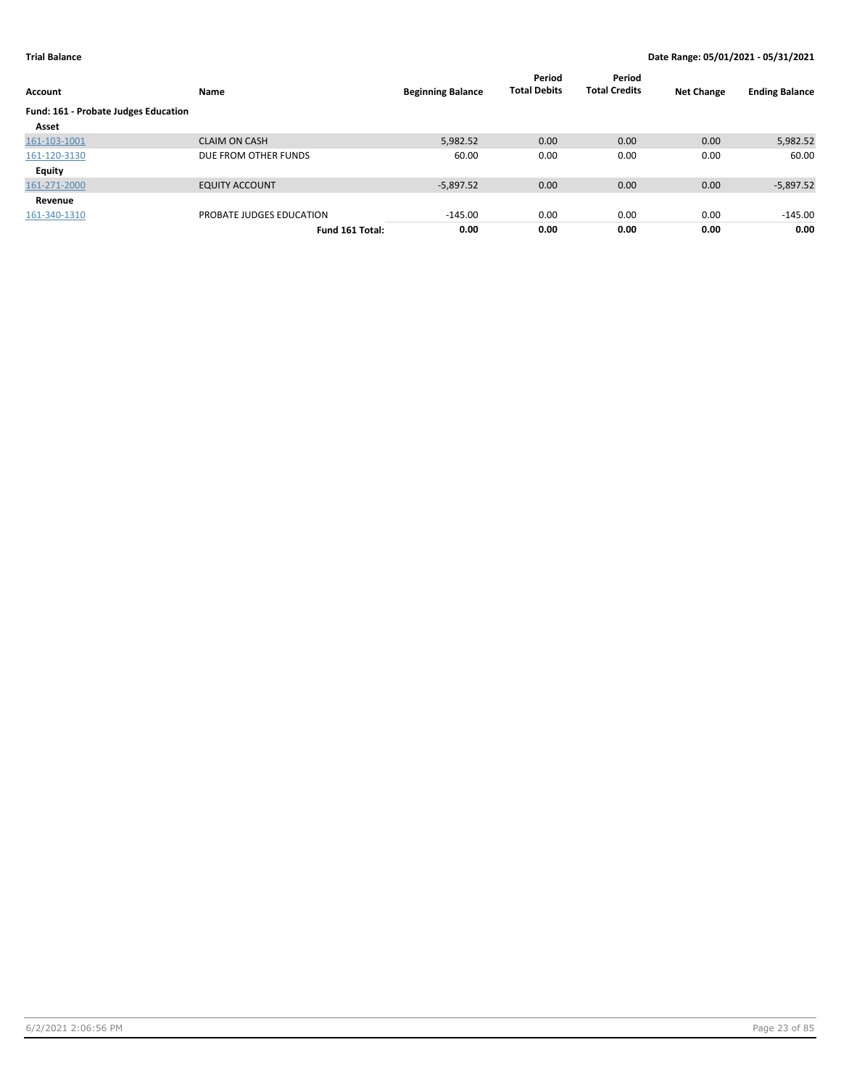| Account                              | Name                     | <b>Beginning Balance</b> | Period<br><b>Total Debits</b> | Period<br><b>Total Credits</b> | <b>Net Change</b> | <b>Ending Balance</b> |
|--------------------------------------|--------------------------|--------------------------|-------------------------------|--------------------------------|-------------------|-----------------------|
| Fund: 161 - Probate Judges Education |                          |                          |                               |                                |                   |                       |
| Asset                                |                          |                          |                               |                                |                   |                       |
| 161-103-1001                         | <b>CLAIM ON CASH</b>     | 5,982.52                 | 0.00                          | 0.00                           | 0.00              | 5,982.52              |
| 161-120-3130                         | DUE FROM OTHER FUNDS     | 60.00                    | 0.00                          | 0.00                           | 0.00              | 60.00                 |
| Equity                               |                          |                          |                               |                                |                   |                       |
| 161-271-2000                         | <b>EQUITY ACCOUNT</b>    | $-5.897.52$              | 0.00                          | 0.00                           | 0.00              | $-5,897.52$           |
| Revenue                              |                          |                          |                               |                                |                   |                       |
| 161-340-1310                         | PROBATE JUDGES EDUCATION | $-145.00$                | 0.00                          | 0.00                           | 0.00              | $-145.00$             |
|                                      | Fund 161 Total:          | 0.00                     | 0.00                          | 0.00                           | 0.00              | 0.00                  |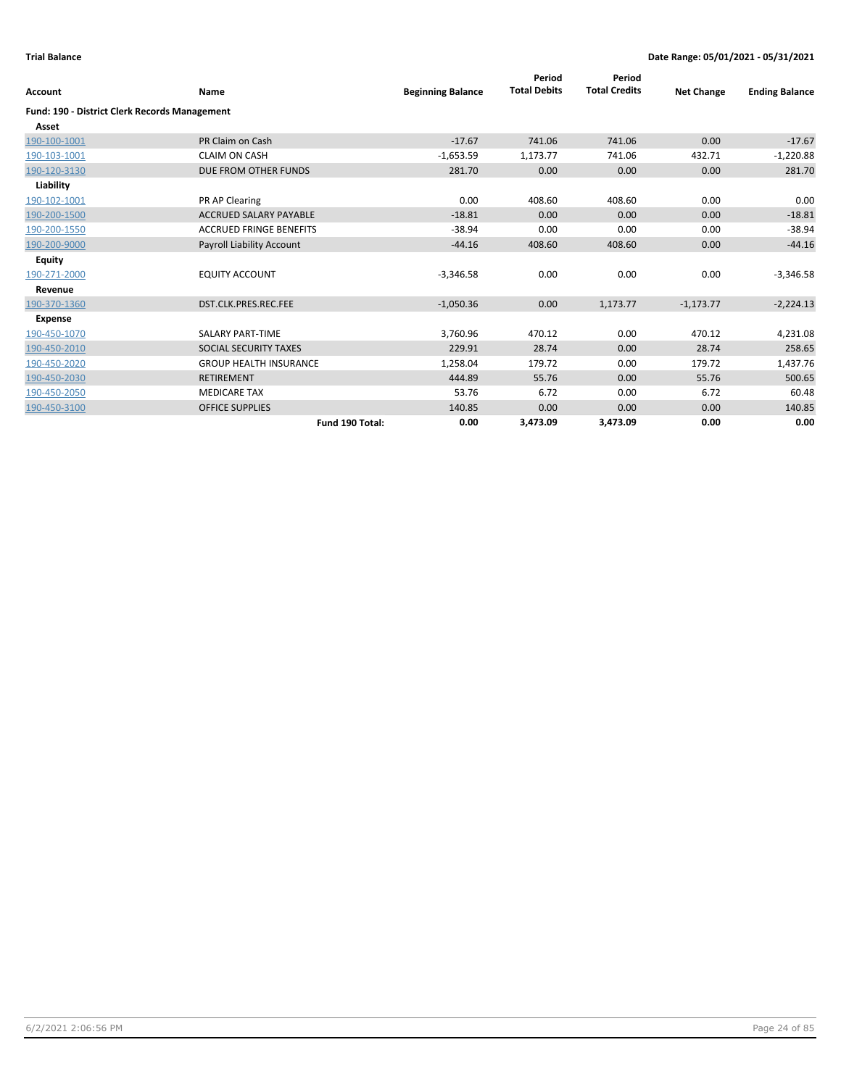| Account                                              | Name                             | <b>Beginning Balance</b> | Period<br><b>Total Debits</b> | Period<br><b>Total Credits</b> | <b>Net Change</b> | <b>Ending Balance</b> |
|------------------------------------------------------|----------------------------------|--------------------------|-------------------------------|--------------------------------|-------------------|-----------------------|
| <b>Fund: 190 - District Clerk Records Management</b> |                                  |                          |                               |                                |                   |                       |
| Asset                                                |                                  |                          |                               |                                |                   |                       |
| 190-100-1001                                         | PR Claim on Cash                 | $-17.67$                 | 741.06                        | 741.06                         | 0.00              | $-17.67$              |
| 190-103-1001                                         | <b>CLAIM ON CASH</b>             | $-1,653.59$              | 1,173.77                      | 741.06                         | 432.71            | $-1,220.88$           |
| 190-120-3130                                         | DUE FROM OTHER FUNDS             | 281.70                   | 0.00                          | 0.00                           | 0.00              | 281.70                |
| Liability                                            |                                  |                          |                               |                                |                   |                       |
| 190-102-1001                                         | PR AP Clearing                   | 0.00                     | 408.60                        | 408.60                         | 0.00              | 0.00                  |
| 190-200-1500                                         | <b>ACCRUED SALARY PAYABLE</b>    | $-18.81$                 | 0.00                          | 0.00                           | 0.00              | $-18.81$              |
| 190-200-1550                                         | <b>ACCRUED FRINGE BENEFITS</b>   | $-38.94$                 | 0.00                          | 0.00                           | 0.00              | $-38.94$              |
| 190-200-9000                                         | <b>Payroll Liability Account</b> | $-44.16$                 | 408.60                        | 408.60                         | 0.00              | $-44.16$              |
| <b>Equity</b>                                        |                                  |                          |                               |                                |                   |                       |
| 190-271-2000                                         | <b>EQUITY ACCOUNT</b>            | $-3,346.58$              | 0.00                          | 0.00                           | 0.00              | $-3,346.58$           |
| Revenue                                              |                                  |                          |                               |                                |                   |                       |
| 190-370-1360                                         | DST.CLK.PRES.REC.FEE             | $-1,050.36$              | 0.00                          | 1,173.77                       | $-1,173.77$       | $-2,224.13$           |
| <b>Expense</b>                                       |                                  |                          |                               |                                |                   |                       |
| 190-450-1070                                         | <b>SALARY PART-TIME</b>          | 3,760.96                 | 470.12                        | 0.00                           | 470.12            | 4,231.08              |
| 190-450-2010                                         | SOCIAL SECURITY TAXES            | 229.91                   | 28.74                         | 0.00                           | 28.74             | 258.65                |
| 190-450-2020                                         | <b>GROUP HEALTH INSURANCE</b>    | 1,258.04                 | 179.72                        | 0.00                           | 179.72            | 1,437.76              |
| 190-450-2030                                         | <b>RETIREMENT</b>                | 444.89                   | 55.76                         | 0.00                           | 55.76             | 500.65                |
| 190-450-2050                                         | <b>MEDICARE TAX</b>              | 53.76                    | 6.72                          | 0.00                           | 6.72              | 60.48                 |
| 190-450-3100                                         | <b>OFFICE SUPPLIES</b>           | 140.85                   | 0.00                          | 0.00                           | 0.00              | 140.85                |
|                                                      | Fund 190 Total:                  | 0.00                     | 3,473.09                      | 3,473.09                       | 0.00              | 0.00                  |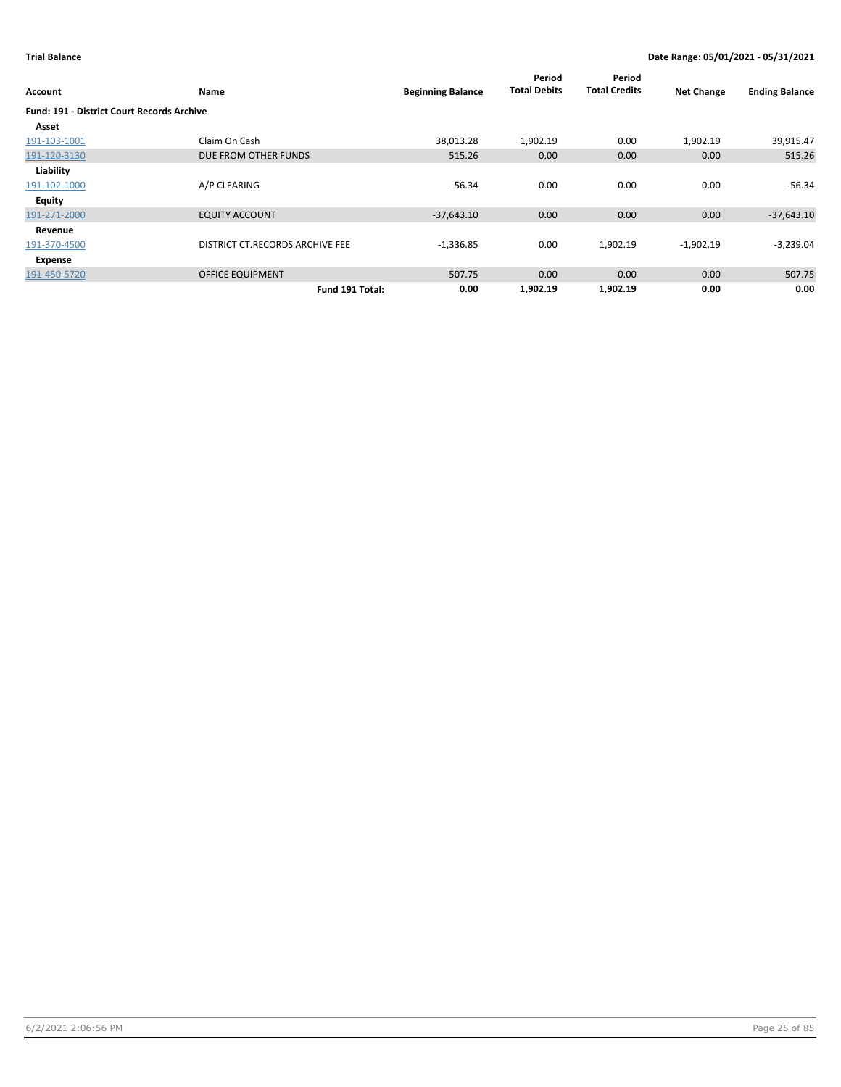| Account                                           | Name                            | <b>Beginning Balance</b> | Period<br><b>Total Debits</b> | Period<br><b>Total Credits</b> | <b>Net Change</b> | <b>Ending Balance</b> |
|---------------------------------------------------|---------------------------------|--------------------------|-------------------------------|--------------------------------|-------------------|-----------------------|
| <b>Fund: 191 - District Court Records Archive</b> |                                 |                          |                               |                                |                   |                       |
| Asset                                             |                                 |                          |                               |                                |                   |                       |
| 191-103-1001                                      | Claim On Cash                   | 38,013.28                | 1,902.19                      | 0.00                           | 1,902.19          | 39,915.47             |
| 191-120-3130                                      | DUE FROM OTHER FUNDS            | 515.26                   | 0.00                          | 0.00                           | 0.00              | 515.26                |
| Liability                                         |                                 |                          |                               |                                |                   |                       |
| 191-102-1000                                      | A/P CLEARING                    | $-56.34$                 | 0.00                          | 0.00                           | 0.00              | $-56.34$              |
| Equity                                            |                                 |                          |                               |                                |                   |                       |
| 191-271-2000                                      | <b>EQUITY ACCOUNT</b>           | $-37,643.10$             | 0.00                          | 0.00                           | 0.00              | $-37,643.10$          |
| Revenue                                           |                                 |                          |                               |                                |                   |                       |
| 191-370-4500                                      | DISTRICT CT.RECORDS ARCHIVE FEE | $-1,336.85$              | 0.00                          | 1,902.19                       | $-1,902.19$       | $-3,239.04$           |
| Expense                                           |                                 |                          |                               |                                |                   |                       |
| 191-450-5720                                      | <b>OFFICE EQUIPMENT</b>         | 507.75                   | 0.00                          | 0.00                           | 0.00              | 507.75                |
|                                                   | Fund 191 Total:                 | 0.00                     | 1,902.19                      | 1,902.19                       | 0.00              | 0.00                  |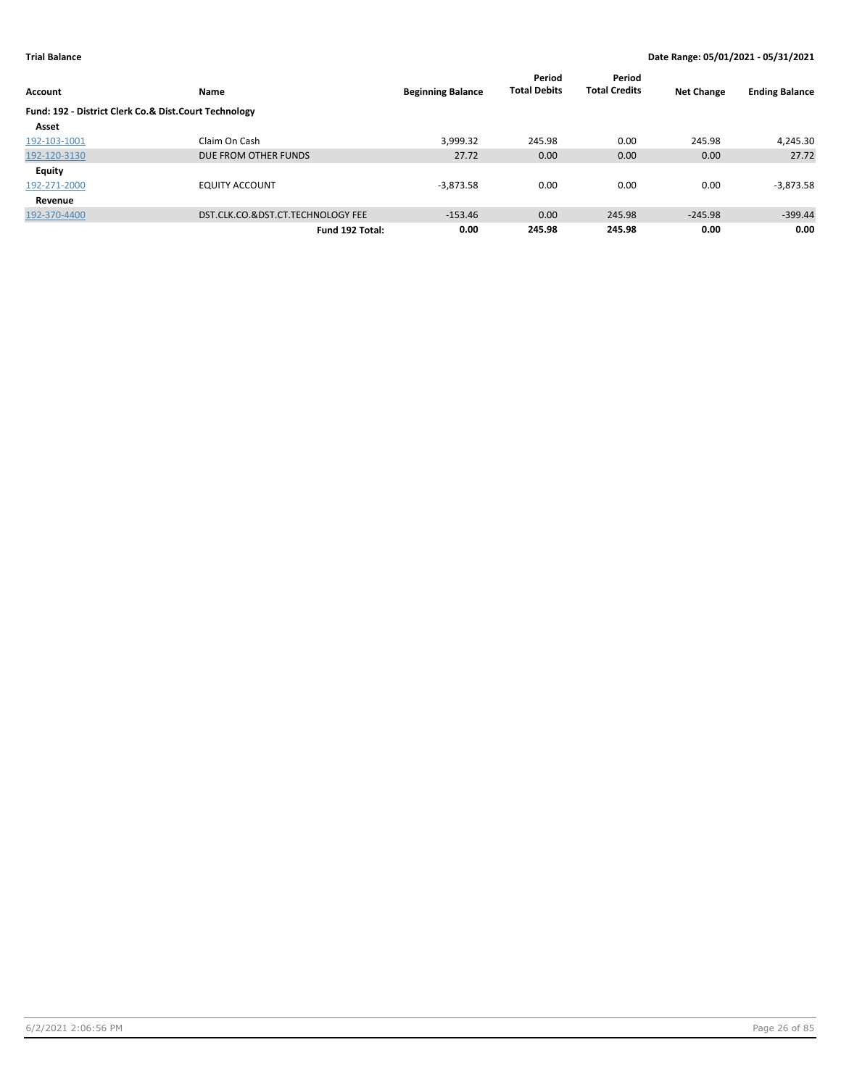| <b>Account</b>                                        | <b>Name</b>                       | <b>Beginning Balance</b> | Period<br><b>Total Debits</b> | Period<br><b>Total Credits</b> | <b>Net Change</b> | <b>Ending Balance</b> |
|-------------------------------------------------------|-----------------------------------|--------------------------|-------------------------------|--------------------------------|-------------------|-----------------------|
| Fund: 192 - District Clerk Co.& Dist.Court Technology |                                   |                          |                               |                                |                   |                       |
| Asset                                                 |                                   |                          |                               |                                |                   |                       |
| 192-103-1001                                          | Claim On Cash                     | 3,999.32                 | 245.98                        | 0.00                           | 245.98            | 4,245.30              |
| 192-120-3130                                          | DUE FROM OTHER FUNDS              | 27.72                    | 0.00                          | 0.00                           | 0.00              | 27.72                 |
| <b>Equity</b>                                         |                                   |                          |                               |                                |                   |                       |
| 192-271-2000                                          | <b>EQUITY ACCOUNT</b>             | $-3,873.58$              | 0.00                          | 0.00                           | 0.00              | $-3,873.58$           |
| Revenue                                               |                                   |                          |                               |                                |                   |                       |
| 192-370-4400                                          | DST.CLK.CO.&DST.CT.TECHNOLOGY FEE | $-153.46$                | 0.00                          | 245.98                         | $-245.98$         | $-399.44$             |
|                                                       | Fund 192 Total:                   | 0.00                     | 245.98                        | 245.98                         | 0.00              | 0.00                  |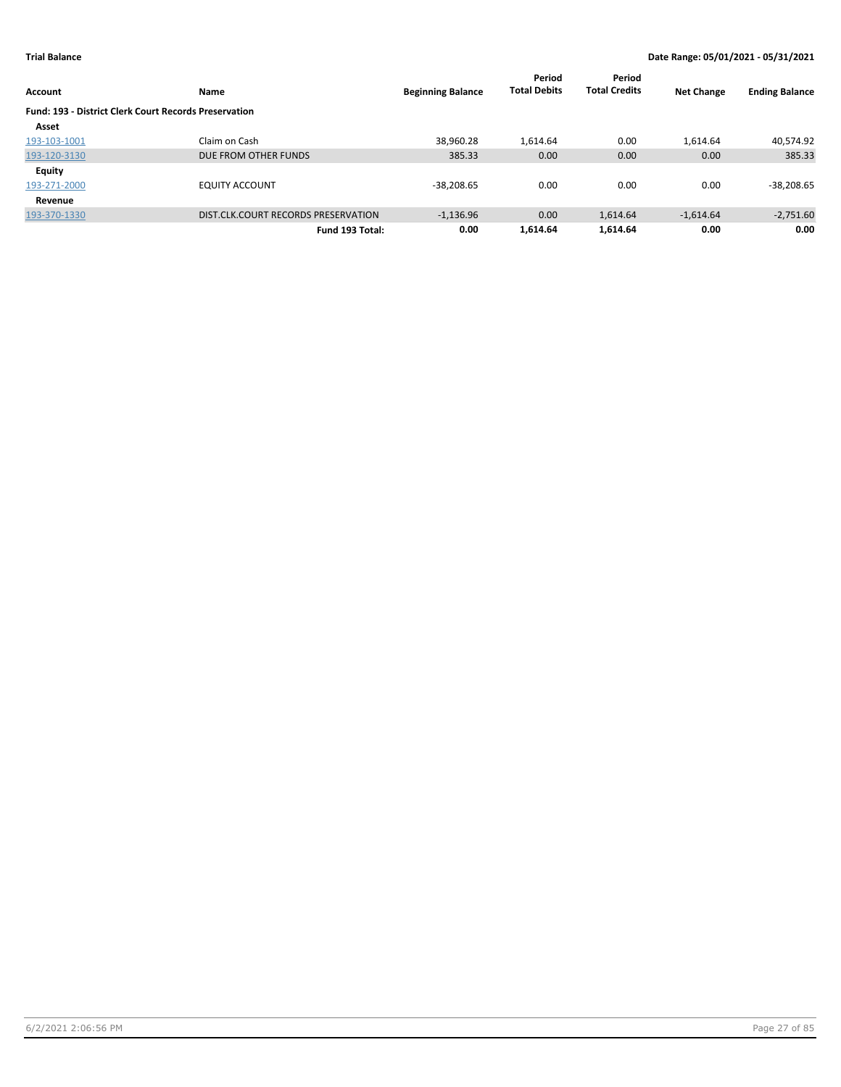|                                                              |                                     |                          | Period              | Period               |                   |                       |
|--------------------------------------------------------------|-------------------------------------|--------------------------|---------------------|----------------------|-------------------|-----------------------|
| <b>Account</b>                                               | Name                                | <b>Beginning Balance</b> | <b>Total Debits</b> | <b>Total Credits</b> | <b>Net Change</b> | <b>Ending Balance</b> |
| <b>Fund: 193 - District Clerk Court Records Preservation</b> |                                     |                          |                     |                      |                   |                       |
| Asset                                                        |                                     |                          |                     |                      |                   |                       |
| 193-103-1001                                                 | Claim on Cash                       | 38,960.28                | 1.614.64            | 0.00                 | 1.614.64          | 40,574.92             |
| 193-120-3130                                                 | DUE FROM OTHER FUNDS                | 385.33                   | 0.00                | 0.00                 | 0.00              | 385.33                |
| <b>Equity</b>                                                |                                     |                          |                     |                      |                   |                       |
| 193-271-2000                                                 | <b>EQUITY ACCOUNT</b>               | $-38.208.65$             | 0.00                | 0.00                 | 0.00              | $-38,208.65$          |
| Revenue                                                      |                                     |                          |                     |                      |                   |                       |
| 193-370-1330                                                 | DIST.CLK.COURT RECORDS PRESERVATION | $-1.136.96$              | 0.00                | 1.614.64             | $-1.614.64$       | $-2,751.60$           |
|                                                              | Fund 193 Total:                     | 0.00                     | 1.614.64            | 1.614.64             | 0.00              | 0.00                  |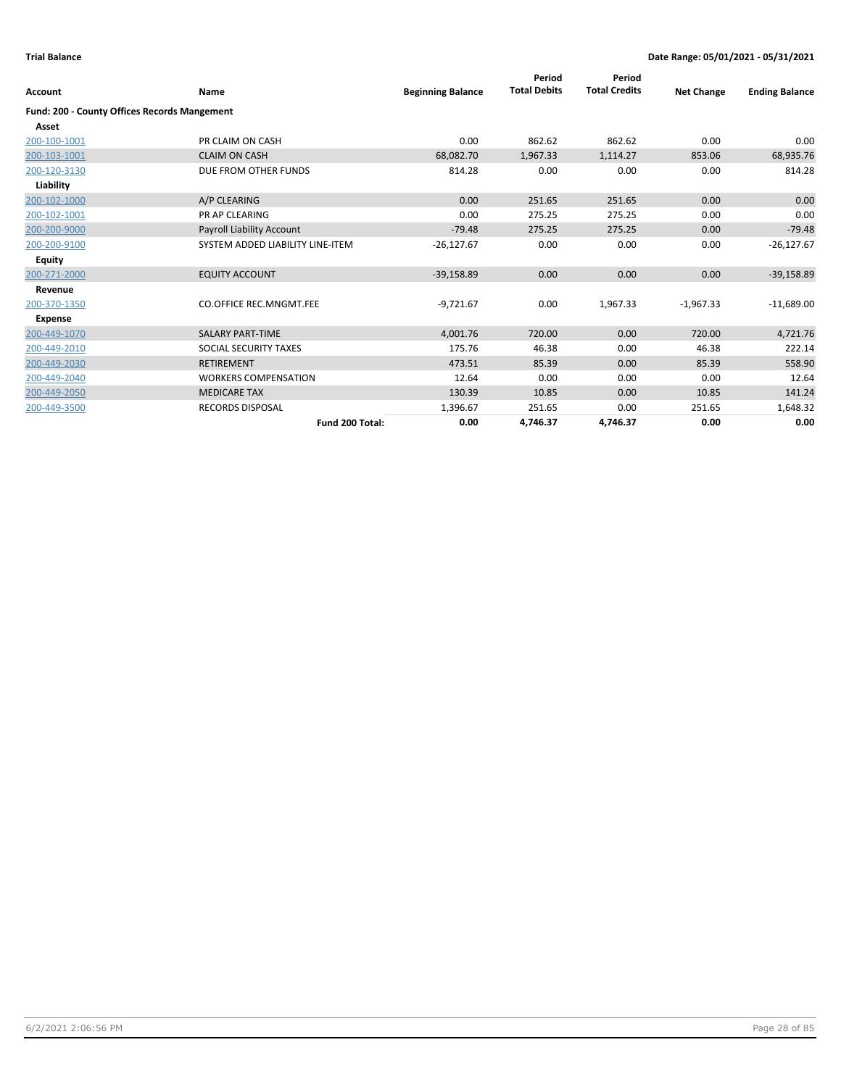| Account                                      | <b>Name</b>                      | <b>Beginning Balance</b> | Period<br><b>Total Debits</b> | Period<br><b>Total Credits</b> | <b>Net Change</b> | <b>Ending Balance</b> |
|----------------------------------------------|----------------------------------|--------------------------|-------------------------------|--------------------------------|-------------------|-----------------------|
| Fund: 200 - County Offices Records Mangement |                                  |                          |                               |                                |                   |                       |
| Asset                                        |                                  |                          |                               |                                |                   |                       |
| 200-100-1001                                 | PR CLAIM ON CASH                 | 0.00                     | 862.62                        | 862.62                         | 0.00              | 0.00                  |
| 200-103-1001                                 | <b>CLAIM ON CASH</b>             | 68,082.70                | 1,967.33                      | 1,114.27                       | 853.06            | 68,935.76             |
| 200-120-3130                                 | DUE FROM OTHER FUNDS             | 814.28                   | 0.00                          | 0.00                           | 0.00              | 814.28                |
| Liability                                    |                                  |                          |                               |                                |                   |                       |
| 200-102-1000                                 | A/P CLEARING                     | 0.00                     | 251.65                        | 251.65                         | 0.00              | 0.00                  |
| 200-102-1001                                 | <b>PR AP CLEARING</b>            | 0.00                     | 275.25                        | 275.25                         | 0.00              | 0.00                  |
| 200-200-9000                                 | Payroll Liability Account        | $-79.48$                 | 275.25                        | 275.25                         | 0.00              | $-79.48$              |
| 200-200-9100                                 | SYSTEM ADDED LIABILITY LINE-ITEM | $-26,127.67$             | 0.00                          | 0.00                           | 0.00              | $-26,127.67$          |
| Equity                                       |                                  |                          |                               |                                |                   |                       |
| 200-271-2000                                 | <b>EQUITY ACCOUNT</b>            | $-39,158.89$             | 0.00                          | 0.00                           | 0.00              | $-39,158.89$          |
| Revenue                                      |                                  |                          |                               |                                |                   |                       |
| 200-370-1350                                 | <b>CO.OFFICE REC.MNGMT.FEE</b>   | $-9,721.67$              | 0.00                          | 1,967.33                       | $-1,967.33$       | $-11,689.00$          |
| <b>Expense</b>                               |                                  |                          |                               |                                |                   |                       |
| 200-449-1070                                 | <b>SALARY PART-TIME</b>          | 4,001.76                 | 720.00                        | 0.00                           | 720.00            | 4,721.76              |
| 200-449-2010                                 | SOCIAL SECURITY TAXES            | 175.76                   | 46.38                         | 0.00                           | 46.38             | 222.14                |
| 200-449-2030                                 | <b>RETIREMENT</b>                | 473.51                   | 85.39                         | 0.00                           | 85.39             | 558.90                |
| 200-449-2040                                 | <b>WORKERS COMPENSATION</b>      | 12.64                    | 0.00                          | 0.00                           | 0.00              | 12.64                 |
| 200-449-2050                                 | <b>MEDICARE TAX</b>              | 130.39                   | 10.85                         | 0.00                           | 10.85             | 141.24                |
| 200-449-3500                                 | <b>RECORDS DISPOSAL</b>          | 1,396.67                 | 251.65                        | 0.00                           | 251.65            | 1,648.32              |
|                                              | Fund 200 Total:                  | 0.00                     | 4,746.37                      | 4,746.37                       | 0.00              | 0.00                  |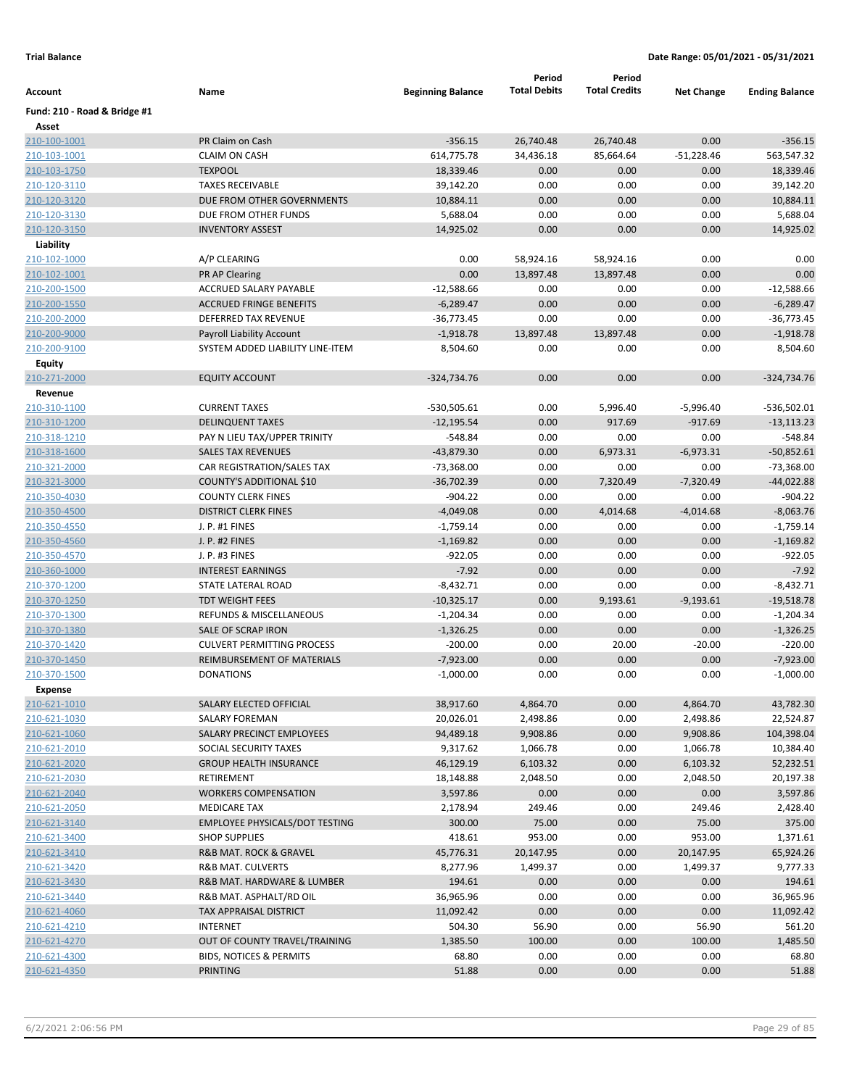|                              |                                                              |                          | Period              | Period               |                     |                       |
|------------------------------|--------------------------------------------------------------|--------------------------|---------------------|----------------------|---------------------|-----------------------|
| Account                      | Name                                                         | <b>Beginning Balance</b> | <b>Total Debits</b> | <b>Total Credits</b> | <b>Net Change</b>   | <b>Ending Balance</b> |
| Fund: 210 - Road & Bridge #1 |                                                              |                          |                     |                      |                     |                       |
| Asset                        |                                                              |                          |                     |                      |                     |                       |
| 210-100-1001                 | PR Claim on Cash                                             | $-356.15$                | 26,740.48           | 26,740.48            | 0.00                | $-356.15$             |
| 210-103-1001                 | <b>CLAIM ON CASH</b>                                         | 614,775.78               | 34,436.18           | 85,664.64            | $-51,228.46$        | 563,547.32            |
| 210-103-1750                 | <b>TEXPOOL</b>                                               | 18,339.46                | 0.00                | 0.00                 | 0.00                | 18,339.46             |
| 210-120-3110                 | <b>TAXES RECEIVABLE</b>                                      | 39,142.20                | 0.00                | 0.00                 | 0.00                | 39,142.20             |
| 210-120-3120                 | DUE FROM OTHER GOVERNMENTS                                   | 10,884.11                | 0.00                | 0.00                 | 0.00                | 10,884.11             |
| 210-120-3130                 | DUE FROM OTHER FUNDS                                         | 5,688.04                 | 0.00                | 0.00                 | 0.00                | 5,688.04              |
| 210-120-3150                 | <b>INVENTORY ASSEST</b>                                      | 14,925.02                | 0.00                | 0.00                 | 0.00                | 14,925.02             |
| Liability                    |                                                              |                          |                     |                      |                     |                       |
| 210-102-1000                 | A/P CLEARING                                                 | 0.00                     | 58,924.16           | 58,924.16            | 0.00                | 0.00                  |
| 210-102-1001                 | <b>PR AP Clearing</b>                                        | 0.00                     | 13,897.48           | 13,897.48            | 0.00                | 0.00                  |
| 210-200-1500                 | ACCRUED SALARY PAYABLE                                       | $-12,588.66$             | 0.00                | 0.00                 | 0.00                | $-12,588.66$          |
| 210-200-1550                 | <b>ACCRUED FRINGE BENEFITS</b>                               | $-6,289.47$              | 0.00                | 0.00                 | 0.00                | $-6,289.47$           |
| 210-200-2000                 | DEFERRED TAX REVENUE                                         | $-36,773.45$             | 0.00                | 0.00                 | 0.00                | $-36,773.45$          |
| 210-200-9000                 | Payroll Liability Account                                    | $-1,918.78$              | 13,897.48           | 13,897.48            | 0.00                | $-1,918.78$           |
| 210-200-9100                 | SYSTEM ADDED LIABILITY LINE-ITEM                             | 8,504.60                 | 0.00                | 0.00                 | 0.00                | 8,504.60              |
| <b>Equity</b>                |                                                              |                          |                     |                      |                     |                       |
| 210-271-2000                 | <b>EQUITY ACCOUNT</b>                                        | $-324,734.76$            | 0.00                | 0.00                 | 0.00                | $-324,734.76$         |
| Revenue                      |                                                              |                          |                     |                      |                     |                       |
| 210-310-1100                 | <b>CURRENT TAXES</b>                                         | $-530,505.61$            | 0.00                | 5,996.40             | $-5,996.40$         | $-536,502.01$         |
| 210-310-1200                 | <b>DELINQUENT TAXES</b>                                      | $-12,195.54$             | 0.00                | 917.69               | $-917.69$           | $-13,113.23$          |
| 210-318-1210                 | PAY N LIEU TAX/UPPER TRINITY                                 | $-548.84$                | 0.00                | 0.00                 | 0.00                | $-548.84$             |
| 210-318-1600                 | <b>SALES TAX REVENUES</b>                                    | $-43,879.30$             | 0.00                | 6,973.31             | $-6,973.31$         | $-50,852.61$          |
| 210-321-2000                 | CAR REGISTRATION/SALES TAX                                   | -73,368.00               | 0.00                | 0.00                 | 0.00                | $-73,368.00$          |
| 210-321-3000                 | COUNTY'S ADDITIONAL \$10                                     | $-36,702.39$             | 0.00                | 7,320.49             | $-7,320.49$         | $-44,022.88$          |
| 210-350-4030                 | <b>COUNTY CLERK FINES</b>                                    | $-904.22$                | 0.00                | 0.00                 | 0.00                | $-904.22$             |
| 210-350-4500                 | <b>DISTRICT CLERK FINES</b>                                  | $-4,049.08$              | 0.00                | 4,014.68             | $-4,014.68$         | $-8,063.76$           |
| 210-350-4550                 | J. P. #1 FINES                                               | -1,759.14                | 0.00                | 0.00                 | 0.00                | $-1,759.14$           |
| 210-350-4560                 | J. P. #2 FINES                                               | $-1,169.82$              | 0.00                | 0.00                 | 0.00                | $-1,169.82$           |
| 210-350-4570                 | J. P. #3 FINES                                               | $-922.05$                | 0.00                | 0.00                 | 0.00                | $-922.05$             |
| 210-360-1000                 | <b>INTEREST EARNINGS</b>                                     | $-7.92$                  | 0.00                | 0.00                 | 0.00                | $-7.92$               |
| 210-370-1200                 | STATE LATERAL ROAD                                           | $-8,432.71$              | 0.00                | 0.00                 | 0.00                | $-8,432.71$           |
| 210-370-1250                 | <b>TDT WEIGHT FEES</b>                                       | $-10,325.17$             | 0.00                | 9,193.61             | $-9,193.61$         | $-19,518.78$          |
| 210-370-1300                 | <b>REFUNDS &amp; MISCELLANEOUS</b>                           | $-1,204.34$              | 0.00                | 0.00                 | 0.00                | $-1,204.34$           |
| 210-370-1380                 | SALE OF SCRAP IRON                                           | $-1,326.25$              | 0.00                | 0.00                 | 0.00                | $-1,326.25$           |
| 210-370-1420                 | <b>CULVERT PERMITTING PROCESS</b>                            | $-200.00$                | 0.00                | 20.00                | $-20.00$            | $-220.00$             |
| 210-370-1450                 | REIMBURSEMENT OF MATERIALS                                   | $-7,923.00$              | 0.00                | 0.00                 | 0.00                | $-7,923.00$           |
| 210-370-1500                 | <b>DONATIONS</b>                                             | $-1,000.00$              | 0.00                | 0.00                 | 0.00                | $-1,000.00$           |
| Expense                      |                                                              |                          |                     |                      |                     |                       |
| 210-621-1010                 | SALARY ELECTED OFFICIAL                                      | 38,917.60                | 4,864.70            | 0.00                 | 4,864.70            | 43,782.30             |
| 210-621-1030                 | <b>SALARY FOREMAN</b>                                        | 20,026.01                | 2,498.86            | 0.00                 | 2,498.86            | 22,524.87             |
| 210-621-1060                 | SALARY PRECINCT EMPLOYEES                                    | 94,489.18                | 9,908.86            | 0.00                 | 9,908.86            | 104,398.04            |
| 210-621-2010                 | SOCIAL SECURITY TAXES                                        | 9,317.62                 | 1,066.78            | 0.00                 | 1,066.78            | 10,384.40             |
| 210-621-2020                 | <b>GROUP HEALTH INSURANCE</b>                                | 46,129.19                | 6,103.32            | 0.00                 | 6,103.32            | 52,232.51             |
| 210-621-2030                 | RETIREMENT                                                   | 18,148.88                | 2,048.50            | 0.00                 | 2,048.50            | 20,197.38             |
| 210-621-2040                 | <b>WORKERS COMPENSATION</b>                                  | 3,597.86                 | 0.00                | 0.00                 | 0.00                | 3,597.86              |
| 210-621-2050<br>210-621-3140 | <b>MEDICARE TAX</b><br><b>EMPLOYEE PHYSICALS/DOT TESTING</b> | 2,178.94<br>300.00       | 249.46<br>75.00     | 0.00<br>0.00         | 249.46<br>75.00     | 2,428.40<br>375.00    |
| 210-621-3400                 | <b>SHOP SUPPLIES</b>                                         | 418.61                   |                     | 0.00                 |                     | 1,371.61              |
| 210-621-3410                 | R&B MAT. ROCK & GRAVEL                                       | 45,776.31                | 953.00<br>20,147.95 | 0.00                 | 953.00<br>20,147.95 | 65,924.26             |
| 210-621-3420                 | R&B MAT. CULVERTS                                            | 8,277.96                 | 1,499.37            | 0.00                 |                     | 9,777.33              |
| 210-621-3430                 | R&B MAT. HARDWARE & LUMBER                                   | 194.61                   | 0.00                | 0.00                 | 1,499.37<br>0.00    | 194.61                |
| 210-621-3440                 | R&B MAT. ASPHALT/RD OIL                                      | 36,965.96                | 0.00                | 0.00                 | 0.00                | 36,965.96             |
| 210-621-4060                 | TAX APPRAISAL DISTRICT                                       | 11,092.42                | 0.00                | 0.00                 | 0.00                | 11,092.42             |
| 210-621-4210                 | <b>INTERNET</b>                                              | 504.30                   | 56.90               | 0.00                 | 56.90               | 561.20                |
| 210-621-4270                 | OUT OF COUNTY TRAVEL/TRAINING                                | 1,385.50                 | 100.00              | 0.00                 | 100.00              | 1,485.50              |
| 210-621-4300                 | BIDS, NOTICES & PERMITS                                      | 68.80                    | 0.00                | 0.00                 | 0.00                | 68.80                 |
| 210-621-4350                 | <b>PRINTING</b>                                              | 51.88                    | 0.00                | 0.00                 | 0.00                | 51.88                 |
|                              |                                                              |                          |                     |                      |                     |                       |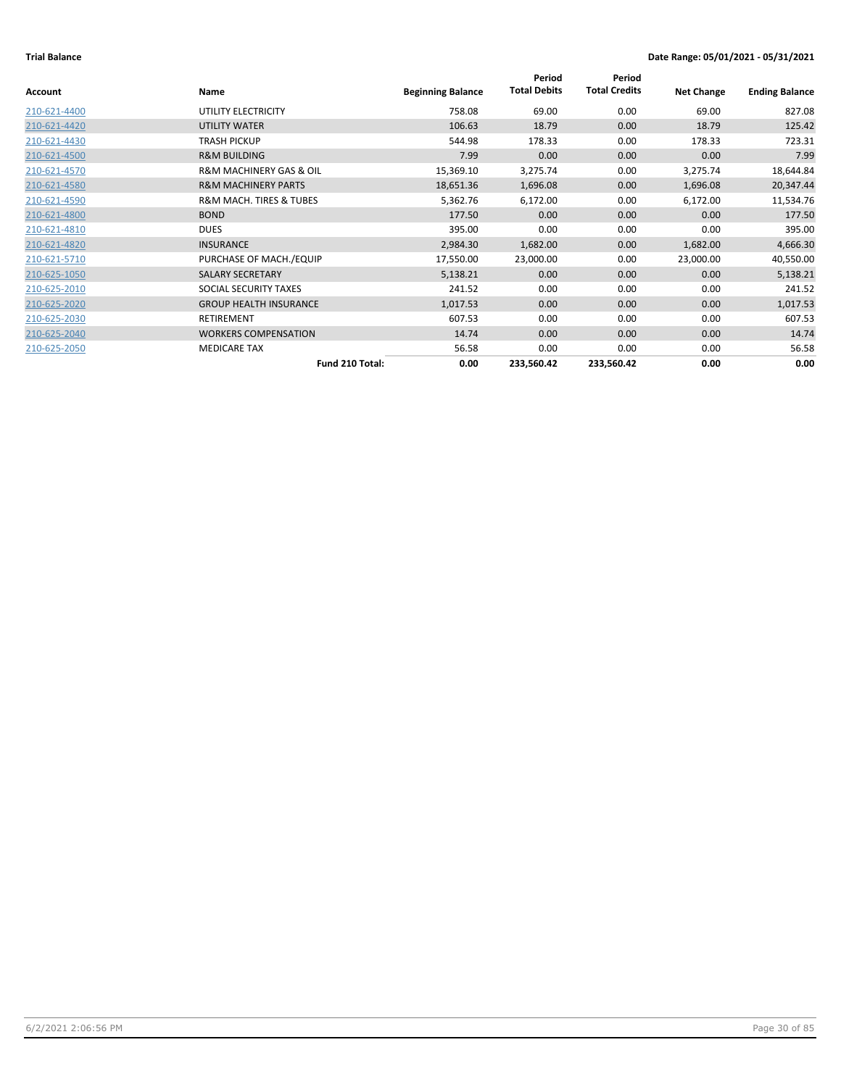| Account      | Name                                   | <b>Beginning Balance</b> | Period<br><b>Total Debits</b> | Period<br><b>Total Credits</b> | <b>Net Change</b> | <b>Ending Balance</b> |
|--------------|----------------------------------------|--------------------------|-------------------------------|--------------------------------|-------------------|-----------------------|
|              |                                        |                          |                               |                                |                   |                       |
| 210-621-4400 | UTILITY ELECTRICITY                    | 758.08                   | 69.00                         | 0.00                           | 69.00             | 827.08                |
| 210-621-4420 | UTILITY WATER                          | 106.63                   | 18.79                         | 0.00                           | 18.79             | 125.42                |
| 210-621-4430 | <b>TRASH PICKUP</b>                    | 544.98                   | 178.33                        | 0.00                           | 178.33            | 723.31                |
| 210-621-4500 | <b>R&amp;M BUILDING</b>                | 7.99                     | 0.00                          | 0.00                           | 0.00              | 7.99                  |
| 210-621-4570 | <b>R&amp;M MACHINERY GAS &amp; OIL</b> | 15,369.10                | 3,275.74                      | 0.00                           | 3,275.74          | 18,644.84             |
| 210-621-4580 | <b>R&amp;M MACHINERY PARTS</b>         | 18,651.36                | 1,696.08                      | 0.00                           | 1,696.08          | 20,347.44             |
| 210-621-4590 | <b>R&amp;M MACH. TIRES &amp; TUBES</b> | 5,362.76                 | 6,172.00                      | 0.00                           | 6,172.00          | 11,534.76             |
| 210-621-4800 | <b>BOND</b>                            | 177.50                   | 0.00                          | 0.00                           | 0.00              | 177.50                |
| 210-621-4810 | <b>DUES</b>                            | 395.00                   | 0.00                          | 0.00                           | 0.00              | 395.00                |
| 210-621-4820 | <b>INSURANCE</b>                       | 2,984.30                 | 1,682.00                      | 0.00                           | 1,682.00          | 4,666.30              |
| 210-621-5710 | PURCHASE OF MACH./EQUIP                | 17,550.00                | 23,000.00                     | 0.00                           | 23,000.00         | 40,550.00             |
| 210-625-1050 | SALARY SECRETARY                       | 5,138.21                 | 0.00                          | 0.00                           | 0.00              | 5,138.21              |
| 210-625-2010 | SOCIAL SECURITY TAXES                  | 241.52                   | 0.00                          | 0.00                           | 0.00              | 241.52                |
| 210-625-2020 | <b>GROUP HEALTH INSURANCE</b>          | 1,017.53                 | 0.00                          | 0.00                           | 0.00              | 1,017.53              |
| 210-625-2030 | <b>RETIREMENT</b>                      | 607.53                   | 0.00                          | 0.00                           | 0.00              | 607.53                |
| 210-625-2040 | <b>WORKERS COMPENSATION</b>            | 14.74                    | 0.00                          | 0.00                           | 0.00              | 14.74                 |
| 210-625-2050 | <b>MEDICARE TAX</b>                    | 56.58                    | 0.00                          | 0.00                           | 0.00              | 56.58                 |
|              | Fund 210 Total:                        | 0.00                     | 233,560.42                    | 233,560.42                     | 0.00              | 0.00                  |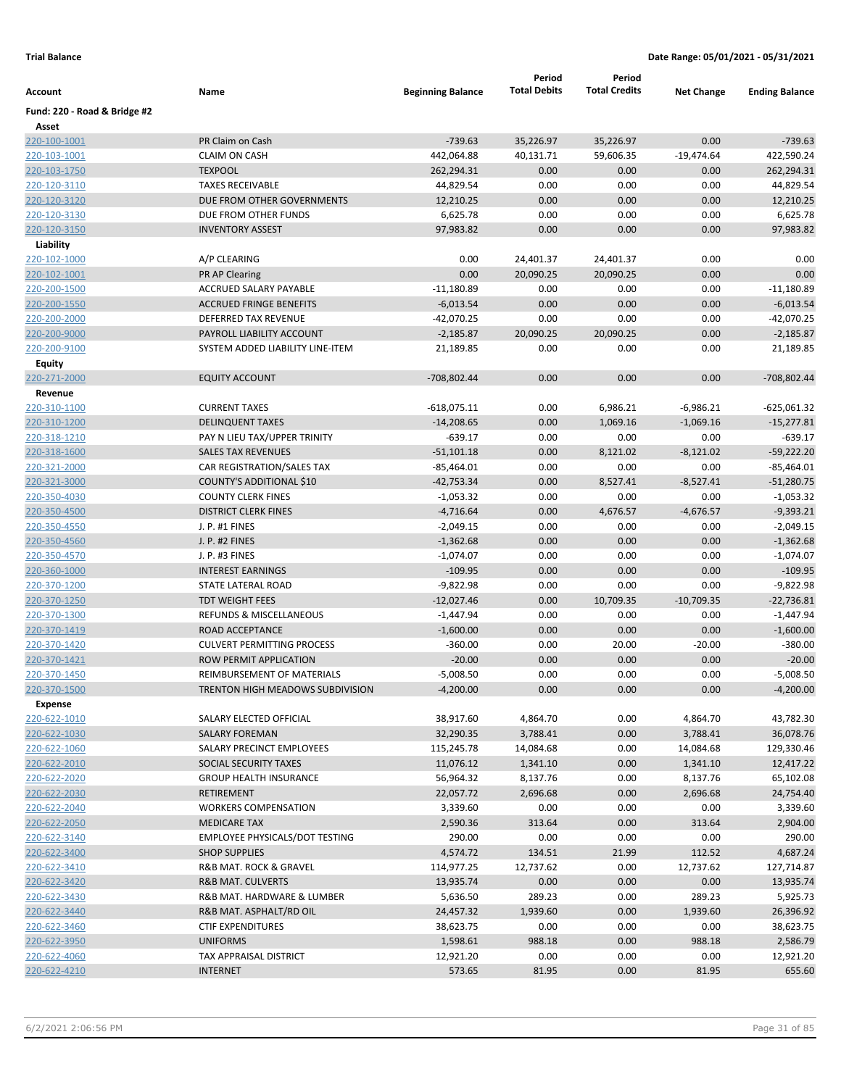|                              |                                   |                          | Period              | Period               |                   |                       |
|------------------------------|-----------------------------------|--------------------------|---------------------|----------------------|-------------------|-----------------------|
| Account                      | Name                              | <b>Beginning Balance</b> | <b>Total Debits</b> | <b>Total Credits</b> | <b>Net Change</b> | <b>Ending Balance</b> |
| Fund: 220 - Road & Bridge #2 |                                   |                          |                     |                      |                   |                       |
| Asset                        |                                   |                          |                     |                      |                   |                       |
| 220-100-1001                 | PR Claim on Cash                  | $-739.63$                | 35,226.97           | 35,226.97            | 0.00              | $-739.63$             |
| 220-103-1001                 | <b>CLAIM ON CASH</b>              | 442,064.88               | 40,131.71           | 59,606.35            | $-19,474.64$      | 422,590.24            |
| 220-103-1750                 | <b>TEXPOOL</b>                    | 262,294.31               | 0.00                | 0.00                 | 0.00              | 262,294.31            |
| 220-120-3110                 | <b>TAXES RECEIVABLE</b>           | 44,829.54                | 0.00                | 0.00                 | 0.00              | 44,829.54             |
| 220-120-3120                 | DUE FROM OTHER GOVERNMENTS        | 12,210.25                | 0.00                | 0.00                 | 0.00              | 12,210.25             |
| 220-120-3130                 | DUE FROM OTHER FUNDS              | 6,625.78                 | 0.00                | 0.00                 | 0.00              | 6,625.78              |
| 220-120-3150                 | <b>INVENTORY ASSEST</b>           | 97,983.82                | 0.00                | 0.00                 | 0.00              | 97,983.82             |
| Liability                    |                                   |                          |                     |                      |                   |                       |
| 220-102-1000                 | A/P CLEARING                      | 0.00                     | 24,401.37           | 24,401.37            | 0.00              | 0.00                  |
| 220-102-1001                 | <b>PR AP Clearing</b>             | 0.00                     | 20,090.25           | 20,090.25            | 0.00              | 0.00                  |
| 220-200-1500                 | ACCRUED SALARY PAYABLE            | $-11,180.89$             | 0.00                | 0.00                 | 0.00              | $-11,180.89$          |
| 220-200-1550                 | <b>ACCRUED FRINGE BENEFITS</b>    | $-6,013.54$              | 0.00                | 0.00                 | 0.00              | $-6,013.54$           |
| 220-200-2000                 | DEFERRED TAX REVENUE              | $-42,070.25$             | 0.00                | 0.00                 | 0.00              | -42,070.25            |
| 220-200-9000                 | PAYROLL LIABILITY ACCOUNT         | $-2,185.87$              | 20,090.25           | 20,090.25            | 0.00              | $-2,185.87$           |
| 220-200-9100                 | SYSTEM ADDED LIABILITY LINE-ITEM  | 21,189.85                | 0.00                | 0.00                 | 0.00              | 21,189.85             |
| Equity                       |                                   |                          |                     |                      |                   |                       |
| 220-271-2000                 | <b>EQUITY ACCOUNT</b>             | -708,802.44              | 0.00                | 0.00                 | 0.00              | -708,802.44           |
| Revenue                      |                                   |                          |                     |                      |                   |                       |
| 220-310-1100                 | <b>CURRENT TAXES</b>              | $-618,075.11$            | 0.00                | 6,986.21             | $-6,986.21$       | $-625,061.32$         |
| 220-310-1200                 | <b>DELINQUENT TAXES</b>           | $-14,208.65$             | 0.00                | 1,069.16             | $-1,069.16$       | $-15,277.81$          |
| 220-318-1210                 | PAY N LIEU TAX/UPPER TRINITY      | $-639.17$                | 0.00                | 0.00                 | 0.00              | $-639.17$             |
| 220-318-1600                 | <b>SALES TAX REVENUES</b>         | $-51,101.18$             | 0.00                | 8,121.02             | $-8,121.02$       | $-59,222.20$          |
| 220-321-2000                 | CAR REGISTRATION/SALES TAX        | $-85,464.01$             | 0.00                | 0.00                 | 0.00              | $-85,464.01$          |
| 220-321-3000                 | COUNTY'S ADDITIONAL \$10          | $-42,753.34$             | 0.00                | 8,527.41             | $-8,527.41$       | $-51,280.75$          |
| 220-350-4030                 | <b>COUNTY CLERK FINES</b>         | $-1,053.32$              | 0.00                | 0.00                 | 0.00              | $-1,053.32$           |
| 220-350-4500                 | <b>DISTRICT CLERK FINES</b>       | $-4,716.64$              | 0.00                | 4,676.57             | $-4,676.57$       | $-9,393.21$           |
| 220-350-4550                 | J. P. #1 FINES                    | $-2,049.15$              | 0.00                | 0.00                 | 0.00              | $-2,049.15$           |
| 220-350-4560                 | J. P. #2 FINES                    | $-1,362.68$              | 0.00                | 0.00                 | 0.00              | $-1,362.68$           |
| 220-350-4570                 | J. P. #3 FINES                    | $-1,074.07$              | 0.00                | 0.00                 | 0.00              | $-1,074.07$           |
| 220-360-1000                 | <b>INTEREST EARNINGS</b>          | $-109.95$                | 0.00                | 0.00                 | 0.00              | $-109.95$             |
| 220-370-1200                 | STATE LATERAL ROAD                | $-9,822.98$              | 0.00                | 0.00                 | 0.00              | $-9,822.98$           |
| 220-370-1250                 | <b>TDT WEIGHT FEES</b>            | $-12,027.46$             | 0.00                | 10,709.35            | $-10,709.35$      | $-22,736.81$          |
| 220-370-1300                 | REFUNDS & MISCELLANEOUS           | $-1,447.94$              | 0.00                | 0.00                 | 0.00              | $-1,447.94$           |
| 220-370-1419                 | ROAD ACCEPTANCE                   | $-1,600.00$              | 0.00                | 0.00                 | 0.00              | $-1,600.00$           |
| 220-370-1420                 | <b>CULVERT PERMITTING PROCESS</b> | $-360.00$                | 0.00                | 20.00                | $-20.00$          | $-380.00$             |
| 220-370-1421                 | ROW PERMIT APPLICATION            | $-20.00$                 | 0.00                | 0.00                 | 0.00              | $-20.00$              |
| 220-370-1450                 | REIMBURSEMENT OF MATERIALS        | $-5,008.50$              | 0.00                | 0.00                 | 0.00              | $-5,008.50$           |
| 220-370-1500                 | TRENTON HIGH MEADOWS SUBDIVISION  | $-4,200.00$              | 0.00                | 0.00                 | 0.00              | $-4,200.00$           |
| Expense                      |                                   |                          |                     |                      |                   |                       |
| 220-622-1010                 | SALARY ELECTED OFFICIAL           | 38,917.60                | 4,864.70            | 0.00                 | 4,864.70          | 43,782.30             |
| 220-622-1030                 | <b>SALARY FOREMAN</b>             | 32,290.35                | 3,788.41            | 0.00                 | 3,788.41          | 36,078.76             |
| 220-622-1060                 | SALARY PRECINCT EMPLOYEES         | 115,245.78               | 14,084.68           | 0.00                 | 14,084.68         | 129,330.46            |
| 220-622-2010                 | SOCIAL SECURITY TAXES             | 11,076.12                | 1,341.10            | 0.00                 | 1,341.10          | 12,417.22             |
| 220-622-2020                 | <b>GROUP HEALTH INSURANCE</b>     | 56,964.32                | 8,137.76            | 0.00                 | 8,137.76          | 65,102.08             |
| 220-622-2030                 | <b>RETIREMENT</b>                 | 22,057.72                | 2,696.68            | 0.00                 | 2,696.68          | 24,754.40             |
| 220-622-2040                 | <b>WORKERS COMPENSATION</b>       | 3,339.60                 | 0.00                | 0.00                 | 0.00              | 3,339.60              |
| 220-622-2050                 | <b>MEDICARE TAX</b>               | 2,590.36                 | 313.64              | 0.00                 | 313.64            | 2,904.00              |
| 220-622-3140                 | EMPLOYEE PHYSICALS/DOT TESTING    | 290.00                   | 0.00                | 0.00                 | 0.00              | 290.00                |
| 220-622-3400                 | <b>SHOP SUPPLIES</b>              | 4,574.72                 | 134.51              | 21.99                | 112.52            | 4,687.24              |
| 220-622-3410                 | R&B MAT. ROCK & GRAVEL            | 114,977.25               | 12,737.62           | 0.00                 | 12,737.62         | 127,714.87            |
| 220-622-3420                 | <b>R&amp;B MAT. CULVERTS</b>      | 13,935.74                | 0.00                | 0.00                 | 0.00              | 13,935.74             |
| 220-622-3430                 | R&B MAT. HARDWARE & LUMBER        | 5,636.50                 | 289.23              | 0.00                 | 289.23            | 5,925.73              |
| 220-622-3440                 | R&B MAT. ASPHALT/RD OIL           | 24,457.32                | 1,939.60            | 0.00                 | 1,939.60          | 26,396.92             |
| 220-622-3460                 | <b>CTIF EXPENDITURES</b>          | 38,623.75                | 0.00                | 0.00                 | 0.00              | 38,623.75             |
| 220-622-3950                 | <b>UNIFORMS</b>                   | 1,598.61                 | 988.18              | 0.00                 | 988.18            | 2,586.79              |
| 220-622-4060                 | TAX APPRAISAL DISTRICT            | 12,921.20                | 0.00                | 0.00                 | 0.00              | 12,921.20             |
| 220-622-4210                 | <b>INTERNET</b>                   | 573.65                   | 81.95               | 0.00                 | 81.95             | 655.60                |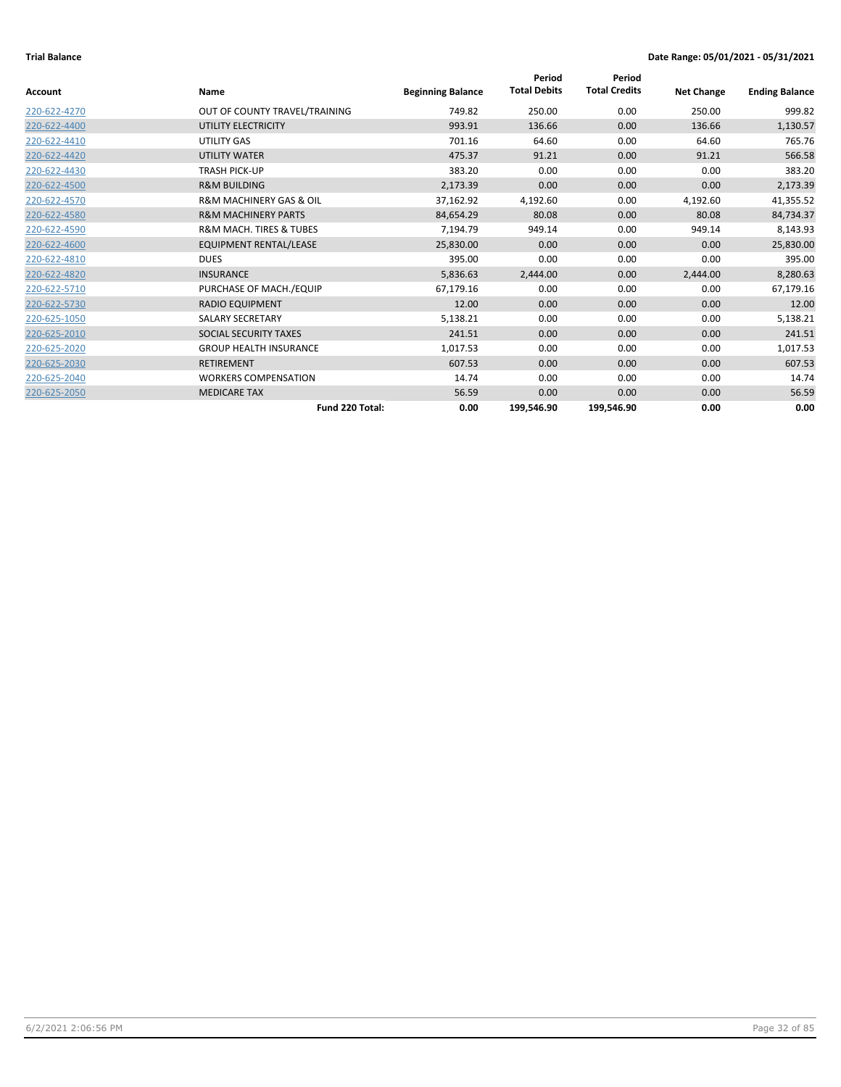|                |                                        |                          | Period              | Period               |                   |                       |
|----------------|----------------------------------------|--------------------------|---------------------|----------------------|-------------------|-----------------------|
| <b>Account</b> | Name                                   | <b>Beginning Balance</b> | <b>Total Debits</b> | <b>Total Credits</b> | <b>Net Change</b> | <b>Ending Balance</b> |
| 220-622-4270   | OUT OF COUNTY TRAVEL/TRAINING          | 749.82                   | 250.00              | 0.00                 | 250.00            | 999.82                |
| 220-622-4400   | UTILITY ELECTRICITY                    | 993.91                   | 136.66              | 0.00                 | 136.66            | 1,130.57              |
| 220-622-4410   | UTILITY GAS                            | 701.16                   | 64.60               | 0.00                 | 64.60             | 765.76                |
| 220-622-4420   | <b>UTILITY WATER</b>                   | 475.37                   | 91.21               | 0.00                 | 91.21             | 566.58                |
| 220-622-4430   | <b>TRASH PICK-UP</b>                   | 383.20                   | 0.00                | 0.00                 | 0.00              | 383.20                |
| 220-622-4500   | <b>R&amp;M BUILDING</b>                | 2,173.39                 | 0.00                | 0.00                 | 0.00              | 2,173.39              |
| 220-622-4570   | <b>R&amp;M MACHINERY GAS &amp; OIL</b> | 37,162.92                | 4,192.60            | 0.00                 | 4,192.60          | 41,355.52             |
| 220-622-4580   | <b>R&amp;M MACHINERY PARTS</b>         | 84,654.29                | 80.08               | 0.00                 | 80.08             | 84,734.37             |
| 220-622-4590   | <b>R&amp;M MACH. TIRES &amp; TUBES</b> | 7,194.79                 | 949.14              | 0.00                 | 949.14            | 8,143.93              |
| 220-622-4600   | <b>EQUIPMENT RENTAL/LEASE</b>          | 25,830.00                | 0.00                | 0.00                 | 0.00              | 25,830.00             |
| 220-622-4810   | <b>DUES</b>                            | 395.00                   | 0.00                | 0.00                 | 0.00              | 395.00                |
| 220-622-4820   | <b>INSURANCE</b>                       | 5,836.63                 | 2,444.00            | 0.00                 | 2,444.00          | 8,280.63              |
| 220-622-5710   | PURCHASE OF MACH./EQUIP                | 67,179.16                | 0.00                | 0.00                 | 0.00              | 67,179.16             |
| 220-622-5730   | <b>RADIO EQUIPMENT</b>                 | 12.00                    | 0.00                | 0.00                 | 0.00              | 12.00                 |
| 220-625-1050   | <b>SALARY SECRETARY</b>                | 5,138.21                 | 0.00                | 0.00                 | 0.00              | 5,138.21              |
| 220-625-2010   | SOCIAL SECURITY TAXES                  | 241.51                   | 0.00                | 0.00                 | 0.00              | 241.51                |
| 220-625-2020   | <b>GROUP HEALTH INSURANCE</b>          | 1,017.53                 | 0.00                | 0.00                 | 0.00              | 1,017.53              |
| 220-625-2030   | <b>RETIREMENT</b>                      | 607.53                   | 0.00                | 0.00                 | 0.00              | 607.53                |
| 220-625-2040   | <b>WORKERS COMPENSATION</b>            | 14.74                    | 0.00                | 0.00                 | 0.00              | 14.74                 |
| 220-625-2050   | <b>MEDICARE TAX</b>                    | 56.59                    | 0.00                | 0.00                 | 0.00              | 56.59                 |
|                | Fund 220 Total:                        | 0.00                     | 199,546.90          | 199,546.90           | 0.00              | 0.00                  |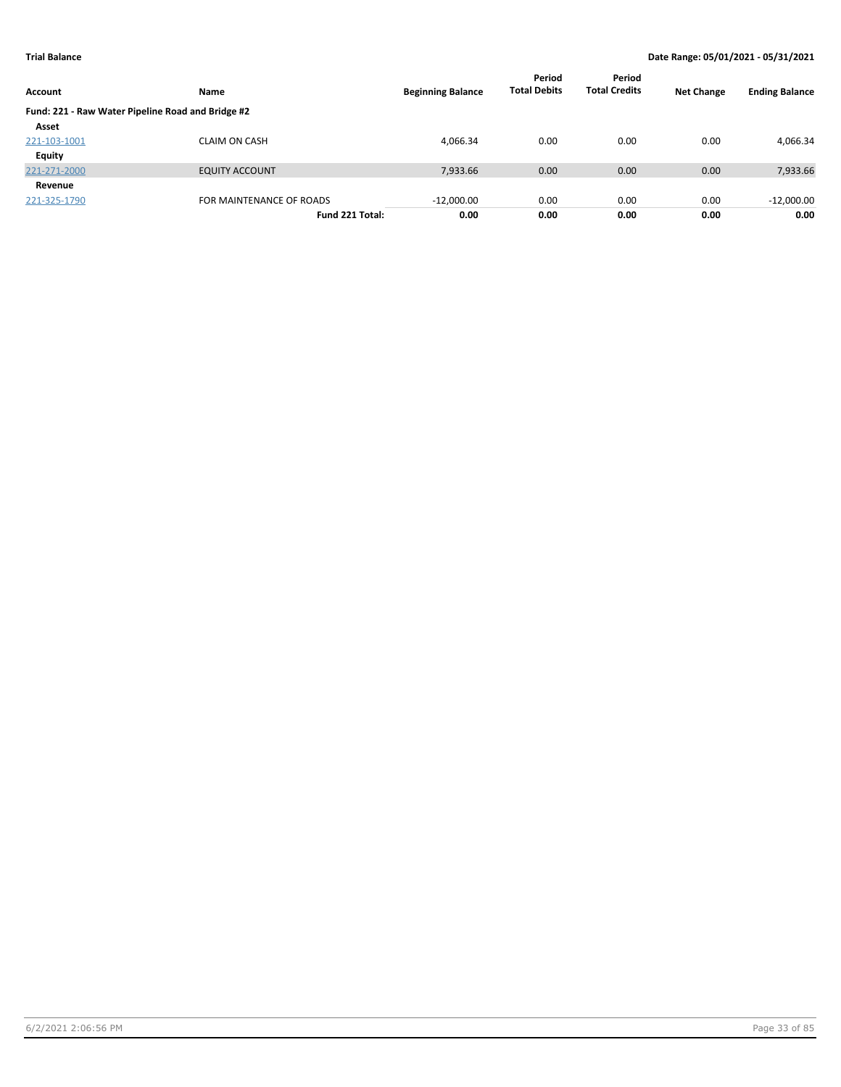| Account                                           | <b>Name</b>              | <b>Beginning Balance</b> | Period<br><b>Total Debits</b> | Period<br><b>Total Credits</b> | <b>Net Change</b> | <b>Ending Balance</b> |
|---------------------------------------------------|--------------------------|--------------------------|-------------------------------|--------------------------------|-------------------|-----------------------|
| Fund: 221 - Raw Water Pipeline Road and Bridge #2 |                          |                          |                               |                                |                   |                       |
| Asset                                             |                          |                          |                               |                                |                   |                       |
| 221-103-1001                                      | <b>CLAIM ON CASH</b>     | 4,066.34                 | 0.00                          | 0.00                           | 0.00              | 4,066.34              |
| Equity                                            |                          |                          |                               |                                |                   |                       |
| 221-271-2000                                      | <b>EQUITY ACCOUNT</b>    | 7,933.66                 | 0.00                          | 0.00                           | 0.00              | 7,933.66              |
| Revenue                                           |                          |                          |                               |                                |                   |                       |
| 221-325-1790                                      | FOR MAINTENANCE OF ROADS | $-12,000.00$             | 0.00                          | 0.00                           | 0.00              | $-12,000.00$          |
|                                                   | Fund 221 Total:          | 0.00                     | 0.00                          | 0.00                           | 0.00              | 0.00                  |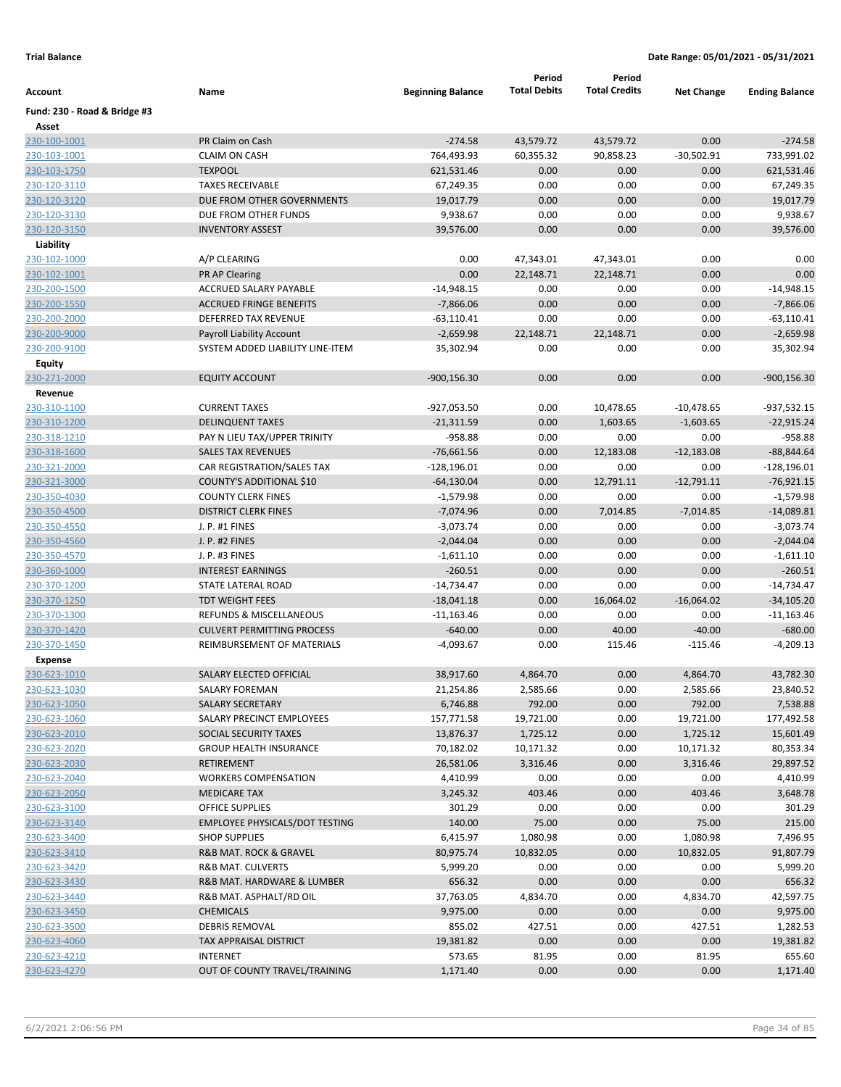|                              |                                       |                          | Period              | Period               |                   |                       |
|------------------------------|---------------------------------------|--------------------------|---------------------|----------------------|-------------------|-----------------------|
| Account                      | Name                                  | <b>Beginning Balance</b> | <b>Total Debits</b> | <b>Total Credits</b> | <b>Net Change</b> | <b>Ending Balance</b> |
| Fund: 230 - Road & Bridge #3 |                                       |                          |                     |                      |                   |                       |
| Asset                        |                                       |                          |                     |                      |                   |                       |
| 230-100-1001                 | PR Claim on Cash                      | $-274.58$                | 43,579.72           | 43,579.72            | 0.00              | $-274.58$             |
| 230-103-1001                 | <b>CLAIM ON CASH</b>                  | 764,493.93               | 60,355.32           | 90,858.23            | $-30,502.91$      | 733,991.02            |
| 230-103-1750                 | <b>TEXPOOL</b>                        | 621,531.46               | 0.00                | 0.00                 | 0.00              | 621,531.46            |
| 230-120-3110                 | <b>TAXES RECEIVABLE</b>               | 67,249.35                | 0.00                | 0.00                 | 0.00              | 67,249.35             |
| 230-120-3120                 | DUE FROM OTHER GOVERNMENTS            | 19,017.79                | 0.00                | 0.00                 | 0.00              | 19,017.79             |
| 230-120-3130                 | DUE FROM OTHER FUNDS                  | 9,938.67                 | 0.00                | 0.00                 | 0.00              | 9,938.67              |
| 230-120-3150                 | <b>INVENTORY ASSEST</b>               | 39,576.00                | 0.00                | 0.00                 | 0.00              | 39,576.00             |
| Liability                    |                                       |                          |                     |                      |                   |                       |
| 230-102-1000                 | A/P CLEARING                          | 0.00                     | 47,343.01           | 47,343.01            | 0.00              | 0.00                  |
| 230-102-1001                 | PR AP Clearing                        | 0.00                     | 22,148.71           | 22,148.71            | 0.00              | 0.00                  |
| 230-200-1500                 | ACCRUED SALARY PAYABLE                | $-14,948.15$             | 0.00                | 0.00                 | 0.00              | -14,948.15            |
| 230-200-1550                 | <b>ACCRUED FRINGE BENEFITS</b>        | $-7,866.06$              | 0.00                | 0.00                 | 0.00              | $-7,866.06$           |
| 230-200-2000                 | DEFERRED TAX REVENUE                  | $-63,110.41$             | 0.00                | 0.00                 | 0.00              | $-63,110.41$          |
| 230-200-9000                 | Payroll Liability Account             | $-2,659.98$              | 22,148.71           | 22,148.71            | 0.00              | $-2,659.98$           |
| 230-200-9100                 | SYSTEM ADDED LIABILITY LINE-ITEM      | 35,302.94                | 0.00                | 0.00                 | 0.00              | 35,302.94             |
| <b>Equity</b>                |                                       |                          |                     |                      |                   |                       |
| 230-271-2000                 | <b>EQUITY ACCOUNT</b>                 | $-900, 156.30$           | 0.00                | 0.00                 | 0.00              | $-900, 156.30$        |
| Revenue                      |                                       |                          |                     |                      |                   |                       |
| 230-310-1100                 | <b>CURRENT TAXES</b>                  | -927,053.50              | 0.00                | 10,478.65            | $-10,478.65$      | -937,532.15           |
| 230-310-1200                 | <b>DELINQUENT TAXES</b>               | $-21,311.59$             | 0.00                | 1,603.65             | $-1,603.65$       | $-22,915.24$          |
| 230-318-1210                 | PAY N LIEU TAX/UPPER TRINITY          | $-958.88$                | 0.00                | 0.00                 | 0.00              | -958.88               |
| 230-318-1600                 | <b>SALES TAX REVENUES</b>             | $-76,661.56$             | 0.00                | 12,183.08            | $-12,183.08$      | $-88,844.64$          |
| 230-321-2000                 | CAR REGISTRATION/SALES TAX            | $-128,196.01$            | 0.00                | 0.00                 | 0.00              | $-128,196.01$         |
| 230-321-3000                 | COUNTY'S ADDITIONAL \$10              | $-64,130.04$             | 0.00                | 12,791.11            | $-12,791.11$      | $-76,921.15$          |
| 230-350-4030                 | <b>COUNTY CLERK FINES</b>             | $-1,579.98$              | 0.00                | 0.00                 | 0.00              | $-1,579.98$           |
| 230-350-4500                 | <b>DISTRICT CLERK FINES</b>           | $-7,074.96$              | 0.00                | 7,014.85             | $-7,014.85$       | $-14,089.81$          |
| 230-350-4550                 | J. P. #1 FINES                        | $-3,073.74$              | 0.00                | 0.00                 | 0.00              | $-3,073.74$           |
| 230-350-4560                 | J. P. #2 FINES                        | $-2,044.04$              | 0.00                | 0.00                 | 0.00              | $-2,044.04$           |
| 230-350-4570                 | J. P. #3 FINES                        | $-1,611.10$              | 0.00                | 0.00                 | 0.00              | $-1,611.10$           |
| 230-360-1000                 | <b>INTEREST EARNINGS</b>              | $-260.51$                | 0.00                | 0.00                 | 0.00              | $-260.51$             |
| 230-370-1200                 | STATE LATERAL ROAD                    | $-14,734.47$             | 0.00                | 0.00                 | 0.00              | $-14,734.47$          |
| 230-370-1250                 | <b>TDT WEIGHT FEES</b>                | $-18,041.18$             | 0.00                | 16,064.02            | $-16,064.02$      | $-34,105.20$          |
| 230-370-1300                 | REFUNDS & MISCELLANEOUS               | $-11,163.46$             | 0.00                | 0.00                 | 0.00              | $-11,163.46$          |
| 230-370-1420                 | <b>CULVERT PERMITTING PROCESS</b>     | $-640.00$                | 0.00                | 40.00                | $-40.00$          | $-680.00$             |
| 230-370-1450                 | REIMBURSEMENT OF MATERIALS            | $-4,093.67$              | 0.00                | 115.46               | $-115.46$         | $-4,209.13$           |
| <b>Expense</b>               |                                       |                          |                     |                      |                   |                       |
| 230-623-1010                 | <b>SALARY ELECTED OFFICIAL</b>        | 38,917.60                | 4,864.70            | 0.00                 | 4,864.70          | 43,782.30             |
| 230-623-1030                 | <b>SALARY FOREMAN</b>                 | 21,254.86                | 2,585.66            | 0.00                 | 2,585.66          | 23,840.52             |
| 230-623-1050                 | <b>SALARY SECRETARY</b>               | 6,746.88                 | 792.00              | 0.00                 | 792.00            | 7,538.88              |
| 230-623-1060                 | SALARY PRECINCT EMPLOYEES             | 157,771.58               | 19,721.00           | 0.00                 | 19,721.00         | 177,492.58            |
| 230-623-2010                 | SOCIAL SECURITY TAXES                 | 13,876.37                | 1,725.12            | 0.00                 | 1,725.12          | 15,601.49             |
| 230-623-2020                 | <b>GROUP HEALTH INSURANCE</b>         | 70,182.02                | 10,171.32           | 0.00                 | 10,171.32         | 80,353.34             |
| 230-623-2030                 | RETIREMENT                            | 26,581.06                | 3,316.46            | 0.00                 | 3,316.46          | 29,897.52             |
| 230-623-2040                 | <b>WORKERS COMPENSATION</b>           | 4,410.99                 | 0.00                | 0.00                 | 0.00              | 4,410.99              |
| 230-623-2050                 | <b>MEDICARE TAX</b>                   | 3,245.32                 | 403.46              | 0.00                 | 403.46            | 3,648.78              |
| 230-623-3100                 | OFFICE SUPPLIES                       | 301.29                   | 0.00                | 0.00                 | 0.00              | 301.29                |
| 230-623-3140                 | <b>EMPLOYEE PHYSICALS/DOT TESTING</b> | 140.00                   | 75.00               | 0.00                 | 75.00             | 215.00                |
| 230-623-3400                 | <b>SHOP SUPPLIES</b>                  | 6,415.97                 | 1,080.98            | 0.00                 | 1,080.98          | 7,496.95              |
| 230-623-3410                 | R&B MAT. ROCK & GRAVEL                | 80,975.74                | 10,832.05           | 0.00                 | 10,832.05         | 91,807.79             |
| 230-623-3420                 | <b>R&amp;B MAT. CULVERTS</b>          | 5,999.20                 | 0.00                | 0.00                 | 0.00              | 5,999.20              |
| 230-623-3430                 | R&B MAT. HARDWARE & LUMBER            | 656.32                   | 0.00                | 0.00                 | 0.00              | 656.32                |
| 230-623-3440                 | R&B MAT. ASPHALT/RD OIL               | 37,763.05                | 4,834.70            | 0.00                 | 4,834.70          | 42,597.75             |
| 230-623-3450                 | <b>CHEMICALS</b>                      | 9,975.00                 | 0.00                | 0.00                 | 0.00              | 9,975.00              |
| 230-623-3500                 | <b>DEBRIS REMOVAL</b>                 | 855.02                   | 427.51              | 0.00                 | 427.51            | 1,282.53              |
| 230-623-4060                 | <b>TAX APPRAISAL DISTRICT</b>         | 19,381.82                | 0.00                | 0.00                 | 0.00              | 19,381.82             |
| 230-623-4210                 | <b>INTERNET</b>                       | 573.65                   | 81.95               | 0.00                 | 81.95             | 655.60                |
| 230-623-4270                 | OUT OF COUNTY TRAVEL/TRAINING         | 1,171.40                 | 0.00                | 0.00                 | 0.00              | 1,171.40              |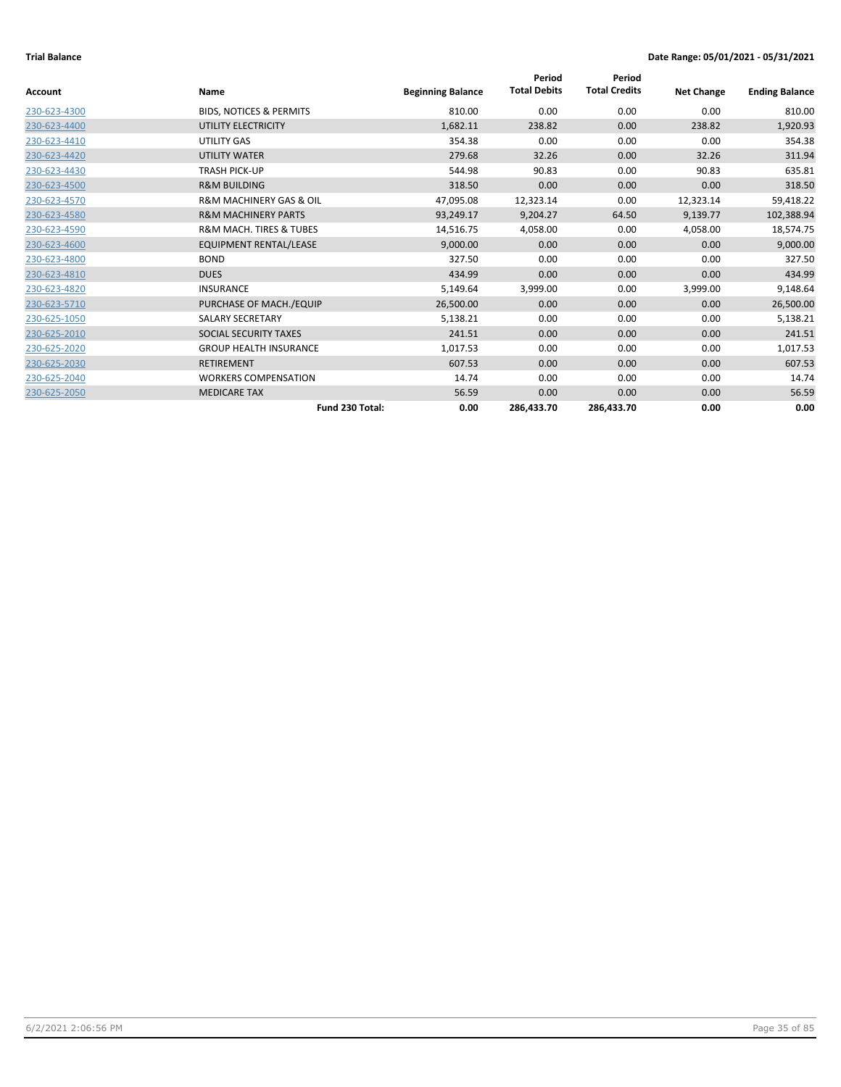| <b>Account</b> | Name                                   | <b>Beginning Balance</b> | Period<br><b>Total Debits</b> | Period<br><b>Total Credits</b> | <b>Net Change</b> | <b>Ending Balance</b> |
|----------------|----------------------------------------|--------------------------|-------------------------------|--------------------------------|-------------------|-----------------------|
|                |                                        |                          |                               |                                |                   |                       |
| 230-623-4300   | <b>BIDS, NOTICES &amp; PERMITS</b>     | 810.00                   | 0.00                          | 0.00                           | 0.00              | 810.00                |
| 230-623-4400   | UTILITY ELECTRICITY                    | 1,682.11                 | 238.82                        | 0.00                           | 238.82            | 1,920.93              |
| 230-623-4410   | UTILITY GAS                            | 354.38                   | 0.00                          | 0.00                           | 0.00              | 354.38                |
| 230-623-4420   | <b>UTILITY WATER</b>                   | 279.68                   | 32.26                         | 0.00                           | 32.26             | 311.94                |
| 230-623-4430   | <b>TRASH PICK-UP</b>                   | 544.98                   | 90.83                         | 0.00                           | 90.83             | 635.81                |
| 230-623-4500   | <b>R&amp;M BUILDING</b>                | 318.50                   | 0.00                          | 0.00                           | 0.00              | 318.50                |
| 230-623-4570   | <b>R&amp;M MACHINERY GAS &amp; OIL</b> | 47,095.08                | 12,323.14                     | 0.00                           | 12,323.14         | 59,418.22             |
| 230-623-4580   | <b>R&amp;M MACHINERY PARTS</b>         | 93,249.17                | 9,204.27                      | 64.50                          | 9,139.77          | 102,388.94            |
| 230-623-4590   | <b>R&amp;M MACH. TIRES &amp; TUBES</b> | 14,516.75                | 4,058.00                      | 0.00                           | 4,058.00          | 18,574.75             |
| 230-623-4600   | EQUIPMENT RENTAL/LEASE                 | 9,000.00                 | 0.00                          | 0.00                           | 0.00              | 9,000.00              |
| 230-623-4800   | <b>BOND</b>                            | 327.50                   | 0.00                          | 0.00                           | 0.00              | 327.50                |
| 230-623-4810   | <b>DUES</b>                            | 434.99                   | 0.00                          | 0.00                           | 0.00              | 434.99                |
| 230-623-4820   | <b>INSURANCE</b>                       | 5,149.64                 | 3,999.00                      | 0.00                           | 3,999.00          | 9,148.64              |
| 230-623-5710   | PURCHASE OF MACH./EQUIP                | 26,500.00                | 0.00                          | 0.00                           | 0.00              | 26,500.00             |
| 230-625-1050   | <b>SALARY SECRETARY</b>                | 5,138.21                 | 0.00                          | 0.00                           | 0.00              | 5,138.21              |
| 230-625-2010   | SOCIAL SECURITY TAXES                  | 241.51                   | 0.00                          | 0.00                           | 0.00              | 241.51                |
| 230-625-2020   | <b>GROUP HEALTH INSURANCE</b>          | 1,017.53                 | 0.00                          | 0.00                           | 0.00              | 1,017.53              |
| 230-625-2030   | <b>RETIREMENT</b>                      | 607.53                   | 0.00                          | 0.00                           | 0.00              | 607.53                |
| 230-625-2040   | <b>WORKERS COMPENSATION</b>            | 14.74                    | 0.00                          | 0.00                           | 0.00              | 14.74                 |
| 230-625-2050   | <b>MEDICARE TAX</b>                    | 56.59                    | 0.00                          | 0.00                           | 0.00              | 56.59                 |
|                | Fund 230 Total:                        | 0.00                     | 286,433.70                    | 286,433.70                     | 0.00              | 0.00                  |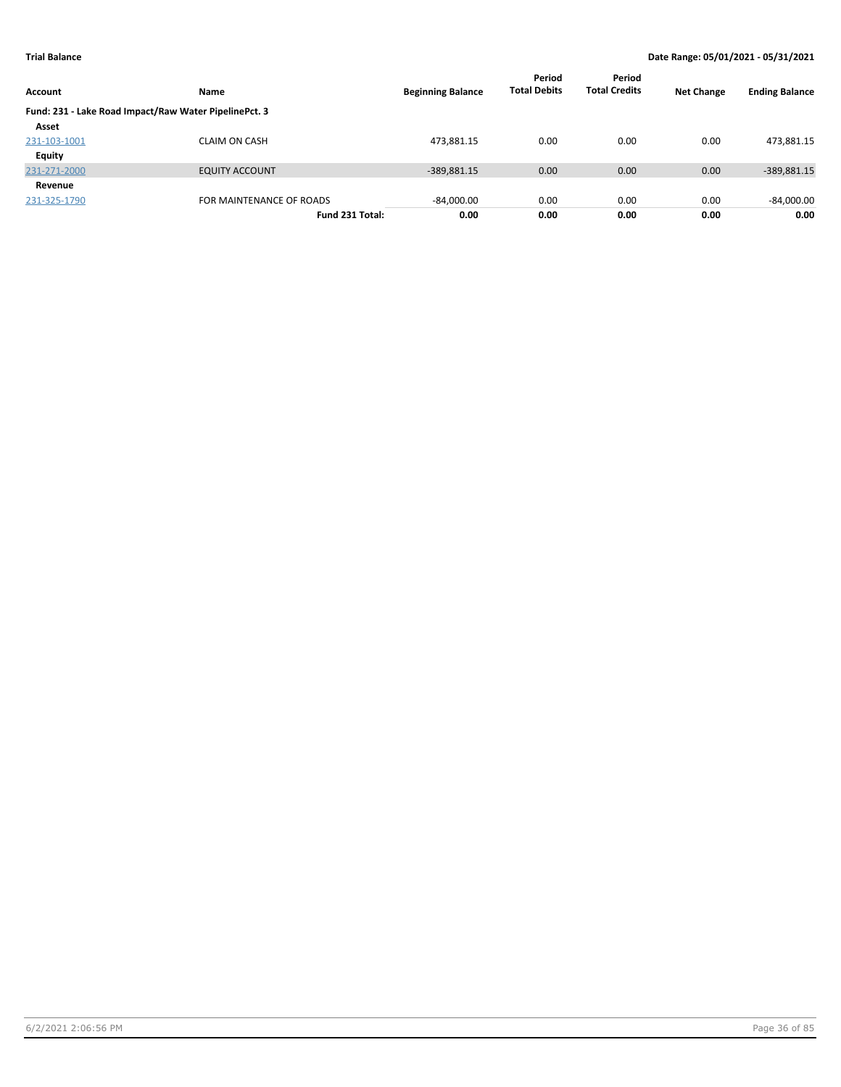| Account      | <b>Name</b>                                           | <b>Beginning Balance</b> | Period<br><b>Total Debits</b> | Period<br><b>Total Credits</b> | <b>Net Change</b> | <b>Ending Balance</b> |
|--------------|-------------------------------------------------------|--------------------------|-------------------------------|--------------------------------|-------------------|-----------------------|
|              | Fund: 231 - Lake Road Impact/Raw Water PipelinePct. 3 |                          |                               |                                |                   |                       |
| Asset        |                                                       |                          |                               |                                |                   |                       |
| 231-103-1001 | <b>CLAIM ON CASH</b>                                  | 473,881.15               | 0.00                          | 0.00                           | 0.00              | 473,881.15            |
| Equity       |                                                       |                          |                               |                                |                   |                       |
| 231-271-2000 | <b>EQUITY ACCOUNT</b>                                 | $-389,881.15$            | 0.00                          | 0.00                           | 0.00              | -389,881.15           |
| Revenue      |                                                       |                          |                               |                                |                   |                       |
| 231-325-1790 | FOR MAINTENANCE OF ROADS                              | $-84,000.00$             | 0.00                          | 0.00                           | 0.00              | $-84,000.00$          |
|              | Fund 231 Total:                                       | 0.00                     | 0.00                          | 0.00                           | 0.00              | 0.00                  |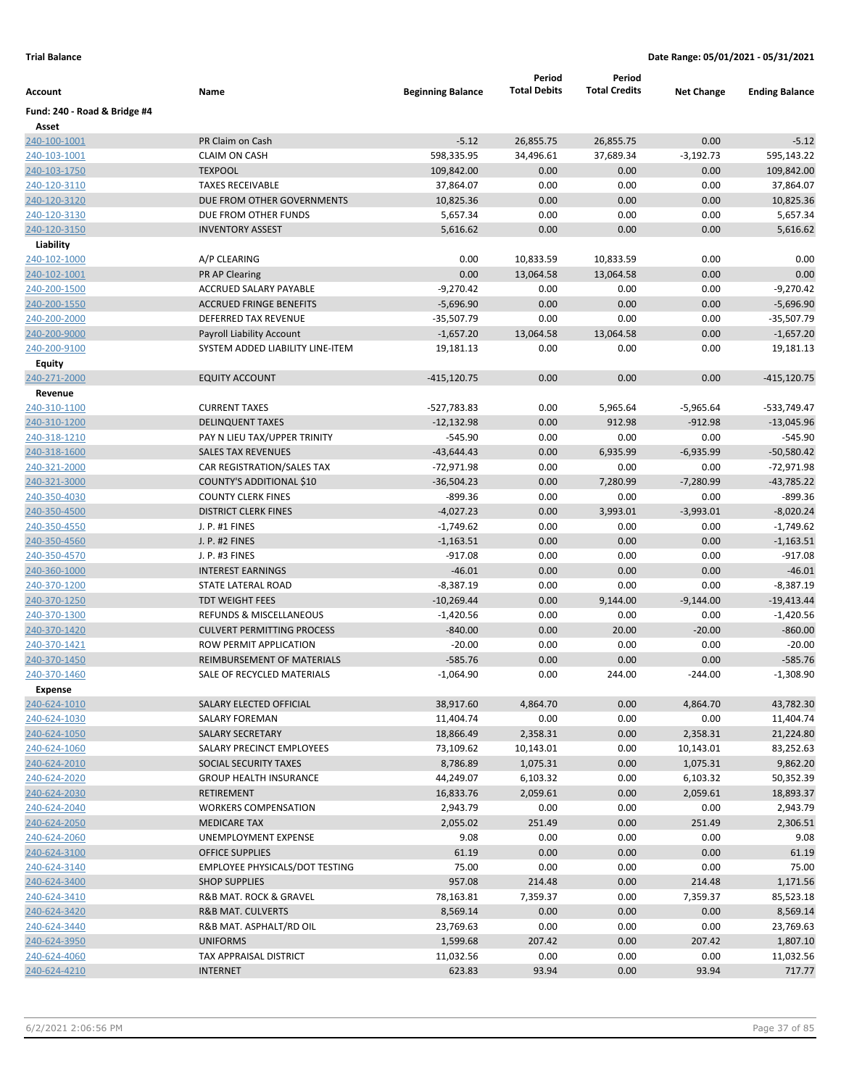|                              |                                                              |                          | Period              | Period               |                   |                       |
|------------------------------|--------------------------------------------------------------|--------------------------|---------------------|----------------------|-------------------|-----------------------|
| Account                      | Name                                                         | <b>Beginning Balance</b> | <b>Total Debits</b> | <b>Total Credits</b> | <b>Net Change</b> | <b>Ending Balance</b> |
| Fund: 240 - Road & Bridge #4 |                                                              |                          |                     |                      |                   |                       |
| Asset                        |                                                              |                          |                     |                      |                   |                       |
| 240-100-1001                 | PR Claim on Cash                                             | $-5.12$                  | 26,855.75           | 26,855.75            | 0.00              | $-5.12$               |
| 240-103-1001                 | <b>CLAIM ON CASH</b>                                         | 598,335.95               | 34,496.61           | 37,689.34            | $-3,192.73$       | 595,143.22            |
| 240-103-1750                 | <b>TEXPOOL</b>                                               | 109,842.00               | 0.00                | 0.00                 | 0.00              | 109,842.00            |
| 240-120-3110                 | <b>TAXES RECEIVABLE</b>                                      | 37,864.07                | 0.00                | 0.00                 | 0.00              | 37,864.07             |
| 240-120-3120                 | DUE FROM OTHER GOVERNMENTS                                   | 10,825.36                | 0.00                | 0.00                 | 0.00              | 10,825.36             |
| 240-120-3130                 | DUE FROM OTHER FUNDS                                         | 5,657.34                 | 0.00                | 0.00                 | 0.00              | 5,657.34              |
| 240-120-3150                 | <b>INVENTORY ASSEST</b>                                      | 5,616.62                 | 0.00                | 0.00                 | 0.00              | 5,616.62              |
| Liability                    |                                                              |                          |                     |                      |                   |                       |
| 240-102-1000                 | A/P CLEARING                                                 | 0.00                     | 10,833.59           | 10,833.59            | 0.00              | 0.00                  |
| 240-102-1001                 | <b>PR AP Clearing</b>                                        | 0.00                     | 13,064.58           | 13,064.58            | 0.00              | 0.00                  |
| 240-200-1500                 | ACCRUED SALARY PAYABLE                                       | $-9,270.42$              | 0.00                | 0.00                 | 0.00              | $-9,270.42$           |
| 240-200-1550                 | <b>ACCRUED FRINGE BENEFITS</b>                               | $-5,696.90$              | 0.00                | 0.00                 | 0.00              | $-5,696.90$           |
| 240-200-2000                 | DEFERRED TAX REVENUE                                         | $-35,507.79$             | 0.00                | 0.00                 | 0.00              | $-35,507.79$          |
| 240-200-9000                 | Payroll Liability Account                                    | $-1,657.20$              | 13,064.58           | 13,064.58            | 0.00              | $-1,657.20$           |
| 240-200-9100                 | SYSTEM ADDED LIABILITY LINE-ITEM                             | 19,181.13                | 0.00                | 0.00                 | 0.00              | 19,181.13             |
| <b>Equity</b>                |                                                              |                          |                     |                      |                   |                       |
| 240-271-2000                 | <b>EQUITY ACCOUNT</b>                                        | -415,120.75              | 0.00                | 0.00                 | 0.00              | $-415, 120.75$        |
| Revenue                      |                                                              |                          |                     |                      |                   |                       |
| 240-310-1100                 | <b>CURRENT TAXES</b>                                         | $-527,783.83$            | 0.00                | 5,965.64             | $-5,965.64$       | -533,749.47           |
| 240-310-1200                 | <b>DELINQUENT TAXES</b>                                      | $-12,132.98$             | 0.00                | 912.98               | $-912.98$         | $-13,045.96$          |
| 240-318-1210                 | PAY N LIEU TAX/UPPER TRINITY                                 | $-545.90$                | 0.00                | 0.00                 | 0.00              | $-545.90$             |
| 240-318-1600                 | <b>SALES TAX REVENUES</b>                                    | $-43,644.43$             | 0.00                | 6,935.99             | $-6,935.99$       | $-50,580.42$          |
| 240-321-2000                 | CAR REGISTRATION/SALES TAX                                   | $-72,971.98$             | 0.00                | 0.00                 | 0.00              | $-72,971.98$          |
| 240-321-3000                 | COUNTY'S ADDITIONAL \$10                                     | $-36,504.23$             | 0.00                | 7,280.99             | $-7,280.99$       | $-43,785.22$          |
| 240-350-4030                 | <b>COUNTY CLERK FINES</b>                                    | $-899.36$                | 0.00                | 0.00                 | 0.00              | $-899.36$             |
| 240-350-4500                 | <b>DISTRICT CLERK FINES</b>                                  | $-4,027.23$              | 0.00                | 3,993.01             | $-3,993.01$       | $-8,020.24$           |
| 240-350-4550                 | J. P. #1 FINES                                               | $-1,749.62$              | 0.00                | 0.00                 | 0.00              | $-1,749.62$           |
| 240-350-4560                 | J. P. #2 FINES                                               | $-1,163.51$              | 0.00                | 0.00                 | 0.00              | $-1,163.51$           |
| 240-350-4570                 | J. P. #3 FINES                                               | $-917.08$                | 0.00                | 0.00                 | 0.00              | $-917.08$             |
| 240-360-1000                 | <b>INTEREST EARNINGS</b>                                     | $-46.01$                 | 0.00                | 0.00                 | 0.00              | $-46.01$              |
| 240-370-1200                 | STATE LATERAL ROAD<br><b>TDT WEIGHT FEES</b>                 | $-8,387.19$              | 0.00<br>0.00        | 0.00                 | 0.00              | $-8,387.19$           |
| 240-370-1250                 |                                                              | $-10,269.44$             |                     | 9,144.00             | $-9,144.00$       | $-19,413.44$          |
| 240-370-1300                 | REFUNDS & MISCELLANEOUS<br><b>CULVERT PERMITTING PROCESS</b> | $-1,420.56$              | 0.00<br>0.00        | 0.00                 | 0.00              | $-1,420.56$           |
| 240-370-1420                 | <b>ROW PERMIT APPLICATION</b>                                | $-840.00$<br>$-20.00$    | 0.00                | 20.00<br>0.00        | $-20.00$          | $-860.00$<br>$-20.00$ |
| 240-370-1421                 | <b>REIMBURSEMENT OF MATERIALS</b>                            |                          | 0.00                |                      | 0.00              | $-585.76$             |
| 240-370-1450<br>240-370-1460 | SALE OF RECYCLED MATERIALS                                   | $-585.76$<br>$-1,064.90$ | 0.00                | 0.00<br>244.00       | 0.00<br>$-244.00$ | $-1,308.90$           |
|                              |                                                              |                          |                     |                      |                   |                       |
| Expense<br>240-624-1010      | SALARY ELECTED OFFICIAL                                      | 38,917.60                | 4,864.70            | 0.00                 | 4,864.70          | 43,782.30             |
| 240-624-1030                 | SALARY FOREMAN                                               | 11,404.74                | 0.00                | 0.00                 | 0.00              | 11,404.74             |
| 240-624-1050                 | <b>SALARY SECRETARY</b>                                      | 18,866.49                | 2,358.31            | 0.00                 | 2,358.31          | 21,224.80             |
| 240-624-1060                 | SALARY PRECINCT EMPLOYEES                                    | 73,109.62                | 10,143.01           | 0.00                 | 10,143.01         | 83,252.63             |
| 240-624-2010                 | SOCIAL SECURITY TAXES                                        | 8,786.89                 | 1,075.31            | 0.00                 | 1,075.31          | 9,862.20              |
| 240-624-2020                 | <b>GROUP HEALTH INSURANCE</b>                                | 44,249.07                | 6,103.32            | 0.00                 | 6,103.32          | 50,352.39             |
| 240-624-2030                 | <b>RETIREMENT</b>                                            | 16,833.76                | 2,059.61            | 0.00                 | 2,059.61          | 18,893.37             |
| 240-624-2040                 | <b>WORKERS COMPENSATION</b>                                  | 2,943.79                 | 0.00                | 0.00                 | 0.00              | 2,943.79              |
| 240-624-2050                 | <b>MEDICARE TAX</b>                                          | 2,055.02                 | 251.49              | 0.00                 | 251.49            | 2,306.51              |
| 240-624-2060                 | UNEMPLOYMENT EXPENSE                                         | 9.08                     | 0.00                | 0.00                 | 0.00              | 9.08                  |
| 240-624-3100                 | <b>OFFICE SUPPLIES</b>                                       | 61.19                    | 0.00                | 0.00                 | 0.00              | 61.19                 |
| 240-624-3140                 | EMPLOYEE PHYSICALS/DOT TESTING                               | 75.00                    | 0.00                | 0.00                 | 0.00              | 75.00                 |
| 240-624-3400                 | <b>SHOP SUPPLIES</b>                                         | 957.08                   | 214.48              | 0.00                 | 214.48            | 1,171.56              |
| 240-624-3410                 | R&B MAT. ROCK & GRAVEL                                       | 78,163.81                | 7,359.37            | 0.00                 | 7,359.37          | 85,523.18             |
| 240-624-3420                 | <b>R&amp;B MAT. CULVERTS</b>                                 | 8,569.14                 | 0.00                | 0.00                 | 0.00              | 8,569.14              |
| 240-624-3440                 | R&B MAT. ASPHALT/RD OIL                                      | 23,769.63                | 0.00                | 0.00                 | 0.00              | 23,769.63             |
| 240-624-3950                 | <b>UNIFORMS</b>                                              | 1,599.68                 | 207.42              | 0.00                 | 207.42            | 1,807.10              |
| 240-624-4060                 | TAX APPRAISAL DISTRICT                                       | 11,032.56                | 0.00                | 0.00                 | 0.00              | 11,032.56             |
| 240-624-4210                 | <b>INTERNET</b>                                              | 623.83                   | 93.94               | 0.00                 | 93.94             | 717.77                |
|                              |                                                              |                          |                     |                      |                   |                       |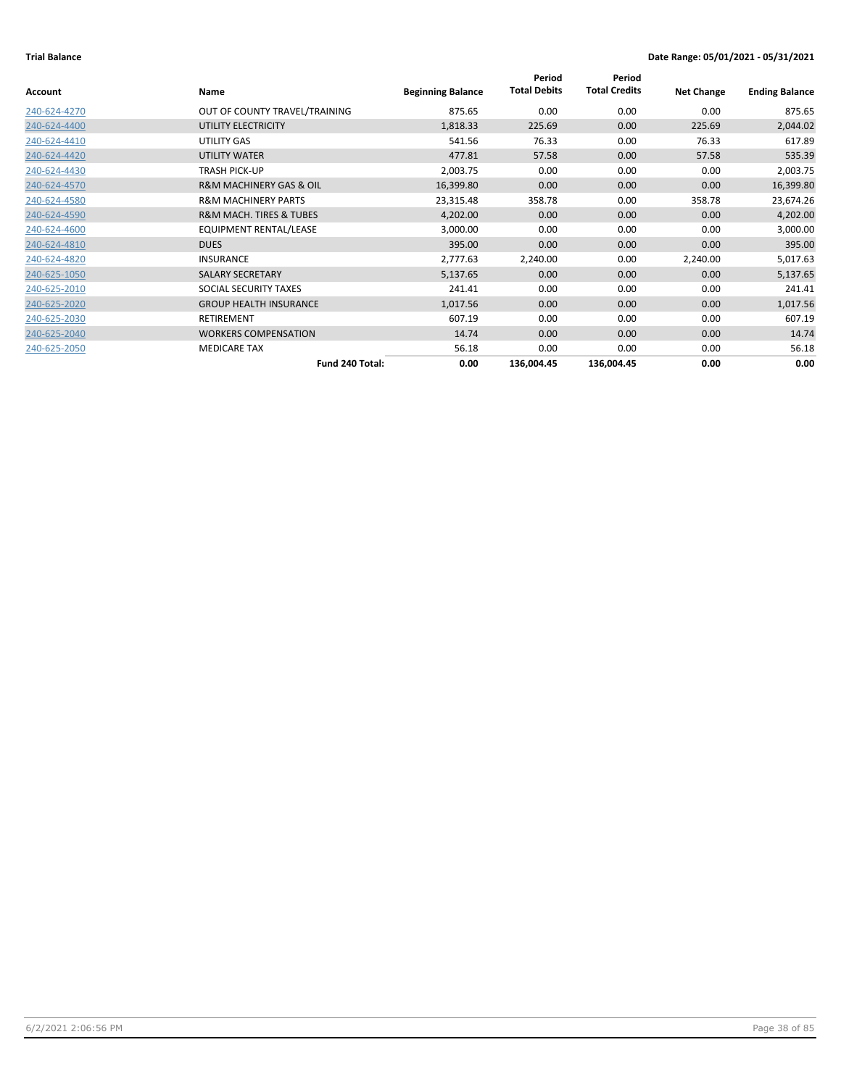| Account      | Name                                   | <b>Beginning Balance</b> | Period<br><b>Total Debits</b> | Period<br><b>Total Credits</b> | <b>Net Change</b> | <b>Ending Balance</b> |
|--------------|----------------------------------------|--------------------------|-------------------------------|--------------------------------|-------------------|-----------------------|
| 240-624-4270 | OUT OF COUNTY TRAVEL/TRAINING          | 875.65                   | 0.00                          | 0.00                           | 0.00              | 875.65                |
| 240-624-4400 | UTILITY ELECTRICITY                    | 1,818.33                 | 225.69                        | 0.00                           | 225.69            | 2,044.02              |
| 240-624-4410 | UTILITY GAS                            | 541.56                   | 76.33                         | 0.00                           | 76.33             | 617.89                |
| 240-624-4420 | UTILITY WATER                          | 477.81                   | 57.58                         | 0.00                           | 57.58             | 535.39                |
| 240-624-4430 | <b>TRASH PICK-UP</b>                   | 2,003.75                 | 0.00                          | 0.00                           | 0.00              | 2,003.75              |
| 240-624-4570 | <b>R&amp;M MACHINERY GAS &amp; OIL</b> | 16,399.80                | 0.00                          | 0.00                           | 0.00              | 16,399.80             |
| 240-624-4580 | <b>R&amp;M MACHINERY PARTS</b>         | 23,315.48                | 358.78                        | 0.00                           | 358.78            | 23,674.26             |
| 240-624-4590 | <b>R&amp;M MACH. TIRES &amp; TUBES</b> | 4,202.00                 | 0.00                          | 0.00                           | 0.00              | 4,202.00              |
| 240-624-4600 | EQUIPMENT RENTAL/LEASE                 | 3,000.00                 | 0.00                          | 0.00                           | 0.00              | 3,000.00              |
| 240-624-4810 | <b>DUES</b>                            | 395.00                   | 0.00                          | 0.00                           | 0.00              | 395.00                |
| 240-624-4820 | <b>INSURANCE</b>                       | 2,777.63                 | 2,240.00                      | 0.00                           | 2,240.00          | 5,017.63              |
| 240-625-1050 | <b>SALARY SECRETARY</b>                | 5,137.65                 | 0.00                          | 0.00                           | 0.00              | 5,137.65              |
| 240-625-2010 | SOCIAL SECURITY TAXES                  | 241.41                   | 0.00                          | 0.00                           | 0.00              | 241.41                |
| 240-625-2020 | <b>GROUP HEALTH INSURANCE</b>          | 1,017.56                 | 0.00                          | 0.00                           | 0.00              | 1,017.56              |
| 240-625-2030 | <b>RETIREMENT</b>                      | 607.19                   | 0.00                          | 0.00                           | 0.00              | 607.19                |
| 240-625-2040 | <b>WORKERS COMPENSATION</b>            | 14.74                    | 0.00                          | 0.00                           | 0.00              | 14.74                 |
| 240-625-2050 | <b>MEDICARE TAX</b>                    | 56.18                    | 0.00                          | 0.00                           | 0.00              | 56.18                 |
|              | Fund 240 Total:                        | 0.00                     | 136,004.45                    | 136,004.45                     | 0.00              | 0.00                  |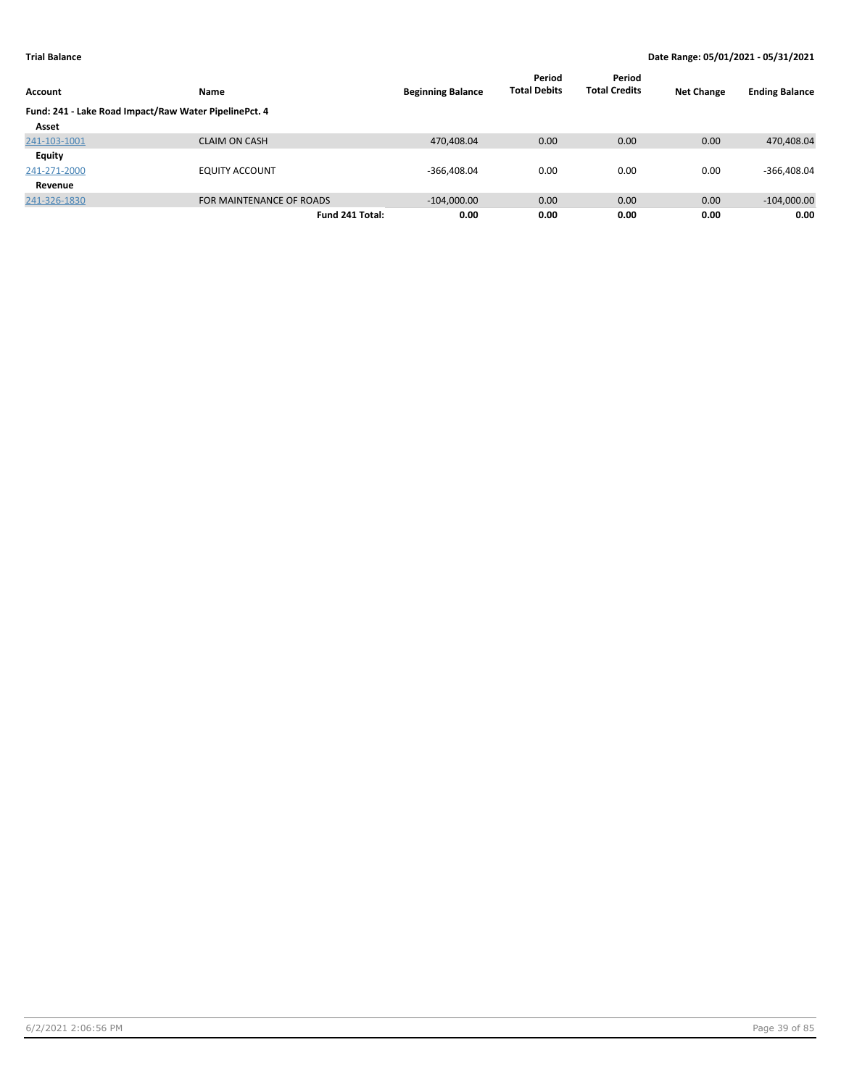|                                                       |                          |                          | Period              | Period               |                   |                       |
|-------------------------------------------------------|--------------------------|--------------------------|---------------------|----------------------|-------------------|-----------------------|
| Account                                               | <b>Name</b>              | <b>Beginning Balance</b> | <b>Total Debits</b> | <b>Total Credits</b> | <b>Net Change</b> | <b>Ending Balance</b> |
| Fund: 241 - Lake Road Impact/Raw Water PipelinePct. 4 |                          |                          |                     |                      |                   |                       |
| Asset                                                 |                          |                          |                     |                      |                   |                       |
| 241-103-1001                                          | <b>CLAIM ON CASH</b>     | 470,408.04               | 0.00                | 0.00                 | 0.00              | 470,408.04            |
| Equity                                                |                          |                          |                     |                      |                   |                       |
| 241-271-2000                                          | <b>EQUITY ACCOUNT</b>    | $-366,408.04$            | 0.00                | 0.00                 | 0.00              | $-366,408.04$         |
| Revenue                                               |                          |                          |                     |                      |                   |                       |
| 241-326-1830                                          | FOR MAINTENANCE OF ROADS | $-104,000.00$            | 0.00                | 0.00                 | 0.00              | $-104,000.00$         |
|                                                       | Fund 241 Total:          | 0.00                     | 0.00                | 0.00                 | 0.00              | 0.00                  |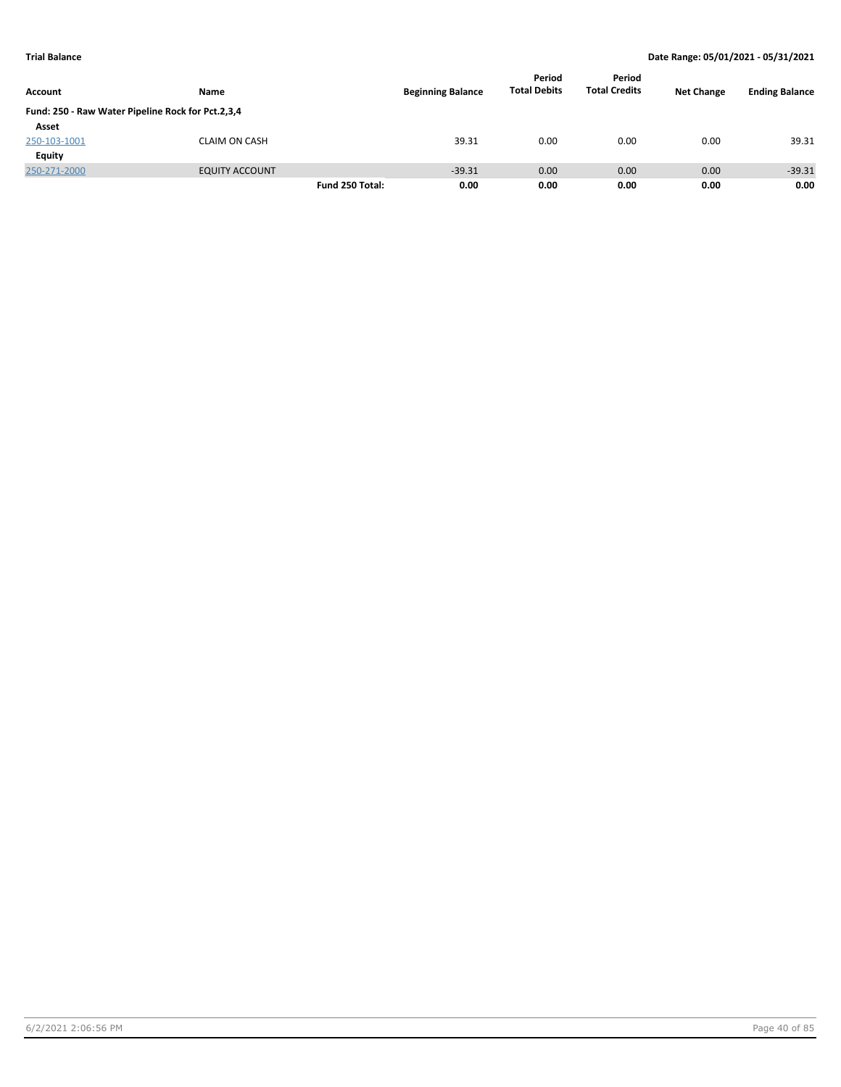|                                                   |                       |                 |                          | Period              | Period               |                   |                       |
|---------------------------------------------------|-----------------------|-----------------|--------------------------|---------------------|----------------------|-------------------|-----------------------|
| Account                                           | Name                  |                 | <b>Beginning Balance</b> | <b>Total Debits</b> | <b>Total Credits</b> | <b>Net Change</b> | <b>Ending Balance</b> |
| Fund: 250 - Raw Water Pipeline Rock for Pct.2,3,4 |                       |                 |                          |                     |                      |                   |                       |
| Asset                                             |                       |                 |                          |                     |                      |                   |                       |
| 250-103-1001                                      | <b>CLAIM ON CASH</b>  |                 | 39.31                    | 0.00                | 0.00                 | 0.00              | 39.31                 |
| <b>Equity</b>                                     |                       |                 |                          |                     |                      |                   |                       |
| 250-271-2000                                      | <b>EQUITY ACCOUNT</b> |                 | $-39.31$                 | 0.00                | 0.00                 | 0.00              | $-39.31$              |
|                                                   |                       | Fund 250 Total: | 0.00                     | 0.00                | 0.00                 | 0.00              | 0.00                  |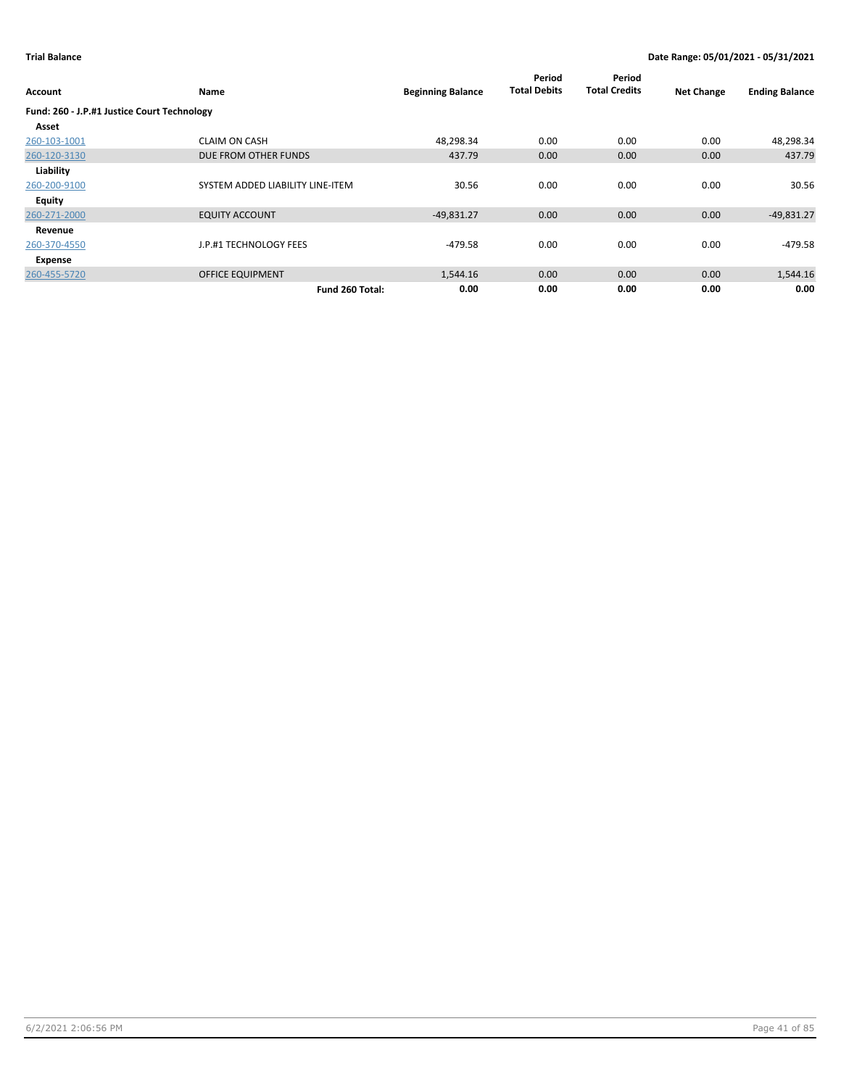| Account                                     | Name                             | <b>Beginning Balance</b> | Period<br><b>Total Debits</b> | Period<br><b>Total Credits</b> | <b>Net Change</b> | <b>Ending Balance</b> |
|---------------------------------------------|----------------------------------|--------------------------|-------------------------------|--------------------------------|-------------------|-----------------------|
| Fund: 260 - J.P.#1 Justice Court Technology |                                  |                          |                               |                                |                   |                       |
| Asset                                       |                                  |                          |                               |                                |                   |                       |
| 260-103-1001                                | <b>CLAIM ON CASH</b>             | 48,298.34                | 0.00                          | 0.00                           | 0.00              | 48,298.34             |
| 260-120-3130                                | DUE FROM OTHER FUNDS             | 437.79                   | 0.00                          | 0.00                           | 0.00              | 437.79                |
| Liability                                   |                                  |                          |                               |                                |                   |                       |
| 260-200-9100                                | SYSTEM ADDED LIABILITY LINE-ITEM | 30.56                    | 0.00                          | 0.00                           | 0.00              | 30.56                 |
| Equity                                      |                                  |                          |                               |                                |                   |                       |
| 260-271-2000                                | <b>EQUITY ACCOUNT</b>            | $-49,831.27$             | 0.00                          | 0.00                           | 0.00              | $-49,831.27$          |
| Revenue                                     |                                  |                          |                               |                                |                   |                       |
| 260-370-4550                                | J.P.#1 TECHNOLOGY FEES           | $-479.58$                | 0.00                          | 0.00                           | 0.00              | $-479.58$             |
| Expense                                     |                                  |                          |                               |                                |                   |                       |
| 260-455-5720                                | <b>OFFICE EQUIPMENT</b>          | 1,544.16                 | 0.00                          | 0.00                           | 0.00              | 1,544.16              |
|                                             | Fund 260 Total:                  | 0.00                     | 0.00                          | 0.00                           | 0.00              | 0.00                  |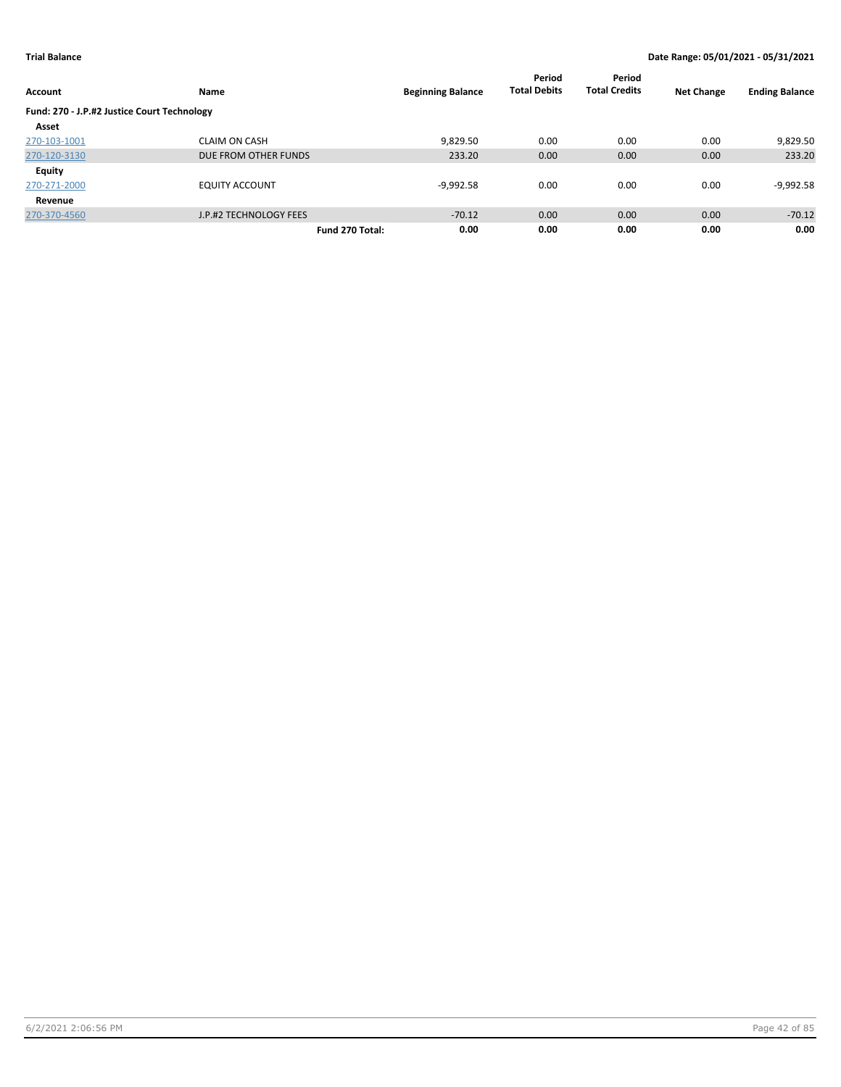|                                             |                        |                 |                          | Period              | Period               |                   |                       |
|---------------------------------------------|------------------------|-----------------|--------------------------|---------------------|----------------------|-------------------|-----------------------|
| <b>Account</b>                              | Name                   |                 | <b>Beginning Balance</b> | <b>Total Debits</b> | <b>Total Credits</b> | <b>Net Change</b> | <b>Ending Balance</b> |
| Fund: 270 - J.P.#2 Justice Court Technology |                        |                 |                          |                     |                      |                   |                       |
| Asset                                       |                        |                 |                          |                     |                      |                   |                       |
| 270-103-1001                                | <b>CLAIM ON CASH</b>   |                 | 9,829.50                 | 0.00                | 0.00                 | 0.00              | 9,829.50              |
| 270-120-3130                                | DUE FROM OTHER FUNDS   |                 | 233.20                   | 0.00                | 0.00                 | 0.00              | 233.20                |
| <b>Equity</b>                               |                        |                 |                          |                     |                      |                   |                       |
| 270-271-2000                                | <b>EQUITY ACCOUNT</b>  |                 | $-9,992.58$              | 0.00                | 0.00                 | 0.00              | $-9,992.58$           |
| Revenue                                     |                        |                 |                          |                     |                      |                   |                       |
| 270-370-4560                                | J.P.#2 TECHNOLOGY FEES |                 | $-70.12$                 | 0.00                | 0.00                 | 0.00              | $-70.12$              |
|                                             |                        | Fund 270 Total: | 0.00                     | 0.00                | 0.00                 | 0.00              | 0.00                  |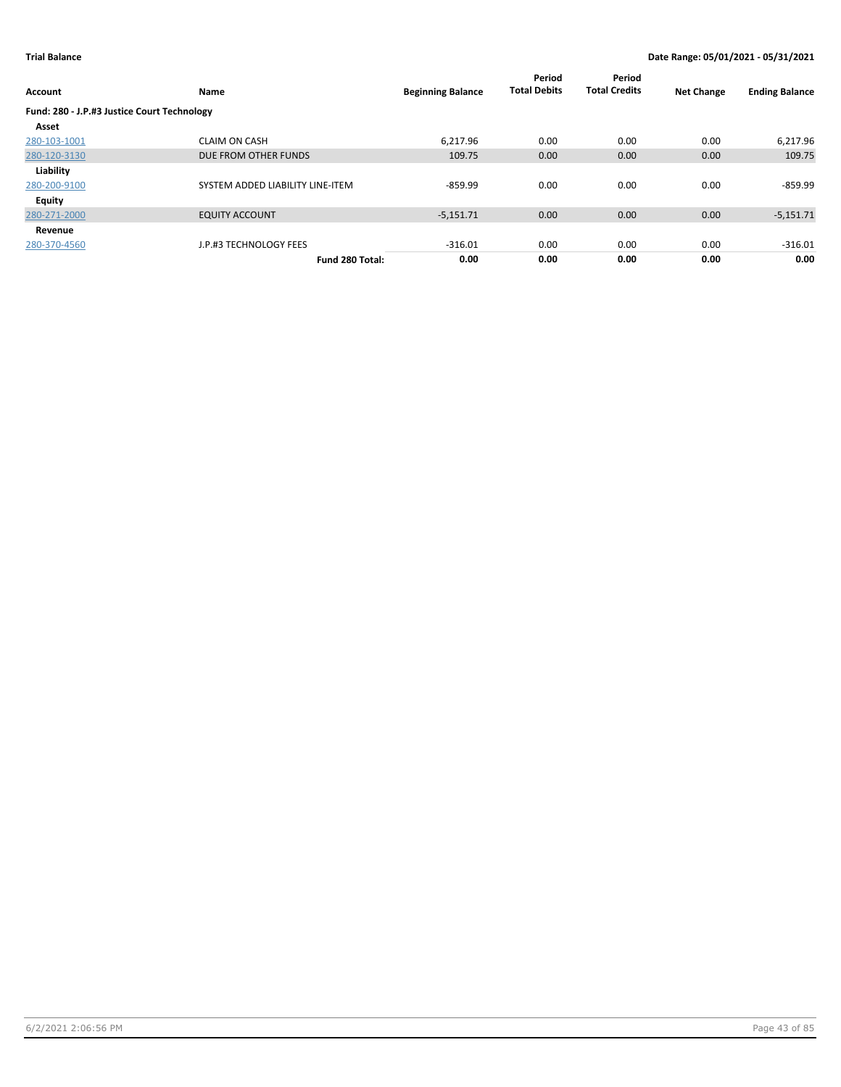| Account                                     | Name                             | <b>Beginning Balance</b> | Period<br><b>Total Debits</b> | Period<br><b>Total Credits</b> | <b>Net Change</b> | <b>Ending Balance</b> |
|---------------------------------------------|----------------------------------|--------------------------|-------------------------------|--------------------------------|-------------------|-----------------------|
| Fund: 280 - J.P.#3 Justice Court Technology |                                  |                          |                               |                                |                   |                       |
| Asset                                       |                                  |                          |                               |                                |                   |                       |
| 280-103-1001                                | <b>CLAIM ON CASH</b>             | 6.217.96                 | 0.00                          | 0.00                           | 0.00              | 6,217.96              |
| 280-120-3130                                | DUE FROM OTHER FUNDS             | 109.75                   | 0.00                          | 0.00                           | 0.00              | 109.75                |
| Liability                                   |                                  |                          |                               |                                |                   |                       |
| 280-200-9100                                | SYSTEM ADDED LIABILITY LINE-ITEM | $-859.99$                | 0.00                          | 0.00                           | 0.00              | $-859.99$             |
| Equity                                      |                                  |                          |                               |                                |                   |                       |
| 280-271-2000                                | <b>EQUITY ACCOUNT</b>            | $-5,151.71$              | 0.00                          | 0.00                           | 0.00              | $-5,151.71$           |
| Revenue                                     |                                  |                          |                               |                                |                   |                       |
| 280-370-4560                                | J.P.#3 TECHNOLOGY FEES           | $-316.01$                | 0.00                          | 0.00                           | 0.00              | $-316.01$             |
|                                             | Fund 280 Total:                  | 0.00                     | 0.00                          | 0.00                           | 0.00              | 0.00                  |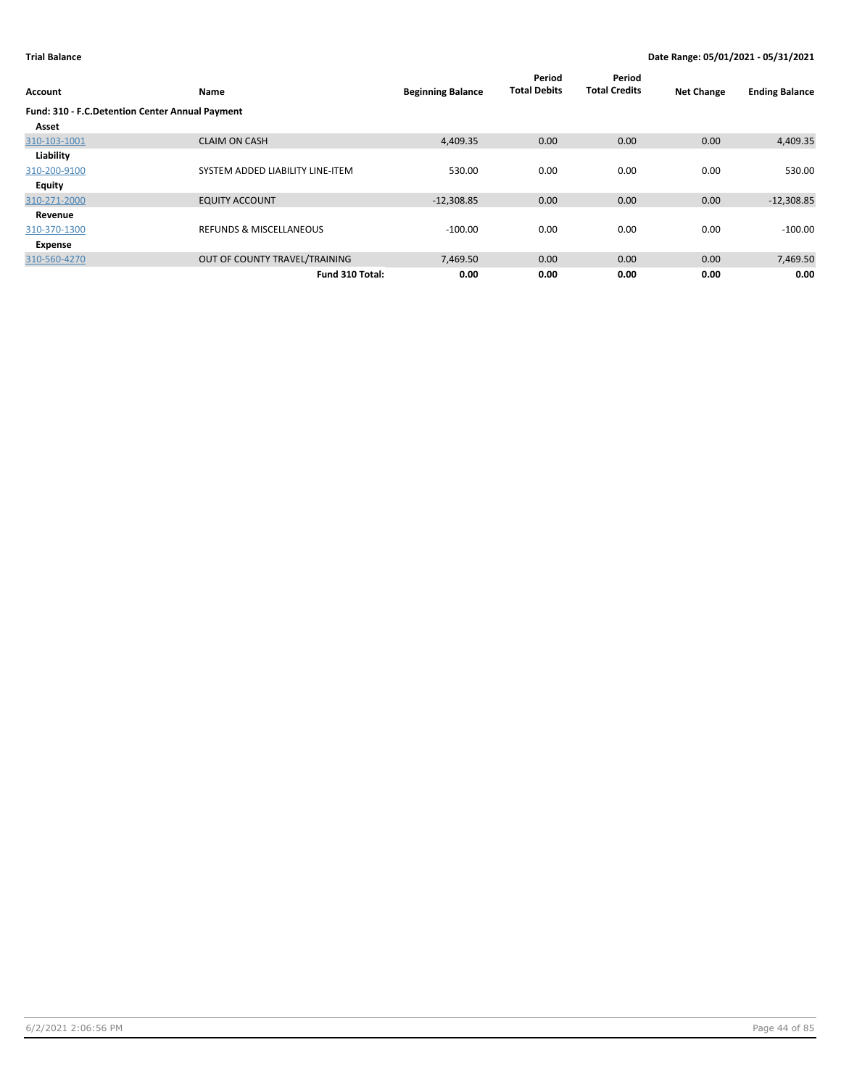| Account                                         | Name                               | <b>Beginning Balance</b> | Period<br><b>Total Debits</b> | Period<br><b>Total Credits</b> | <b>Net Change</b> | <b>Ending Balance</b> |
|-------------------------------------------------|------------------------------------|--------------------------|-------------------------------|--------------------------------|-------------------|-----------------------|
| Fund: 310 - F.C.Detention Center Annual Payment |                                    |                          |                               |                                |                   |                       |
| Asset                                           |                                    |                          |                               |                                |                   |                       |
| 310-103-1001                                    | <b>CLAIM ON CASH</b>               | 4,409.35                 | 0.00                          | 0.00                           | 0.00              | 4,409.35              |
| Liability                                       |                                    |                          |                               |                                |                   |                       |
| 310-200-9100                                    | SYSTEM ADDED LIABILITY LINE-ITEM   | 530.00                   | 0.00                          | 0.00                           | 0.00              | 530.00                |
| Equity                                          |                                    |                          |                               |                                |                   |                       |
| 310-271-2000                                    | <b>EQUITY ACCOUNT</b>              | $-12,308.85$             | 0.00                          | 0.00                           | 0.00              | $-12,308.85$          |
| Revenue                                         |                                    |                          |                               |                                |                   |                       |
| 310-370-1300                                    | <b>REFUNDS &amp; MISCELLANEOUS</b> | $-100.00$                | 0.00                          | 0.00                           | 0.00              | $-100.00$             |
| Expense                                         |                                    |                          |                               |                                |                   |                       |
| 310-560-4270                                    | OUT OF COUNTY TRAVEL/TRAINING      | 7,469.50                 | 0.00                          | 0.00                           | 0.00              | 7,469.50              |
|                                                 | Fund 310 Total:                    | 0.00                     | 0.00                          | 0.00                           | 0.00              | 0.00                  |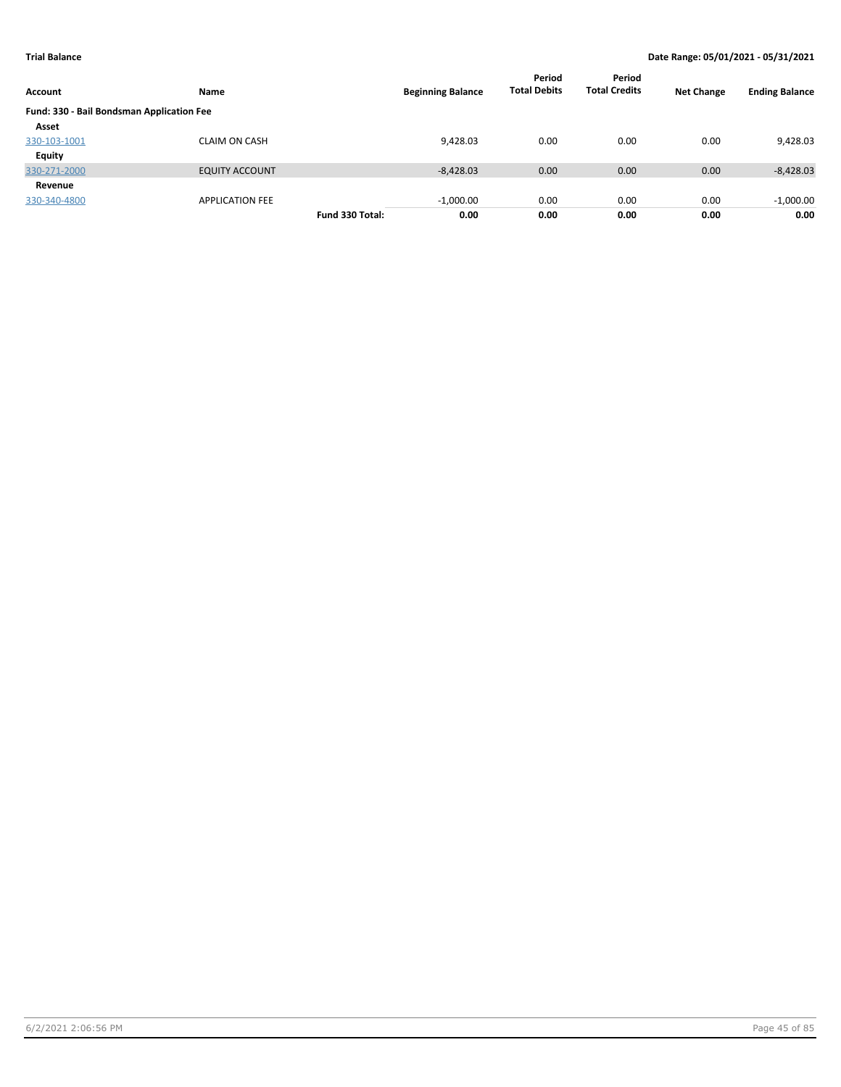| Account                                   | Name                   |                 | <b>Beginning Balance</b> | Period<br><b>Total Debits</b> | Period<br><b>Total Credits</b> | <b>Net Change</b> | <b>Ending Balance</b> |
|-------------------------------------------|------------------------|-----------------|--------------------------|-------------------------------|--------------------------------|-------------------|-----------------------|
| Fund: 330 - Bail Bondsman Application Fee |                        |                 |                          |                               |                                |                   |                       |
| Asset                                     |                        |                 |                          |                               |                                |                   |                       |
| 330-103-1001                              | <b>CLAIM ON CASH</b>   |                 | 9,428.03                 | 0.00                          | 0.00                           | 0.00              | 9,428.03              |
| <b>Equity</b>                             |                        |                 |                          |                               |                                |                   |                       |
| 330-271-2000                              | <b>EQUITY ACCOUNT</b>  |                 | $-8,428.03$              | 0.00                          | 0.00                           | 0.00              | $-8,428.03$           |
| Revenue                                   |                        |                 |                          |                               |                                |                   |                       |
| 330-340-4800                              | <b>APPLICATION FEE</b> |                 | $-1,000.00$              | 0.00                          | 0.00                           | 0.00              | $-1,000.00$           |
|                                           |                        | Fund 330 Total: | 0.00                     | 0.00                          | 0.00                           | 0.00              | 0.00                  |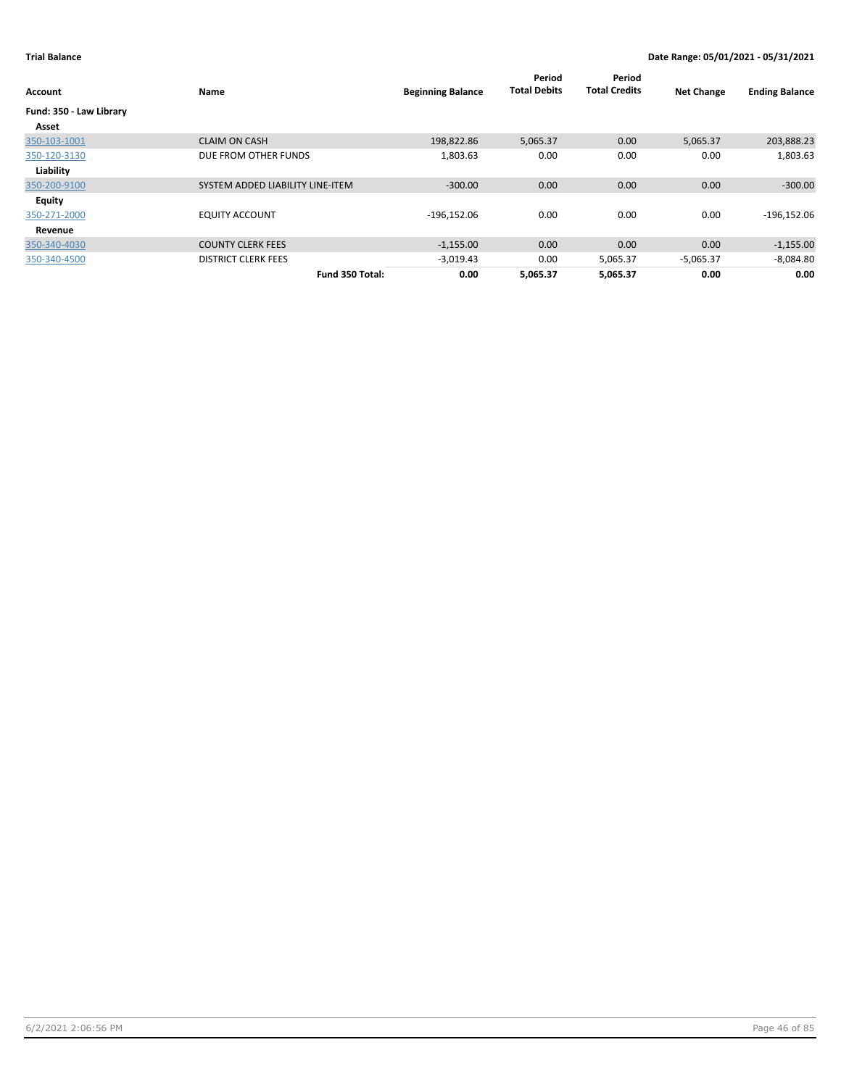| Account                 | Name                             | <b>Beginning Balance</b> | Period<br><b>Total Debits</b> | Period<br><b>Total Credits</b> | <b>Net Change</b> | <b>Ending Balance</b> |
|-------------------------|----------------------------------|--------------------------|-------------------------------|--------------------------------|-------------------|-----------------------|
| Fund: 350 - Law Library |                                  |                          |                               |                                |                   |                       |
| Asset                   |                                  |                          |                               |                                |                   |                       |
| 350-103-1001            | <b>CLAIM ON CASH</b>             | 198,822.86               | 5,065.37                      | 0.00                           | 5,065.37          | 203,888.23            |
| 350-120-3130            | DUE FROM OTHER FUNDS             | 1,803.63                 | 0.00                          | 0.00                           | 0.00              | 1,803.63              |
| Liability               |                                  |                          |                               |                                |                   |                       |
| 350-200-9100            | SYSTEM ADDED LIABILITY LINE-ITEM | $-300.00$                | 0.00                          | 0.00                           | 0.00              | $-300.00$             |
| Equity                  |                                  |                          |                               |                                |                   |                       |
| 350-271-2000            | <b>EQUITY ACCOUNT</b>            | $-196,152.06$            | 0.00                          | 0.00                           | 0.00              | $-196, 152.06$        |
| Revenue                 |                                  |                          |                               |                                |                   |                       |
| 350-340-4030            | <b>COUNTY CLERK FEES</b>         | $-1,155.00$              | 0.00                          | 0.00                           | 0.00              | $-1,155.00$           |
| 350-340-4500            | <b>DISTRICT CLERK FEES</b>       | $-3,019.43$              | 0.00                          | 5,065.37                       | $-5,065.37$       | $-8,084.80$           |
|                         | Fund 350 Total:                  | 0.00                     | 5,065.37                      | 5,065.37                       | 0.00              | 0.00                  |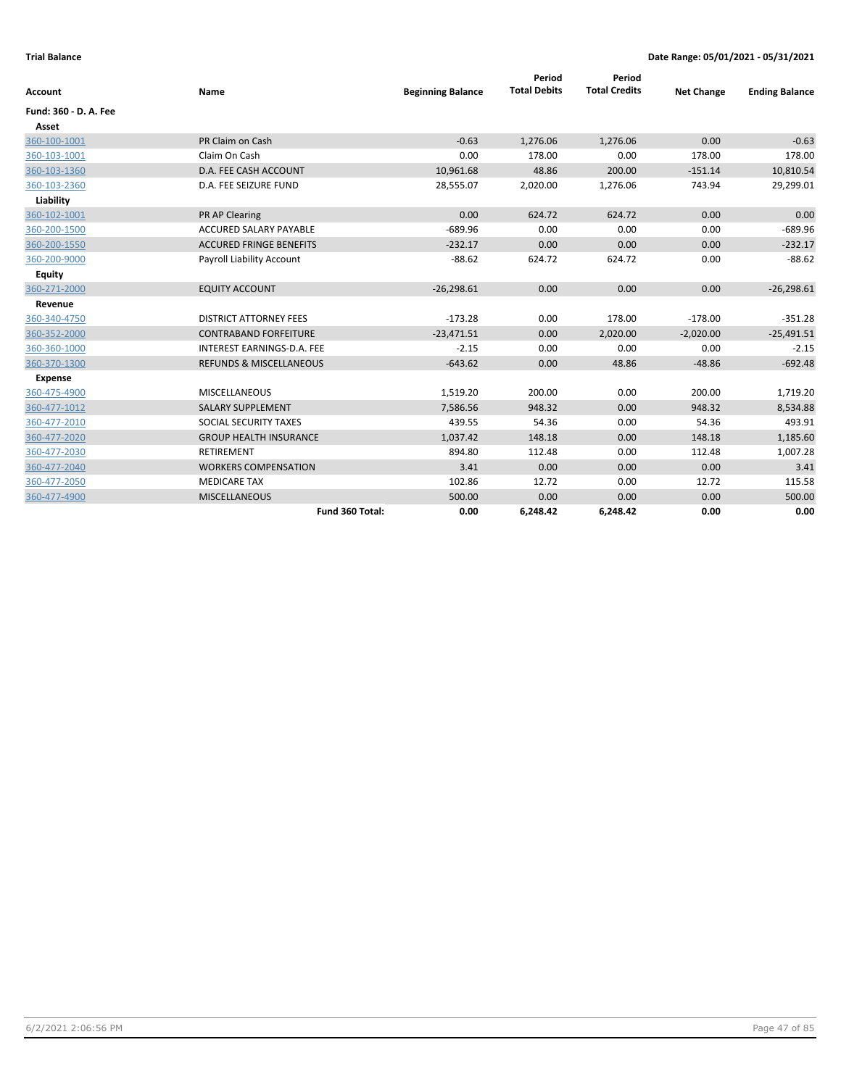| <b>Account</b>        | Name                               | <b>Beginning Balance</b> | Period<br><b>Total Debits</b> | Period<br><b>Total Credits</b> | <b>Net Change</b> | <b>Ending Balance</b> |
|-----------------------|------------------------------------|--------------------------|-------------------------------|--------------------------------|-------------------|-----------------------|
| Fund: 360 - D. A. Fee |                                    |                          |                               |                                |                   |                       |
| Asset                 |                                    |                          |                               |                                |                   |                       |
| 360-100-1001          | PR Claim on Cash                   | $-0.63$                  | 1,276.06                      | 1,276.06                       | 0.00              | $-0.63$               |
| 360-103-1001          | Claim On Cash                      | 0.00                     | 178.00                        | 0.00                           | 178.00            | 178.00                |
| 360-103-1360          | D.A. FEE CASH ACCOUNT              | 10,961.68                | 48.86                         | 200.00                         | $-151.14$         | 10,810.54             |
| 360-103-2360          | D.A. FEE SEIZURE FUND              | 28,555.07                | 2,020.00                      | 1,276.06                       | 743.94            | 29,299.01             |
| Liability             |                                    |                          |                               |                                |                   |                       |
| 360-102-1001          | <b>PR AP Clearing</b>              | 0.00                     | 624.72                        | 624.72                         | 0.00              | 0.00                  |
| 360-200-1500          | <b>ACCURED SALARY PAYABLE</b>      | $-689.96$                | 0.00                          | 0.00                           | 0.00              | $-689.96$             |
| 360-200-1550          | <b>ACCURED FRINGE BENEFITS</b>     | $-232.17$                | 0.00                          | 0.00                           | 0.00              | $-232.17$             |
| 360-200-9000          | Payroll Liability Account          | $-88.62$                 | 624.72                        | 624.72                         | 0.00              | $-88.62$              |
| <b>Equity</b>         |                                    |                          |                               |                                |                   |                       |
| 360-271-2000          | <b>EQUITY ACCOUNT</b>              | $-26,298.61$             | 0.00                          | 0.00                           | 0.00              | $-26,298.61$          |
| Revenue               |                                    |                          |                               |                                |                   |                       |
| 360-340-4750          | <b>DISTRICT ATTORNEY FEES</b>      | $-173.28$                | 0.00                          | 178.00                         | $-178.00$         | $-351.28$             |
| 360-352-2000          | <b>CONTRABAND FORFEITURE</b>       | $-23,471.51$             | 0.00                          | 2,020.00                       | $-2,020.00$       | $-25,491.51$          |
| 360-360-1000          | INTEREST EARNINGS-D.A. FEE         | $-2.15$                  | 0.00                          | 0.00                           | 0.00              | $-2.15$               |
| 360-370-1300          | <b>REFUNDS &amp; MISCELLANEOUS</b> | $-643.62$                | 0.00                          | 48.86                          | $-48.86$          | $-692.48$             |
| <b>Expense</b>        |                                    |                          |                               |                                |                   |                       |
| 360-475-4900          | <b>MISCELLANEOUS</b>               | 1,519.20                 | 200.00                        | 0.00                           | 200.00            | 1,719.20              |
| 360-477-1012          | <b>SALARY SUPPLEMENT</b>           | 7,586.56                 | 948.32                        | 0.00                           | 948.32            | 8,534.88              |
| 360-477-2010          | SOCIAL SECURITY TAXES              | 439.55                   | 54.36                         | 0.00                           | 54.36             | 493.91                |
| 360-477-2020          | <b>GROUP HEALTH INSURANCE</b>      | 1,037.42                 | 148.18                        | 0.00                           | 148.18            | 1,185.60              |
| 360-477-2030          | <b>RETIREMENT</b>                  | 894.80                   | 112.48                        | 0.00                           | 112.48            | 1,007.28              |
| 360-477-2040          | <b>WORKERS COMPENSATION</b>        | 3.41                     | 0.00                          | 0.00                           | 0.00              | 3.41                  |
| 360-477-2050          | <b>MEDICARE TAX</b>                | 102.86                   | 12.72                         | 0.00                           | 12.72             | 115.58                |
| 360-477-4900          | <b>MISCELLANEOUS</b>               | 500.00                   | 0.00                          | 0.00                           | 0.00              | 500.00                |
|                       | Fund 360 Total:                    | 0.00                     | 6,248.42                      | 6,248.42                       | 0.00              | 0.00                  |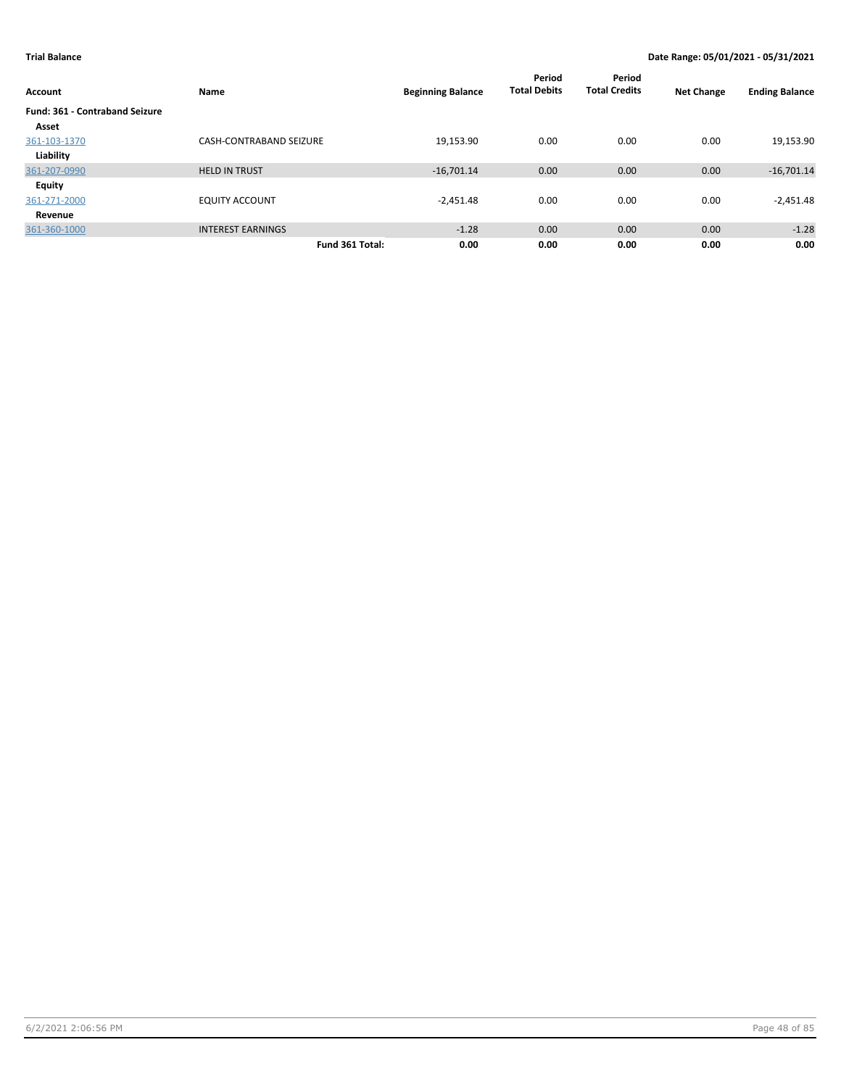| Account                               | Name                           | <b>Beginning Balance</b> | Period<br><b>Total Debits</b> | Period<br><b>Total Credits</b> | <b>Net Change</b> | <b>Ending Balance</b> |
|---------------------------------------|--------------------------------|--------------------------|-------------------------------|--------------------------------|-------------------|-----------------------|
| <b>Fund: 361 - Contraband Seizure</b> |                                |                          |                               |                                |                   |                       |
| Asset                                 |                                |                          |                               |                                |                   |                       |
| 361-103-1370                          | <b>CASH-CONTRABAND SEIZURE</b> | 19,153.90                | 0.00                          | 0.00                           | 0.00              | 19,153.90             |
| Liability                             |                                |                          |                               |                                |                   |                       |
| 361-207-0990                          | <b>HELD IN TRUST</b>           | $-16,701.14$             | 0.00                          | 0.00                           | 0.00              | $-16,701.14$          |
| Equity                                |                                |                          |                               |                                |                   |                       |
| 361-271-2000                          | <b>EQUITY ACCOUNT</b>          | $-2,451.48$              | 0.00                          | 0.00                           | 0.00              | $-2,451.48$           |
| Revenue                               |                                |                          |                               |                                |                   |                       |
| 361-360-1000                          | <b>INTEREST EARNINGS</b>       | $-1.28$                  | 0.00                          | 0.00                           | 0.00              | $-1.28$               |
|                                       | Fund 361 Total:                | 0.00                     | 0.00                          | 0.00                           | 0.00              | 0.00                  |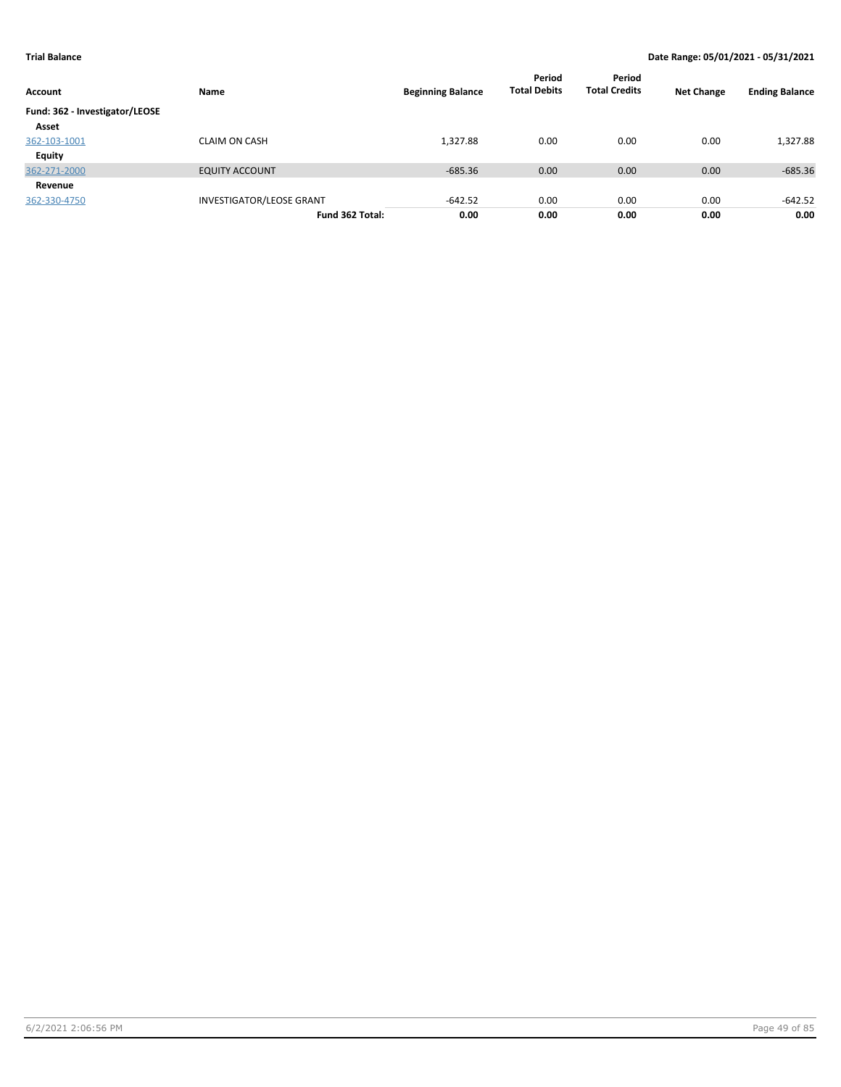| Account                        | Name                            | <b>Beginning Balance</b> | Period<br><b>Total Debits</b> | Period<br><b>Total Credits</b> | <b>Net Change</b> | <b>Ending Balance</b> |
|--------------------------------|---------------------------------|--------------------------|-------------------------------|--------------------------------|-------------------|-----------------------|
| Fund: 362 - Investigator/LEOSE |                                 |                          |                               |                                |                   |                       |
| Asset                          |                                 |                          |                               |                                |                   |                       |
| 362-103-1001                   | <b>CLAIM ON CASH</b>            | 1,327.88                 | 0.00                          | 0.00                           | 0.00              | 1,327.88              |
| Equity                         |                                 |                          |                               |                                |                   |                       |
| 362-271-2000                   | <b>EQUITY ACCOUNT</b>           | $-685.36$                | 0.00                          | 0.00                           | 0.00              | $-685.36$             |
| Revenue                        |                                 |                          |                               |                                |                   |                       |
| 362-330-4750                   | <b>INVESTIGATOR/LEOSE GRANT</b> | $-642.52$                | 0.00                          | 0.00                           | 0.00              | -642.52               |
|                                | Fund 362 Total:                 | 0.00                     | 0.00                          | 0.00                           | 0.00              | 0.00                  |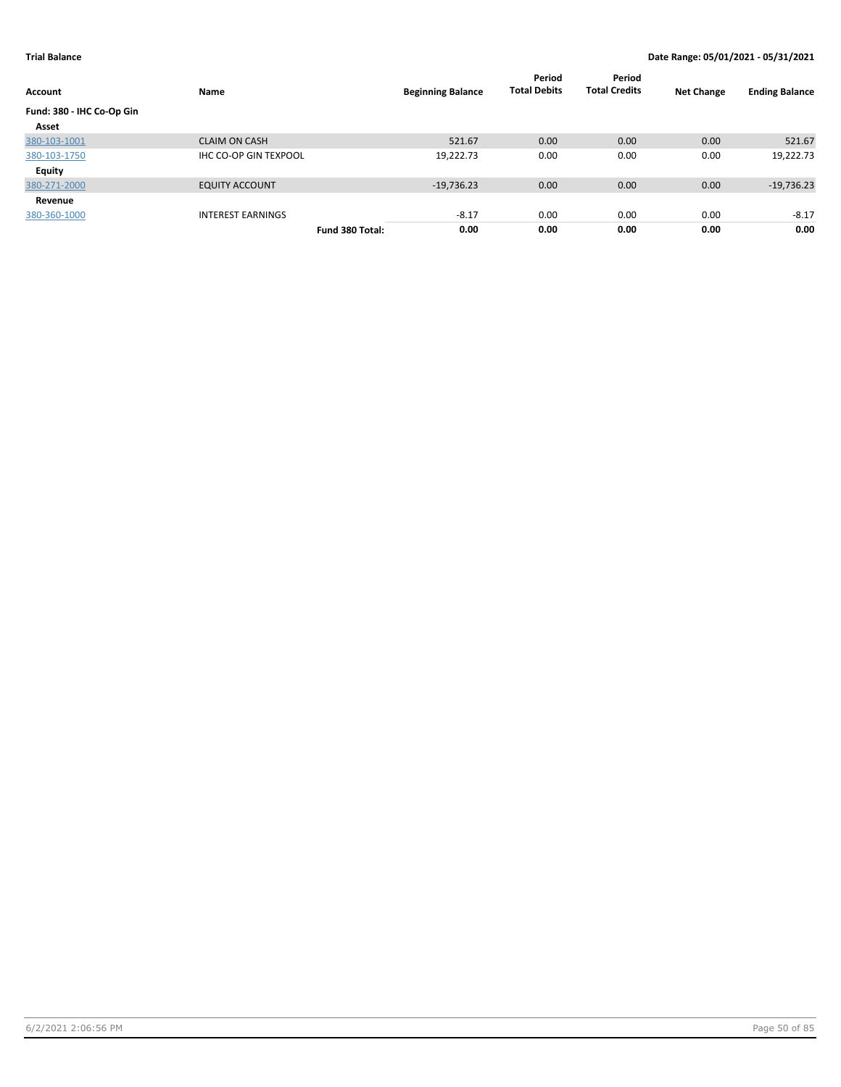| Account                   | Name                         |                 | <b>Beginning Balance</b> | Period<br><b>Total Debits</b> | Period<br><b>Total Credits</b> | <b>Net Change</b> | <b>Ending Balance</b> |
|---------------------------|------------------------------|-----------------|--------------------------|-------------------------------|--------------------------------|-------------------|-----------------------|
| Fund: 380 - IHC Co-Op Gin |                              |                 |                          |                               |                                |                   |                       |
| Asset                     |                              |                 |                          |                               |                                |                   |                       |
| 380-103-1001              | <b>CLAIM ON CASH</b>         |                 | 521.67                   | 0.00                          | 0.00                           | 0.00              | 521.67                |
| 380-103-1750              | <b>IHC CO-OP GIN TEXPOOL</b> |                 | 19,222.73                | 0.00                          | 0.00                           | 0.00              | 19,222.73             |
| <b>Equity</b>             |                              |                 |                          |                               |                                |                   |                       |
| 380-271-2000              | <b>EQUITY ACCOUNT</b>        |                 | $-19,736.23$             | 0.00                          | 0.00                           | 0.00              | $-19,736.23$          |
| Revenue                   |                              |                 |                          |                               |                                |                   |                       |
| 380-360-1000              | <b>INTEREST EARNINGS</b>     |                 | $-8.17$                  | 0.00                          | 0.00                           | 0.00              | $-8.17$               |
|                           |                              | Fund 380 Total: | 0.00                     | 0.00                          | 0.00                           | 0.00              | 0.00                  |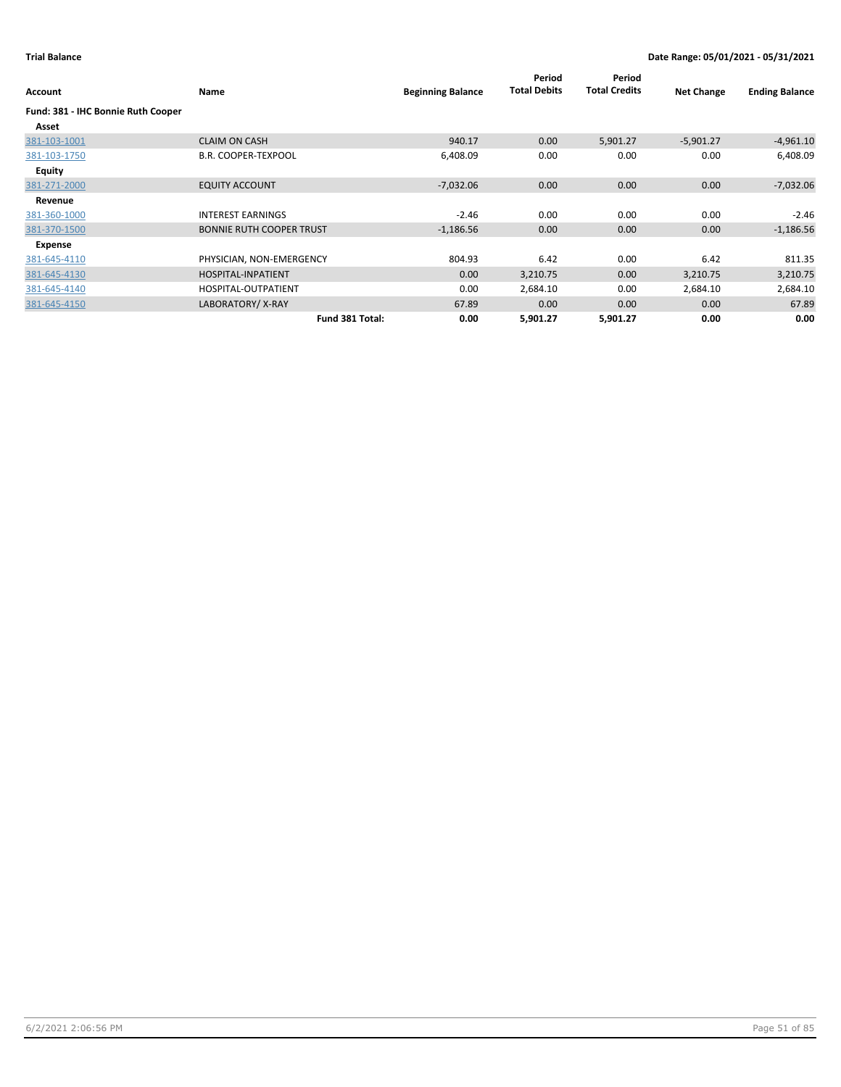| Account                            | Name                            | <b>Beginning Balance</b> | Period<br><b>Total Debits</b> | Period<br><b>Total Credits</b> | <b>Net Change</b> | <b>Ending Balance</b> |
|------------------------------------|---------------------------------|--------------------------|-------------------------------|--------------------------------|-------------------|-----------------------|
| Fund: 381 - IHC Bonnie Ruth Cooper |                                 |                          |                               |                                |                   |                       |
| Asset                              |                                 |                          |                               |                                |                   |                       |
| 381-103-1001                       | <b>CLAIM ON CASH</b>            | 940.17                   | 0.00                          | 5,901.27                       | $-5,901.27$       | $-4,961.10$           |
| 381-103-1750                       | <b>B.R. COOPER-TEXPOOL</b>      | 6,408.09                 | 0.00                          | 0.00                           | 0.00              | 6,408.09              |
| Equity                             |                                 |                          |                               |                                |                   |                       |
| 381-271-2000                       | <b>EQUITY ACCOUNT</b>           | $-7,032.06$              | 0.00                          | 0.00                           | 0.00              | $-7,032.06$           |
| Revenue                            |                                 |                          |                               |                                |                   |                       |
| 381-360-1000                       | <b>INTEREST EARNINGS</b>        | $-2.46$                  | 0.00                          | 0.00                           | 0.00              | $-2.46$               |
| 381-370-1500                       | <b>BONNIE RUTH COOPER TRUST</b> | $-1,186.56$              | 0.00                          | 0.00                           | 0.00              | $-1,186.56$           |
| Expense                            |                                 |                          |                               |                                |                   |                       |
| 381-645-4110                       | PHYSICIAN, NON-EMERGENCY        | 804.93                   | 6.42                          | 0.00                           | 6.42              | 811.35                |
| 381-645-4130                       | HOSPITAL-INPATIENT              | 0.00                     | 3,210.75                      | 0.00                           | 3,210.75          | 3,210.75              |
| 381-645-4140                       | HOSPITAL-OUTPATIENT             | 0.00                     | 2,684.10                      | 0.00                           | 2,684.10          | 2,684.10              |
| 381-645-4150                       | LABORATORY/X-RAY                | 67.89                    | 0.00                          | 0.00                           | 0.00              | 67.89                 |
|                                    | Fund 381 Total:                 | 0.00                     | 5,901.27                      | 5,901.27                       | 0.00              | 0.00                  |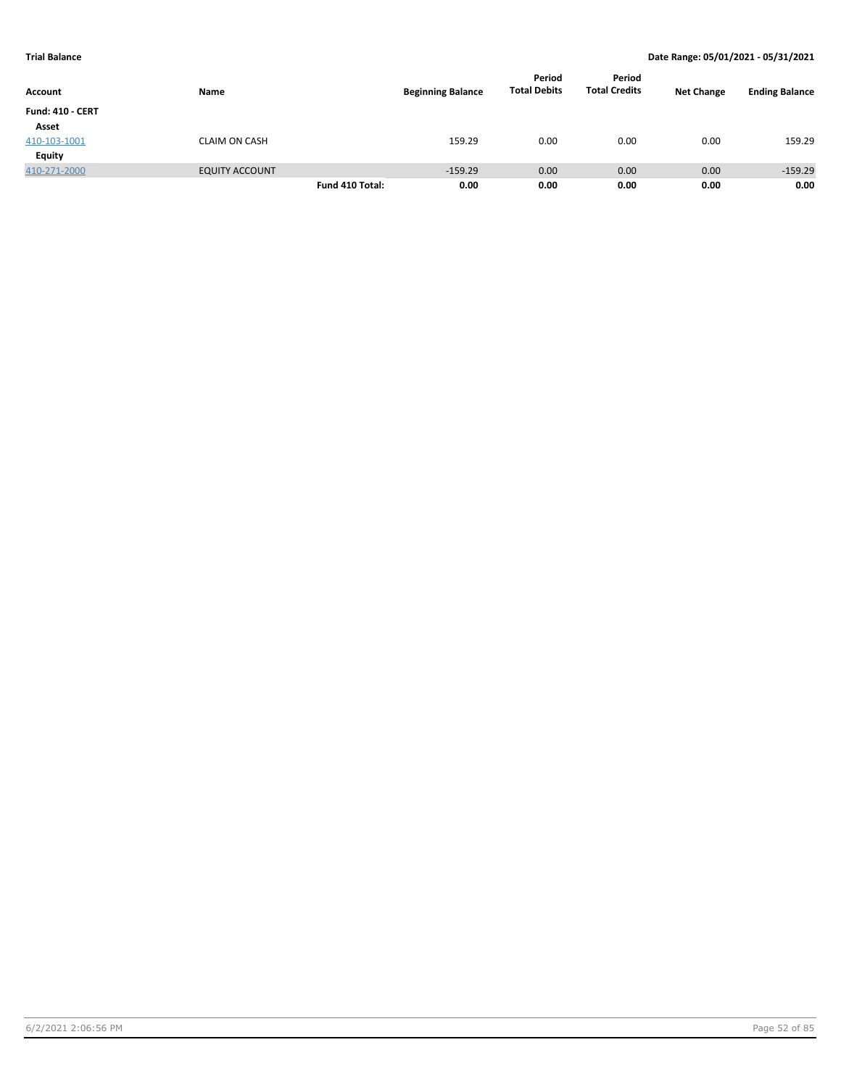| <b>Account</b>          | Name                  |                 | <b>Beginning Balance</b> | Period<br><b>Total Debits</b> | Period<br><b>Total Credits</b> | <b>Net Change</b> | <b>Ending Balance</b> |
|-------------------------|-----------------------|-----------------|--------------------------|-------------------------------|--------------------------------|-------------------|-----------------------|
| <b>Fund: 410 - CERT</b> |                       |                 |                          |                               |                                |                   |                       |
| Asset                   |                       |                 |                          |                               |                                |                   |                       |
| 410-103-1001            | <b>CLAIM ON CASH</b>  |                 | 159.29                   | 0.00                          | 0.00                           | 0.00              | 159.29                |
| <b>Equity</b>           |                       |                 |                          |                               |                                |                   |                       |
| 410-271-2000            | <b>EQUITY ACCOUNT</b> |                 | $-159.29$                | 0.00                          | 0.00                           | 0.00              | $-159.29$             |
|                         |                       | Fund 410 Total: | 0.00                     | 0.00                          | 0.00                           | 0.00              | 0.00                  |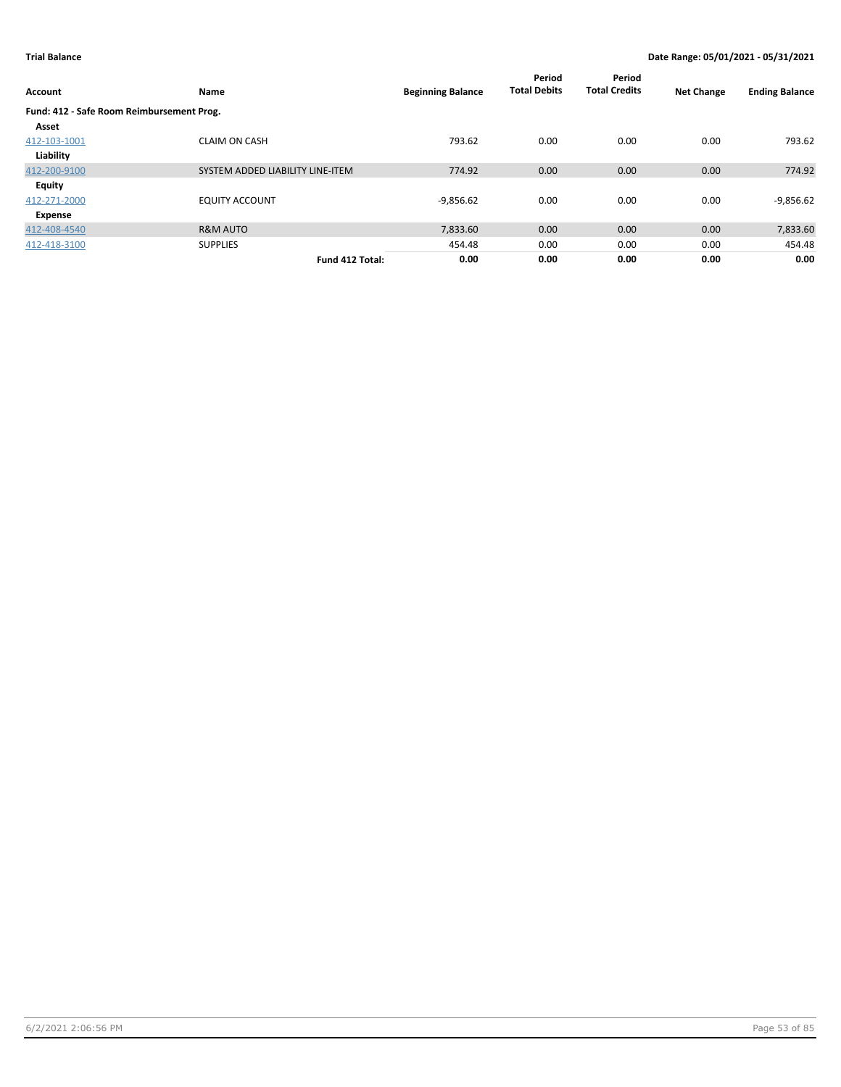| <b>Account</b>                            | Name                             | <b>Beginning Balance</b> | Period<br><b>Total Debits</b> | Period<br><b>Total Credits</b> | <b>Net Change</b> | <b>Ending Balance</b> |
|-------------------------------------------|----------------------------------|--------------------------|-------------------------------|--------------------------------|-------------------|-----------------------|
| Fund: 412 - Safe Room Reimbursement Prog. |                                  |                          |                               |                                |                   |                       |
| Asset                                     |                                  |                          |                               |                                |                   |                       |
| 412-103-1001                              | <b>CLAIM ON CASH</b>             | 793.62                   | 0.00                          | 0.00                           | 0.00              | 793.62                |
| Liability                                 |                                  |                          |                               |                                |                   |                       |
| 412-200-9100                              | SYSTEM ADDED LIABILITY LINE-ITEM | 774.92                   | 0.00                          | 0.00                           | 0.00              | 774.92                |
| <b>Equity</b>                             |                                  |                          |                               |                                |                   |                       |
| 412-271-2000                              | <b>EQUITY ACCOUNT</b>            | $-9,856.62$              | 0.00                          | 0.00                           | 0.00              | $-9,856.62$           |
| Expense                                   |                                  |                          |                               |                                |                   |                       |
| 412-408-4540                              | <b>R&amp;M AUTO</b>              | 7,833.60                 | 0.00                          | 0.00                           | 0.00              | 7,833.60              |
| 412-418-3100                              | <b>SUPPLIES</b>                  | 454.48                   | 0.00                          | 0.00                           | 0.00              | 454.48                |
|                                           | Fund 412 Total:                  | 0.00                     | 0.00                          | 0.00                           | 0.00              | 0.00                  |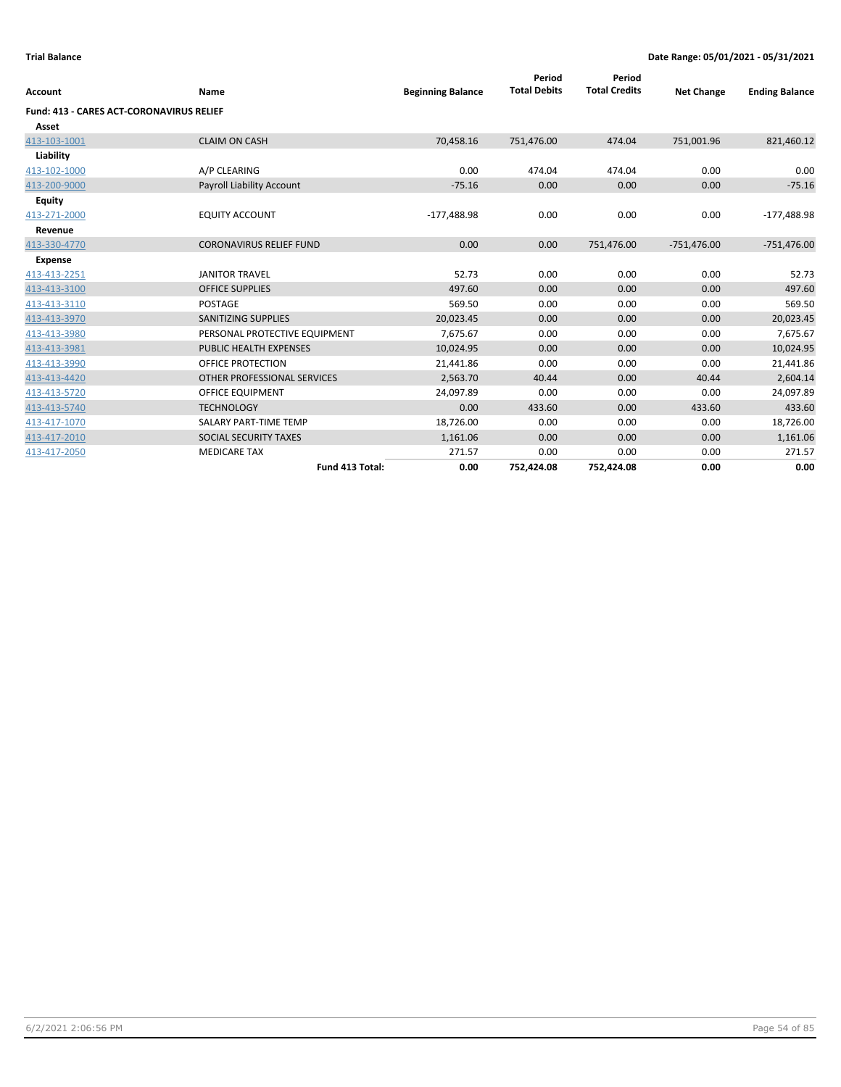| <b>Account</b>                                  | Name                             | <b>Beginning Balance</b> | Period<br><b>Total Debits</b> | Period<br><b>Total Credits</b> | <b>Net Change</b> | <b>Ending Balance</b> |
|-------------------------------------------------|----------------------------------|--------------------------|-------------------------------|--------------------------------|-------------------|-----------------------|
| <b>Fund: 413 - CARES ACT-CORONAVIRUS RELIEF</b> |                                  |                          |                               |                                |                   |                       |
| Asset                                           |                                  |                          |                               |                                |                   |                       |
| 413-103-1001                                    | <b>CLAIM ON CASH</b>             | 70,458.16                | 751,476.00                    | 474.04                         | 751,001.96        | 821,460.12            |
| Liability                                       |                                  |                          |                               |                                |                   |                       |
| 413-102-1000                                    | A/P CLEARING                     | 0.00                     | 474.04                        | 474.04                         | 0.00              | 0.00                  |
| 413-200-9000                                    | <b>Payroll Liability Account</b> | $-75.16$                 | 0.00                          | 0.00                           | 0.00              | $-75.16$              |
| <b>Equity</b>                                   |                                  |                          |                               |                                |                   |                       |
| 413-271-2000                                    | <b>EQUITY ACCOUNT</b>            | $-177,488.98$            | 0.00                          | 0.00                           | 0.00              | $-177,488.98$         |
| Revenue                                         |                                  |                          |                               |                                |                   |                       |
| 413-330-4770                                    | <b>CORONAVIRUS RELIEF FUND</b>   | 0.00                     | 0.00                          | 751,476.00                     | $-751,476.00$     | $-751,476.00$         |
| <b>Expense</b>                                  |                                  |                          |                               |                                |                   |                       |
| 413-413-2251                                    | <b>JANITOR TRAVEL</b>            | 52.73                    | 0.00                          | 0.00                           | 0.00              | 52.73                 |
| 413-413-3100                                    | <b>OFFICE SUPPLIES</b>           | 497.60                   | 0.00                          | 0.00                           | 0.00              | 497.60                |
| 413-413-3110                                    | <b>POSTAGE</b>                   | 569.50                   | 0.00                          | 0.00                           | 0.00              | 569.50                |
| 413-413-3970                                    | <b>SANITIZING SUPPLIES</b>       | 20,023.45                | 0.00                          | 0.00                           | 0.00              | 20,023.45             |
| 413-413-3980                                    | PERSONAL PROTECTIVE EQUIPMENT    | 7,675.67                 | 0.00                          | 0.00                           | 0.00              | 7,675.67              |
| 413-413-3981                                    | <b>PUBLIC HEALTH EXPENSES</b>    | 10,024.95                | 0.00                          | 0.00                           | 0.00              | 10,024.95             |
| 413-413-3990                                    | OFFICE PROTECTION                | 21,441.86                | 0.00                          | 0.00                           | 0.00              | 21,441.86             |
| 413-413-4420                                    | OTHER PROFESSIONAL SERVICES      | 2,563.70                 | 40.44                         | 0.00                           | 40.44             | 2,604.14              |
| 413-413-5720                                    | <b>OFFICE EQUIPMENT</b>          | 24,097.89                | 0.00                          | 0.00                           | 0.00              | 24,097.89             |
| 413-413-5740                                    | <b>TECHNOLOGY</b>                | 0.00                     | 433.60                        | 0.00                           | 433.60            | 433.60                |
| 413-417-1070                                    | SALARY PART-TIME TEMP            | 18,726.00                | 0.00                          | 0.00                           | 0.00              | 18,726.00             |
| 413-417-2010                                    | SOCIAL SECURITY TAXES            | 1,161.06                 | 0.00                          | 0.00                           | 0.00              | 1,161.06              |
| 413-417-2050                                    | <b>MEDICARE TAX</b>              | 271.57                   | 0.00                          | 0.00                           | 0.00              | 271.57                |
|                                                 | Fund 413 Total:                  | 0.00                     | 752,424.08                    | 752,424.08                     | 0.00              | 0.00                  |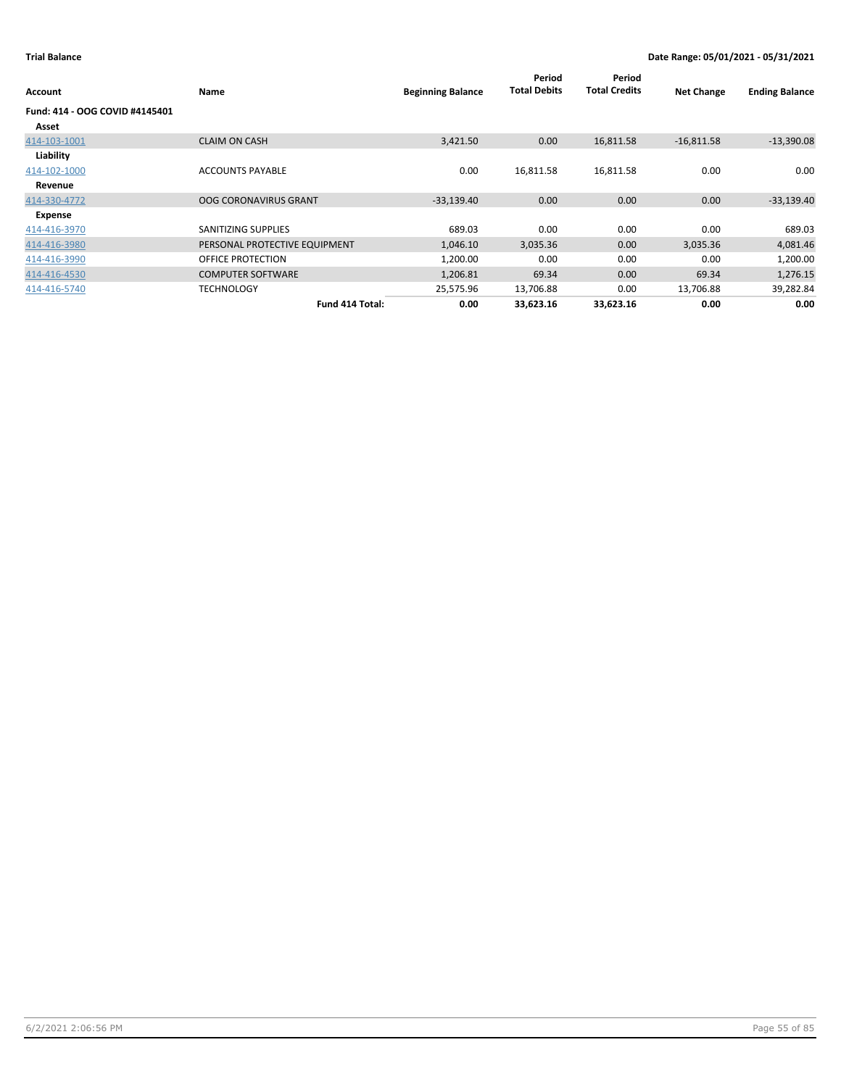| Account                        | Name                          | <b>Beginning Balance</b> | Period<br><b>Total Debits</b> | Period<br><b>Total Credits</b> | <b>Net Change</b> | <b>Ending Balance</b> |
|--------------------------------|-------------------------------|--------------------------|-------------------------------|--------------------------------|-------------------|-----------------------|
| Fund: 414 - OOG COVID #4145401 |                               |                          |                               |                                |                   |                       |
| Asset                          |                               |                          |                               |                                |                   |                       |
| 414-103-1001                   | <b>CLAIM ON CASH</b>          | 3,421.50                 | 0.00                          | 16,811.58                      | $-16,811.58$      | $-13,390.08$          |
| Liability                      |                               |                          |                               |                                |                   |                       |
| 414-102-1000                   | <b>ACCOUNTS PAYABLE</b>       | 0.00                     | 16,811.58                     | 16,811.58                      | 0.00              | 0.00                  |
| Revenue                        |                               |                          |                               |                                |                   |                       |
| 414-330-4772                   | <b>OOG CORONAVIRUS GRANT</b>  | $-33,139.40$             | 0.00                          | 0.00                           | 0.00              | $-33,139.40$          |
| Expense                        |                               |                          |                               |                                |                   |                       |
| 414-416-3970                   | SANITIZING SUPPLIES           | 689.03                   | 0.00                          | 0.00                           | 0.00              | 689.03                |
| 414-416-3980                   | PERSONAL PROTECTIVE EQUIPMENT | 1,046.10                 | 3,035.36                      | 0.00                           | 3,035.36          | 4,081.46              |
| 414-416-3990                   | OFFICE PROTECTION             | 1,200.00                 | 0.00                          | 0.00                           | 0.00              | 1,200.00              |
| 414-416-4530                   | <b>COMPUTER SOFTWARE</b>      | 1,206.81                 | 69.34                         | 0.00                           | 69.34             | 1,276.15              |
| 414-416-5740                   | <b>TECHNOLOGY</b>             | 25,575.96                | 13,706.88                     | 0.00                           | 13,706.88         | 39,282.84             |
|                                | Fund 414 Total:               | 0.00                     | 33,623.16                     | 33,623.16                      | 0.00              | 0.00                  |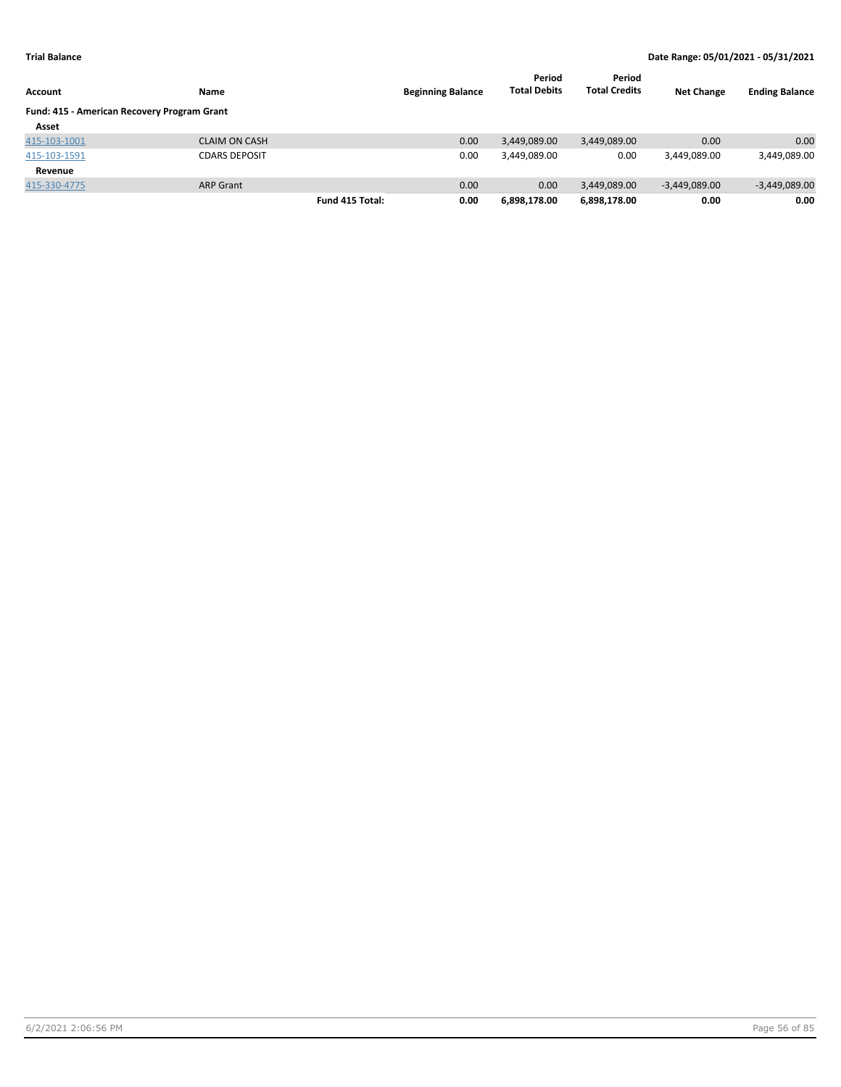|                                             |                      |                 |                          | Period              | Period               |                   |                       |
|---------------------------------------------|----------------------|-----------------|--------------------------|---------------------|----------------------|-------------------|-----------------------|
| Account                                     | Name                 |                 | <b>Beginning Balance</b> | <b>Total Debits</b> | <b>Total Credits</b> | <b>Net Change</b> | <b>Ending Balance</b> |
| Fund: 415 - American Recovery Program Grant |                      |                 |                          |                     |                      |                   |                       |
| Asset                                       |                      |                 |                          |                     |                      |                   |                       |
| 415-103-1001                                | <b>CLAIM ON CASH</b> |                 | 0.00                     | 3,449,089.00        | 3,449,089.00         | 0.00              | 0.00                  |
| 415-103-1591                                | <b>CDARS DEPOSIT</b> |                 | 0.00                     | 3,449,089.00        | 0.00                 | 3,449,089.00      | 3,449,089.00          |
| Revenue                                     |                      |                 |                          |                     |                      |                   |                       |
| 415-330-4775                                | <b>ARP Grant</b>     |                 | 0.00                     | 0.00                | 3,449,089.00         | $-3,449,089.00$   | $-3,449,089.00$       |
|                                             |                      | Fund 415 Total: | 0.00                     | 6,898,178.00        | 6,898,178.00         | 0.00              | 0.00                  |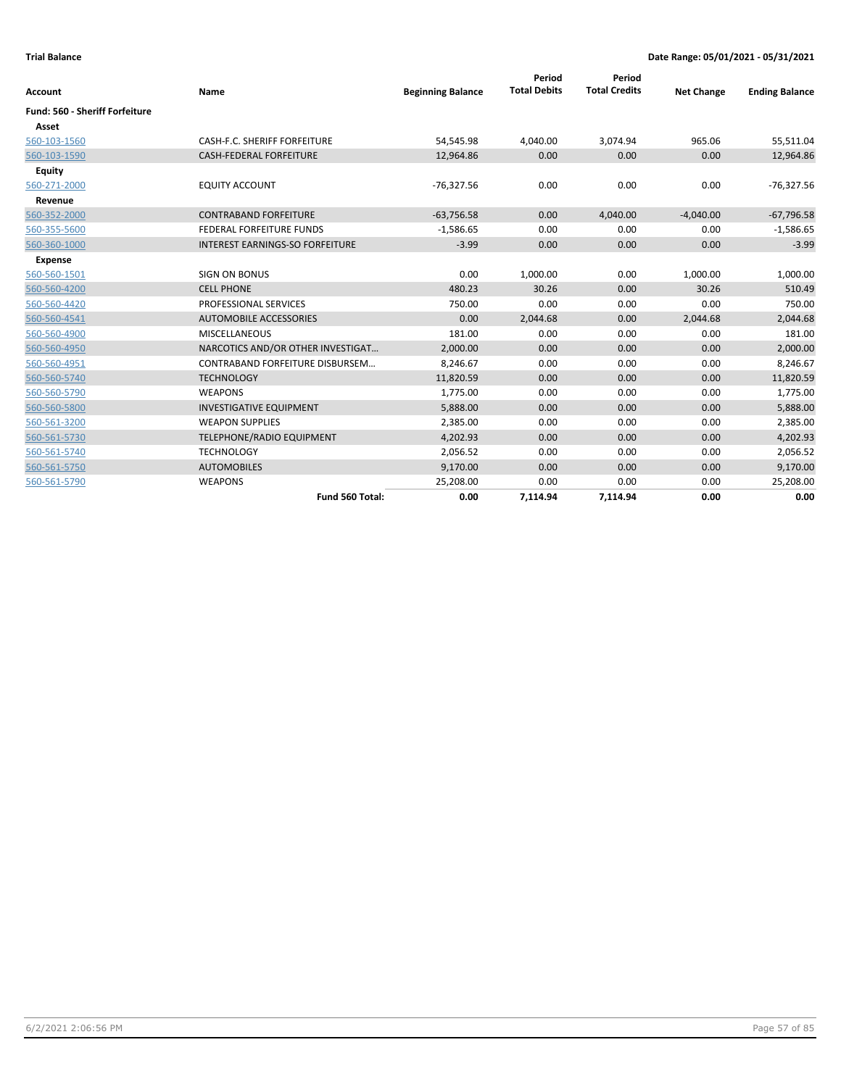| Account                        | Name                                   | <b>Beginning Balance</b> | Period<br><b>Total Debits</b> | Period<br><b>Total Credits</b> | <b>Net Change</b> | <b>Ending Balance</b> |
|--------------------------------|----------------------------------------|--------------------------|-------------------------------|--------------------------------|-------------------|-----------------------|
| Fund: 560 - Sheriff Forfeiture |                                        |                          |                               |                                |                   |                       |
| Asset                          |                                        |                          |                               |                                |                   |                       |
| 560-103-1560                   | CASH-F.C. SHERIFF FORFEITURE           | 54,545.98                | 4,040.00                      | 3,074.94                       | 965.06            | 55,511.04             |
| 560-103-1590                   | <b>CASH-FEDERAL FORFEITURE</b>         | 12,964.86                | 0.00                          | 0.00                           | 0.00              | 12,964.86             |
| <b>Equity</b>                  |                                        |                          |                               |                                |                   |                       |
| 560-271-2000                   | <b>EQUITY ACCOUNT</b>                  | $-76,327.56$             | 0.00                          | 0.00                           | 0.00              | $-76,327.56$          |
| Revenue                        |                                        |                          |                               |                                |                   |                       |
| 560-352-2000                   | <b>CONTRABAND FORFEITURE</b>           | $-63,756.58$             | 0.00                          | 4,040.00                       | $-4,040.00$       | $-67,796.58$          |
| 560-355-5600                   | FEDERAL FORFEITURE FUNDS               | $-1,586.65$              | 0.00                          | 0.00                           | 0.00              | $-1,586.65$           |
| 560-360-1000                   | <b>INTEREST EARNINGS-SO FORFEITURE</b> | $-3.99$                  | 0.00                          | 0.00                           | 0.00              | $-3.99$               |
| <b>Expense</b>                 |                                        |                          |                               |                                |                   |                       |
| 560-560-1501                   | <b>SIGN ON BONUS</b>                   | 0.00                     | 1,000.00                      | 0.00                           | 1,000.00          | 1,000.00              |
| 560-560-4200                   | <b>CELL PHONE</b>                      | 480.23                   | 30.26                         | 0.00                           | 30.26             | 510.49                |
| 560-560-4420                   | PROFESSIONAL SERVICES                  | 750.00                   | 0.00                          | 0.00                           | 0.00              | 750.00                |
| 560-560-4541                   | <b>AUTOMOBILE ACCESSORIES</b>          | 0.00                     | 2,044.68                      | 0.00                           | 2,044.68          | 2,044.68              |
| 560-560-4900                   | <b>MISCELLANEOUS</b>                   | 181.00                   | 0.00                          | 0.00                           | 0.00              | 181.00                |
| 560-560-4950                   | NARCOTICS AND/OR OTHER INVESTIGAT      | 2,000.00                 | 0.00                          | 0.00                           | 0.00              | 2,000.00              |
| 560-560-4951                   | CONTRABAND FORFEITURE DISBURSEM        | 8,246.67                 | 0.00                          | 0.00                           | 0.00              | 8,246.67              |
| 560-560-5740                   | <b>TECHNOLOGY</b>                      | 11,820.59                | 0.00                          | 0.00                           | 0.00              | 11,820.59             |
| 560-560-5790                   | <b>WEAPONS</b>                         | 1,775.00                 | 0.00                          | 0.00                           | 0.00              | 1,775.00              |
| 560-560-5800                   | <b>INVESTIGATIVE EQUIPMENT</b>         | 5,888.00                 | 0.00                          | 0.00                           | 0.00              | 5,888.00              |
| 560-561-3200                   | <b>WEAPON SUPPLIES</b>                 | 2,385.00                 | 0.00                          | 0.00                           | 0.00              | 2,385.00              |
| 560-561-5730                   | TELEPHONE/RADIO EQUIPMENT              | 4,202.93                 | 0.00                          | 0.00                           | 0.00              | 4,202.93              |
| 560-561-5740                   | <b>TECHNOLOGY</b>                      | 2,056.52                 | 0.00                          | 0.00                           | 0.00              | 2,056.52              |
| 560-561-5750                   | <b>AUTOMOBILES</b>                     | 9,170.00                 | 0.00                          | 0.00                           | 0.00              | 9,170.00              |
| 560-561-5790                   | <b>WEAPONS</b>                         | 25,208.00                | 0.00                          | 0.00                           | 0.00              | 25,208.00             |
|                                | Fund 560 Total:                        | 0.00                     | 7,114.94                      | 7,114.94                       | 0.00              | 0.00                  |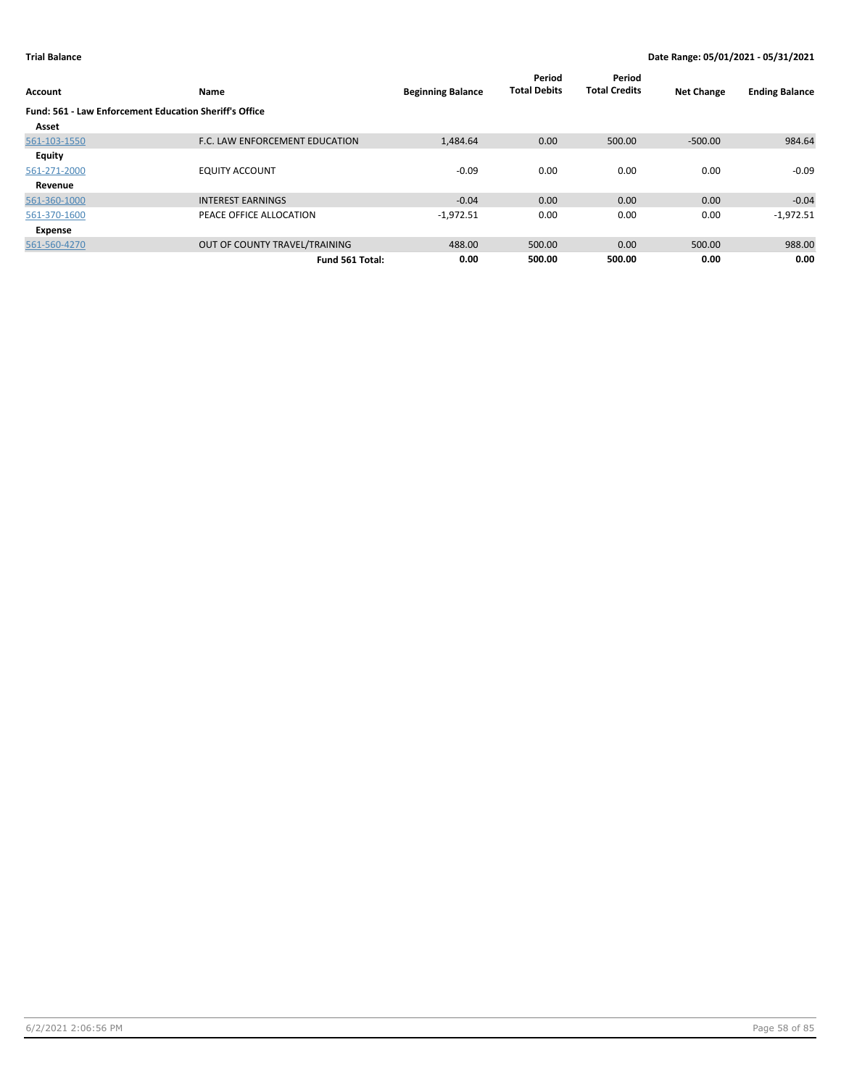| Account                                                | Name                           | <b>Beginning Balance</b> | Period<br><b>Total Debits</b> | Period<br><b>Total Credits</b> | <b>Net Change</b> | <b>Ending Balance</b> |
|--------------------------------------------------------|--------------------------------|--------------------------|-------------------------------|--------------------------------|-------------------|-----------------------|
| Fund: 561 - Law Enforcement Education Sheriff's Office |                                |                          |                               |                                |                   |                       |
| Asset                                                  |                                |                          |                               |                                |                   |                       |
| 561-103-1550                                           | F.C. LAW ENFORCEMENT EDUCATION | 1,484.64                 | 0.00                          | 500.00                         | $-500.00$         | 984.64                |
| Equity                                                 |                                |                          |                               |                                |                   |                       |
| 561-271-2000                                           | <b>EQUITY ACCOUNT</b>          | $-0.09$                  | 0.00                          | 0.00                           | 0.00              | $-0.09$               |
| Revenue                                                |                                |                          |                               |                                |                   |                       |
| 561-360-1000                                           | <b>INTEREST EARNINGS</b>       | $-0.04$                  | 0.00                          | 0.00                           | 0.00              | $-0.04$               |
| 561-370-1600                                           | PEACE OFFICE ALLOCATION        | $-1,972.51$              | 0.00                          | 0.00                           | 0.00              | $-1,972.51$           |
| Expense                                                |                                |                          |                               |                                |                   |                       |
| 561-560-4270                                           | OUT OF COUNTY TRAVEL/TRAINING  | 488.00                   | 500.00                        | 0.00                           | 500.00            | 988.00                |
|                                                        | Fund 561 Total:                | 0.00                     | 500.00                        | 500.00                         | 0.00              | 0.00                  |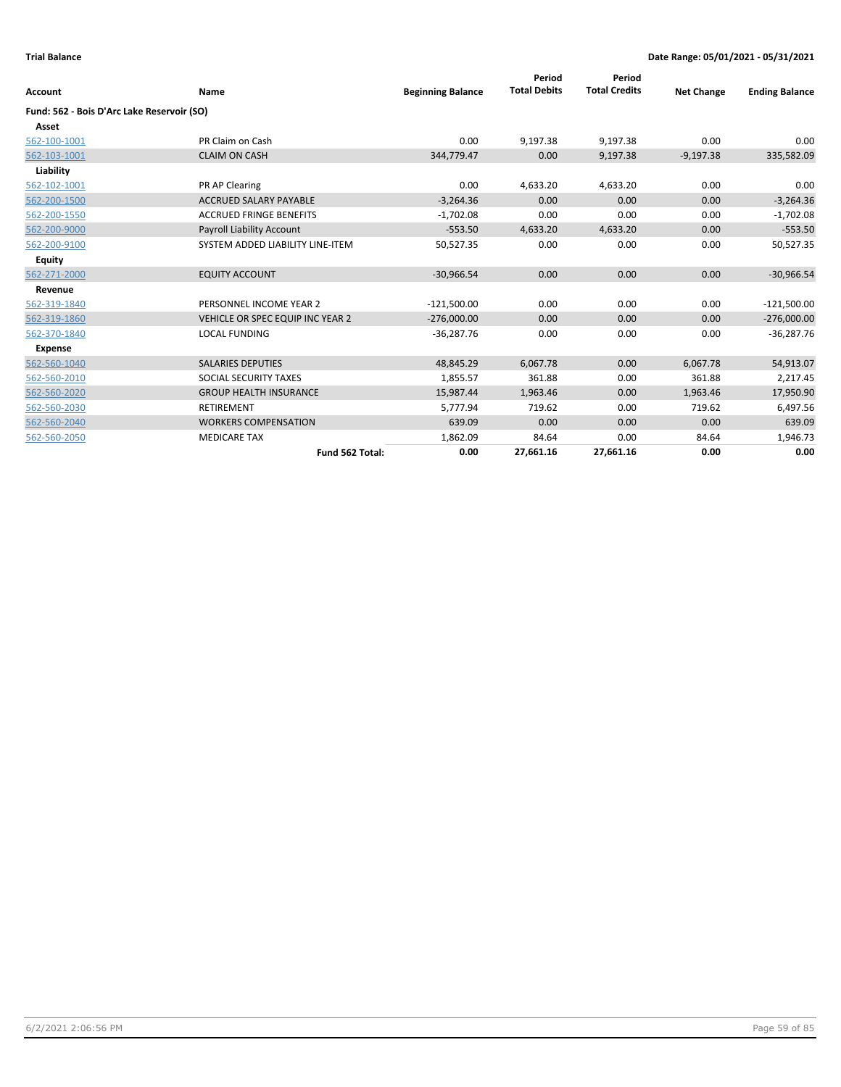| Account                                    | Name                             | <b>Beginning Balance</b> | Period<br><b>Total Debits</b> | Period<br><b>Total Credits</b> | <b>Net Change</b> | <b>Ending Balance</b> |
|--------------------------------------------|----------------------------------|--------------------------|-------------------------------|--------------------------------|-------------------|-----------------------|
| Fund: 562 - Bois D'Arc Lake Reservoir (SO) |                                  |                          |                               |                                |                   |                       |
| Asset                                      |                                  |                          |                               |                                |                   |                       |
| 562-100-1001                               | PR Claim on Cash                 | 0.00                     | 9,197.38                      | 9,197.38                       | 0.00              | 0.00                  |
| 562-103-1001                               | <b>CLAIM ON CASH</b>             | 344,779.47               | 0.00                          | 9,197.38                       | $-9,197.38$       | 335,582.09            |
| Liability                                  |                                  |                          |                               |                                |                   |                       |
| 562-102-1001                               | PR AP Clearing                   | 0.00                     | 4,633.20                      | 4,633.20                       | 0.00              | 0.00                  |
| 562-200-1500                               | <b>ACCRUED SALARY PAYABLE</b>    | $-3,264.36$              | 0.00                          | 0.00                           | 0.00              | $-3,264.36$           |
| 562-200-1550                               | <b>ACCRUED FRINGE BENEFITS</b>   | $-1,702.08$              | 0.00                          | 0.00                           | 0.00              | $-1,702.08$           |
| 562-200-9000                               | Payroll Liability Account        | $-553.50$                | 4,633.20                      | 4,633.20                       | 0.00              | $-553.50$             |
| 562-200-9100                               | SYSTEM ADDED LIABILITY LINE-ITEM | 50,527.35                | 0.00                          | 0.00                           | 0.00              | 50,527.35             |
| <b>Equity</b>                              |                                  |                          |                               |                                |                   |                       |
| 562-271-2000                               | <b>EQUITY ACCOUNT</b>            | $-30,966.54$             | 0.00                          | 0.00                           | 0.00              | $-30,966.54$          |
| Revenue                                    |                                  |                          |                               |                                |                   |                       |
| 562-319-1840                               | PERSONNEL INCOME YEAR 2          | $-121,500.00$            | 0.00                          | 0.00                           | 0.00              | $-121,500.00$         |
| 562-319-1860                               | VEHICLE OR SPEC EQUIP INC YEAR 2 | $-276,000.00$            | 0.00                          | 0.00                           | 0.00              | $-276,000.00$         |
| 562-370-1840                               | <b>LOCAL FUNDING</b>             | $-36,287.76$             | 0.00                          | 0.00                           | 0.00              | $-36,287.76$          |
| <b>Expense</b>                             |                                  |                          |                               |                                |                   |                       |
| 562-560-1040                               | <b>SALARIES DEPUTIES</b>         | 48,845.29                | 6,067.78                      | 0.00                           | 6,067.78          | 54,913.07             |
| 562-560-2010                               | SOCIAL SECURITY TAXES            | 1,855.57                 | 361.88                        | 0.00                           | 361.88            | 2,217.45              |
| 562-560-2020                               | <b>GROUP HEALTH INSURANCE</b>    | 15,987.44                | 1,963.46                      | 0.00                           | 1,963.46          | 17,950.90             |
| 562-560-2030                               | <b>RETIREMENT</b>                | 5,777.94                 | 719.62                        | 0.00                           | 719.62            | 6,497.56              |
| 562-560-2040                               | <b>WORKERS COMPENSATION</b>      | 639.09                   | 0.00                          | 0.00                           | 0.00              | 639.09                |
| 562-560-2050                               | <b>MEDICARE TAX</b>              | 1,862.09                 | 84.64                         | 0.00                           | 84.64             | 1,946.73              |
|                                            | Fund 562 Total:                  | 0.00                     | 27,661.16                     | 27,661.16                      | 0.00              | 0.00                  |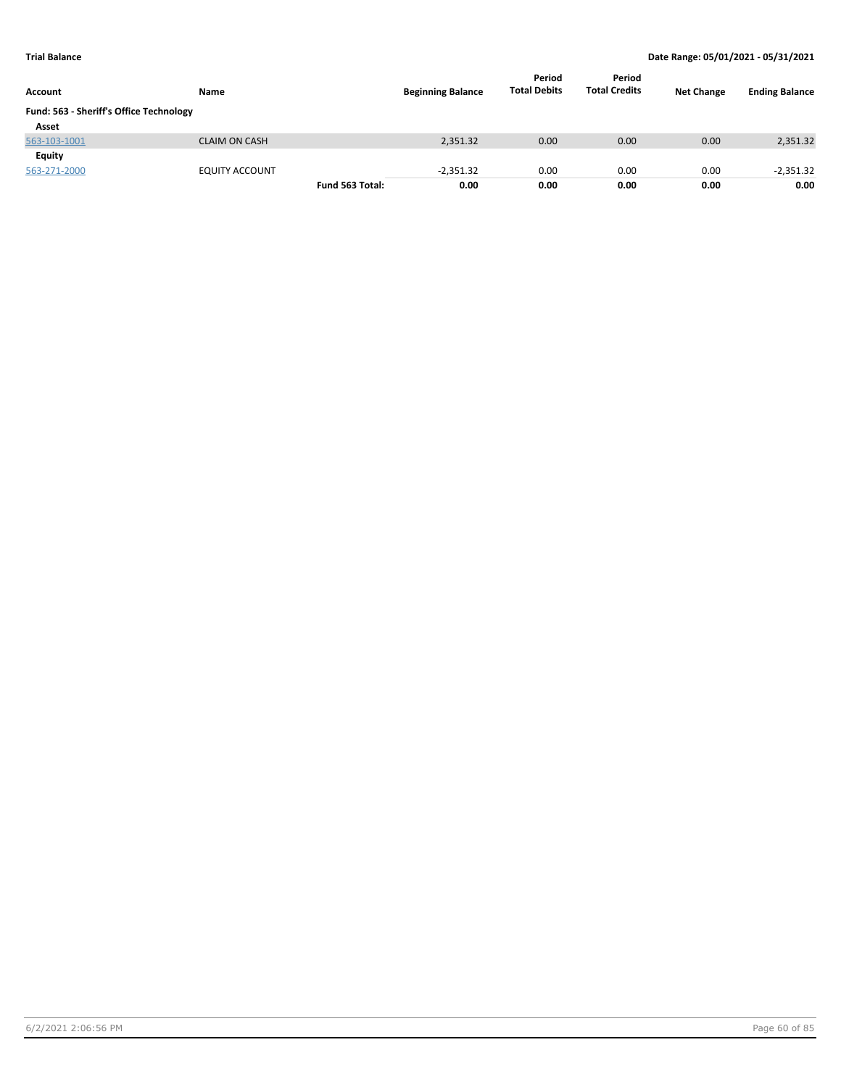| Account                                 | Name                  |                 | <b>Beginning Balance</b> | Period<br><b>Total Debits</b> | Period<br><b>Total Credits</b> | <b>Net Change</b> | <b>Ending Balance</b> |
|-----------------------------------------|-----------------------|-----------------|--------------------------|-------------------------------|--------------------------------|-------------------|-----------------------|
| Fund: 563 - Sheriff's Office Technology |                       |                 |                          |                               |                                |                   |                       |
| Asset                                   |                       |                 |                          |                               |                                |                   |                       |
| 563-103-1001                            | <b>CLAIM ON CASH</b>  |                 | 2,351.32                 | 0.00                          | 0.00                           | 0.00              | 2,351.32              |
| Equity                                  |                       |                 |                          |                               |                                |                   |                       |
| 563-271-2000                            | <b>EQUITY ACCOUNT</b> |                 | $-2,351.32$              | 0.00                          | 0.00                           | 0.00              | $-2,351.32$           |
|                                         |                       | Fund 563 Total: | 0.00                     | 0.00                          | 0.00                           | 0.00              | 0.00                  |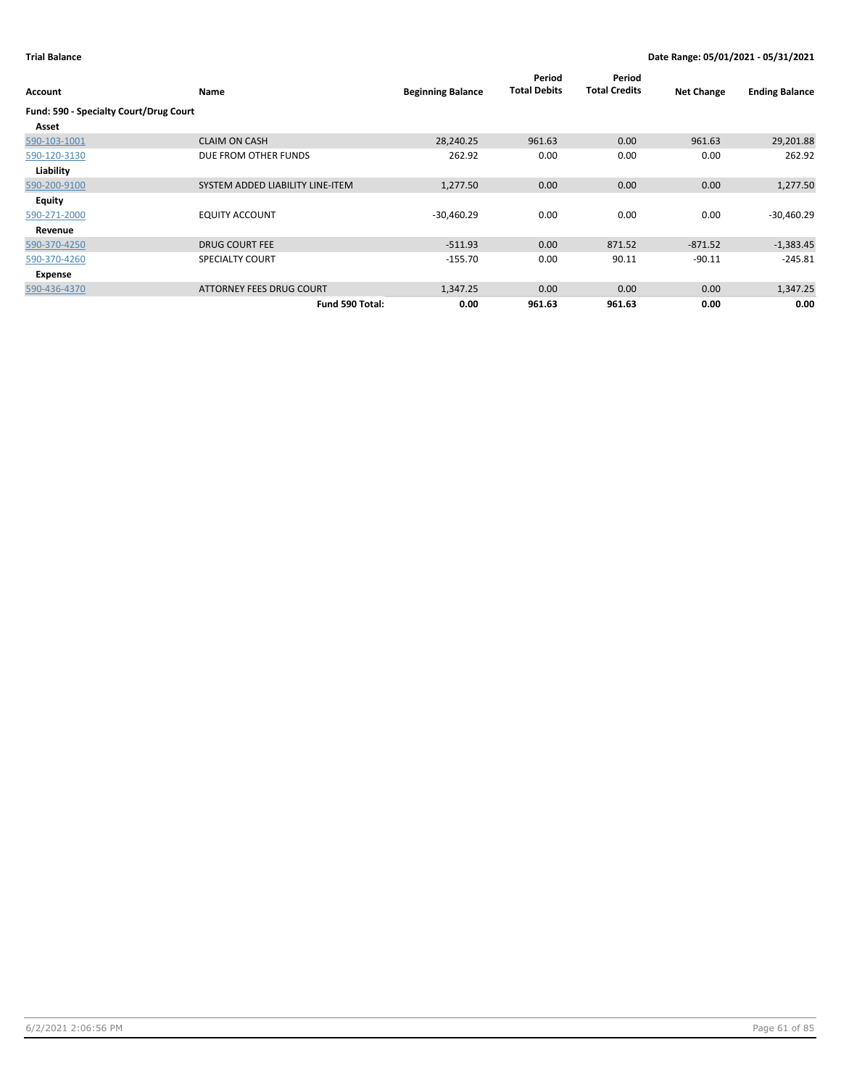| Account                                | Name                             | <b>Beginning Balance</b> | Period<br><b>Total Debits</b> | Period<br><b>Total Credits</b> | <b>Net Change</b> | <b>Ending Balance</b> |
|----------------------------------------|----------------------------------|--------------------------|-------------------------------|--------------------------------|-------------------|-----------------------|
| Fund: 590 - Specialty Court/Drug Court |                                  |                          |                               |                                |                   |                       |
| Asset                                  |                                  |                          |                               |                                |                   |                       |
| 590-103-1001                           | <b>CLAIM ON CASH</b>             | 28,240.25                | 961.63                        | 0.00                           | 961.63            | 29,201.88             |
| 590-120-3130                           | DUE FROM OTHER FUNDS             | 262.92                   | 0.00                          | 0.00                           | 0.00              | 262.92                |
| Liability                              |                                  |                          |                               |                                |                   |                       |
| 590-200-9100                           | SYSTEM ADDED LIABILITY LINE-ITEM | 1,277.50                 | 0.00                          | 0.00                           | 0.00              | 1,277.50              |
| <b>Equity</b>                          |                                  |                          |                               |                                |                   |                       |
| 590-271-2000                           | <b>EQUITY ACCOUNT</b>            | $-30,460.29$             | 0.00                          | 0.00                           | 0.00              | $-30,460.29$          |
| Revenue                                |                                  |                          |                               |                                |                   |                       |
| 590-370-4250                           | <b>DRUG COURT FEE</b>            | $-511.93$                | 0.00                          | 871.52                         | $-871.52$         | $-1,383.45$           |
| 590-370-4260                           | <b>SPECIALTY COURT</b>           | $-155.70$                | 0.00                          | 90.11                          | $-90.11$          | $-245.81$             |
| Expense                                |                                  |                          |                               |                                |                   |                       |
| 590-436-4370                           | ATTORNEY FEES DRUG COURT         | 1,347.25                 | 0.00                          | 0.00                           | 0.00              | 1,347.25              |
|                                        | Fund 590 Total:                  | 0.00                     | 961.63                        | 961.63                         | 0.00              | 0.00                  |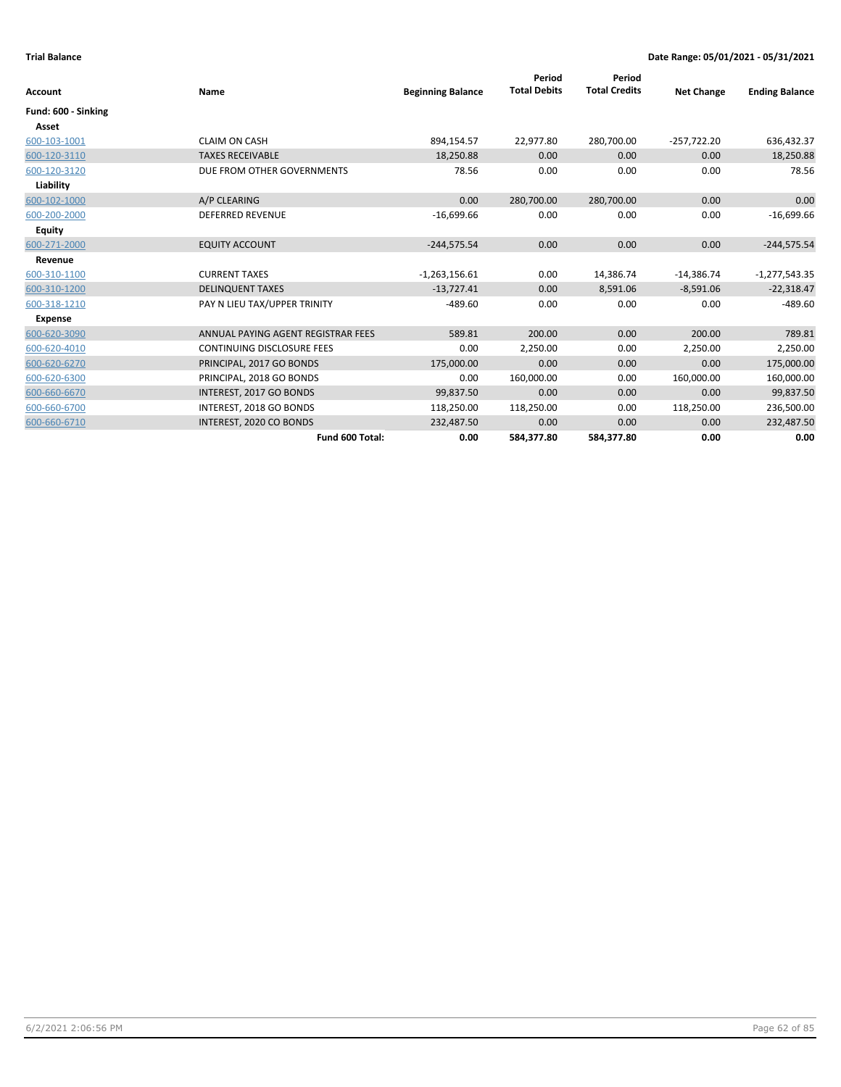|                     |                                    |                          | Period              | Period               |                   |                       |
|---------------------|------------------------------------|--------------------------|---------------------|----------------------|-------------------|-----------------------|
| Account             | Name                               | <b>Beginning Balance</b> | <b>Total Debits</b> | <b>Total Credits</b> | <b>Net Change</b> | <b>Ending Balance</b> |
| Fund: 600 - Sinking |                                    |                          |                     |                      |                   |                       |
| Asset               |                                    |                          |                     |                      |                   |                       |
| 600-103-1001        | <b>CLAIM ON CASH</b>               | 894,154.57               | 22,977.80           | 280,700.00           | $-257,722.20$     | 636,432.37            |
| 600-120-3110        | <b>TAXES RECEIVABLE</b>            | 18,250.88                | 0.00                | 0.00                 | 0.00              | 18,250.88             |
| 600-120-3120        | DUE FROM OTHER GOVERNMENTS         | 78.56                    | 0.00                | 0.00                 | 0.00              | 78.56                 |
| Liability           |                                    |                          |                     |                      |                   |                       |
| 600-102-1000        | A/P CLEARING                       | 0.00                     | 280,700.00          | 280,700.00           | 0.00              | 0.00                  |
| 600-200-2000        | <b>DEFERRED REVENUE</b>            | $-16,699.66$             | 0.00                | 0.00                 | 0.00              | $-16,699.66$          |
| <b>Equity</b>       |                                    |                          |                     |                      |                   |                       |
| 600-271-2000        | <b>EQUITY ACCOUNT</b>              | $-244,575.54$            | 0.00                | 0.00                 | 0.00              | $-244,575.54$         |
| Revenue             |                                    |                          |                     |                      |                   |                       |
| 600-310-1100        | <b>CURRENT TAXES</b>               | $-1,263,156.61$          | 0.00                | 14,386.74            | $-14,386.74$      | $-1,277,543.35$       |
| 600-310-1200        | <b>DELINQUENT TAXES</b>            | $-13,727.41$             | 0.00                | 8,591.06             | $-8,591.06$       | $-22,318.47$          |
| 600-318-1210        | PAY N LIEU TAX/UPPER TRINITY       | $-489.60$                | 0.00                | 0.00                 | 0.00              | $-489.60$             |
| <b>Expense</b>      |                                    |                          |                     |                      |                   |                       |
| 600-620-3090        | ANNUAL PAYING AGENT REGISTRAR FEES | 589.81                   | 200.00              | 0.00                 | 200.00            | 789.81                |
| 600-620-4010        | <b>CONTINUING DISCLOSURE FEES</b>  | 0.00                     | 2,250.00            | 0.00                 | 2,250.00          | 2,250.00              |
| 600-620-6270        | PRINCIPAL, 2017 GO BONDS           | 175,000.00               | 0.00                | 0.00                 | 0.00              | 175,000.00            |
| 600-620-6300        | PRINCIPAL, 2018 GO BONDS           | 0.00                     | 160,000.00          | 0.00                 | 160,000.00        | 160,000.00            |
| 600-660-6670        | INTEREST, 2017 GO BONDS            | 99,837.50                | 0.00                | 0.00                 | 0.00              | 99,837.50             |
| 600-660-6700        | INTEREST, 2018 GO BONDS            | 118,250.00               | 118,250.00          | 0.00                 | 118,250.00        | 236,500.00            |
| 600-660-6710        | INTEREST, 2020 CO BONDS            | 232,487.50               | 0.00                | 0.00                 | 0.00              | 232,487.50            |
|                     | Fund 600 Total:                    | 0.00                     | 584,377.80          | 584,377.80           | 0.00              | 0.00                  |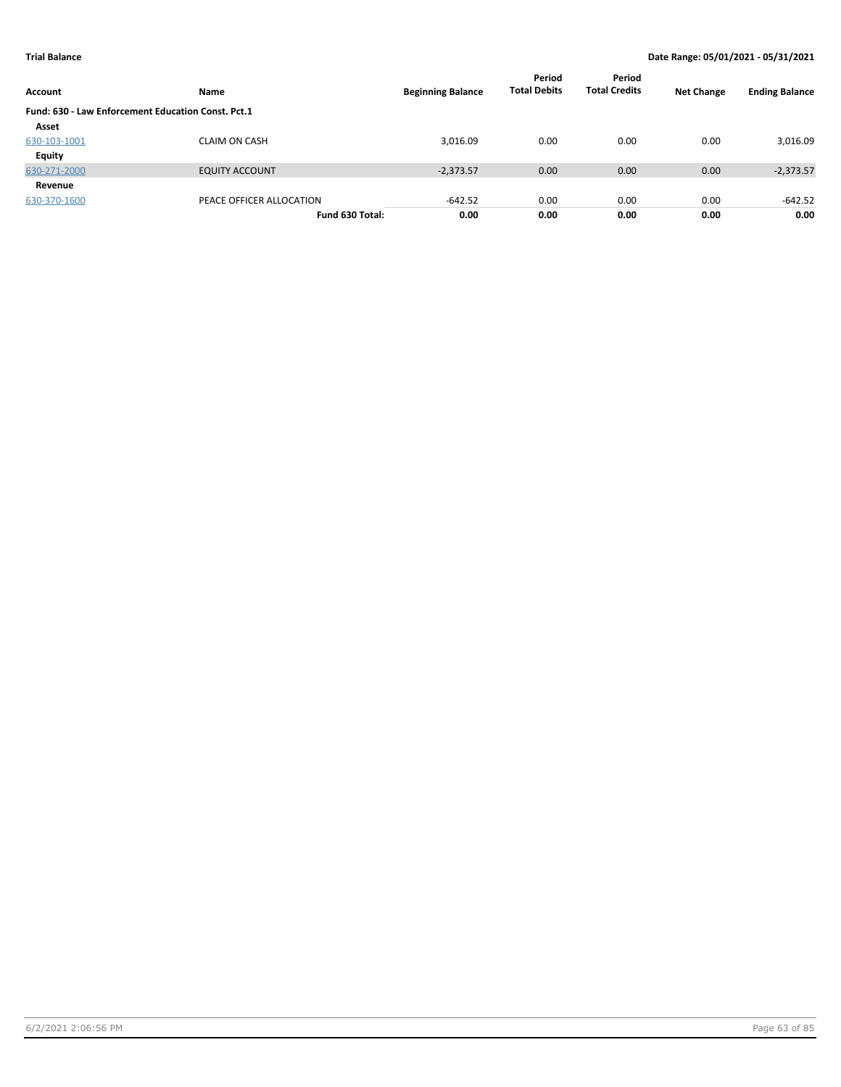| Account                                            | Name                     | <b>Beginning Balance</b> | Period<br><b>Total Debits</b> | Period<br><b>Total Credits</b> | <b>Net Change</b> | <b>Ending Balance</b> |
|----------------------------------------------------|--------------------------|--------------------------|-------------------------------|--------------------------------|-------------------|-----------------------|
| Fund: 630 - Law Enforcement Education Const. Pct.1 |                          |                          |                               |                                |                   |                       |
| Asset                                              |                          |                          |                               |                                |                   |                       |
| 630-103-1001                                       | <b>CLAIM ON CASH</b>     | 3,016.09                 | 0.00                          | 0.00                           | 0.00              | 3,016.09              |
| Equity                                             |                          |                          |                               |                                |                   |                       |
| 630-271-2000                                       | <b>EQUITY ACCOUNT</b>    | $-2,373.57$              | 0.00                          | 0.00                           | 0.00              | $-2,373.57$           |
| Revenue                                            |                          |                          |                               |                                |                   |                       |
| 630-370-1600                                       | PEACE OFFICER ALLOCATION | $-642.52$                | 0.00                          | 0.00                           | 0.00              | $-642.52$             |
|                                                    | Fund 630 Total:          | 0.00                     | 0.00                          | 0.00                           | 0.00              | 0.00                  |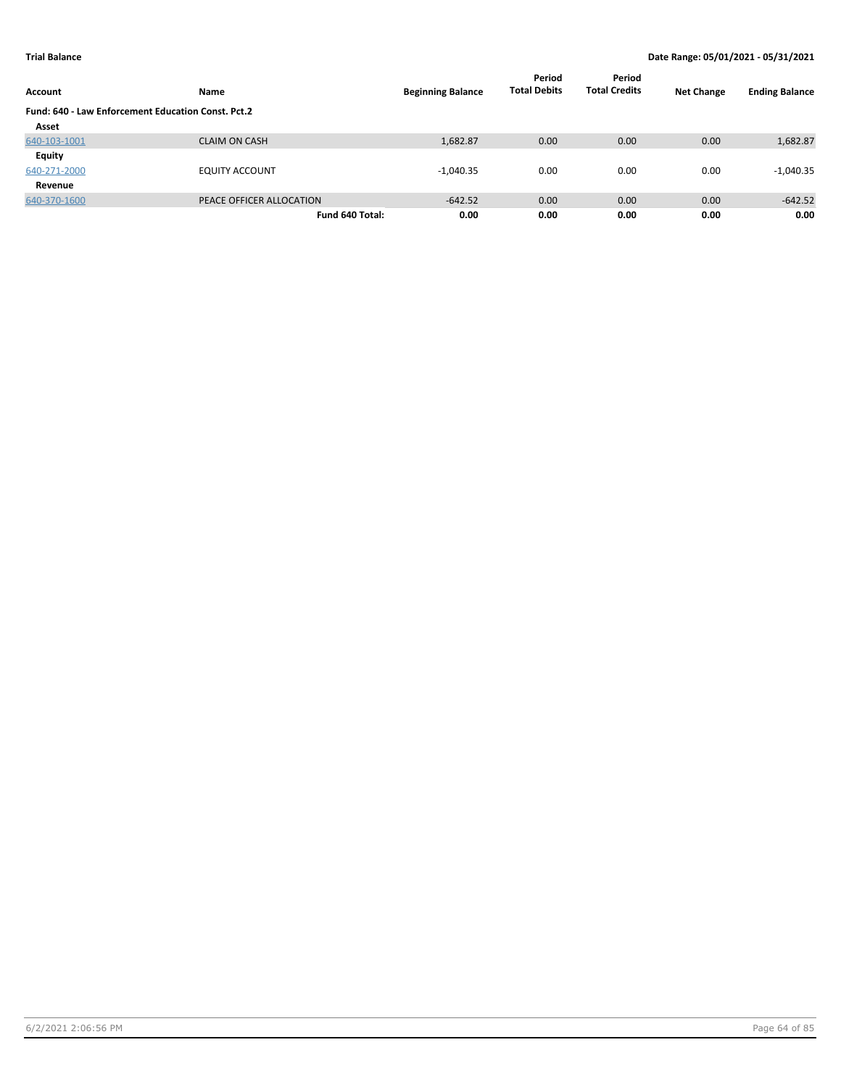| Account      | Name                                               | <b>Beginning Balance</b> | Period<br><b>Total Debits</b> | Period<br><b>Total Credits</b> | <b>Net Change</b> | <b>Ending Balance</b> |  |  |  |  |
|--------------|----------------------------------------------------|--------------------------|-------------------------------|--------------------------------|-------------------|-----------------------|--|--|--|--|
|              | Fund: 640 - Law Enforcement Education Const. Pct.2 |                          |                               |                                |                   |                       |  |  |  |  |
| Asset        |                                                    |                          |                               |                                |                   |                       |  |  |  |  |
| 640-103-1001 | <b>CLAIM ON CASH</b>                               | 1,682.87                 | 0.00                          | 0.00                           | 0.00              | 1,682.87              |  |  |  |  |
| Equity       |                                                    |                          |                               |                                |                   |                       |  |  |  |  |
| 640-271-2000 | <b>EQUITY ACCOUNT</b>                              | $-1,040.35$              | 0.00                          | 0.00                           | 0.00              | $-1,040.35$           |  |  |  |  |
| Revenue      |                                                    |                          |                               |                                |                   |                       |  |  |  |  |
| 640-370-1600 | PEACE OFFICER ALLOCATION                           | $-642.52$                | 0.00                          | 0.00                           | 0.00              | $-642.52$             |  |  |  |  |
|              | Fund 640 Total:                                    | 0.00                     | 0.00                          | 0.00                           | 0.00              | 0.00                  |  |  |  |  |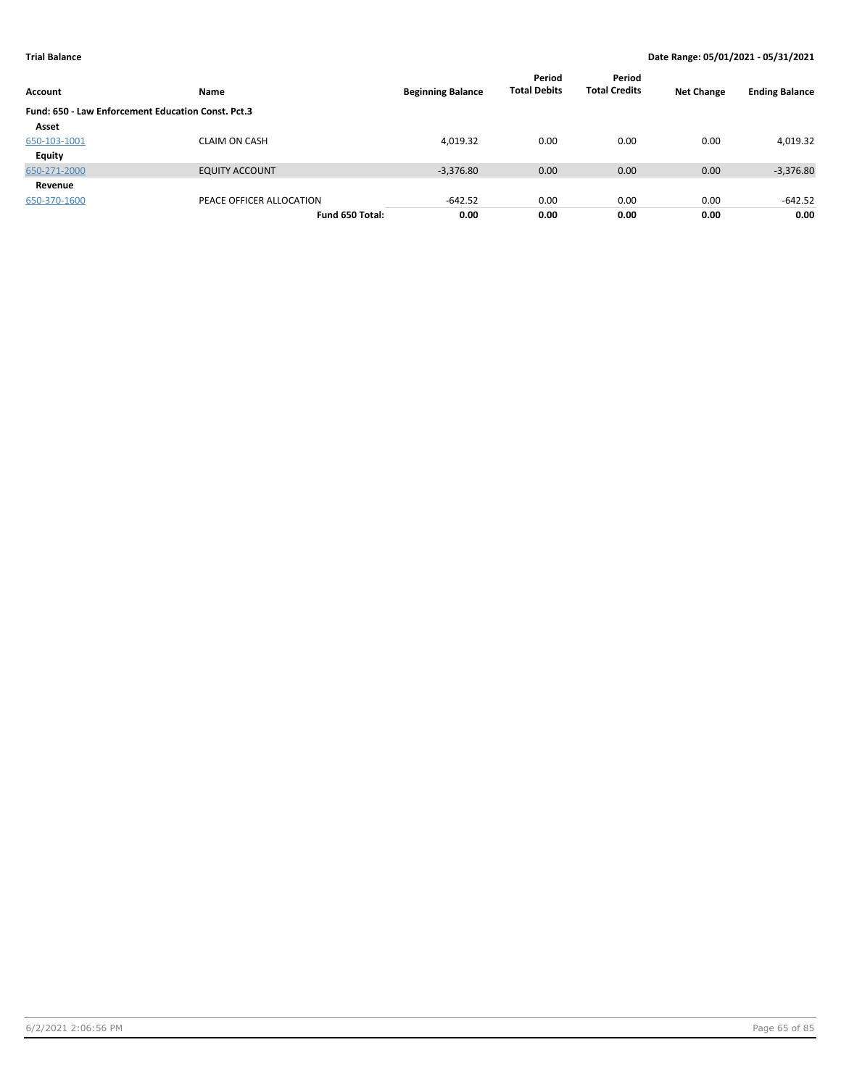| Account                                            | Name                     | <b>Beginning Balance</b> | Period<br><b>Total Debits</b> | Period<br><b>Total Credits</b> | <b>Net Change</b> | <b>Ending Balance</b> |
|----------------------------------------------------|--------------------------|--------------------------|-------------------------------|--------------------------------|-------------------|-----------------------|
| Fund: 650 - Law Enforcement Education Const. Pct.3 |                          |                          |                               |                                |                   |                       |
| Asset                                              |                          |                          |                               |                                |                   |                       |
| 650-103-1001                                       | <b>CLAIM ON CASH</b>     | 4,019.32                 | 0.00                          | 0.00                           | 0.00              | 4,019.32              |
| Equity                                             |                          |                          |                               |                                |                   |                       |
| 650-271-2000                                       | <b>EQUITY ACCOUNT</b>    | $-3,376.80$              | 0.00                          | 0.00                           | 0.00              | $-3,376.80$           |
| Revenue                                            |                          |                          |                               |                                |                   |                       |
| 650-370-1600                                       | PEACE OFFICER ALLOCATION | $-642.52$                | 0.00                          | 0.00                           | 0.00              | $-642.52$             |
|                                                    | Fund 650 Total:          | 0.00                     | 0.00                          | 0.00                           | 0.00              | 0.00                  |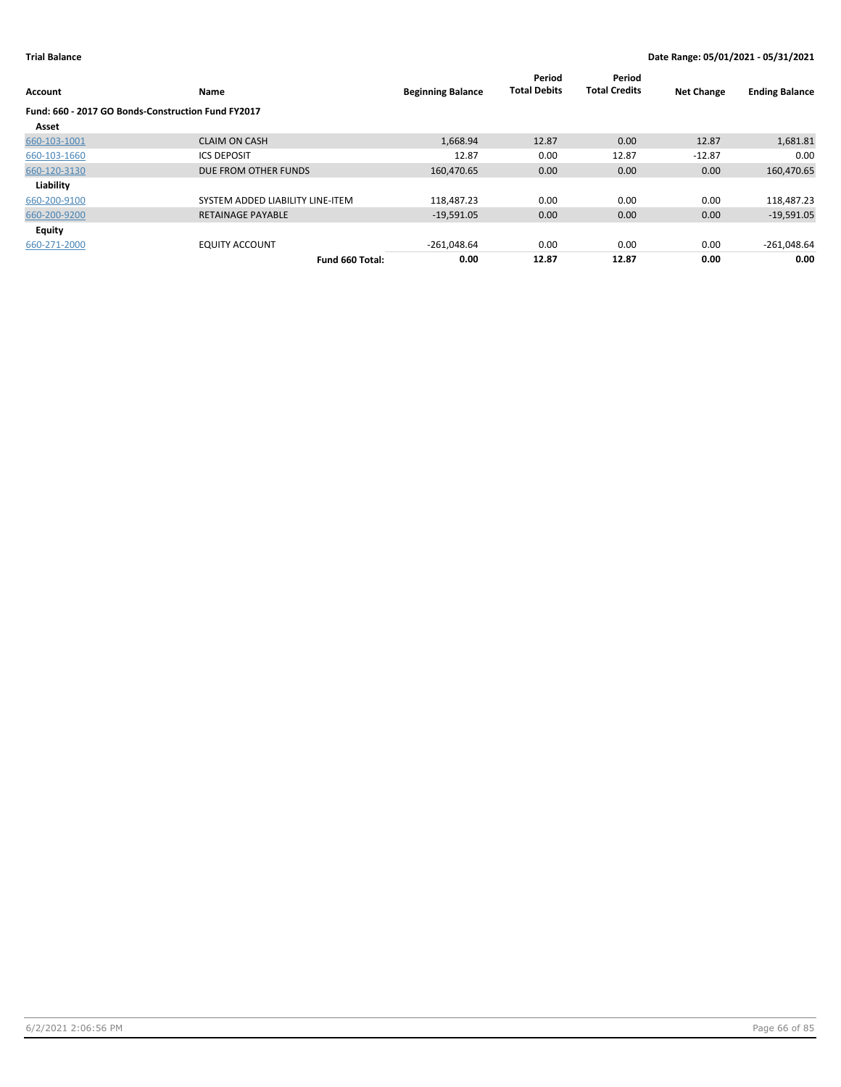| <b>Account</b>                                     | Name                             | <b>Beginning Balance</b> | Period<br><b>Total Debits</b> | Period<br><b>Total Credits</b> | <b>Net Change</b> | <b>Ending Balance</b> |
|----------------------------------------------------|----------------------------------|--------------------------|-------------------------------|--------------------------------|-------------------|-----------------------|
| Fund: 660 - 2017 GO Bonds-Construction Fund FY2017 |                                  |                          |                               |                                |                   |                       |
| Asset                                              |                                  |                          |                               |                                |                   |                       |
| 660-103-1001                                       | <b>CLAIM ON CASH</b>             | 1,668.94                 | 12.87                         | 0.00                           | 12.87             | 1,681.81              |
| 660-103-1660                                       | <b>ICS DEPOSIT</b>               | 12.87                    | 0.00                          | 12.87                          | $-12.87$          | 0.00                  |
| 660-120-3130                                       | DUE FROM OTHER FUNDS             | 160,470.65               | 0.00                          | 0.00                           | 0.00              | 160,470.65            |
| Liability                                          |                                  |                          |                               |                                |                   |                       |
| 660-200-9100                                       | SYSTEM ADDED LIABILITY LINE-ITEM | 118,487.23               | 0.00                          | 0.00                           | 0.00              | 118,487.23            |
| 660-200-9200                                       | <b>RETAINAGE PAYABLE</b>         | $-19,591.05$             | 0.00                          | 0.00                           | 0.00              | $-19,591.05$          |
| <b>Equity</b>                                      |                                  |                          |                               |                                |                   |                       |
| 660-271-2000                                       | <b>EQUITY ACCOUNT</b>            | $-261,048.64$            | 0.00                          | 0.00                           | 0.00              | $-261,048.64$         |
|                                                    | Fund 660 Total:                  | 0.00                     | 12.87                         | 12.87                          | 0.00              | 0.00                  |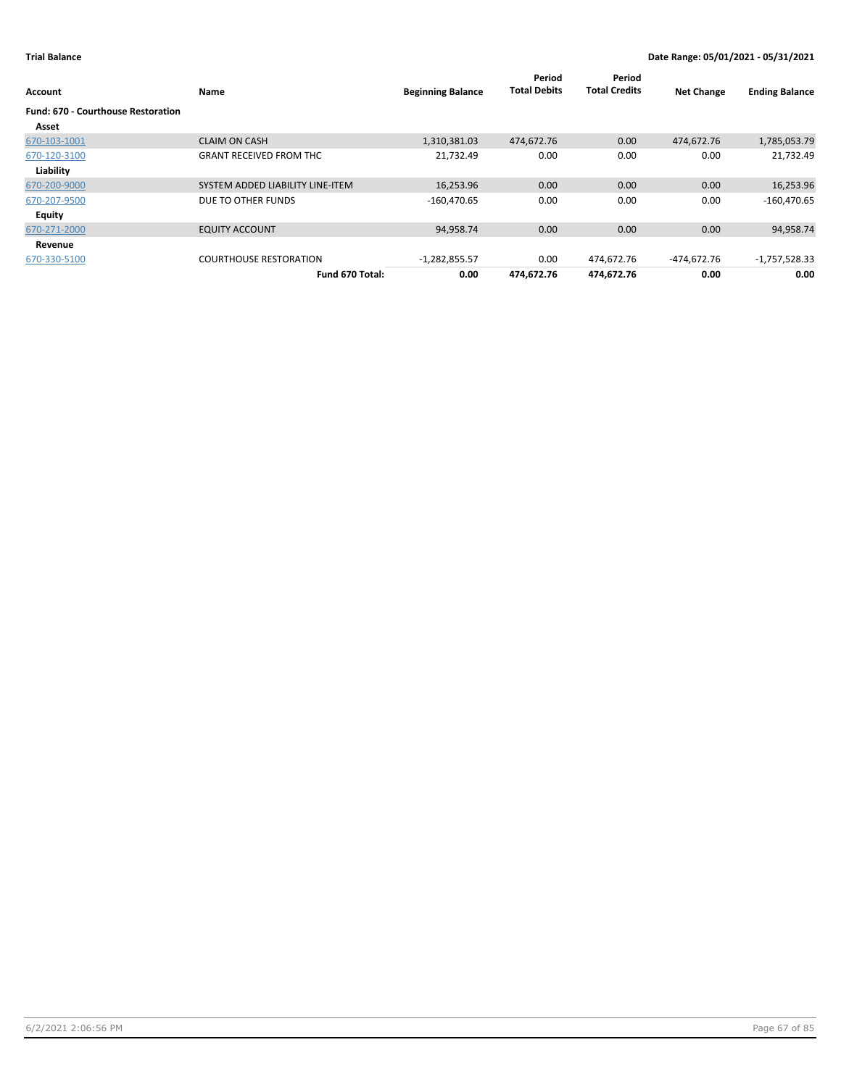| Account                                   | Name                             | <b>Beginning Balance</b> | Period<br><b>Total Debits</b> | Period<br><b>Total Credits</b> | <b>Net Change</b> | <b>Ending Balance</b> |
|-------------------------------------------|----------------------------------|--------------------------|-------------------------------|--------------------------------|-------------------|-----------------------|
| <b>Fund: 670 - Courthouse Restoration</b> |                                  |                          |                               |                                |                   |                       |
| Asset                                     |                                  |                          |                               |                                |                   |                       |
| 670-103-1001                              | <b>CLAIM ON CASH</b>             | 1,310,381.03             | 474,672.76                    | 0.00                           | 474,672.76        | 1,785,053.79          |
| 670-120-3100                              | <b>GRANT RECEIVED FROM THC</b>   | 21,732.49                | 0.00                          | 0.00                           | 0.00              | 21,732.49             |
| Liability                                 |                                  |                          |                               |                                |                   |                       |
| 670-200-9000                              | SYSTEM ADDED LIABILITY LINE-ITEM | 16,253.96                | 0.00                          | 0.00                           | 0.00              | 16,253.96             |
| 670-207-9500                              | DUE TO OTHER FUNDS               | $-160,470.65$            | 0.00                          | 0.00                           | 0.00              | $-160,470.65$         |
| Equity                                    |                                  |                          |                               |                                |                   |                       |
| 670-271-2000                              | <b>EQUITY ACCOUNT</b>            | 94,958.74                | 0.00                          | 0.00                           | 0.00              | 94,958.74             |
| Revenue                                   |                                  |                          |                               |                                |                   |                       |
| 670-330-5100                              | <b>COURTHOUSE RESTORATION</b>    | $-1,282,855.57$          | 0.00                          | 474,672.76                     | -474,672.76       | $-1,757,528.33$       |
|                                           | Fund 670 Total:                  | 0.00                     | 474.672.76                    | 474,672.76                     | 0.00              | 0.00                  |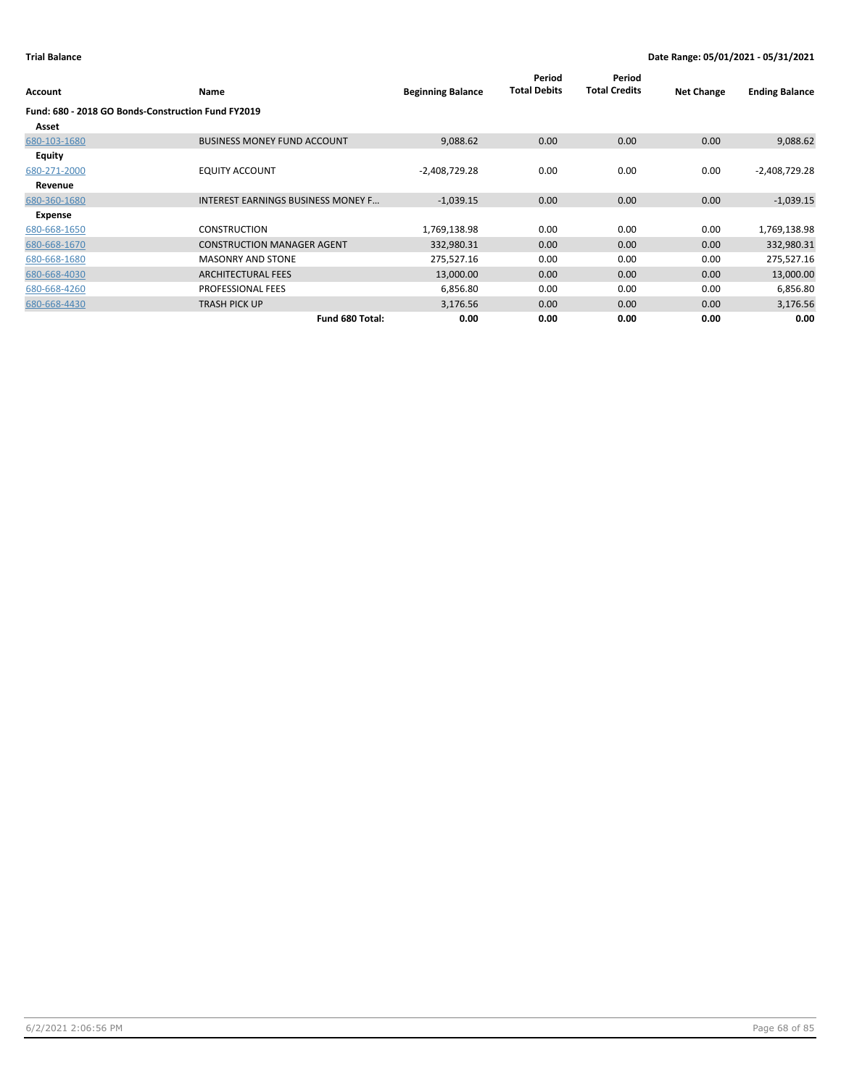| Account                                            | Name                                      | <b>Beginning Balance</b> | Period<br><b>Total Debits</b> | Period<br><b>Total Credits</b> | <b>Net Change</b> | <b>Ending Balance</b> |
|----------------------------------------------------|-------------------------------------------|--------------------------|-------------------------------|--------------------------------|-------------------|-----------------------|
| Fund: 680 - 2018 GO Bonds-Construction Fund FY2019 |                                           |                          |                               |                                |                   |                       |
| Asset                                              |                                           |                          |                               |                                |                   |                       |
| 680-103-1680                                       | <b>BUSINESS MONEY FUND ACCOUNT</b>        | 9,088.62                 | 0.00                          | 0.00                           | 0.00              | 9,088.62              |
| <b>Equity</b>                                      |                                           |                          |                               |                                |                   |                       |
| 680-271-2000                                       | <b>EQUITY ACCOUNT</b>                     | $-2,408,729.28$          | 0.00                          | 0.00                           | 0.00              | $-2,408,729.28$       |
| Revenue                                            |                                           |                          |                               |                                |                   |                       |
| 680-360-1680                                       | <b>INTEREST EARNINGS BUSINESS MONEY F</b> | $-1,039.15$              | 0.00                          | 0.00                           | 0.00              | $-1,039.15$           |
| Expense                                            |                                           |                          |                               |                                |                   |                       |
| 680-668-1650                                       | <b>CONSTRUCTION</b>                       | 1,769,138.98             | 0.00                          | 0.00                           | 0.00              | 1,769,138.98          |
| 680-668-1670                                       | <b>CONSTRUCTION MANAGER AGENT</b>         | 332,980.31               | 0.00                          | 0.00                           | 0.00              | 332,980.31            |
| 680-668-1680                                       | <b>MASONRY AND STONE</b>                  | 275,527.16               | 0.00                          | 0.00                           | 0.00              | 275,527.16            |
| 680-668-4030                                       | <b>ARCHITECTURAL FEES</b>                 | 13,000.00                | 0.00                          | 0.00                           | 0.00              | 13,000.00             |
| 680-668-4260                                       | PROFESSIONAL FEES                         | 6,856.80                 | 0.00                          | 0.00                           | 0.00              | 6,856.80              |
| 680-668-4430                                       | <b>TRASH PICK UP</b>                      | 3,176.56                 | 0.00                          | 0.00                           | 0.00              | 3,176.56              |
|                                                    | Fund 680 Total:                           | 0.00                     | 0.00                          | 0.00                           | 0.00              | 0.00                  |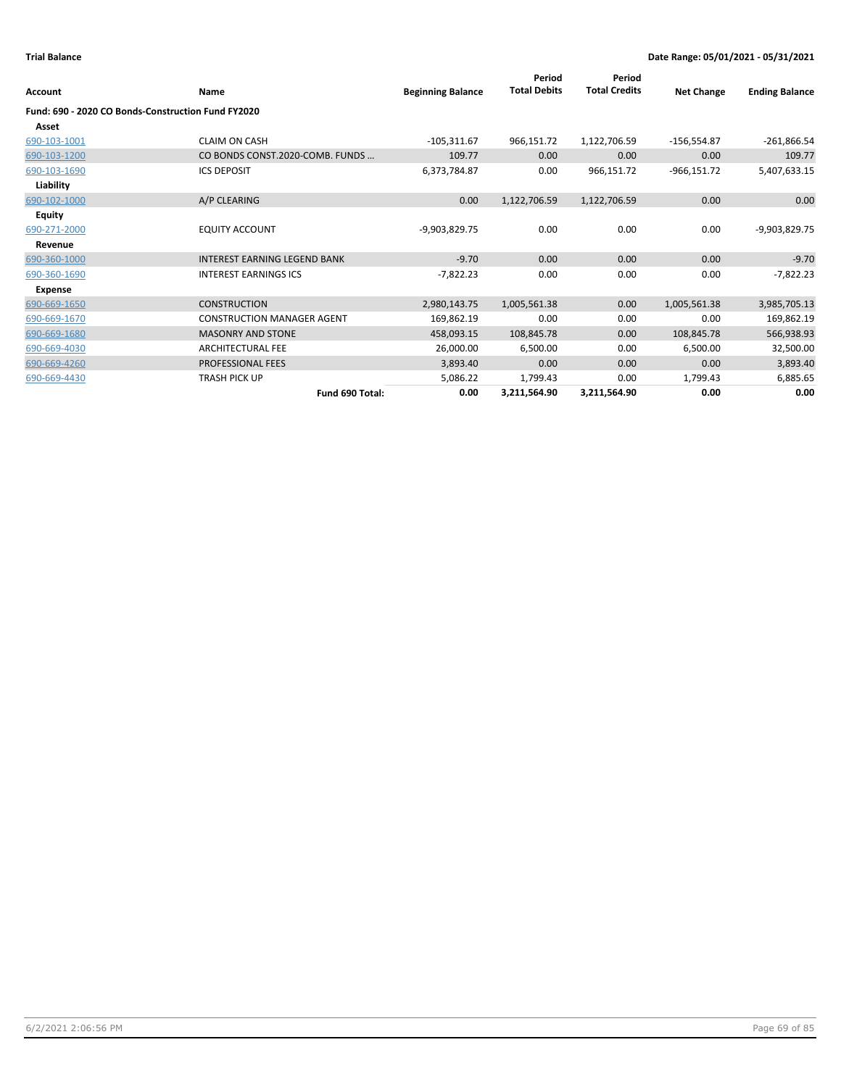| Account                                            | <b>Name</b>                         | <b>Beginning Balance</b> | Period<br><b>Total Debits</b> | Period<br><b>Total Credits</b> | <b>Net Change</b> | <b>Ending Balance</b> |
|----------------------------------------------------|-------------------------------------|--------------------------|-------------------------------|--------------------------------|-------------------|-----------------------|
| Fund: 690 - 2020 CO Bonds-Construction Fund FY2020 |                                     |                          |                               |                                |                   |                       |
| Asset                                              |                                     |                          |                               |                                |                   |                       |
| 690-103-1001                                       | <b>CLAIM ON CASH</b>                | $-105,311.67$            | 966,151.72                    | 1,122,706.59                   | $-156,554.87$     | $-261,866.54$         |
| 690-103-1200                                       | CO BONDS CONST.2020-COMB. FUNDS     | 109.77                   | 0.00                          | 0.00                           | 0.00              | 109.77                |
| 690-103-1690                                       | <b>ICS DEPOSIT</b>                  | 6,373,784.87             | 0.00                          | 966,151.72                     | $-966,151.72$     | 5,407,633.15          |
| Liability                                          |                                     |                          |                               |                                |                   |                       |
| 690-102-1000                                       | A/P CLEARING                        | 0.00                     | 1,122,706.59                  | 1,122,706.59                   | 0.00              | 0.00                  |
| Equity                                             |                                     |                          |                               |                                |                   |                       |
| 690-271-2000                                       | <b>EQUITY ACCOUNT</b>               | -9,903,829.75            | 0.00                          | 0.00                           | 0.00              | -9,903,829.75         |
| Revenue                                            |                                     |                          |                               |                                |                   |                       |
| 690-360-1000                                       | <b>INTEREST EARNING LEGEND BANK</b> | $-9.70$                  | 0.00                          | 0.00                           | 0.00              | $-9.70$               |
| 690-360-1690                                       | <b>INTEREST EARNINGS ICS</b>        | $-7,822.23$              | 0.00                          | 0.00                           | 0.00              | $-7,822.23$           |
| <b>Expense</b>                                     |                                     |                          |                               |                                |                   |                       |
| 690-669-1650                                       | <b>CONSTRUCTION</b>                 | 2,980,143.75             | 1,005,561.38                  | 0.00                           | 1,005,561.38      | 3,985,705.13          |
| 690-669-1670                                       | <b>CONSTRUCTION MANAGER AGENT</b>   | 169,862.19               | 0.00                          | 0.00                           | 0.00              | 169,862.19            |
| 690-669-1680                                       | <b>MASONRY AND STONE</b>            | 458,093.15               | 108,845.78                    | 0.00                           | 108,845.78        | 566,938.93            |
| 690-669-4030                                       | <b>ARCHITECTURAL FEE</b>            | 26,000.00                | 6,500.00                      | 0.00                           | 6,500.00          | 32,500.00             |
| 690-669-4260                                       | PROFESSIONAL FEES                   | 3,893.40                 | 0.00                          | 0.00                           | 0.00              | 3,893.40              |
| 690-669-4430                                       | <b>TRASH PICK UP</b>                | 5,086.22                 | 1,799.43                      | 0.00                           | 1,799.43          | 6,885.65              |
|                                                    | Fund 690 Total:                     | 0.00                     | 3,211,564.90                  | 3,211,564.90                   | 0.00              | 0.00                  |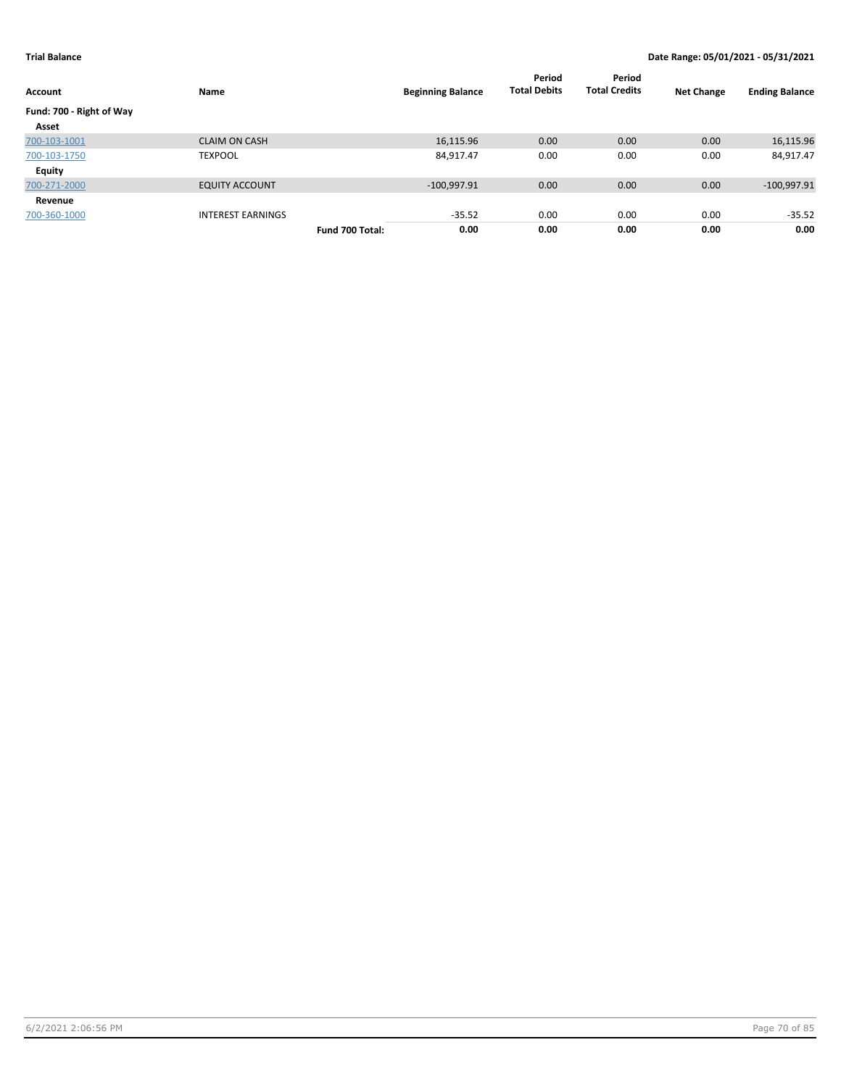| Account                  | Name                     |                 | <b>Beginning Balance</b> | Period<br><b>Total Debits</b> | Period<br><b>Total Credits</b> | <b>Net Change</b> | <b>Ending Balance</b> |
|--------------------------|--------------------------|-----------------|--------------------------|-------------------------------|--------------------------------|-------------------|-----------------------|
| Fund: 700 - Right of Way |                          |                 |                          |                               |                                |                   |                       |
| Asset                    |                          |                 |                          |                               |                                |                   |                       |
| 700-103-1001             | <b>CLAIM ON CASH</b>     |                 | 16,115.96                | 0.00                          | 0.00                           | 0.00              | 16,115.96             |
| 700-103-1750             | <b>TEXPOOL</b>           |                 | 84,917.47                | 0.00                          | 0.00                           | 0.00              | 84,917.47             |
| <b>Equity</b>            |                          |                 |                          |                               |                                |                   |                       |
| 700-271-2000             | <b>EQUITY ACCOUNT</b>    |                 | $-100,997.91$            | 0.00                          | 0.00                           | 0.00              | $-100,997.91$         |
| Revenue                  |                          |                 |                          |                               |                                |                   |                       |
| 700-360-1000             | <b>INTEREST EARNINGS</b> |                 | $-35.52$                 | 0.00                          | 0.00                           | 0.00              | $-35.52$              |
|                          |                          | Fund 700 Total: | 0.00                     | 0.00                          | 0.00                           | 0.00              | 0.00                  |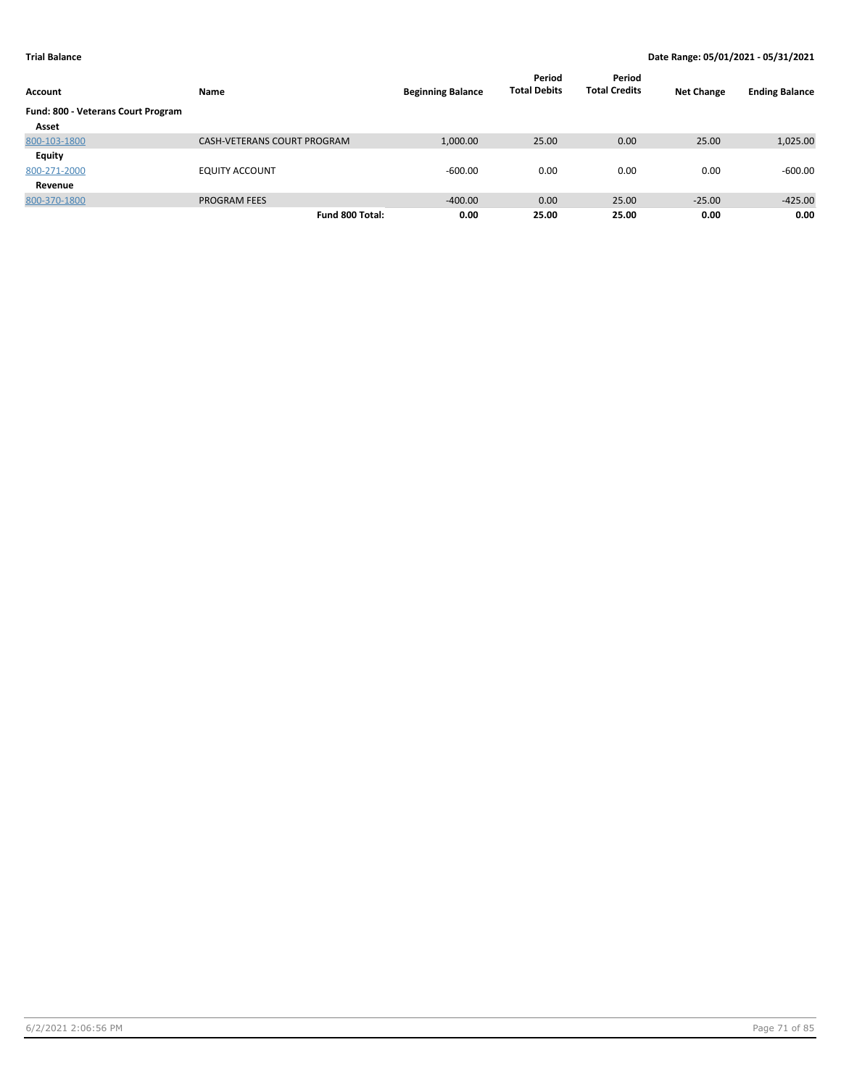| Account                            | Name                        | <b>Beginning Balance</b> | Period<br><b>Total Debits</b> | Period<br><b>Total Credits</b> | <b>Net Change</b> | <b>Ending Balance</b> |
|------------------------------------|-----------------------------|--------------------------|-------------------------------|--------------------------------|-------------------|-----------------------|
| Fund: 800 - Veterans Court Program |                             |                          |                               |                                |                   |                       |
| Asset                              |                             |                          |                               |                                |                   |                       |
| 800-103-1800                       | CASH-VETERANS COURT PROGRAM | 1,000.00                 | 25.00                         | 0.00                           | 25.00             | 1,025.00              |
| Equity                             |                             |                          |                               |                                |                   |                       |
| 800-271-2000                       | <b>EQUITY ACCOUNT</b>       | $-600.00$                | 0.00                          | 0.00                           | 0.00              | $-600.00$             |
| Revenue                            |                             |                          |                               |                                |                   |                       |
| 800-370-1800                       | <b>PROGRAM FEES</b>         | $-400.00$                | 0.00                          | 25.00                          | $-25.00$          | $-425.00$             |
|                                    | Fund 800 Total:             | 0.00                     | 25.00                         | 25.00                          | 0.00              | 0.00                  |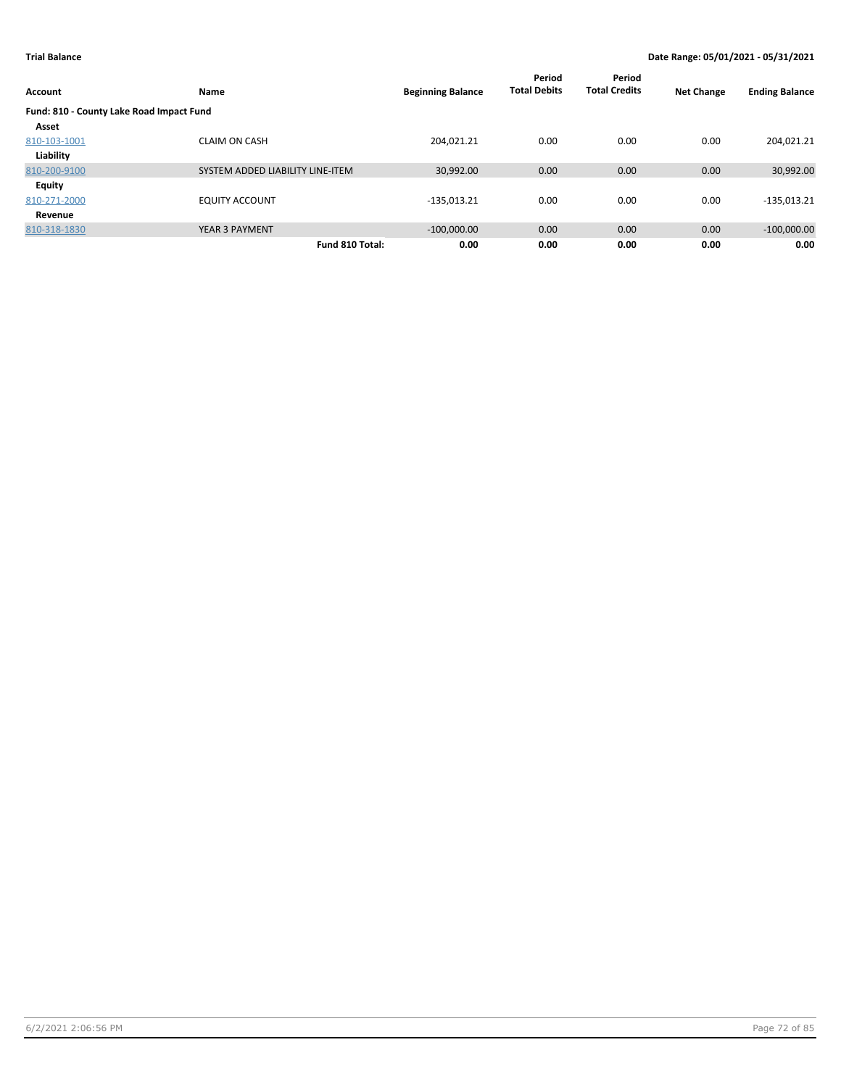| Account                                  | Name                             | <b>Beginning Balance</b> | Period<br><b>Total Debits</b> | Period<br><b>Total Credits</b> | <b>Net Change</b> | <b>Ending Balance</b> |
|------------------------------------------|----------------------------------|--------------------------|-------------------------------|--------------------------------|-------------------|-----------------------|
| Fund: 810 - County Lake Road Impact Fund |                                  |                          |                               |                                |                   |                       |
| Asset                                    |                                  |                          |                               |                                |                   |                       |
| 810-103-1001                             | <b>CLAIM ON CASH</b>             | 204.021.21               | 0.00                          | 0.00                           | 0.00              | 204,021.21            |
| Liability                                |                                  |                          |                               |                                |                   |                       |
| 810-200-9100                             | SYSTEM ADDED LIABILITY LINE-ITEM | 30,992.00                | 0.00                          | 0.00                           | 0.00              | 30,992.00             |
| Equity                                   |                                  |                          |                               |                                |                   |                       |
| 810-271-2000                             | <b>EQUITY ACCOUNT</b>            | $-135,013.21$            | 0.00                          | 0.00                           | 0.00              | $-135,013.21$         |
| Revenue                                  |                                  |                          |                               |                                |                   |                       |
| 810-318-1830                             | <b>YEAR 3 PAYMENT</b>            | $-100,000.00$            | 0.00                          | 0.00                           | 0.00              | $-100,000.00$         |
|                                          | Fund 810 Total:                  | 0.00                     | 0.00                          | 0.00                           | 0.00              | 0.00                  |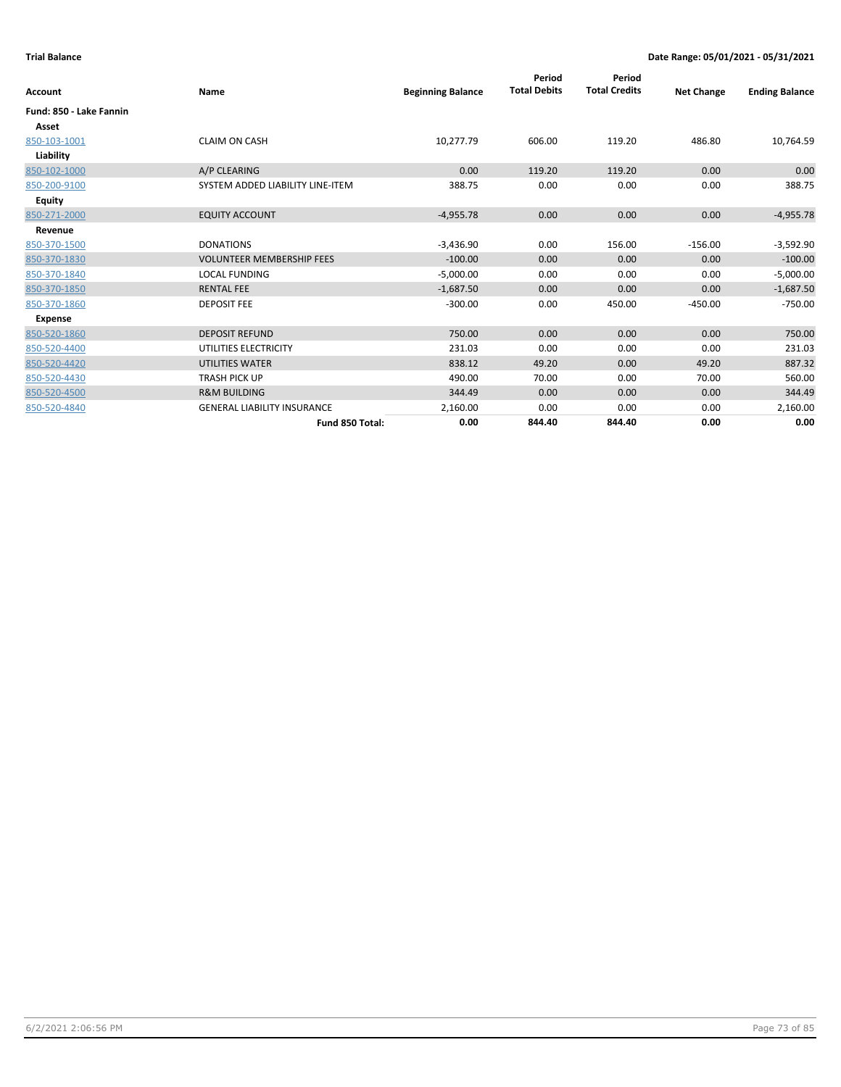| Account                 | Name                               | <b>Beginning Balance</b> | Period<br><b>Total Debits</b> | Period<br><b>Total Credits</b> | <b>Net Change</b> | <b>Ending Balance</b> |
|-------------------------|------------------------------------|--------------------------|-------------------------------|--------------------------------|-------------------|-----------------------|
| Fund: 850 - Lake Fannin |                                    |                          |                               |                                |                   |                       |
| Asset                   |                                    |                          |                               |                                |                   |                       |
| 850-103-1001            | <b>CLAIM ON CASH</b>               | 10,277.79                | 606.00                        | 119.20                         | 486.80            | 10,764.59             |
| Liability               |                                    |                          |                               |                                |                   |                       |
| 850-102-1000            | A/P CLEARING                       | 0.00                     | 119.20                        | 119.20                         | 0.00              | 0.00                  |
| 850-200-9100            | SYSTEM ADDED LIABILITY LINE-ITEM   | 388.75                   | 0.00                          | 0.00                           | 0.00              | 388.75                |
| Equity                  |                                    |                          |                               |                                |                   |                       |
| 850-271-2000            | <b>EQUITY ACCOUNT</b>              | $-4,955.78$              | 0.00                          | 0.00                           | 0.00              | $-4,955.78$           |
| Revenue                 |                                    |                          |                               |                                |                   |                       |
| 850-370-1500            | <b>DONATIONS</b>                   | $-3,436.90$              | 0.00                          | 156.00                         | $-156.00$         | $-3,592.90$           |
| 850-370-1830            | <b>VOLUNTEER MEMBERSHIP FEES</b>   | $-100.00$                | 0.00                          | 0.00                           | 0.00              | $-100.00$             |
| 850-370-1840            | <b>LOCAL FUNDING</b>               | $-5,000.00$              | 0.00                          | 0.00                           | 0.00              | $-5,000.00$           |
| 850-370-1850            | <b>RENTAL FEE</b>                  | $-1,687.50$              | 0.00                          | 0.00                           | 0.00              | $-1,687.50$           |
| 850-370-1860            | <b>DEPOSIT FEE</b>                 | $-300.00$                | 0.00                          | 450.00                         | $-450.00$         | $-750.00$             |
| Expense                 |                                    |                          |                               |                                |                   |                       |
| 850-520-1860            | <b>DEPOSIT REFUND</b>              | 750.00                   | 0.00                          | 0.00                           | 0.00              | 750.00                |
| 850-520-4400            | UTILITIES ELECTRICITY              | 231.03                   | 0.00                          | 0.00                           | 0.00              | 231.03                |
| 850-520-4420            | <b>UTILITIES WATER</b>             | 838.12                   | 49.20                         | 0.00                           | 49.20             | 887.32                |
| 850-520-4430            | <b>TRASH PICK UP</b>               | 490.00                   | 70.00                         | 0.00                           | 70.00             | 560.00                |
| 850-520-4500            | <b>R&amp;M BUILDING</b>            | 344.49                   | 0.00                          | 0.00                           | 0.00              | 344.49                |
| 850-520-4840            | <b>GENERAL LIABILITY INSURANCE</b> | 2,160.00                 | 0.00                          | 0.00                           | 0.00              | 2,160.00              |
|                         | Fund 850 Total:                    | 0.00                     | 844.40                        | 844.40                         | 0.00              | 0.00                  |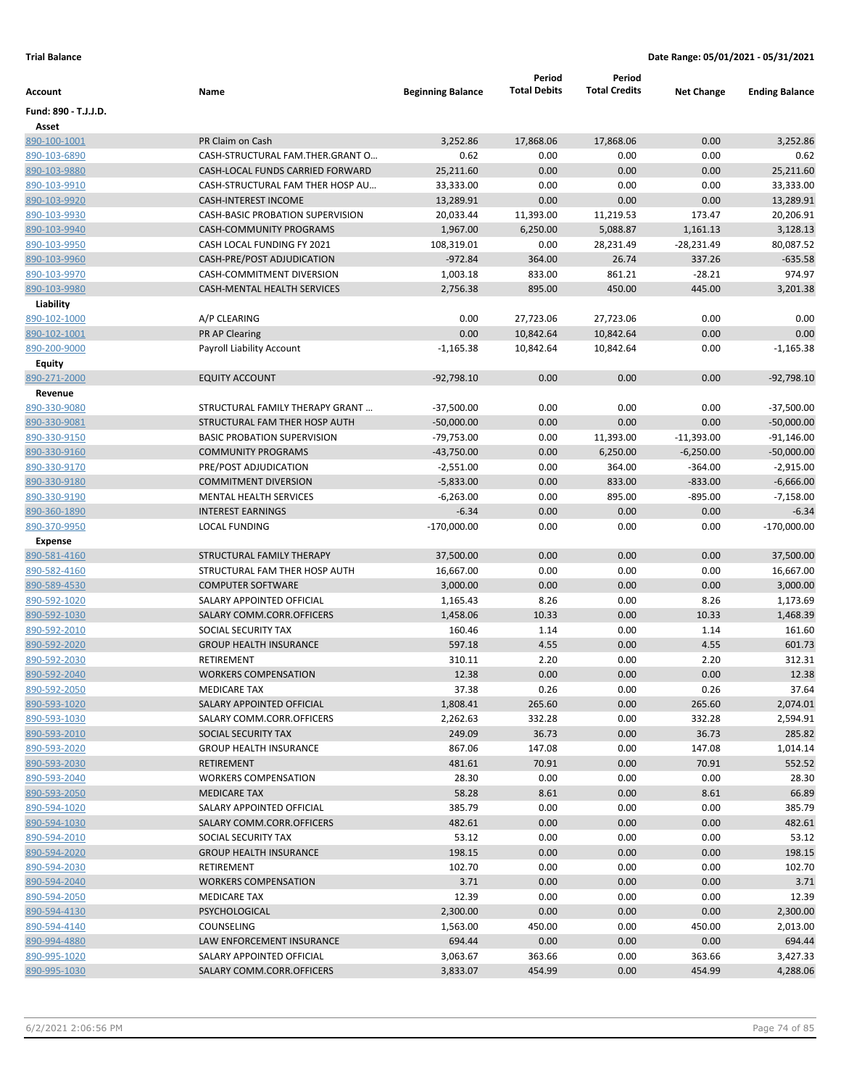|                      |                                    |                          | Period              | Period               |                   |                       |
|----------------------|------------------------------------|--------------------------|---------------------|----------------------|-------------------|-----------------------|
| Account              | Name                               | <b>Beginning Balance</b> | <b>Total Debits</b> | <b>Total Credits</b> | <b>Net Change</b> | <b>Ending Balance</b> |
| Fund: 890 - T.J.J.D. |                                    |                          |                     |                      |                   |                       |
| Asset                |                                    |                          |                     |                      |                   |                       |
| 890-100-1001         | PR Claim on Cash                   | 3,252.86                 | 17,868.06           | 17,868.06            | 0.00              | 3,252.86              |
| 890-103-6890         | CASH-STRUCTURAL FAM.THER.GRANT O   | 0.62                     | 0.00                | 0.00                 | 0.00              | 0.62                  |
| 890-103-9880         | CASH-LOCAL FUNDS CARRIED FORWARD   | 25,211.60                | 0.00                | 0.00                 | 0.00              | 25,211.60             |
| 890-103-9910         | CASH-STRUCTURAL FAM THER HOSP AU   | 33,333.00                | 0.00                | 0.00                 | 0.00              | 33,333.00             |
| 890-103-9920         | <b>CASH-INTEREST INCOME</b>        | 13,289.91                | 0.00                | 0.00                 | 0.00              | 13,289.91             |
| 890-103-9930         | CASH-BASIC PROBATION SUPERVISION   | 20,033.44                | 11,393.00           | 11,219.53            | 173.47            | 20,206.91             |
| 890-103-9940         | CASH-COMMUNITY PROGRAMS            | 1,967.00                 | 6,250.00            | 5,088.87             | 1,161.13          | 3,128.13              |
| 890-103-9950         | CASH LOCAL FUNDING FY 2021         | 108,319.01               | 0.00                | 28,231.49            | $-28,231.49$      | 80,087.52             |
| 890-103-9960         | CASH-PRE/POST ADJUDICATION         | $-972.84$                | 364.00              | 26.74                | 337.26            | $-635.58$             |
| 890-103-9970         | <b>CASH-COMMITMENT DIVERSION</b>   | 1,003.18                 | 833.00              | 861.21               | $-28.21$          | 974.97                |
| 890-103-9980         | <b>CASH-MENTAL HEALTH SERVICES</b> | 2,756.38                 | 895.00              | 450.00               | 445.00            | 3,201.38              |
| Liability            |                                    |                          |                     |                      |                   |                       |
| 890-102-1000         | A/P CLEARING                       | 0.00                     | 27,723.06           | 27,723.06            | 0.00              | 0.00                  |
| 890-102-1001         | PR AP Clearing                     | 0.00                     | 10,842.64           | 10,842.64            | 0.00              | 0.00                  |
| 890-200-9000         | Payroll Liability Account          | $-1,165.38$              | 10,842.64           | 10,842.64            | 0.00              | $-1,165.38$           |
| <b>Equity</b>        |                                    |                          |                     |                      |                   |                       |
| 890-271-2000         | <b>EQUITY ACCOUNT</b>              | $-92,798.10$             | 0.00                | 0.00                 | 0.00              | $-92,798.10$          |
| Revenue              |                                    |                          |                     |                      |                   |                       |
| 890-330-9080         | STRUCTURAL FAMILY THERAPY GRANT    | $-37,500.00$             | 0.00                | 0.00                 | 0.00              | $-37,500.00$          |
| 890-330-9081         | STRUCTURAL FAM THER HOSP AUTH      | $-50,000.00$             | 0.00                | 0.00                 | 0.00              | $-50,000.00$          |
| 890-330-9150         | <b>BASIC PROBATION SUPERVISION</b> | $-79,753.00$             | 0.00                | 11,393.00            | $-11,393.00$      | $-91,146.00$          |
| 890-330-9160         | <b>COMMUNITY PROGRAMS</b>          | $-43,750.00$             | 0.00                | 6,250.00             | $-6,250.00$       | $-50,000.00$          |
| 890-330-9170         | PRE/POST ADJUDICATION              | $-2,551.00$              | 0.00                | 364.00               | $-364.00$         | $-2,915.00$           |
| 890-330-9180         | <b>COMMITMENT DIVERSION</b>        | $-5,833.00$              | 0.00                | 833.00               | $-833.00$         | $-6,666.00$           |
| 890-330-9190         | <b>MENTAL HEALTH SERVICES</b>      | $-6,263.00$              | 0.00                | 895.00               | $-895.00$         | $-7,158.00$           |
| 890-360-1890         | <b>INTEREST EARNINGS</b>           | $-6.34$                  | 0.00                | 0.00                 | 0.00              | $-6.34$               |
| 890-370-9950         | <b>LOCAL FUNDING</b>               | $-170,000.00$            | 0.00                | 0.00                 | 0.00              | $-170,000.00$         |
| <b>Expense</b>       |                                    |                          |                     |                      |                   |                       |
| 890-581-4160         | STRUCTURAL FAMILY THERAPY          | 37,500.00                | 0.00                | 0.00                 | 0.00              | 37,500.00             |
| 890-582-4160         | STRUCTURAL FAM THER HOSP AUTH      | 16,667.00                | 0.00                | 0.00                 | 0.00              | 16,667.00             |
| 890-589-4530         | <b>COMPUTER SOFTWARE</b>           | 3,000.00                 | 0.00                | 0.00                 | 0.00              | 3,000.00              |
| 890-592-1020         | SALARY APPOINTED OFFICIAL          | 1,165.43                 | 8.26                | 0.00                 | 8.26              | 1,173.69              |
| 890-592-1030         | SALARY COMM.CORR.OFFICERS          | 1,458.06                 | 10.33               | 0.00                 | 10.33             | 1,468.39              |
| 890-592-2010         | SOCIAL SECURITY TAX                | 160.46                   | 1.14                | 0.00                 | 1.14              | 161.60                |
| 890-592-2020         | <b>GROUP HEALTH INSURANCE</b>      | 597.18                   | 4.55                | 0.00                 | 4.55              | 601.73                |
| 890-592-2030         | RETIREMENT                         | 310.11                   | 2.20                | 0.00                 | 2.20              | 312.31                |
| 890-592-2040         | <b>WORKERS COMPENSATION</b>        | 12.38                    | 0.00                | 0.00                 | 0.00              | 12.38                 |
| 890-592-2050         | <b>MEDICARE TAX</b>                | 37.38                    | 0.26                | 0.00                 | 0.26              | 37.64                 |
| 890-593-1020         | SALARY APPOINTED OFFICIAL          | 1,808.41                 | 265.60              | 0.00                 | 265.60            | 2,074.01              |
| 890-593-1030         | SALARY COMM.CORR.OFFICERS          | 2,262.63                 | 332.28              | 0.00                 | 332.28            | 2,594.91              |
| 890-593-2010         | SOCIAL SECURITY TAX                | 249.09                   | 36.73               | 0.00                 | 36.73             | 285.82                |
| 890-593-2020         | <b>GROUP HEALTH INSURANCE</b>      | 867.06                   | 147.08              | 0.00                 | 147.08            | 1,014.14              |
| 890-593-2030         | RETIREMENT                         | 481.61                   | 70.91               | 0.00                 | 70.91             | 552.52                |
| 890-593-2040         | <b>WORKERS COMPENSATION</b>        | 28.30                    | 0.00                | 0.00                 | 0.00              | 28.30                 |
| 890-593-2050         | <b>MEDICARE TAX</b>                | 58.28                    | 8.61                | 0.00                 | 8.61              | 66.89                 |
| 890-594-1020         | SALARY APPOINTED OFFICIAL          | 385.79                   | 0.00                | 0.00                 | 0.00              | 385.79                |
| 890-594-1030         | SALARY COMM.CORR.OFFICERS          | 482.61                   | 0.00                | 0.00                 | 0.00              | 482.61                |
| 890-594-2010         | SOCIAL SECURITY TAX                | 53.12                    | 0.00                | 0.00                 | 0.00              | 53.12                 |
| 890-594-2020         | <b>GROUP HEALTH INSURANCE</b>      | 198.15                   | 0.00                | 0.00                 | 0.00              | 198.15                |
| 890-594-2030         | RETIREMENT                         | 102.70                   | 0.00                | 0.00                 | 0.00              | 102.70                |
| 890-594-2040         | <b>WORKERS COMPENSATION</b>        | 3.71                     | 0.00                | 0.00                 | 0.00              | 3.71                  |
| 890-594-2050         | <b>MEDICARE TAX</b>                | 12.39                    | 0.00                | 0.00                 | 0.00              | 12.39                 |
| 890-594-4130         | PSYCHOLOGICAL                      | 2,300.00                 | 0.00                | 0.00                 | 0.00              | 2,300.00              |
| 890-594-4140         | COUNSELING                         | 1,563.00                 | 450.00              | 0.00                 | 450.00            | 2,013.00              |
| 890-994-4880         | LAW ENFORCEMENT INSURANCE          | 694.44                   | 0.00                | 0.00                 | 0.00              | 694.44                |
| 890-995-1020         | SALARY APPOINTED OFFICIAL          | 3,063.67                 | 363.66              | 0.00                 | 363.66            | 3,427.33              |
| 890-995-1030         | SALARY COMM.CORR.OFFICERS          | 3,833.07                 | 454.99              | 0.00                 | 454.99            | 4,288.06              |
|                      |                                    |                          |                     |                      |                   |                       |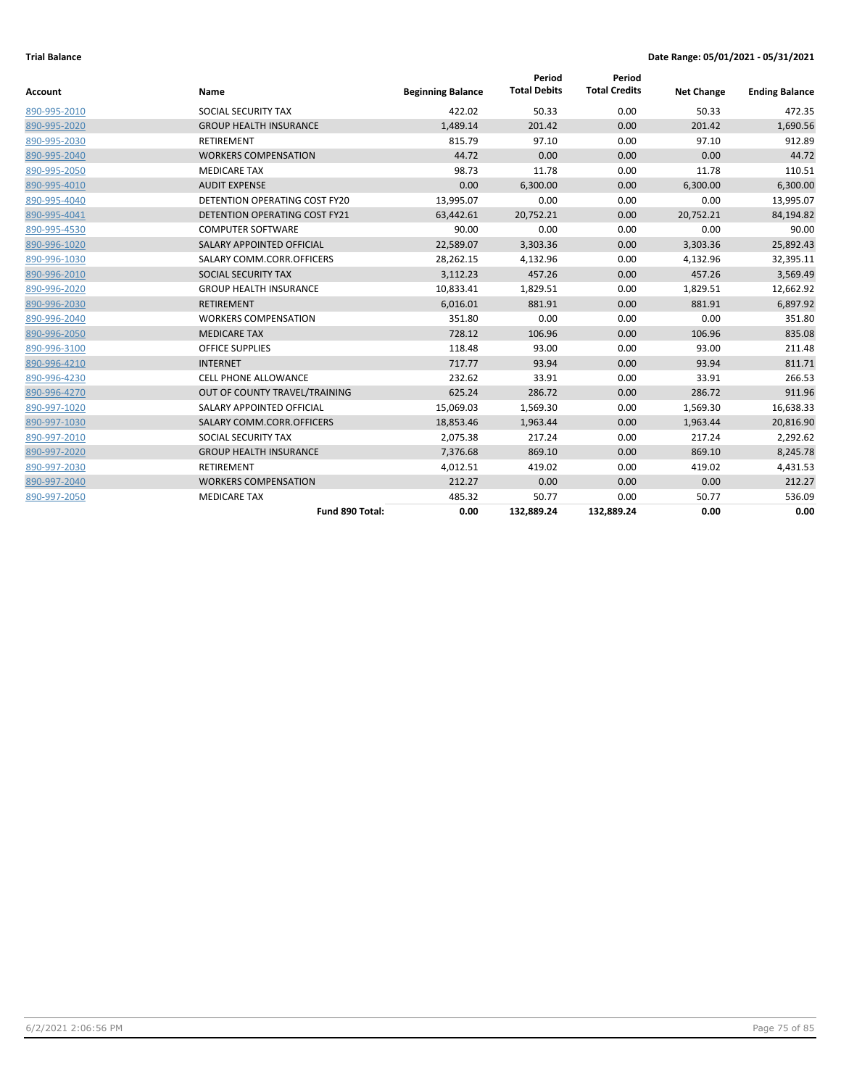| <b>Account</b> | Name                                 | <b>Beginning Balance</b> | Period<br><b>Total Debits</b> | Period<br><b>Total Credits</b> | <b>Net Change</b> | <b>Ending Balance</b> |
|----------------|--------------------------------------|--------------------------|-------------------------------|--------------------------------|-------------------|-----------------------|
| 890-995-2010   | SOCIAL SECURITY TAX                  | 422.02                   | 50.33                         | 0.00                           | 50.33             | 472.35                |
| 890-995-2020   | <b>GROUP HEALTH INSURANCE</b>        | 1,489.14                 | 201.42                        | 0.00                           | 201.42            | 1,690.56              |
| 890-995-2030   | <b>RETIREMENT</b>                    | 815.79                   | 97.10                         | 0.00                           | 97.10             | 912.89                |
| 890-995-2040   | <b>WORKERS COMPENSATION</b>          | 44.72                    | 0.00                          | 0.00                           | 0.00              | 44.72                 |
| 890-995-2050   | <b>MEDICARE TAX</b>                  | 98.73                    | 11.78                         | 0.00                           | 11.78             | 110.51                |
| 890-995-4010   | <b>AUDIT EXPENSE</b>                 | 0.00                     | 6,300.00                      | 0.00                           | 6,300.00          | 6,300.00              |
| 890-995-4040   | <b>DETENTION OPERATING COST FY20</b> | 13,995.07                | 0.00                          | 0.00                           | 0.00              | 13,995.07             |
| 890-995-4041   | <b>DETENTION OPERATING COST FY21</b> | 63,442.61                | 20,752.21                     | 0.00                           | 20,752.21         | 84,194.82             |
| 890-995-4530   | <b>COMPUTER SOFTWARE</b>             | 90.00                    | 0.00                          | 0.00                           | 0.00              | 90.00                 |
| 890-996-1020   | SALARY APPOINTED OFFICIAL            | 22,589.07                | 3,303.36                      | 0.00                           | 3,303.36          | 25,892.43             |
| 890-996-1030   | SALARY COMM.CORR.OFFICERS            | 28,262.15                | 4,132.96                      | 0.00                           | 4,132.96          | 32,395.11             |
| 890-996-2010   | SOCIAL SECURITY TAX                  | 3,112.23                 | 457.26                        | 0.00                           | 457.26            | 3,569.49              |
| 890-996-2020   | <b>GROUP HEALTH INSURANCE</b>        | 10,833.41                | 1,829.51                      | 0.00                           | 1,829.51          | 12,662.92             |
| 890-996-2030   | <b>RETIREMENT</b>                    | 6,016.01                 | 881.91                        | 0.00                           | 881.91            | 6,897.92              |
| 890-996-2040   | <b>WORKERS COMPENSATION</b>          | 351.80                   | 0.00                          | 0.00                           | 0.00              | 351.80                |
| 890-996-2050   | <b>MEDICARE TAX</b>                  | 728.12                   | 106.96                        | 0.00                           | 106.96            | 835.08                |
| 890-996-3100   | <b>OFFICE SUPPLIES</b>               | 118.48                   | 93.00                         | 0.00                           | 93.00             | 211.48                |
| 890-996-4210   | <b>INTERNET</b>                      | 717.77                   | 93.94                         | 0.00                           | 93.94             | 811.71                |
| 890-996-4230   | <b>CELL PHONE ALLOWANCE</b>          | 232.62                   | 33.91                         | 0.00                           | 33.91             | 266.53                |
| 890-996-4270   | OUT OF COUNTY TRAVEL/TRAINING        | 625.24                   | 286.72                        | 0.00                           | 286.72            | 911.96                |
| 890-997-1020   | SALARY APPOINTED OFFICIAL            | 15,069.03                | 1,569.30                      | 0.00                           | 1,569.30          | 16,638.33             |
| 890-997-1030   | SALARY COMM.CORR.OFFICERS            | 18,853.46                | 1,963.44                      | 0.00                           | 1,963.44          | 20,816.90             |
| 890-997-2010   | SOCIAL SECURITY TAX                  | 2,075.38                 | 217.24                        | 0.00                           | 217.24            | 2,292.62              |
| 890-997-2020   | <b>GROUP HEALTH INSURANCE</b>        | 7,376.68                 | 869.10                        | 0.00                           | 869.10            | 8,245.78              |
| 890-997-2030   | <b>RETIREMENT</b>                    | 4,012.51                 | 419.02                        | 0.00                           | 419.02            | 4,431.53              |
| 890-997-2040   | <b>WORKERS COMPENSATION</b>          | 212.27                   | 0.00                          | 0.00                           | 0.00              | 212.27                |
| 890-997-2050   | <b>MEDICARE TAX</b>                  | 485.32                   | 50.77                         | 0.00                           | 50.77             | 536.09                |
|                | Fund 890 Total:                      | 0.00                     | 132,889.24                    | 132,889.24                     | 0.00              | 0.00                  |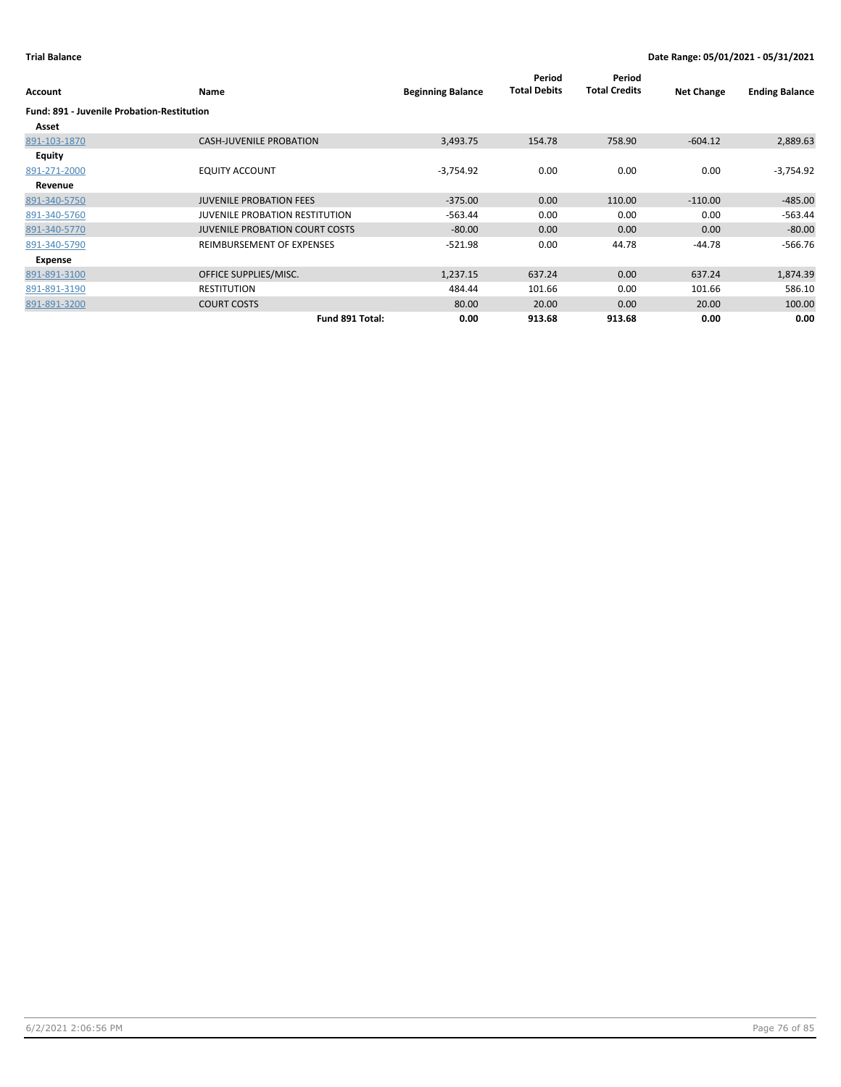| Account                                           | Name                                  | <b>Beginning Balance</b> | Period<br><b>Total Debits</b> | Period<br><b>Total Credits</b> | <b>Net Change</b> | <b>Ending Balance</b> |
|---------------------------------------------------|---------------------------------------|--------------------------|-------------------------------|--------------------------------|-------------------|-----------------------|
| <b>Fund: 891 - Juvenile Probation-Restitution</b> |                                       |                          |                               |                                |                   |                       |
| Asset                                             |                                       |                          |                               |                                |                   |                       |
| 891-103-1870                                      | <b>CASH-JUVENILE PROBATION</b>        | 3,493.75                 | 154.78                        | 758.90                         | $-604.12$         | 2,889.63              |
| <b>Equity</b>                                     |                                       |                          |                               |                                |                   |                       |
| 891-271-2000                                      | <b>EQUITY ACCOUNT</b>                 | $-3,754.92$              | 0.00                          | 0.00                           | 0.00              | $-3,754.92$           |
| Revenue                                           |                                       |                          |                               |                                |                   |                       |
| 891-340-5750                                      | <b>JUVENILE PROBATION FEES</b>        | $-375.00$                | 0.00                          | 110.00                         | $-110.00$         | $-485.00$             |
| 891-340-5760                                      | <b>JUVENILE PROBATION RESTITUTION</b> | $-563.44$                | 0.00                          | 0.00                           | 0.00              | $-563.44$             |
| 891-340-5770                                      | <b>JUVENILE PROBATION COURT COSTS</b> | $-80.00$                 | 0.00                          | 0.00                           | 0.00              | $-80.00$              |
| 891-340-5790                                      | REIMBURSEMENT OF EXPENSES             | $-521.98$                | 0.00                          | 44.78                          | $-44.78$          | $-566.76$             |
| Expense                                           |                                       |                          |                               |                                |                   |                       |
| 891-891-3100                                      | OFFICE SUPPLIES/MISC.                 | 1,237.15                 | 637.24                        | 0.00                           | 637.24            | 1,874.39              |
| 891-891-3190                                      | <b>RESTITUTION</b>                    | 484.44                   | 101.66                        | 0.00                           | 101.66            | 586.10                |
| 891-891-3200                                      | <b>COURT COSTS</b>                    | 80.00                    | 20.00                         | 0.00                           | 20.00             | 100.00                |
|                                                   | Fund 891 Total:                       | 0.00                     | 913.68                        | 913.68                         | 0.00              | 0.00                  |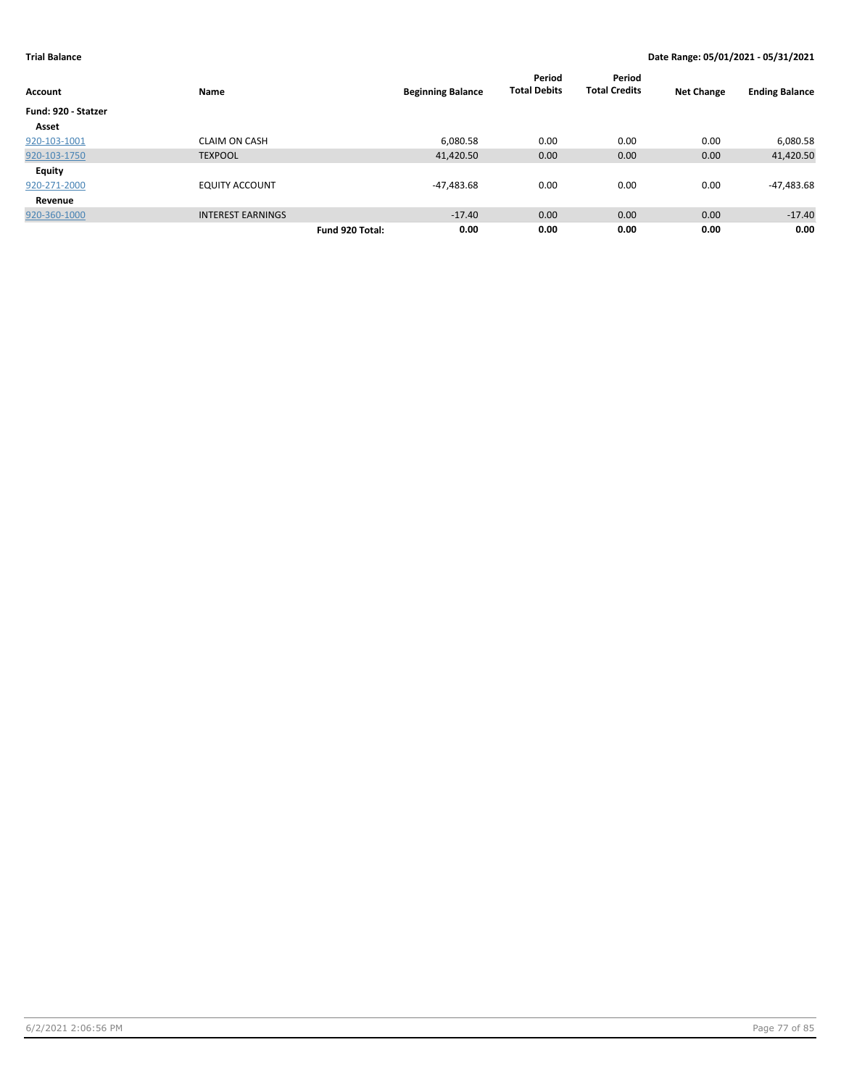| Account             | Name                     |                 | <b>Beginning Balance</b> | Period<br><b>Total Debits</b> | Period<br><b>Total Credits</b> | <b>Net Change</b> | <b>Ending Balance</b> |
|---------------------|--------------------------|-----------------|--------------------------|-------------------------------|--------------------------------|-------------------|-----------------------|
| Fund: 920 - Statzer |                          |                 |                          |                               |                                |                   |                       |
| Asset               |                          |                 |                          |                               |                                |                   |                       |
| 920-103-1001        | <b>CLAIM ON CASH</b>     |                 | 6,080.58                 | 0.00                          | 0.00                           | 0.00              | 6,080.58              |
| 920-103-1750        | <b>TEXPOOL</b>           |                 | 41,420.50                | 0.00                          | 0.00                           | 0.00              | 41,420.50             |
| Equity              |                          |                 |                          |                               |                                |                   |                       |
| 920-271-2000        | <b>EQUITY ACCOUNT</b>    |                 | -47,483.68               | 0.00                          | 0.00                           | 0.00              | -47,483.68            |
| Revenue             |                          |                 |                          |                               |                                |                   |                       |
| 920-360-1000        | <b>INTEREST EARNINGS</b> |                 | $-17.40$                 | 0.00                          | 0.00                           | 0.00              | $-17.40$              |
|                     |                          | Fund 920 Total: | 0.00                     | 0.00                          | 0.00                           | 0.00              | 0.00                  |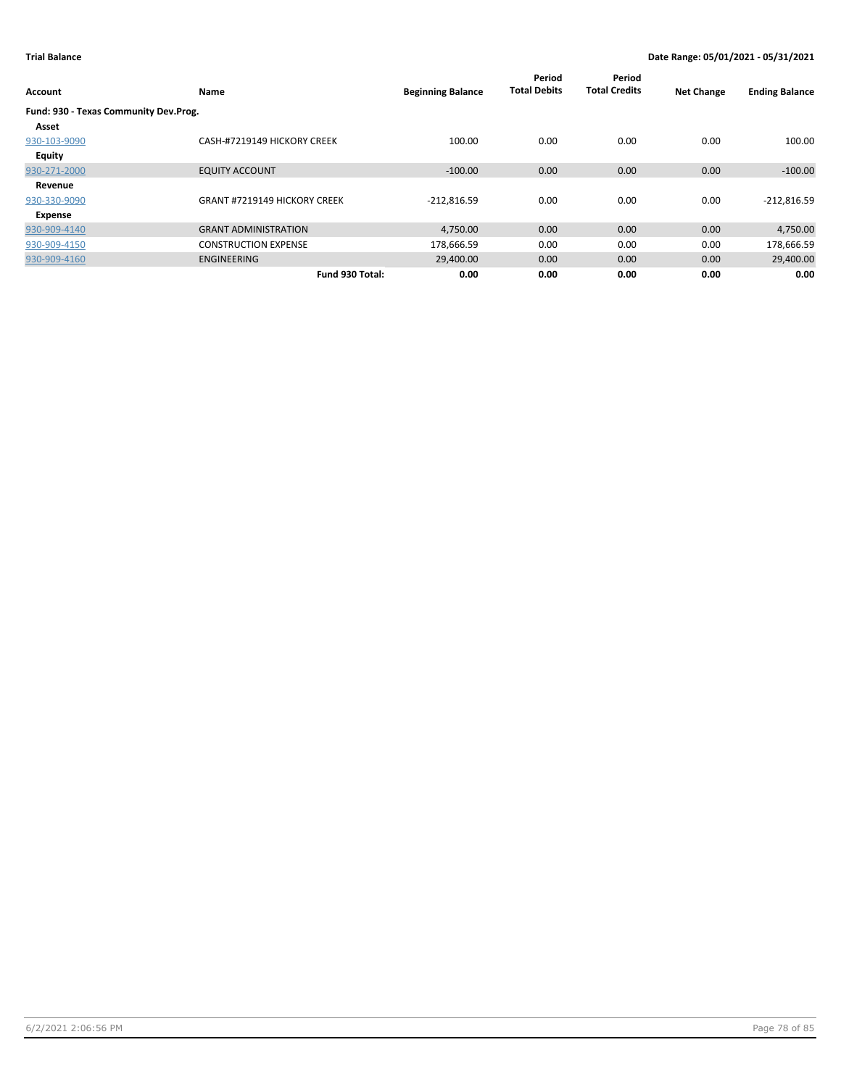| Account                               | Name                                | <b>Beginning Balance</b> | Period<br><b>Total Debits</b> | Period<br><b>Total Credits</b> | <b>Net Change</b> | <b>Ending Balance</b> |
|---------------------------------------|-------------------------------------|--------------------------|-------------------------------|--------------------------------|-------------------|-----------------------|
| Fund: 930 - Texas Community Dev.Prog. |                                     |                          |                               |                                |                   |                       |
| Asset                                 |                                     |                          |                               |                                |                   |                       |
| 930-103-9090                          | CASH-#7219149 HICKORY CREEK         | 100.00                   | 0.00                          | 0.00                           | 0.00              | 100.00                |
| <b>Equity</b>                         |                                     |                          |                               |                                |                   |                       |
| 930-271-2000                          | <b>EQUITY ACCOUNT</b>               | $-100.00$                | 0.00                          | 0.00                           | 0.00              | $-100.00$             |
| Revenue                               |                                     |                          |                               |                                |                   |                       |
| 930-330-9090                          | <b>GRANT #7219149 HICKORY CREEK</b> | $-212,816.59$            | 0.00                          | 0.00                           | 0.00              | $-212,816.59$         |
| Expense                               |                                     |                          |                               |                                |                   |                       |
| 930-909-4140                          | <b>GRANT ADMINISTRATION</b>         | 4,750.00                 | 0.00                          | 0.00                           | 0.00              | 4,750.00              |
| 930-909-4150                          | <b>CONSTRUCTION EXPENSE</b>         | 178,666.59               | 0.00                          | 0.00                           | 0.00              | 178,666.59            |
| 930-909-4160                          | <b>ENGINEERING</b>                  | 29,400.00                | 0.00                          | 0.00                           | 0.00              | 29,400.00             |
|                                       | Fund 930 Total:                     | 0.00                     | 0.00                          | 0.00                           | 0.00              | 0.00                  |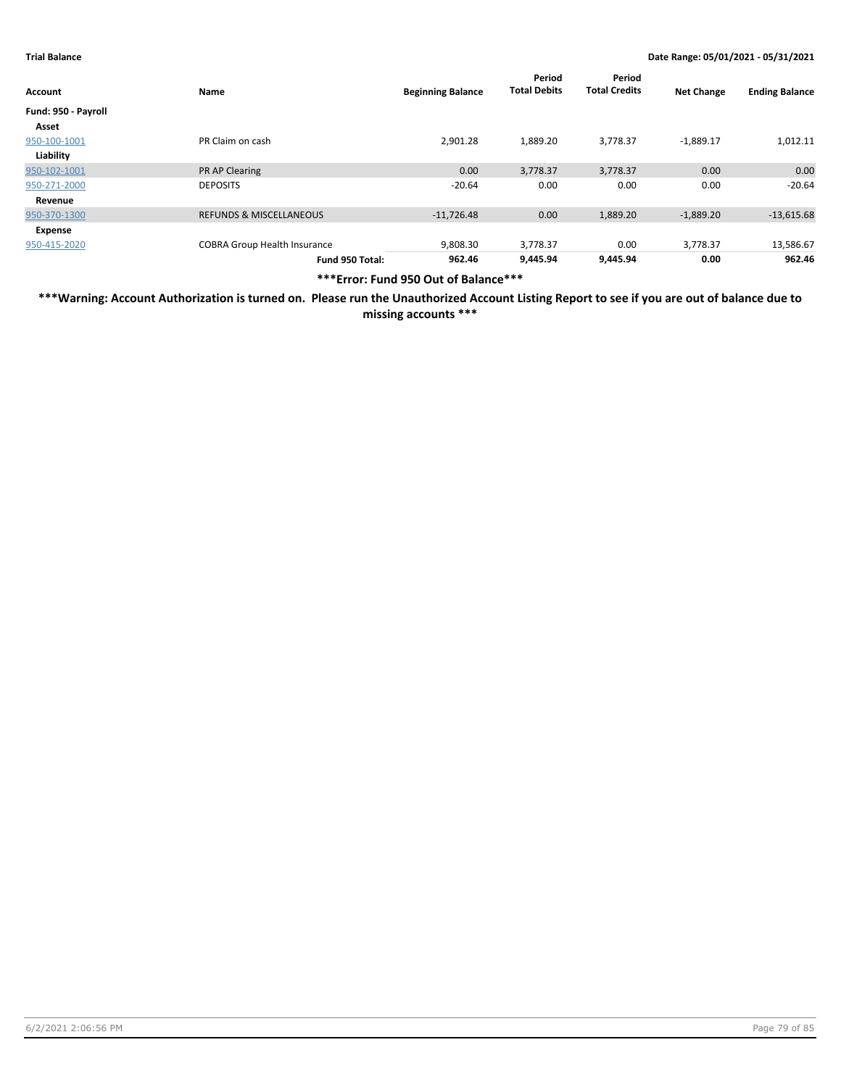| Account             | Name                                | <b>Beginning Balance</b> | Period<br><b>Total Debits</b> | Period<br><b>Total Credits</b> | <b>Net Change</b> | <b>Ending Balance</b> |
|---------------------|-------------------------------------|--------------------------|-------------------------------|--------------------------------|-------------------|-----------------------|
| Fund: 950 - Payroll |                                     |                          |                               |                                |                   |                       |
| Asset               |                                     |                          |                               |                                |                   |                       |
| 950-100-1001        | PR Claim on cash                    | 2,901.28                 | 1,889.20                      | 3,778.37                       | $-1,889.17$       | 1,012.11              |
| Liability           |                                     |                          |                               |                                |                   |                       |
| 950-102-1001        | <b>PR AP Clearing</b>               | 0.00                     | 3,778.37                      | 3,778.37                       | 0.00              | 0.00                  |
| 950-271-2000        | <b>DEPOSITS</b>                     | $-20.64$                 | 0.00                          | 0.00                           | 0.00              | $-20.64$              |
| Revenue             |                                     |                          |                               |                                |                   |                       |
| 950-370-1300        | <b>REFUNDS &amp; MISCELLANEOUS</b>  | $-11,726.48$             | 0.00                          | 1,889.20                       | $-1,889.20$       | $-13,615.68$          |
| Expense             |                                     |                          |                               |                                |                   |                       |
| 950-415-2020        | <b>COBRA Group Health Insurance</b> | 9,808.30                 | 3,778.37                      | 0.00                           | 3,778.37          | 13,586.67             |
|                     | Fund 950 Total:                     | 962.46                   | 9,445.94                      | 9.445.94                       | 0.00              | 962.46                |

**\*\*\*Error: Fund 950 Out of Balance\*\*\***

**\*\*\*Warning: Account Authorization is turned on. Please run the Unauthorized Account Listing Report to see if you are out of balance due to missing accounts \*\*\***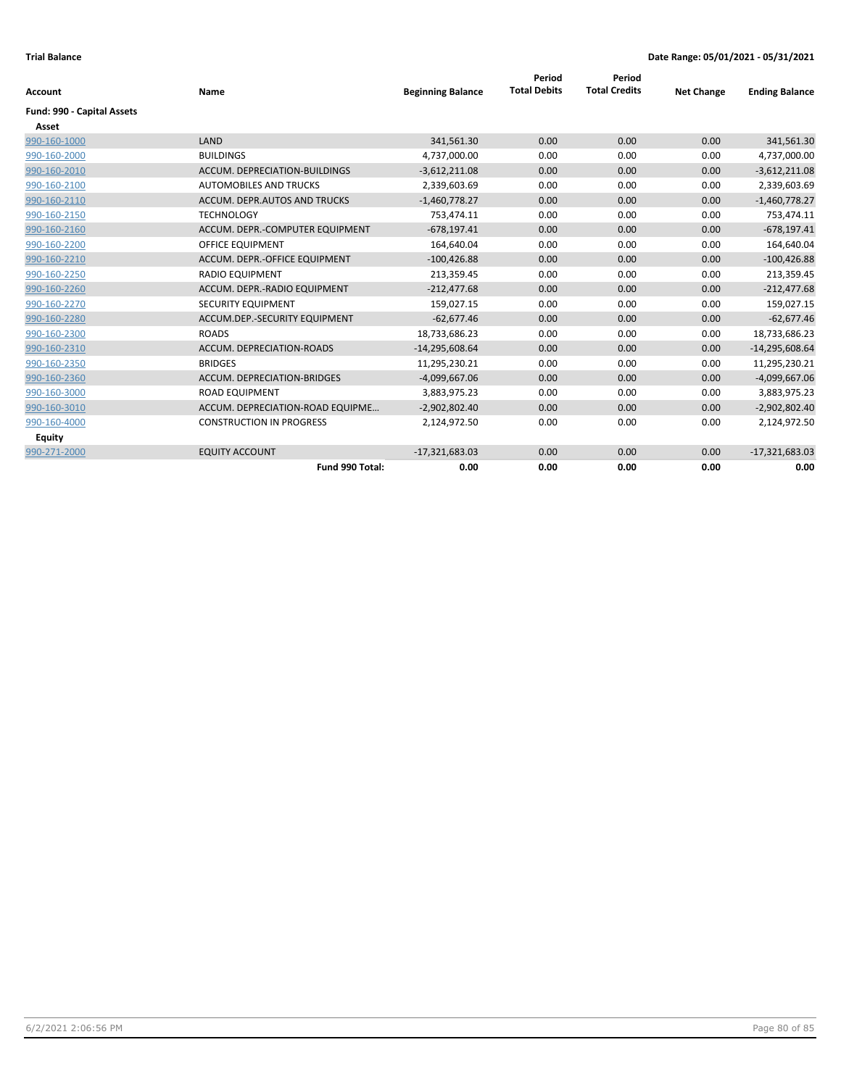| Account                    | Name                             | <b>Beginning Balance</b> | Period<br><b>Total Debits</b> | Period<br><b>Total Credits</b> | <b>Net Change</b> | <b>Ending Balance</b> |
|----------------------------|----------------------------------|--------------------------|-------------------------------|--------------------------------|-------------------|-----------------------|
|                            |                                  |                          |                               |                                |                   |                       |
| Fund: 990 - Capital Assets |                                  |                          |                               |                                |                   |                       |
| Asset                      |                                  |                          |                               |                                |                   |                       |
| 990-160-1000               | LAND                             | 341,561.30               | 0.00                          | 0.00                           | 0.00              | 341,561.30            |
| 990-160-2000               | <b>BUILDINGS</b>                 | 4,737,000.00             | 0.00                          | 0.00                           | 0.00              | 4,737,000.00          |
| 990-160-2010               | ACCUM. DEPRECIATION-BUILDINGS    | $-3,612,211.08$          | 0.00                          | 0.00                           | 0.00              | $-3,612,211.08$       |
| 990-160-2100               | <b>AUTOMOBILES AND TRUCKS</b>    | 2,339,603.69             | 0.00                          | 0.00                           | 0.00              | 2,339,603.69          |
| 990-160-2110               | ACCUM. DEPR.AUTOS AND TRUCKS     | $-1,460,778.27$          | 0.00                          | 0.00                           | 0.00              | $-1,460,778.27$       |
| 990-160-2150               | <b>TECHNOLOGY</b>                | 753.474.11               | 0.00                          | 0.00                           | 0.00              | 753,474.11            |
| 990-160-2160               | ACCUM. DEPR.-COMPUTER EQUIPMENT  | $-678,197.41$            | 0.00                          | 0.00                           | 0.00              | $-678,197.41$         |
| 990-160-2200               | <b>OFFICE EQUIPMENT</b>          | 164,640.04               | 0.00                          | 0.00                           | 0.00              | 164,640.04            |
| 990-160-2210               | ACCUM. DEPR.-OFFICE EQUIPMENT    | $-100,426.88$            | 0.00                          | 0.00                           | 0.00              | $-100,426.88$         |
| 990-160-2250               | <b>RADIO EQUIPMENT</b>           | 213,359.45               | 0.00                          | 0.00                           | 0.00              | 213,359.45            |
| 990-160-2260               | ACCUM. DEPR.-RADIO EQUIPMENT     | $-212.477.68$            | 0.00                          | 0.00                           | 0.00              | $-212,477.68$         |
| 990-160-2270               | SECURITY EQUIPMENT               | 159,027.15               | 0.00                          | 0.00                           | 0.00              | 159,027.15            |
| 990-160-2280               | ACCUM.DEP.-SECURITY EQUIPMENT    | $-62,677.46$             | 0.00                          | 0.00                           | 0.00              | $-62,677.46$          |
| 990-160-2300               | <b>ROADS</b>                     | 18,733,686.23            | 0.00                          | 0.00                           | 0.00              | 18,733,686.23         |
| 990-160-2310               | ACCUM. DEPRECIATION-ROADS        | $-14,295,608.64$         | 0.00                          | 0.00                           | 0.00              | $-14,295,608.64$      |
| 990-160-2350               | <b>BRIDGES</b>                   | 11,295,230.21            | 0.00                          | 0.00                           | 0.00              | 11,295,230.21         |
| 990-160-2360               | ACCUM. DEPRECIATION-BRIDGES      | $-4,099,667.06$          | 0.00                          | 0.00                           | 0.00              | $-4,099,667.06$       |
| 990-160-3000               | <b>ROAD EQUIPMENT</b>            | 3,883,975.23             | 0.00                          | 0.00                           | 0.00              | 3,883,975.23          |
| 990-160-3010               | ACCUM. DEPRECIATION-ROAD EQUIPME | $-2,902,802.40$          | 0.00                          | 0.00                           | 0.00              | $-2,902,802.40$       |
| 990-160-4000               | <b>CONSTRUCTION IN PROGRESS</b>  | 2,124,972.50             | 0.00                          | 0.00                           | 0.00              | 2,124,972.50          |
| <b>Equity</b>              |                                  |                          |                               |                                |                   |                       |
| 990-271-2000               | <b>EQUITY ACCOUNT</b>            | $-17,321,683.03$         | 0.00                          | 0.00                           | 0.00              | $-17,321,683.03$      |
|                            | Fund 990 Total:                  | 0.00                     | 0.00                          | 0.00                           | 0.00              | 0.00                  |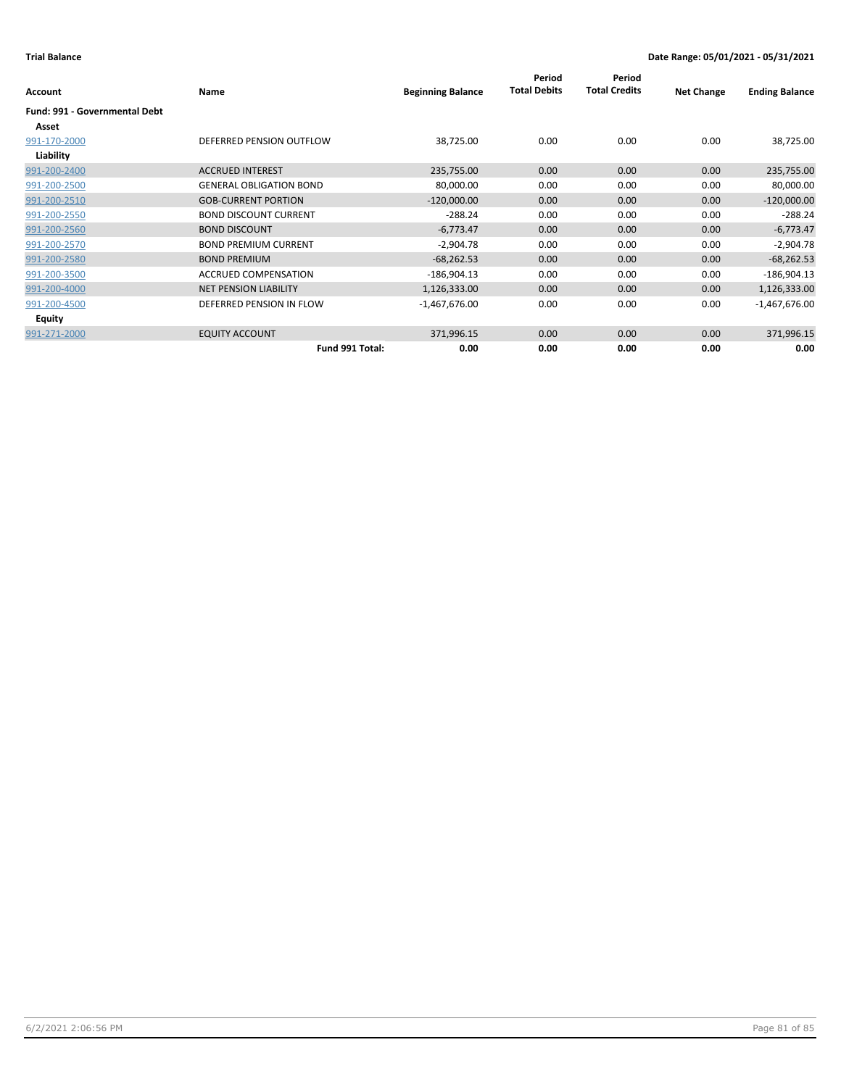|                               |                                |                          | Period<br><b>Total Debits</b> | Period<br><b>Total Credits</b> |                   |                       |
|-------------------------------|--------------------------------|--------------------------|-------------------------------|--------------------------------|-------------------|-----------------------|
| Account                       | Name                           | <b>Beginning Balance</b> |                               |                                | <b>Net Change</b> | <b>Ending Balance</b> |
| Fund: 991 - Governmental Debt |                                |                          |                               |                                |                   |                       |
| Asset                         |                                |                          |                               |                                |                   |                       |
| 991-170-2000                  | DEFERRED PENSION OUTFLOW       | 38,725.00                | 0.00                          | 0.00                           | 0.00              | 38,725.00             |
| Liability                     |                                |                          |                               |                                |                   |                       |
| 991-200-2400                  | <b>ACCRUED INTEREST</b>        | 235,755.00               | 0.00                          | 0.00                           | 0.00              | 235,755.00            |
| 991-200-2500                  | <b>GENERAL OBLIGATION BOND</b> | 80,000.00                | 0.00                          | 0.00                           | 0.00              | 80,000.00             |
| 991-200-2510                  | <b>GOB-CURRENT PORTION</b>     | $-120,000.00$            | 0.00                          | 0.00                           | 0.00              | $-120,000.00$         |
| 991-200-2550                  | <b>BOND DISCOUNT CURRENT</b>   | $-288.24$                | 0.00                          | 0.00                           | 0.00              | $-288.24$             |
| 991-200-2560                  | <b>BOND DISCOUNT</b>           | $-6,773.47$              | 0.00                          | 0.00                           | 0.00              | $-6,773.47$           |
| 991-200-2570                  | <b>BOND PREMIUM CURRENT</b>    | $-2,904.78$              | 0.00                          | 0.00                           | 0.00              | $-2,904.78$           |
| 991-200-2580                  | <b>BOND PREMIUM</b>            | $-68,262.53$             | 0.00                          | 0.00                           | 0.00              | $-68,262.53$          |
| 991-200-3500                  | <b>ACCRUED COMPENSATION</b>    | $-186,904.13$            | 0.00                          | 0.00                           | 0.00              | $-186,904.13$         |
| 991-200-4000                  | <b>NET PENSION LIABILITY</b>   | 1,126,333.00             | 0.00                          | 0.00                           | 0.00              | 1,126,333.00          |
| 991-200-4500                  | DEFERRED PENSION IN FLOW       | $-1,467,676.00$          | 0.00                          | 0.00                           | 0.00              | $-1,467,676.00$       |
| Equity                        |                                |                          |                               |                                |                   |                       |
| 991-271-2000                  | <b>EQUITY ACCOUNT</b>          | 371,996.15               | 0.00                          | 0.00                           | 0.00              | 371,996.15            |
|                               | Fund 991 Total:                | 0.00                     | 0.00                          | 0.00                           | 0.00              | 0.00                  |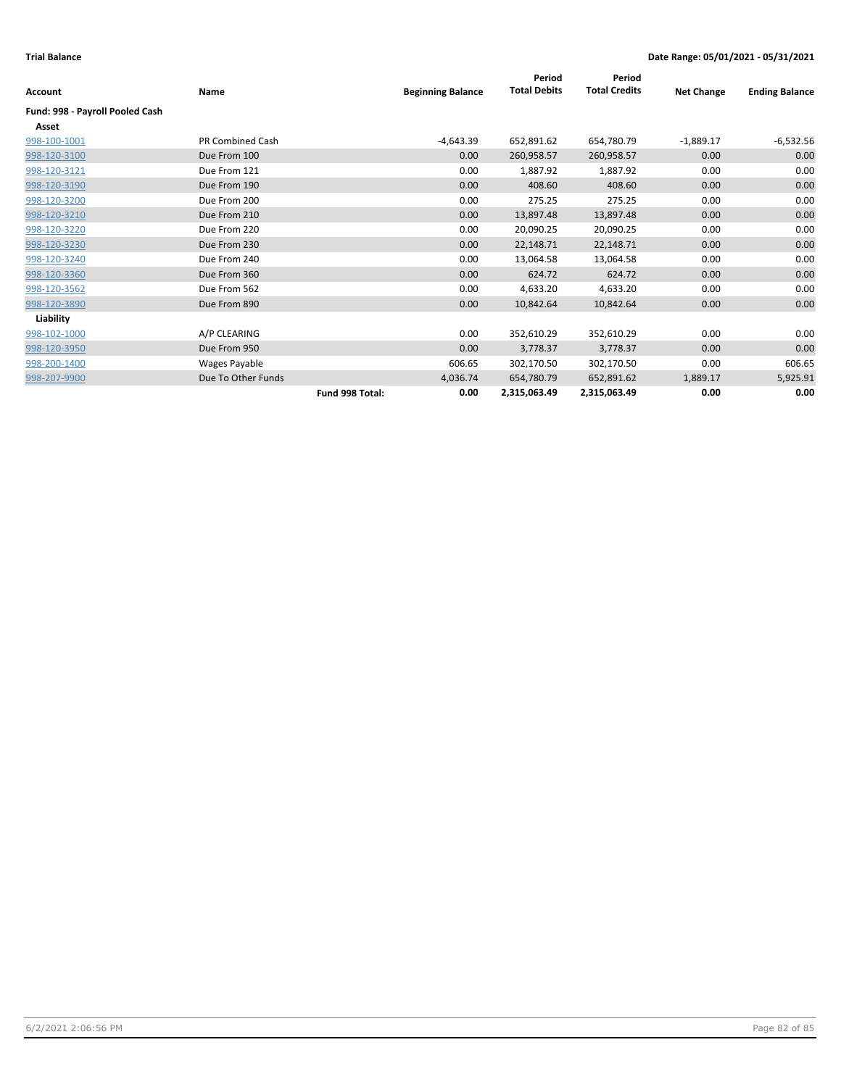|                                 |                    |                 |                          | Period              | Period               |                   |                       |
|---------------------------------|--------------------|-----------------|--------------------------|---------------------|----------------------|-------------------|-----------------------|
| <b>Account</b>                  | Name               |                 | <b>Beginning Balance</b> | <b>Total Debits</b> | <b>Total Credits</b> | <b>Net Change</b> | <b>Ending Balance</b> |
| Fund: 998 - Payroll Pooled Cash |                    |                 |                          |                     |                      |                   |                       |
| Asset                           |                    |                 |                          |                     |                      |                   |                       |
| 998-100-1001                    | PR Combined Cash   |                 | -4,643.39                | 652,891.62          | 654,780.79           | $-1,889.17$       | $-6,532.56$           |
| 998-120-3100                    | Due From 100       |                 | 0.00                     | 260,958.57          | 260,958.57           | 0.00              | 0.00                  |
| 998-120-3121                    | Due From 121       |                 | 0.00                     | 1,887.92            | 1,887.92             | 0.00              | 0.00                  |
| 998-120-3190                    | Due From 190       |                 | 0.00                     | 408.60              | 408.60               | 0.00              | 0.00                  |
| 998-120-3200                    | Due From 200       |                 | 0.00                     | 275.25              | 275.25               | 0.00              | 0.00                  |
| 998-120-3210                    | Due From 210       |                 | 0.00                     | 13,897.48           | 13,897.48            | 0.00              | 0.00                  |
| 998-120-3220                    | Due From 220       |                 | 0.00                     | 20,090.25           | 20,090.25            | 0.00              | 0.00                  |
| 998-120-3230                    | Due From 230       |                 | 0.00                     | 22,148.71           | 22,148.71            | 0.00              | 0.00                  |
| 998-120-3240                    | Due From 240       |                 | 0.00                     | 13,064.58           | 13,064.58            | 0.00              | 0.00                  |
| 998-120-3360                    | Due From 360       |                 | 0.00                     | 624.72              | 624.72               | 0.00              | 0.00                  |
| 998-120-3562                    | Due From 562       |                 | 0.00                     | 4,633.20            | 4,633.20             | 0.00              | 0.00                  |
| 998-120-3890                    | Due From 890       |                 | 0.00                     | 10,842.64           | 10,842.64            | 0.00              | 0.00                  |
| Liability                       |                    |                 |                          |                     |                      |                   |                       |
| 998-102-1000                    | A/P CLEARING       |                 | 0.00                     | 352,610.29          | 352,610.29           | 0.00              | 0.00                  |
| 998-120-3950                    | Due From 950       |                 | 0.00                     | 3,778.37            | 3,778.37             | 0.00              | 0.00                  |
| 998-200-1400                    | Wages Payable      |                 | 606.65                   | 302,170.50          | 302,170.50           | 0.00              | 606.65                |
| 998-207-9900                    | Due To Other Funds |                 | 4,036.74                 | 654,780.79          | 652,891.62           | 1,889.17          | 5,925.91              |
|                                 |                    | Fund 998 Total: | 0.00                     | 2,315,063.49        | 2,315,063.49         | 0.00              | 0.00                  |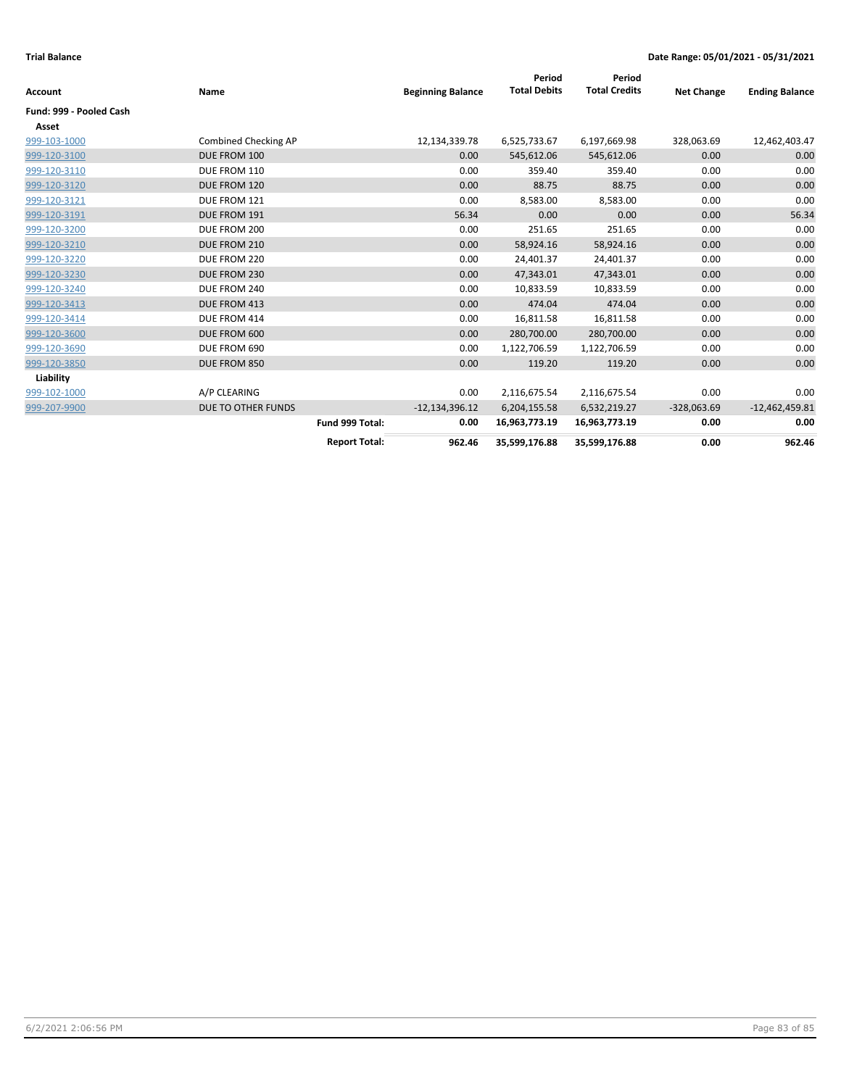| Account                 | Name                      |                      | <b>Beginning Balance</b> | Period<br><b>Total Debits</b> | Period<br><b>Total Credits</b> | <b>Net Change</b> | <b>Ending Balance</b> |
|-------------------------|---------------------------|----------------------|--------------------------|-------------------------------|--------------------------------|-------------------|-----------------------|
| Fund: 999 - Pooled Cash |                           |                      |                          |                               |                                |                   |                       |
| Asset                   |                           |                      |                          |                               |                                |                   |                       |
| 999-103-1000            | Combined Checking AP      |                      | 12,134,339.78            | 6,525,733.67                  | 6,197,669.98                   | 328,063.69        | 12,462,403.47         |
| 999-120-3100            | DUE FROM 100              |                      | 0.00                     | 545,612.06                    | 545,612.06                     | 0.00              | 0.00                  |
| 999-120-3110            | DUE FROM 110              |                      | 0.00                     | 359.40                        | 359.40                         | 0.00              | 0.00                  |
| 999-120-3120            | DUE FROM 120              |                      | 0.00                     | 88.75                         | 88.75                          | 0.00              | 0.00                  |
| 999-120-3121            | DUE FROM 121              |                      | 0.00                     | 8,583.00                      | 8,583.00                       | 0.00              | 0.00                  |
| 999-120-3191            | DUE FROM 191              |                      | 56.34                    | 0.00                          | 0.00                           | 0.00              | 56.34                 |
| 999-120-3200            | DUE FROM 200              |                      | 0.00                     | 251.65                        | 251.65                         | 0.00              | 0.00                  |
| 999-120-3210            | DUE FROM 210              |                      | 0.00                     | 58,924.16                     | 58,924.16                      | 0.00              | 0.00                  |
| 999-120-3220            | DUE FROM 220              |                      | 0.00                     | 24,401.37                     | 24,401.37                      | 0.00              | 0.00                  |
| 999-120-3230            | DUE FROM 230              |                      | 0.00                     | 47,343.01                     | 47,343.01                      | 0.00              | 0.00                  |
| 999-120-3240            | DUE FROM 240              |                      | 0.00                     | 10,833.59                     | 10,833.59                      | 0.00              | 0.00                  |
| 999-120-3413            | DUE FROM 413              |                      | 0.00                     | 474.04                        | 474.04                         | 0.00              | 0.00                  |
| 999-120-3414            | DUE FROM 414              |                      | 0.00                     | 16,811.58                     | 16,811.58                      | 0.00              | 0.00                  |
| 999-120-3600            | DUE FROM 600              |                      | 0.00                     | 280,700.00                    | 280,700.00                     | 0.00              | 0.00                  |
| 999-120-3690            | DUE FROM 690              |                      | 0.00                     | 1,122,706.59                  | 1,122,706.59                   | 0.00              | 0.00                  |
| 999-120-3850            | DUE FROM 850              |                      | 0.00                     | 119.20                        | 119.20                         | 0.00              | 0.00                  |
| Liability               |                           |                      |                          |                               |                                |                   |                       |
| 999-102-1000            | A/P CLEARING              |                      | 0.00                     | 2,116,675.54                  | 2,116,675.54                   | 0.00              | 0.00                  |
| 999-207-9900            | <b>DUE TO OTHER FUNDS</b> |                      | $-12,134,396.12$         | 6,204,155.58                  | 6,532,219.27                   | $-328,063.69$     | $-12,462,459.81$      |
|                         |                           | Fund 999 Total:      | 0.00                     | 16,963,773.19                 | 16,963,773.19                  | 0.00              | 0.00                  |
|                         |                           | <b>Report Total:</b> | 962.46                   | 35,599,176.88                 | 35,599,176.88                  | 0.00              | 962.46                |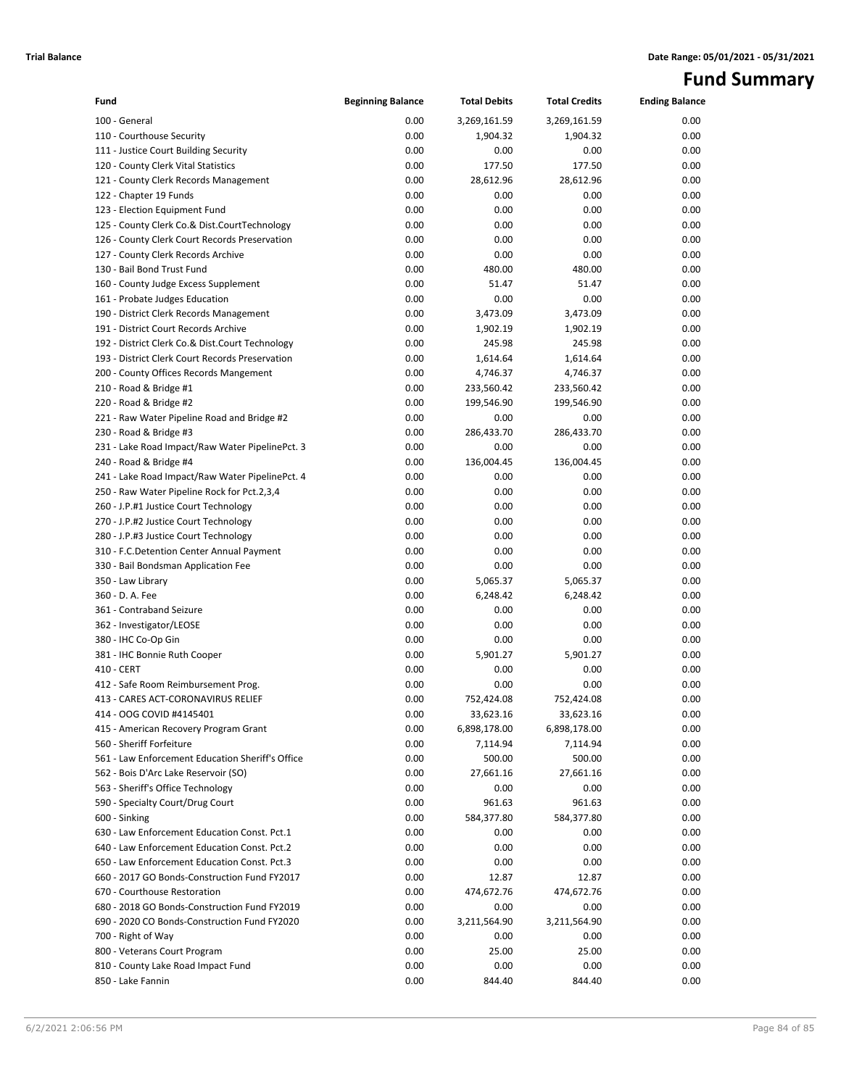# **Fund Summary**

| Fund                                             | <b>Beginning Balance</b> | <b>Total Debits</b> | <b>Total Credits</b> | <b>Ending Balance</b> |
|--------------------------------------------------|--------------------------|---------------------|----------------------|-----------------------|
| 100 - General                                    | 0.00                     | 3,269,161.59        | 3,269,161.59         | 0.00                  |
| 110 - Courthouse Security                        | 0.00                     | 1,904.32            | 1,904.32             | 0.00                  |
| 111 - Justice Court Building Security            | 0.00                     | 0.00                | 0.00                 | 0.00                  |
| 120 - County Clerk Vital Statistics              | 0.00                     | 177.50              | 177.50               | 0.00                  |
| 121 - County Clerk Records Management            | 0.00                     | 28,612.96           | 28,612.96            | 0.00                  |
| 122 - Chapter 19 Funds                           | 0.00                     | 0.00                | 0.00                 | 0.00                  |
| 123 - Election Equipment Fund                    | 0.00                     | 0.00                | 0.00                 | 0.00                  |
| 125 - County Clerk Co.& Dist.CourtTechnology     | 0.00                     | 0.00                | 0.00                 | 0.00                  |
| 126 - County Clerk Court Records Preservation    | 0.00                     | 0.00                | 0.00                 | 0.00                  |
| 127 - County Clerk Records Archive               | 0.00                     | 0.00                | 0.00                 | 0.00                  |
| 130 - Bail Bond Trust Fund                       | 0.00                     | 480.00              | 480.00               | 0.00                  |
| 160 - County Judge Excess Supplement             | 0.00                     | 51.47               | 51.47                | 0.00                  |
| 161 - Probate Judges Education                   | 0.00                     | 0.00                | 0.00                 | 0.00                  |
| 190 - District Clerk Records Management          | 0.00                     | 3,473.09            | 3,473.09             | 0.00                  |
| 191 - District Court Records Archive             | 0.00                     | 1,902.19            | 1,902.19             | 0.00                  |
| 192 - District Clerk Co.& Dist.Court Technology  | 0.00                     | 245.98              | 245.98               | 0.00                  |
| 193 - District Clerk Court Records Preservation  | 0.00                     | 1,614.64            | 1,614.64             | 0.00                  |
| 200 - County Offices Records Mangement           | 0.00                     | 4,746.37            | 4,746.37             | 0.00                  |
| 210 - Road & Bridge #1                           | 0.00                     | 233,560.42          | 233,560.42           | 0.00                  |
| 220 - Road & Bridge #2                           | 0.00                     | 199,546.90          | 199,546.90           | 0.00                  |
| 221 - Raw Water Pipeline Road and Bridge #2      | 0.00                     | 0.00                | 0.00                 | 0.00                  |
| 230 - Road & Bridge #3                           | 0.00                     | 286,433.70          | 286,433.70           | 0.00                  |
| 231 - Lake Road Impact/Raw Water PipelinePct. 3  | 0.00                     | 0.00                | 0.00                 | 0.00                  |
| 240 - Road & Bridge #4                           | 0.00                     | 136,004.45          | 136,004.45           | 0.00                  |
| 241 - Lake Road Impact/Raw Water PipelinePct. 4  | 0.00                     | 0.00                | 0.00                 | 0.00                  |
| 250 - Raw Water Pipeline Rock for Pct.2,3,4      | 0.00                     | 0.00                | 0.00                 | 0.00                  |
| 260 - J.P.#1 Justice Court Technology            | 0.00                     | 0.00                | 0.00                 | 0.00                  |
| 270 - J.P.#2 Justice Court Technology            | 0.00                     | 0.00                | 0.00                 | 0.00                  |
| 280 - J.P.#3 Justice Court Technology            | 0.00                     | 0.00                | 0.00                 | 0.00                  |
| 310 - F.C.Detention Center Annual Payment        | 0.00                     | 0.00                | 0.00                 | 0.00                  |
| 330 - Bail Bondsman Application Fee              | 0.00                     | 0.00                | 0.00                 | 0.00                  |
| 350 - Law Library                                | 0.00                     | 5,065.37            | 5,065.37             | 0.00                  |
| 360 - D. A. Fee                                  | 0.00                     | 6,248.42            | 6,248.42             | 0.00                  |
| 361 - Contraband Seizure                         | 0.00                     | 0.00                | 0.00                 | 0.00                  |
| 362 - Investigator/LEOSE                         | 0.00                     | 0.00                | 0.00                 | 0.00                  |
| 380 - IHC Co-Op Gin                              | 0.00                     | 0.00                | 0.00                 | 0.00                  |
| 381 - IHC Bonnie Ruth Cooper                     | 0.00                     | 5,901.27            | 5,901.27             | 0.00                  |
| 410 - CERT                                       | 0.00                     | 0.00                | 0.00                 | 0.00                  |
| 412 - Safe Room Reimbursement Prog.              | 0.00                     | 0.00                | 0.00                 | 0.00                  |
| 413 - CARES ACT-CORONAVIRUS RELIEF               | 0.00                     | 752,424.08          | 752,424.08           | 0.00                  |
| 414 - OOG COVID #4145401                         | 0.00                     | 33,623.16           | 33,623.16            | 0.00                  |
| 415 - American Recovery Program Grant            | 0.00                     | 6,898,178.00        | 6,898,178.00         | 0.00                  |
| 560 - Sheriff Forfeiture                         | 0.00                     | 7,114.94            | 7,114.94             | 0.00                  |
| 561 - Law Enforcement Education Sheriff's Office | 0.00                     | 500.00              | 500.00               | 0.00                  |
| 562 - Bois D'Arc Lake Reservoir (SO)             | 0.00                     | 27,661.16           | 27,661.16            | 0.00                  |
| 563 - Sheriff's Office Technology                | 0.00                     | 0.00                | 0.00                 | 0.00                  |
| 590 - Specialty Court/Drug Court                 | 0.00                     | 961.63              | 961.63               | 0.00                  |
| 600 - Sinking                                    | 0.00                     | 584,377.80          | 584,377.80           | 0.00                  |
| 630 - Law Enforcement Education Const. Pct.1     | 0.00                     | 0.00                | 0.00                 | 0.00                  |
| 640 - Law Enforcement Education Const. Pct.2     | 0.00                     | 0.00                | 0.00                 | 0.00                  |
| 650 - Law Enforcement Education Const. Pct.3     | 0.00                     | 0.00                | 0.00                 | 0.00                  |
| 660 - 2017 GO Bonds-Construction Fund FY2017     | 0.00                     | 12.87               | 12.87                | 0.00                  |
| 670 - Courthouse Restoration                     | 0.00                     | 474,672.76          | 474,672.76           | 0.00                  |
| 680 - 2018 GO Bonds-Construction Fund FY2019     | 0.00                     | 0.00                | 0.00                 | 0.00                  |
| 690 - 2020 CO Bonds-Construction Fund FY2020     | 0.00                     | 3,211,564.90        | 3,211,564.90         | 0.00                  |
| 700 - Right of Way                               | 0.00                     | 0.00                | 0.00                 | 0.00                  |
| 800 - Veterans Court Program                     | 0.00                     | 25.00               | 25.00                | 0.00                  |
| 810 - County Lake Road Impact Fund               | 0.00                     | 0.00                | 0.00                 | 0.00                  |
| 850 - Lake Fannin                                | 0.00                     | 844.40              | 844.40               | 0.00                  |